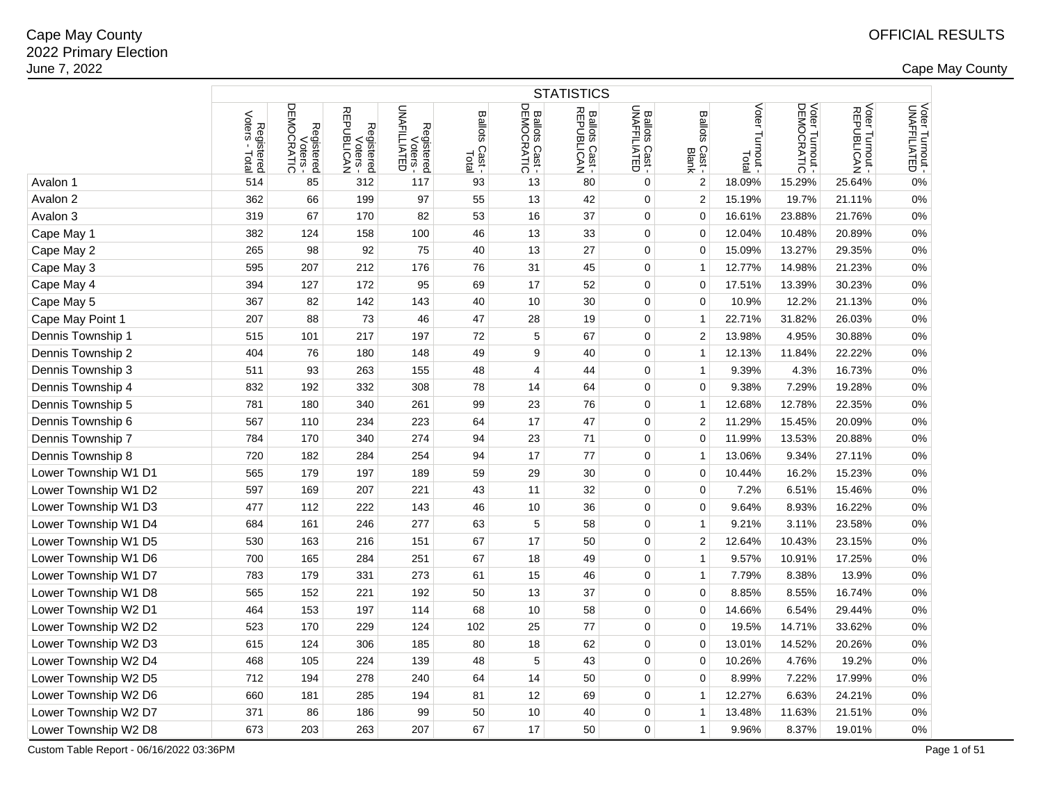|                      | <b>STATISTICS</b>             |                                    |                                           |                                        |                         |                              |                              |                                |                                   |                          |                               |                               |                                 |
|----------------------|-------------------------------|------------------------------------|-------------------------------------------|----------------------------------------|-------------------------|------------------------------|------------------------------|--------------------------------|-----------------------------------|--------------------------|-------------------------------|-------------------------------|---------------------------------|
|                      | Voters<br>Registered<br>Total | DEMOCRATIC<br>Registered<br>Voters | <b>REPUBLICAN</b><br>Registered<br>Voters | Registered<br>Voters -<br>UNAFILLIATED | Ballots Cast -<br>Total | Ballots Cast -<br>DEMOCRATIC | Ballots Cast -<br>REPUBLICAN | Ballots Cast -<br>UNAFFILIATED | <b>Ballots</b><br>Cast -<br>Blank | Voter Turnout -<br>Total | Voter Turnout -<br>DEMOCRATIC | Voter Turnout -<br>REPUBLICAN | Voter Turnout -<br>UNAFFILIATED |
| Avalon 1             | 514                           | 85                                 | 312                                       | 117                                    | 93                      | 13                           | 80                           | 0                              | 2                                 | 18.09%                   | 15.29%                        | 25.64%                        | 0%                              |
| Avalon 2             | 362                           | 66                                 | 199                                       | 97                                     | 55                      | 13                           | 42                           | 0                              | $\overline{\mathbf{c}}$           | 15.19%                   | 19.7%                         | 21.11%                        | 0%                              |
| Avalon 3             | 319                           | 67                                 | 170                                       | 82                                     | 53                      | 16                           | 37                           | 0                              | 0                                 | 16.61%                   | 23.88%                        | 21.76%                        | 0%                              |
| Cape May 1           | 382                           | 124                                | 158                                       | 100                                    | 46                      | 13                           | 33                           | 0                              | 0                                 | 12.04%                   | 10.48%                        | 20.89%                        | 0%                              |
| Cape May 2           | 265                           | 98                                 | 92                                        | 75                                     | 40                      | 13                           | 27                           | 0                              | $\mathbf 0$                       | 15.09%                   | 13.27%                        | 29.35%                        | 0%                              |
| Cape May 3           | 595                           | 207                                | 212                                       | 176                                    | 76                      | 31                           | 45                           | 0                              | $\mathbf{1}$                      | 12.77%                   | 14.98%                        | 21.23%                        | 0%                              |
| Cape May 4           | 394                           | 127                                | 172                                       | 95                                     | 69                      | 17                           | 52                           | 0                              | 0                                 | 17.51%                   | 13.39%                        | 30.23%                        | 0%                              |
| Cape May 5           | 367                           | 82                                 | 142                                       | 143                                    | 40                      | 10                           | 30                           | 0                              | 0                                 | 10.9%                    | 12.2%                         | 21.13%                        | 0%                              |
| Cape May Point 1     | 207                           | 88                                 | 73                                        | 46                                     | 47                      | 28                           | 19                           | 0                              | $\mathbf{1}$                      | 22.71%                   | 31.82%                        | 26.03%                        | 0%                              |
| Dennis Township 1    | 515                           | 101                                | 217                                       | 197                                    | 72                      | 5                            | 67                           | $\mathbf 0$                    | $\overline{2}$                    | 13.98%                   | 4.95%                         | 30.88%                        | 0%                              |
| Dennis Township 2    | 404                           | 76                                 | 180                                       | 148                                    | 49                      | 9                            | 40                           | 0                              | $\mathbf{1}$                      | 12.13%                   | 11.84%                        | 22.22%                        | 0%                              |
| Dennis Township 3    | 511                           | 93                                 | 263                                       | 155                                    | 48                      | 4                            | 44                           | 0                              | $\mathbf{1}$                      | 9.39%                    | 4.3%                          | 16.73%                        | 0%                              |
| Dennis Township 4    | 832                           | 192                                | 332                                       | 308                                    | 78                      | 14                           | 64                           | 0                              | 0                                 | 9.38%                    | 7.29%                         | 19.28%                        | 0%                              |
| Dennis Township 5    | 781                           | 180                                | 340                                       | 261                                    | 99                      | 23                           | 76                           | $\mathbf 0$                    | $\mathbf{1}$                      | 12.68%                   | 12.78%                        | 22.35%                        | 0%                              |
| Dennis Township 6    | 567                           | 110                                | 234                                       | 223                                    | 64                      | 17                           | 47                           | 0                              | $\overline{\mathbf{c}}$           | 11.29%                   | 15.45%                        | 20.09%                        | 0%                              |
| Dennis Township 7    | 784                           | 170                                | 340                                       | 274                                    | 94                      | 23                           | 71                           | $\mathbf 0$                    | 0                                 | 11.99%                   | 13.53%                        | 20.88%                        | 0%                              |
| Dennis Township 8    | 720                           | 182                                | 284                                       | 254                                    | 94                      | 17                           | 77                           | 0                              | 1                                 | 13.06%                   | 9.34%                         | 27.11%                        | 0%                              |
| Lower Township W1 D1 | 565                           | 179                                | 197                                       | 189                                    | 59                      | 29                           | 30                           | $\mathbf 0$                    | 0                                 | 10.44%                   | 16.2%                         | 15.23%                        | 0%                              |
| Lower Township W1 D2 | 597                           | 169                                | 207                                       | 221                                    | 43                      | 11                           | 32                           | 0                              | 0                                 | 7.2%                     | 6.51%                         | 15.46%                        | 0%                              |
| Lower Township W1 D3 | 477                           | 112                                | 222                                       | 143                                    | 46                      | 10                           | 36                           | 0                              | 0                                 | 9.64%                    | 8.93%                         | 16.22%                        | 0%                              |
| Lower Township W1 D4 | 684                           | 161                                | 246                                       | 277                                    | 63                      | 5                            | 58                           | 0                              | $\mathbf{1}$                      | 9.21%                    | 3.11%                         | 23.58%                        | 0%                              |
| Lower Township W1 D5 | 530                           | 163                                | 216                                       | 151                                    | 67                      | 17                           | 50                           | 0                              | $\overline{2}$                    | 12.64%                   | 10.43%                        | 23.15%                        | 0%                              |
| Lower Township W1 D6 | 700                           | 165                                | 284                                       | 251                                    | 67                      | 18                           | 49                           | 0                              | $\mathbf{1}$                      | 9.57%                    | 10.91%                        | 17.25%                        | 0%                              |
| Lower Township W1 D7 | 783                           | 179                                | 331                                       | 273                                    | 61                      | 15                           | 46                           | 0                              | $\mathbf{1}$                      | 7.79%                    | 8.38%                         | 13.9%                         | 0%                              |
| Lower Township W1 D8 | 565                           | 152                                | 221                                       | 192                                    | 50                      | 13                           | 37                           | 0                              | 0                                 | 8.85%                    | 8.55%                         | 16.74%                        | 0%                              |
| Lower Township W2 D1 | 464                           | 153                                | 197                                       | 114                                    | 68                      | 10                           | 58                           | 0                              | 0                                 | 14.66%                   | 6.54%                         | 29.44%                        | 0%                              |
| Lower Township W2 D2 | 523                           | 170                                | 229                                       | 124                                    | 102                     | 25                           | 77                           | 0                              | 0                                 | 19.5%                    | 14.71%                        | 33.62%                        | 0%                              |
| Lower Township W2 D3 | 615                           | 124                                | 306                                       | 185                                    | 80                      | 18                           | 62                           | $\mathbf 0$                    | 0                                 | 13.01%                   | 14.52%                        | 20.26%                        | 0%                              |
| Lower Township W2 D4 | 468                           | 105                                | 224                                       | 139                                    | 48                      | 5                            | 43                           | 0                              | 0                                 | 10.26%                   | 4.76%                         | 19.2%                         | 0%                              |
| Lower Township W2 D5 | 712                           | 194                                | 278                                       | 240                                    | 64                      | 14                           | 50                           | $\mathbf 0$                    | 0                                 | 8.99%                    | 7.22%                         | 17.99%                        | 0%                              |
| Lower Township W2 D6 | 660                           | 181                                | 285                                       | 194                                    | 81                      | 12                           | 69                           | 0                              | $\mathbf{1}$                      | 12.27%                   | 6.63%                         | 24.21%                        | 0%                              |
| Lower Township W2 D7 | 371                           | 86                                 | 186                                       | 99                                     | 50                      | 10                           | 40                           | 0                              | 1                                 | 13.48%                   | 11.63%                        | 21.51%                        | 0%                              |
| Lower Township W2 D8 | 673                           | 203                                | 263                                       | 207                                    | 67                      | 17                           | 50                           | 0                              | $\mathbf{1}$                      | 9.96%                    | 8.37%                         | 19.01%                        | 0%                              |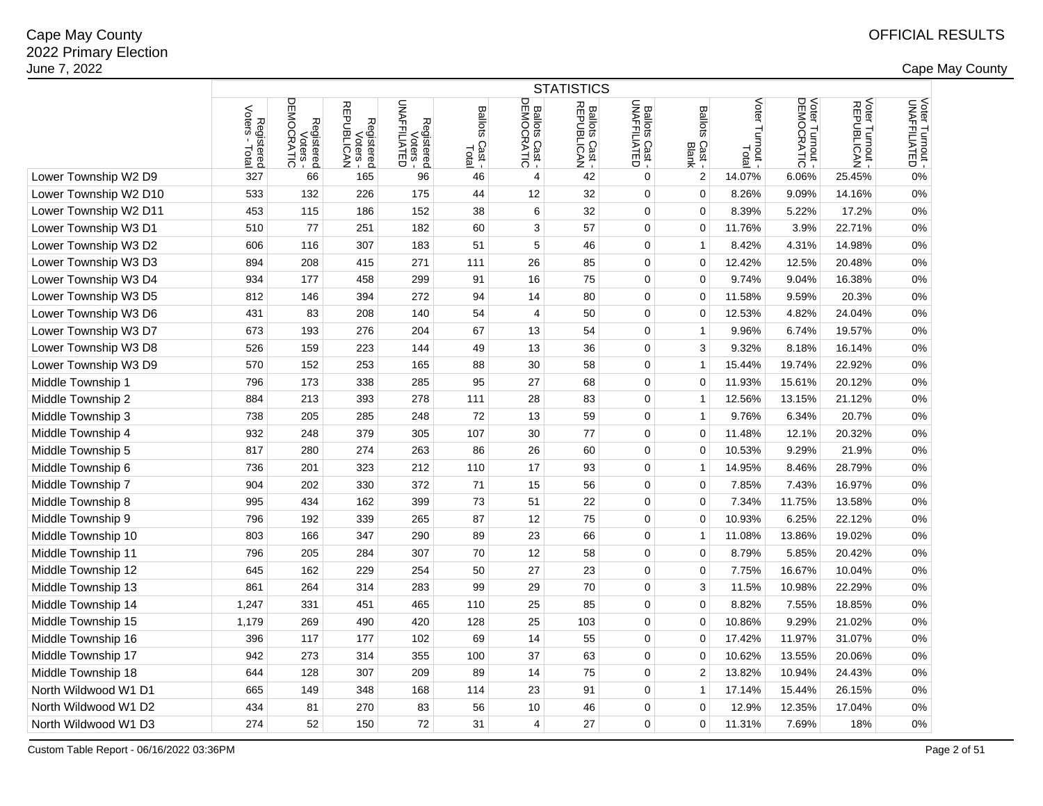|                       | <b>STATISTICS</b>            |                                      |                                      |                                        |                                     |                              |                              |                                |                                   |                             |                                                        |                               |                                 |
|-----------------------|------------------------------|--------------------------------------|--------------------------------------|----------------------------------------|-------------------------------------|------------------------------|------------------------------|--------------------------------|-----------------------------------|-----------------------------|--------------------------------------------------------|-------------------------------|---------------------------------|
|                       | Registered<br>Voters - Total | Registered<br>Voters -<br>DEMOCRATIC | Registered<br>Voters -<br>REPUBLICAN | Registered<br>Voters -<br>UNAFFILIATED | <b>Ballots</b><br>: Cast -<br>Total | Ballots Cast -<br>DEMOCRATIC | Ballots Cast -<br>REPUBLICAN | Ballots Cast -<br>UNAFFILIATED | <b>Ballots</b><br>Cast -<br>Blank | Voter<br>Turnout -<br>Total | 뮤<br>Voter Turnout<br><b>LET LUITIOUL-</b><br>MOCRATIC | Voter Turnout -<br>REPUBLICAN | Voter Turnout -<br>UNAFFILIATED |
| Lower Township W2 D9  | 327                          | 66                                   | 165                                  | 96                                     | 46                                  | 4                            | 42                           | 0                              | $\boldsymbol{2}$                  | 14.07%                      | 6.06%                                                  | 25.45%                        | 0%                              |
| Lower Township W2 D10 | 533                          | 132                                  | 226                                  | 175                                    | 44                                  | 12                           | 32                           | $\mathbf 0$                    | $\mathbf 0$                       | 8.26%                       | 9.09%                                                  | 14.16%                        | 0%                              |
| Lower Township W2 D11 | 453                          | 115                                  | 186                                  | 152                                    | 38                                  | 6                            | 32                           | $\mathbf 0$                    | $\Omega$                          | 8.39%                       | 5.22%                                                  | 17.2%                         | 0%                              |
| Lower Township W3 D1  | 510                          | 77                                   | 251                                  | 182                                    | 60                                  | 3                            | 57                           | 0                              | $\mathbf 0$                       | 11.76%                      | 3.9%                                                   | 22.71%                        | 0%                              |
| Lower Township W3 D2  | 606                          | 116                                  | 307                                  | 183                                    | 51                                  | 5                            | 46                           | $\mathbf 0$                    | $\mathbf{1}$                      | 8.42%                       | 4.31%                                                  | 14.98%                        | 0%                              |
| Lower Township W3 D3  | 894                          | 208                                  | 415                                  | 271                                    | 111                                 | 26                           | 85                           | 0                              | $\mathbf 0$                       | 12.42%                      | 12.5%                                                  | 20.48%                        | 0%                              |
| Lower Township W3 D4  | 934                          | 177                                  | 458                                  | 299                                    | 91                                  | 16                           | 75                           | $\mathbf 0$                    | $\mathbf 0$                       | 9.74%                       | 9.04%                                                  | 16.38%                        | 0%                              |
| Lower Township W3 D5  | 812                          | 146                                  | 394                                  | 272                                    | 94                                  | 14                           | 80                           | $\mathbf 0$                    | $\Omega$                          | 11.58%                      | 9.59%                                                  | 20.3%                         | 0%                              |
| Lower Township W3 D6  | 431                          | 83                                   | 208                                  | 140                                    | 54                                  | $\overline{4}$               | 50                           | 0                              | $\mathbf 0$                       | 12.53%                      | 4.82%                                                  | 24.04%                        | 0%                              |
| Lower Township W3 D7  | 673                          | 193                                  | 276                                  | 204                                    | 67                                  | 13                           | 54                           | 0                              | $\mathbf{1}$                      | 9.96%                       | 6.74%                                                  | 19.57%                        | 0%                              |
| Lower Township W3 D8  | 526                          | 159                                  | 223                                  | 144                                    | 49                                  | 13                           | 36                           | 0                              | 3                                 | 9.32%                       | 8.18%                                                  | 16.14%                        | 0%                              |
| Lower Township W3 D9  | 570                          | 152                                  | 253                                  | 165                                    | 88                                  | 30                           | 58                           | $\mathbf 0$                    | 1                                 | 15.44%                      | 19.74%                                                 | 22.92%                        | 0%                              |
| Middle Township 1     | 796                          | 173                                  | 338                                  | 285                                    | 95                                  | 27                           | 68                           | 0                              | $\Omega$                          | 11.93%                      | 15.61%                                                 | 20.12%                        | 0%                              |
| Middle Township 2     | 884                          | 213                                  | 393                                  | 278                                    | 111                                 | 28                           | 83                           | $\mathbf 0$                    | 1                                 | 12.56%                      | 13.15%                                                 | 21.12%                        | 0%                              |
| Middle Township 3     | 738                          | 205                                  | 285                                  | 248                                    | 72                                  | 13                           | 59                           | 0                              | $\mathbf{1}$                      | 9.76%                       | 6.34%                                                  | 20.7%                         | 0%                              |
| Middle Township 4     | 932                          | 248                                  | 379                                  | 305                                    | 107                                 | 30                           | 77                           | 0                              | $\mathbf 0$                       | 11.48%                      | 12.1%                                                  | 20.32%                        | 0%                              |
| Middle Township 5     | 817                          | 280                                  | 274                                  | 263                                    | 86                                  | 26                           | 60                           | 0                              | $\mathbf{0}$                      | 10.53%                      | 9.29%                                                  | 21.9%                         | 0%                              |
| Middle Township 6     | 736                          | 201                                  | 323                                  | 212                                    | 110                                 | 17                           | 93                           | 0                              | $\mathbf{1}$                      | 14.95%                      | 8.46%                                                  | 28.79%                        | 0%                              |
| Middle Township 7     | 904                          | 202                                  | 330                                  | 372                                    | 71                                  | 15                           | 56                           | $\mathbf 0$                    | $\mathbf 0$                       | 7.85%                       | 7.43%                                                  | 16.97%                        | 0%                              |
| Middle Township 8     | 995                          | 434                                  | 162                                  | 399                                    | 73                                  | 51                           | 22                           | $\mathbf 0$                    | $\mathbf 0$                       | 7.34%                       | 11.75%                                                 | 13.58%                        | 0%                              |
| Middle Township 9     | 796                          | 192                                  | 339                                  | 265                                    | 87                                  | 12                           | 75                           | 0                              | $\mathbf 0$                       | 10.93%                      | 6.25%                                                  | 22.12%                        | 0%                              |
| Middle Township 10    | 803                          | 166                                  | 347                                  | 290                                    | 89                                  | 23                           | 66                           | 0                              | 1                                 | 11.08%                      | 13.86%                                                 | 19.02%                        | 0%                              |
| Middle Township 11    | 796                          | 205                                  | 284                                  | 307                                    | 70                                  | 12                           | 58                           | 0                              | $\mathbf 0$                       | 8.79%                       | 5.85%                                                  | 20.42%                        | 0%                              |
| Middle Township 12    | 645                          | 162                                  | 229                                  | 254                                    | 50                                  | 27                           | 23                           | $\mathbf 0$                    | 0                                 | 7.75%                       | 16.67%                                                 | 10.04%                        | 0%                              |
| Middle Township 13    | 861                          | 264                                  | 314                                  | 283                                    | 99                                  | 29                           | 70                           | 0                              | 3                                 | 11.5%                       | 10.98%                                                 | 22.29%                        | 0%                              |
| Middle Township 14    | 1,247                        | 331                                  | 451                                  | 465                                    | 110                                 | 25                           | 85                           | 0                              | $\mathbf 0$                       | 8.82%                       | 7.55%                                                  | 18.85%                        | 0%                              |
| Middle Township 15    | 1,179                        | 269                                  | 490                                  | 420                                    | 128                                 | 25                           | 103                          | $\mathbf 0$                    | $\mathbf 0$                       | 10.86%                      | 9.29%                                                  | 21.02%                        | 0%                              |
| Middle Township 16    | 396                          | 117                                  | 177                                  | 102                                    | 69                                  | 14                           | 55                           | 0                              | $\mathbf 0$                       | 17.42%                      | 11.97%                                                 | 31.07%                        | 0%                              |
| Middle Township 17    | 942                          | 273                                  | 314                                  | 355                                    | 100                                 | 37                           | 63                           | $\mathbf 0$                    | $\mathbf 0$                       | 10.62%                      | 13.55%                                                 | 20.06%                        | 0%                              |
| Middle Township 18    | 644                          | 128                                  | 307                                  | 209                                    | 89                                  | 14                           | 75                           | 0                              | $\overline{2}$                    | 13.82%                      | 10.94%                                                 | 24.43%                        | 0%                              |
| North Wildwood W1 D1  | 665                          | 149                                  | 348                                  | 168                                    | 114                                 | 23                           | 91                           | 0                              | $\mathbf{1}$                      | 17.14%                      | 15.44%                                                 | 26.15%                        | 0%                              |
| North Wildwood W1 D2  | 434                          | 81                                   | 270                                  | 83                                     | 56                                  | 10                           | 46                           | 0                              | $\Omega$                          | 12.9%                       | 12.35%                                                 | 17.04%                        | 0%                              |
| North Wildwood W1 D3  | 274                          | 52                                   | 150                                  | 72                                     | 31                                  | $\overline{4}$               | 27                           | $\mathbf 0$                    | $\mathbf 0$                       | 11.31%                      | 7.69%                                                  | 18%                           | 0%                              |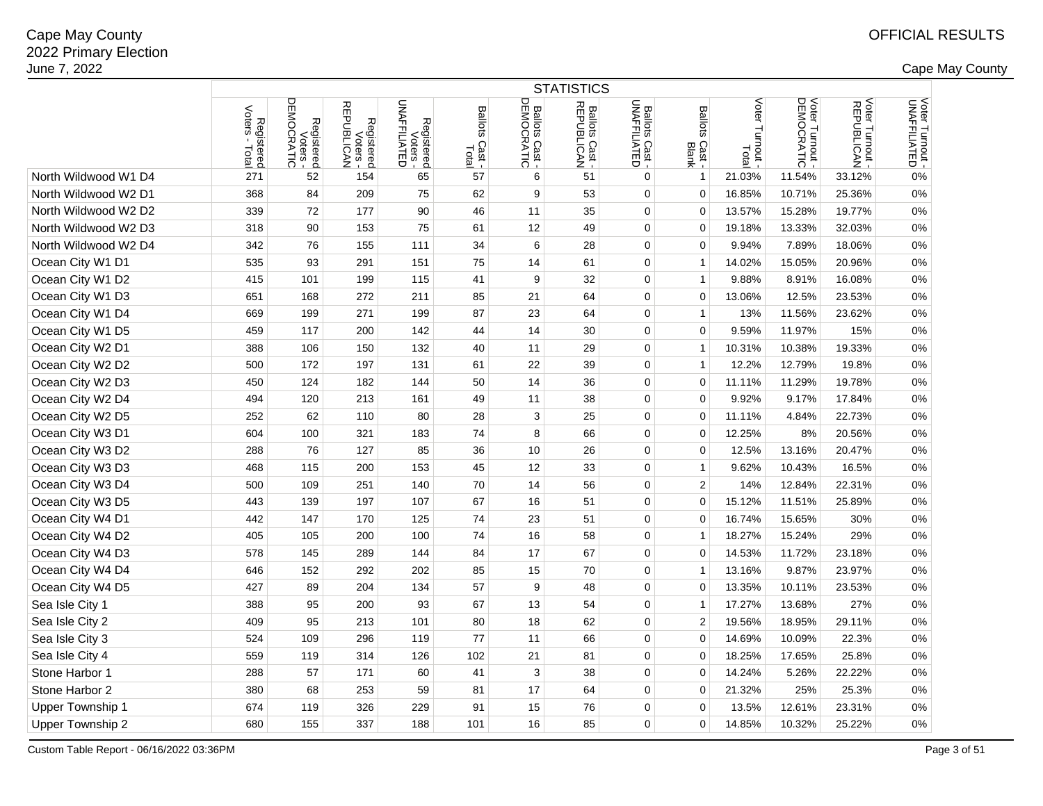| Registered<br>Voters -<br>DEMOCRATIC<br>ヮ<br>Voter Turnout -<br>DEMOCRATIC<br>Voter Turnout -<br>UNAFFILIATED<br>Voter<br>Voter Turnout -<br>REPUBLICAN<br>Registered<br>Voters -<br>UNAFFILIATED<br>Ballots Cast -<br>UNAFFILIATED<br>Registered<br>Voters -<br>REPUBLICAN<br>Ballots Cast -<br>REPUBLICAN<br>Ballots Cast -<br>DEMOCRATIC<br>Voters<br><b>Ballots</b><br><b>Ballots</b><br>Registered<br>oters - Total<br>Turnout<br>Cast<br>Cast -<br>Blank<br>Total<br>Total<br>North Wildwood W1 D4<br>271<br>57<br>51<br>$\mathbf 0$<br>21.03%<br>11.54%<br>33.12%<br>0%<br>52<br>154<br>65<br>6<br>$\mathbf 1$<br>North Wildwood W2 D1<br>368<br>84<br>209<br>75<br>62<br>9<br>53<br>0<br>$\Omega$<br>16.85%<br>10.71%<br>25.36%<br>0%<br>90<br>35<br>19.77%<br>North Wildwood W2 D2<br>339<br>72<br>177<br>46<br>11<br>0<br>$\mathbf 0$<br>13.57%<br>15.28%<br>0%<br>75<br>49<br>North Wildwood W2 D3<br>90<br>153<br>12<br>$\mathbf 0$<br>$\mathbf 0$<br>19.18%<br>32.03%<br>0%<br>318<br>61<br>13.33%<br>North Wildwood W2 D4<br>18.06%<br>342<br>76<br>155<br>111<br>34<br>6<br>28<br>0<br>$\mathbf 0$<br>9.94%<br>7.89%<br>0%<br>Ocean City W1 D1<br>93<br>291<br>151<br>61<br>20.96%<br>535<br>75<br>14<br>0<br>14.02%<br>15.05%<br>0%<br>$\mathbf{1}$<br>Ocean City W1 D2<br>415<br>101<br>199<br>115<br>41<br>9<br>32<br>$\mathbf 0$<br>9.88%<br>8.91%<br>16.08%<br>0%<br>$\mathbf{1}$<br>Ocean City W1 D3<br>64<br>651<br>168<br>272<br>211<br>85<br>21<br>0<br>13.06%<br>12.5%<br>23.53%<br>0%<br>0<br>Ocean City W1 D4<br>271<br>669<br>199<br>199<br>87<br>23<br>64<br>0<br>13%<br>11.56%<br>23.62%<br>0%<br>$\mathbf{1}$<br>Ocean City W1 D5<br>459<br>200<br>142<br>14<br>30<br>$\mathbf 0$<br>$\Omega$<br>9.59%<br>11.97%<br>15%<br>0%<br>117<br>44<br>Ocean City W2 D1<br>29<br>19.33%<br>388<br>106<br>150<br>132<br>40<br>11<br>0<br>10.31%<br>10.38%<br>0%<br>-1<br>Ocean City W2 D2<br>197<br>131<br>22<br>39<br>12.2%<br>19.8%<br>500<br>172<br>61<br>$\mathbf 0$<br>$\mathbf{1}$<br>12.79%<br>0%<br>Ocean City W2 D3<br>450<br>124<br>182<br>144<br>50<br>14<br>36<br>$\mathbf 0$<br>$\Omega$<br>11.11%<br>11.29%<br>19.78%<br>0%<br>Ocean City W2 D4<br>494<br>120<br>213<br>161<br>49<br>11<br>38<br>0<br>$\mathbf 0$<br>9.92%<br>9.17%<br>17.84%<br>0%<br>Ocean City W2 D5<br>110<br>80<br>3<br>25<br>$\mathbf 0$<br>$\mathbf 0$<br>22.73%<br>252<br>62<br>28<br>11.11%<br>4.84%<br>0%<br>Ocean City W3 D1<br>8<br>$\mathbf 0$<br>604<br>100<br>321<br>183<br>74<br>66<br>$\Omega$<br>12.25%<br>8%<br>20.56%<br>0%<br>Ocean City W3 D2<br>76<br>127<br>85<br>10<br>26<br>$\mathbf 0$<br>$\mathbf 0$<br>20.47%<br>0%<br>288<br>36<br>12.5%<br>13.16%<br>Ocean City W3 D3<br>115<br>200<br>153<br>45<br>12<br>33<br>$\mathbf 0$<br>9.62%<br>16.5%<br>0%<br>468<br>$\mathbf{1}$<br>10.43%<br>Ocean City W3 D4<br>251<br>56<br>500<br>109<br>140<br>70<br>14<br>0<br>2<br>14%<br>12.84%<br>22.31%<br>0%<br>51<br>Ocean City W3 D5<br>197<br>67<br>443<br>139<br>107<br>16<br>$\mathbf 0$<br>$\mathbf 0$<br>15.12%<br>11.51%<br>25.89%<br>0%<br>51<br>Ocean City W4 D1<br>147<br>170<br>125<br>74<br>23<br>$\mathbf 0$<br>$\mathbf 0$<br>16.74%<br>15.65%<br>30%<br>0%<br>442<br>Ocean City W4 D2<br>58<br>18.27%<br>29%<br>405<br>105<br>200<br>100<br>74<br>16<br>0<br>15.24%<br>0%<br>1<br>Ocean City W4 D3<br>578<br>145<br>289<br>84<br>17<br>67<br>$\mathbf 0$<br>$\mathbf 0$<br>14.53%<br>11.72%<br>23.18%<br>0%<br>144<br>23.97%<br>Ocean City W4 D4<br>152<br>292<br>202<br>85<br>15<br>70<br>$\mathbf 0$<br>13.16%<br>9.87%<br>0%<br>646<br>$\mathbf{1}$<br>Ocean City W4 D5<br>23.53%<br>427<br>89<br>204<br>134<br>57<br>9<br>48<br>0<br>$\mathbf 0$<br>13.35%<br>10.11%<br>0%<br>Sea Isle City 1<br>93<br>13<br>54<br>17.27%<br>27%<br>388<br>95<br>200<br>67<br>0<br>$\mathbf{1}$<br>13.68%<br>0%<br>$\overline{2}$<br>Sea Isle City 2<br>409<br>95<br>213<br>101<br>80<br>18<br>62<br>0<br>19.56%<br>18.95%<br>29.11%<br>0%<br>Sea Isle City 3<br>296<br>14.69%<br>22.3%<br>524<br>109<br>119<br>77<br>11<br>66<br>0<br>$\mathbf 0$<br>10.09%<br>0%<br>Sea Isle City 4<br>559<br>314<br>126<br>102<br>21<br>81<br>$\mathbf 0$<br>$\Omega$<br>18.25%<br>17.65%<br>25.8%<br>0%<br>119<br>Stone Harbor 1<br>288<br>57<br>171<br>60<br>41<br>3<br>38<br>0<br>$\mathbf 0$<br>14.24%<br>5.26%<br>22.22%<br>0%<br>Stone Harbor 2<br>380<br>68<br>253<br>59<br>81<br>17<br>64<br>0<br>$\mathbf 0$<br>21.32%<br>25%<br>25.3%<br>0%<br><b>Upper Township 1</b><br>326<br>229<br>76<br>13.5%<br>12.61%<br>23.31%<br>674<br>119<br>91<br>15<br>0<br>$\Omega$<br>0%<br>14.85%<br>Upper Township 2<br>680<br>337<br>188<br>16<br>85<br>0<br>$\mathbf 0$<br>10.32%<br>25.22%<br>0%<br>155<br>101 | <b>STATISTICS</b> |  |  |  |  |  |  |  |  |  |  |  |  |
|-----------------------------------------------------------------------------------------------------------------------------------------------------------------------------------------------------------------------------------------------------------------------------------------------------------------------------------------------------------------------------------------------------------------------------------------------------------------------------------------------------------------------------------------------------------------------------------------------------------------------------------------------------------------------------------------------------------------------------------------------------------------------------------------------------------------------------------------------------------------------------------------------------------------------------------------------------------------------------------------------------------------------------------------------------------------------------------------------------------------------------------------------------------------------------------------------------------------------------------------------------------------------------------------------------------------------------------------------------------------------------------------------------------------------------------------------------------------------------------------------------------------------------------------------------------------------------------------------------------------------------------------------------------------------------------------------------------------------------------------------------------------------------------------------------------------------------------------------------------------------------------------------------------------------------------------------------------------------------------------------------------------------------------------------------------------------------------------------------------------------------------------------------------------------------------------------------------------------------------------------------------------------------------------------------------------------------------------------------------------------------------------------------------------------------------------------------------------------------------------------------------------------------------------------------------------------------------------------------------------------------------------------------------------------------------------------------------------------------------------------------------------------------------------------------------------------------------------------------------------------------------------------------------------------------------------------------------------------------------------------------------------------------------------------------------------------------------------------------------------------------------------------------------------------------------------------------------------------------------------------------------------------------------------------------------------------------------------------------------------------------------------------------------------------------------------------------------------------------------------------------------------------------------------------------------------------------------------------------------------------------------------------------------------------------------------------------------------------------------------------------------------------------------------------------------------------------------------------------------------------------------------------------------------------------------------------------------------------------------------------------------------------------------------------------------------------------------------------------------------------------------------------------------------------------------------------------------------------------------------------------------------------------------------------------------------------------------------------------------------------------------------------------------------------------------------------------------------------------------------------------------------------------------------------------------------------------------------------------------------------------------------------------------------------------------------------------------------------------|-------------------|--|--|--|--|--|--|--|--|--|--|--|--|
|                                                                                                                                                                                                                                                                                                                                                                                                                                                                                                                                                                                                                                                                                                                                                                                                                                                                                                                                                                                                                                                                                                                                                                                                                                                                                                                                                                                                                                                                                                                                                                                                                                                                                                                                                                                                                                                                                                                                                                                                                                                                                                                                                                                                                                                                                                                                                                                                                                                                                                                                                                                                                                                                                                                                                                                                                                                                                                                                                                                                                                                                                                                                                                                                                                                                                                                                                                                                                                                                                                                                                                                                                                                                                                                                                                                                                                                                                                                                                                                                                                                                                                                                                                                                                                                                                                                                                                                                                                                                                                                                                                                                                                                                                                                             |                   |  |  |  |  |  |  |  |  |  |  |  |  |
|                                                                                                                                                                                                                                                                                                                                                                                                                                                                                                                                                                                                                                                                                                                                                                                                                                                                                                                                                                                                                                                                                                                                                                                                                                                                                                                                                                                                                                                                                                                                                                                                                                                                                                                                                                                                                                                                                                                                                                                                                                                                                                                                                                                                                                                                                                                                                                                                                                                                                                                                                                                                                                                                                                                                                                                                                                                                                                                                                                                                                                                                                                                                                                                                                                                                                                                                                                                                                                                                                                                                                                                                                                                                                                                                                                                                                                                                                                                                                                                                                                                                                                                                                                                                                                                                                                                                                                                                                                                                                                                                                                                                                                                                                                                             |                   |  |  |  |  |  |  |  |  |  |  |  |  |
|                                                                                                                                                                                                                                                                                                                                                                                                                                                                                                                                                                                                                                                                                                                                                                                                                                                                                                                                                                                                                                                                                                                                                                                                                                                                                                                                                                                                                                                                                                                                                                                                                                                                                                                                                                                                                                                                                                                                                                                                                                                                                                                                                                                                                                                                                                                                                                                                                                                                                                                                                                                                                                                                                                                                                                                                                                                                                                                                                                                                                                                                                                                                                                                                                                                                                                                                                                                                                                                                                                                                                                                                                                                                                                                                                                                                                                                                                                                                                                                                                                                                                                                                                                                                                                                                                                                                                                                                                                                                                                                                                                                                                                                                                                                             |                   |  |  |  |  |  |  |  |  |  |  |  |  |
|                                                                                                                                                                                                                                                                                                                                                                                                                                                                                                                                                                                                                                                                                                                                                                                                                                                                                                                                                                                                                                                                                                                                                                                                                                                                                                                                                                                                                                                                                                                                                                                                                                                                                                                                                                                                                                                                                                                                                                                                                                                                                                                                                                                                                                                                                                                                                                                                                                                                                                                                                                                                                                                                                                                                                                                                                                                                                                                                                                                                                                                                                                                                                                                                                                                                                                                                                                                                                                                                                                                                                                                                                                                                                                                                                                                                                                                                                                                                                                                                                                                                                                                                                                                                                                                                                                                                                                                                                                                                                                                                                                                                                                                                                                                             |                   |  |  |  |  |  |  |  |  |  |  |  |  |
|                                                                                                                                                                                                                                                                                                                                                                                                                                                                                                                                                                                                                                                                                                                                                                                                                                                                                                                                                                                                                                                                                                                                                                                                                                                                                                                                                                                                                                                                                                                                                                                                                                                                                                                                                                                                                                                                                                                                                                                                                                                                                                                                                                                                                                                                                                                                                                                                                                                                                                                                                                                                                                                                                                                                                                                                                                                                                                                                                                                                                                                                                                                                                                                                                                                                                                                                                                                                                                                                                                                                                                                                                                                                                                                                                                                                                                                                                                                                                                                                                                                                                                                                                                                                                                                                                                                                                                                                                                                                                                                                                                                                                                                                                                                             |                   |  |  |  |  |  |  |  |  |  |  |  |  |
|                                                                                                                                                                                                                                                                                                                                                                                                                                                                                                                                                                                                                                                                                                                                                                                                                                                                                                                                                                                                                                                                                                                                                                                                                                                                                                                                                                                                                                                                                                                                                                                                                                                                                                                                                                                                                                                                                                                                                                                                                                                                                                                                                                                                                                                                                                                                                                                                                                                                                                                                                                                                                                                                                                                                                                                                                                                                                                                                                                                                                                                                                                                                                                                                                                                                                                                                                                                                                                                                                                                                                                                                                                                                                                                                                                                                                                                                                                                                                                                                                                                                                                                                                                                                                                                                                                                                                                                                                                                                                                                                                                                                                                                                                                                             |                   |  |  |  |  |  |  |  |  |  |  |  |  |
|                                                                                                                                                                                                                                                                                                                                                                                                                                                                                                                                                                                                                                                                                                                                                                                                                                                                                                                                                                                                                                                                                                                                                                                                                                                                                                                                                                                                                                                                                                                                                                                                                                                                                                                                                                                                                                                                                                                                                                                                                                                                                                                                                                                                                                                                                                                                                                                                                                                                                                                                                                                                                                                                                                                                                                                                                                                                                                                                                                                                                                                                                                                                                                                                                                                                                                                                                                                                                                                                                                                                                                                                                                                                                                                                                                                                                                                                                                                                                                                                                                                                                                                                                                                                                                                                                                                                                                                                                                                                                                                                                                                                                                                                                                                             |                   |  |  |  |  |  |  |  |  |  |  |  |  |
|                                                                                                                                                                                                                                                                                                                                                                                                                                                                                                                                                                                                                                                                                                                                                                                                                                                                                                                                                                                                                                                                                                                                                                                                                                                                                                                                                                                                                                                                                                                                                                                                                                                                                                                                                                                                                                                                                                                                                                                                                                                                                                                                                                                                                                                                                                                                                                                                                                                                                                                                                                                                                                                                                                                                                                                                                                                                                                                                                                                                                                                                                                                                                                                                                                                                                                                                                                                                                                                                                                                                                                                                                                                                                                                                                                                                                                                                                                                                                                                                                                                                                                                                                                                                                                                                                                                                                                                                                                                                                                                                                                                                                                                                                                                             |                   |  |  |  |  |  |  |  |  |  |  |  |  |
|                                                                                                                                                                                                                                                                                                                                                                                                                                                                                                                                                                                                                                                                                                                                                                                                                                                                                                                                                                                                                                                                                                                                                                                                                                                                                                                                                                                                                                                                                                                                                                                                                                                                                                                                                                                                                                                                                                                                                                                                                                                                                                                                                                                                                                                                                                                                                                                                                                                                                                                                                                                                                                                                                                                                                                                                                                                                                                                                                                                                                                                                                                                                                                                                                                                                                                                                                                                                                                                                                                                                                                                                                                                                                                                                                                                                                                                                                                                                                                                                                                                                                                                                                                                                                                                                                                                                                                                                                                                                                                                                                                                                                                                                                                                             |                   |  |  |  |  |  |  |  |  |  |  |  |  |
|                                                                                                                                                                                                                                                                                                                                                                                                                                                                                                                                                                                                                                                                                                                                                                                                                                                                                                                                                                                                                                                                                                                                                                                                                                                                                                                                                                                                                                                                                                                                                                                                                                                                                                                                                                                                                                                                                                                                                                                                                                                                                                                                                                                                                                                                                                                                                                                                                                                                                                                                                                                                                                                                                                                                                                                                                                                                                                                                                                                                                                                                                                                                                                                                                                                                                                                                                                                                                                                                                                                                                                                                                                                                                                                                                                                                                                                                                                                                                                                                                                                                                                                                                                                                                                                                                                                                                                                                                                                                                                                                                                                                                                                                                                                             |                   |  |  |  |  |  |  |  |  |  |  |  |  |
|                                                                                                                                                                                                                                                                                                                                                                                                                                                                                                                                                                                                                                                                                                                                                                                                                                                                                                                                                                                                                                                                                                                                                                                                                                                                                                                                                                                                                                                                                                                                                                                                                                                                                                                                                                                                                                                                                                                                                                                                                                                                                                                                                                                                                                                                                                                                                                                                                                                                                                                                                                                                                                                                                                                                                                                                                                                                                                                                                                                                                                                                                                                                                                                                                                                                                                                                                                                                                                                                                                                                                                                                                                                                                                                                                                                                                                                                                                                                                                                                                                                                                                                                                                                                                                                                                                                                                                                                                                                                                                                                                                                                                                                                                                                             |                   |  |  |  |  |  |  |  |  |  |  |  |  |
|                                                                                                                                                                                                                                                                                                                                                                                                                                                                                                                                                                                                                                                                                                                                                                                                                                                                                                                                                                                                                                                                                                                                                                                                                                                                                                                                                                                                                                                                                                                                                                                                                                                                                                                                                                                                                                                                                                                                                                                                                                                                                                                                                                                                                                                                                                                                                                                                                                                                                                                                                                                                                                                                                                                                                                                                                                                                                                                                                                                                                                                                                                                                                                                                                                                                                                                                                                                                                                                                                                                                                                                                                                                                                                                                                                                                                                                                                                                                                                                                                                                                                                                                                                                                                                                                                                                                                                                                                                                                                                                                                                                                                                                                                                                             |                   |  |  |  |  |  |  |  |  |  |  |  |  |
|                                                                                                                                                                                                                                                                                                                                                                                                                                                                                                                                                                                                                                                                                                                                                                                                                                                                                                                                                                                                                                                                                                                                                                                                                                                                                                                                                                                                                                                                                                                                                                                                                                                                                                                                                                                                                                                                                                                                                                                                                                                                                                                                                                                                                                                                                                                                                                                                                                                                                                                                                                                                                                                                                                                                                                                                                                                                                                                                                                                                                                                                                                                                                                                                                                                                                                                                                                                                                                                                                                                                                                                                                                                                                                                                                                                                                                                                                                                                                                                                                                                                                                                                                                                                                                                                                                                                                                                                                                                                                                                                                                                                                                                                                                                             |                   |  |  |  |  |  |  |  |  |  |  |  |  |
|                                                                                                                                                                                                                                                                                                                                                                                                                                                                                                                                                                                                                                                                                                                                                                                                                                                                                                                                                                                                                                                                                                                                                                                                                                                                                                                                                                                                                                                                                                                                                                                                                                                                                                                                                                                                                                                                                                                                                                                                                                                                                                                                                                                                                                                                                                                                                                                                                                                                                                                                                                                                                                                                                                                                                                                                                                                                                                                                                                                                                                                                                                                                                                                                                                                                                                                                                                                                                                                                                                                                                                                                                                                                                                                                                                                                                                                                                                                                                                                                                                                                                                                                                                                                                                                                                                                                                                                                                                                                                                                                                                                                                                                                                                                             |                   |  |  |  |  |  |  |  |  |  |  |  |  |
|                                                                                                                                                                                                                                                                                                                                                                                                                                                                                                                                                                                                                                                                                                                                                                                                                                                                                                                                                                                                                                                                                                                                                                                                                                                                                                                                                                                                                                                                                                                                                                                                                                                                                                                                                                                                                                                                                                                                                                                                                                                                                                                                                                                                                                                                                                                                                                                                                                                                                                                                                                                                                                                                                                                                                                                                                                                                                                                                                                                                                                                                                                                                                                                                                                                                                                                                                                                                                                                                                                                                                                                                                                                                                                                                                                                                                                                                                                                                                                                                                                                                                                                                                                                                                                                                                                                                                                                                                                                                                                                                                                                                                                                                                                                             |                   |  |  |  |  |  |  |  |  |  |  |  |  |
|                                                                                                                                                                                                                                                                                                                                                                                                                                                                                                                                                                                                                                                                                                                                                                                                                                                                                                                                                                                                                                                                                                                                                                                                                                                                                                                                                                                                                                                                                                                                                                                                                                                                                                                                                                                                                                                                                                                                                                                                                                                                                                                                                                                                                                                                                                                                                                                                                                                                                                                                                                                                                                                                                                                                                                                                                                                                                                                                                                                                                                                                                                                                                                                                                                                                                                                                                                                                                                                                                                                                                                                                                                                                                                                                                                                                                                                                                                                                                                                                                                                                                                                                                                                                                                                                                                                                                                                                                                                                                                                                                                                                                                                                                                                             |                   |  |  |  |  |  |  |  |  |  |  |  |  |
|                                                                                                                                                                                                                                                                                                                                                                                                                                                                                                                                                                                                                                                                                                                                                                                                                                                                                                                                                                                                                                                                                                                                                                                                                                                                                                                                                                                                                                                                                                                                                                                                                                                                                                                                                                                                                                                                                                                                                                                                                                                                                                                                                                                                                                                                                                                                                                                                                                                                                                                                                                                                                                                                                                                                                                                                                                                                                                                                                                                                                                                                                                                                                                                                                                                                                                                                                                                                                                                                                                                                                                                                                                                                                                                                                                                                                                                                                                                                                                                                                                                                                                                                                                                                                                                                                                                                                                                                                                                                                                                                                                                                                                                                                                                             |                   |  |  |  |  |  |  |  |  |  |  |  |  |
|                                                                                                                                                                                                                                                                                                                                                                                                                                                                                                                                                                                                                                                                                                                                                                                                                                                                                                                                                                                                                                                                                                                                                                                                                                                                                                                                                                                                                                                                                                                                                                                                                                                                                                                                                                                                                                                                                                                                                                                                                                                                                                                                                                                                                                                                                                                                                                                                                                                                                                                                                                                                                                                                                                                                                                                                                                                                                                                                                                                                                                                                                                                                                                                                                                                                                                                                                                                                                                                                                                                                                                                                                                                                                                                                                                                                                                                                                                                                                                                                                                                                                                                                                                                                                                                                                                                                                                                                                                                                                                                                                                                                                                                                                                                             |                   |  |  |  |  |  |  |  |  |  |  |  |  |
|                                                                                                                                                                                                                                                                                                                                                                                                                                                                                                                                                                                                                                                                                                                                                                                                                                                                                                                                                                                                                                                                                                                                                                                                                                                                                                                                                                                                                                                                                                                                                                                                                                                                                                                                                                                                                                                                                                                                                                                                                                                                                                                                                                                                                                                                                                                                                                                                                                                                                                                                                                                                                                                                                                                                                                                                                                                                                                                                                                                                                                                                                                                                                                                                                                                                                                                                                                                                                                                                                                                                                                                                                                                                                                                                                                                                                                                                                                                                                                                                                                                                                                                                                                                                                                                                                                                                                                                                                                                                                                                                                                                                                                                                                                                             |                   |  |  |  |  |  |  |  |  |  |  |  |  |
|                                                                                                                                                                                                                                                                                                                                                                                                                                                                                                                                                                                                                                                                                                                                                                                                                                                                                                                                                                                                                                                                                                                                                                                                                                                                                                                                                                                                                                                                                                                                                                                                                                                                                                                                                                                                                                                                                                                                                                                                                                                                                                                                                                                                                                                                                                                                                                                                                                                                                                                                                                                                                                                                                                                                                                                                                                                                                                                                                                                                                                                                                                                                                                                                                                                                                                                                                                                                                                                                                                                                                                                                                                                                                                                                                                                                                                                                                                                                                                                                                                                                                                                                                                                                                                                                                                                                                                                                                                                                                                                                                                                                                                                                                                                             |                   |  |  |  |  |  |  |  |  |  |  |  |  |
|                                                                                                                                                                                                                                                                                                                                                                                                                                                                                                                                                                                                                                                                                                                                                                                                                                                                                                                                                                                                                                                                                                                                                                                                                                                                                                                                                                                                                                                                                                                                                                                                                                                                                                                                                                                                                                                                                                                                                                                                                                                                                                                                                                                                                                                                                                                                                                                                                                                                                                                                                                                                                                                                                                                                                                                                                                                                                                                                                                                                                                                                                                                                                                                                                                                                                                                                                                                                                                                                                                                                                                                                                                                                                                                                                                                                                                                                                                                                                                                                                                                                                                                                                                                                                                                                                                                                                                                                                                                                                                                                                                                                                                                                                                                             |                   |  |  |  |  |  |  |  |  |  |  |  |  |
|                                                                                                                                                                                                                                                                                                                                                                                                                                                                                                                                                                                                                                                                                                                                                                                                                                                                                                                                                                                                                                                                                                                                                                                                                                                                                                                                                                                                                                                                                                                                                                                                                                                                                                                                                                                                                                                                                                                                                                                                                                                                                                                                                                                                                                                                                                                                                                                                                                                                                                                                                                                                                                                                                                                                                                                                                                                                                                                                                                                                                                                                                                                                                                                                                                                                                                                                                                                                                                                                                                                                                                                                                                                                                                                                                                                                                                                                                                                                                                                                                                                                                                                                                                                                                                                                                                                                                                                                                                                                                                                                                                                                                                                                                                                             |                   |  |  |  |  |  |  |  |  |  |  |  |  |
|                                                                                                                                                                                                                                                                                                                                                                                                                                                                                                                                                                                                                                                                                                                                                                                                                                                                                                                                                                                                                                                                                                                                                                                                                                                                                                                                                                                                                                                                                                                                                                                                                                                                                                                                                                                                                                                                                                                                                                                                                                                                                                                                                                                                                                                                                                                                                                                                                                                                                                                                                                                                                                                                                                                                                                                                                                                                                                                                                                                                                                                                                                                                                                                                                                                                                                                                                                                                                                                                                                                                                                                                                                                                                                                                                                                                                                                                                                                                                                                                                                                                                                                                                                                                                                                                                                                                                                                                                                                                                                                                                                                                                                                                                                                             |                   |  |  |  |  |  |  |  |  |  |  |  |  |
|                                                                                                                                                                                                                                                                                                                                                                                                                                                                                                                                                                                                                                                                                                                                                                                                                                                                                                                                                                                                                                                                                                                                                                                                                                                                                                                                                                                                                                                                                                                                                                                                                                                                                                                                                                                                                                                                                                                                                                                                                                                                                                                                                                                                                                                                                                                                                                                                                                                                                                                                                                                                                                                                                                                                                                                                                                                                                                                                                                                                                                                                                                                                                                                                                                                                                                                                                                                                                                                                                                                                                                                                                                                                                                                                                                                                                                                                                                                                                                                                                                                                                                                                                                                                                                                                                                                                                                                                                                                                                                                                                                                                                                                                                                                             |                   |  |  |  |  |  |  |  |  |  |  |  |  |
|                                                                                                                                                                                                                                                                                                                                                                                                                                                                                                                                                                                                                                                                                                                                                                                                                                                                                                                                                                                                                                                                                                                                                                                                                                                                                                                                                                                                                                                                                                                                                                                                                                                                                                                                                                                                                                                                                                                                                                                                                                                                                                                                                                                                                                                                                                                                                                                                                                                                                                                                                                                                                                                                                                                                                                                                                                                                                                                                                                                                                                                                                                                                                                                                                                                                                                                                                                                                                                                                                                                                                                                                                                                                                                                                                                                                                                                                                                                                                                                                                                                                                                                                                                                                                                                                                                                                                                                                                                                                                                                                                                                                                                                                                                                             |                   |  |  |  |  |  |  |  |  |  |  |  |  |
|                                                                                                                                                                                                                                                                                                                                                                                                                                                                                                                                                                                                                                                                                                                                                                                                                                                                                                                                                                                                                                                                                                                                                                                                                                                                                                                                                                                                                                                                                                                                                                                                                                                                                                                                                                                                                                                                                                                                                                                                                                                                                                                                                                                                                                                                                                                                                                                                                                                                                                                                                                                                                                                                                                                                                                                                                                                                                                                                                                                                                                                                                                                                                                                                                                                                                                                                                                                                                                                                                                                                                                                                                                                                                                                                                                                                                                                                                                                                                                                                                                                                                                                                                                                                                                                                                                                                                                                                                                                                                                                                                                                                                                                                                                                             |                   |  |  |  |  |  |  |  |  |  |  |  |  |
|                                                                                                                                                                                                                                                                                                                                                                                                                                                                                                                                                                                                                                                                                                                                                                                                                                                                                                                                                                                                                                                                                                                                                                                                                                                                                                                                                                                                                                                                                                                                                                                                                                                                                                                                                                                                                                                                                                                                                                                                                                                                                                                                                                                                                                                                                                                                                                                                                                                                                                                                                                                                                                                                                                                                                                                                                                                                                                                                                                                                                                                                                                                                                                                                                                                                                                                                                                                                                                                                                                                                                                                                                                                                                                                                                                                                                                                                                                                                                                                                                                                                                                                                                                                                                                                                                                                                                                                                                                                                                                                                                                                                                                                                                                                             |                   |  |  |  |  |  |  |  |  |  |  |  |  |
|                                                                                                                                                                                                                                                                                                                                                                                                                                                                                                                                                                                                                                                                                                                                                                                                                                                                                                                                                                                                                                                                                                                                                                                                                                                                                                                                                                                                                                                                                                                                                                                                                                                                                                                                                                                                                                                                                                                                                                                                                                                                                                                                                                                                                                                                                                                                                                                                                                                                                                                                                                                                                                                                                                                                                                                                                                                                                                                                                                                                                                                                                                                                                                                                                                                                                                                                                                                                                                                                                                                                                                                                                                                                                                                                                                                                                                                                                                                                                                                                                                                                                                                                                                                                                                                                                                                                                                                                                                                                                                                                                                                                                                                                                                                             |                   |  |  |  |  |  |  |  |  |  |  |  |  |
|                                                                                                                                                                                                                                                                                                                                                                                                                                                                                                                                                                                                                                                                                                                                                                                                                                                                                                                                                                                                                                                                                                                                                                                                                                                                                                                                                                                                                                                                                                                                                                                                                                                                                                                                                                                                                                                                                                                                                                                                                                                                                                                                                                                                                                                                                                                                                                                                                                                                                                                                                                                                                                                                                                                                                                                                                                                                                                                                                                                                                                                                                                                                                                                                                                                                                                                                                                                                                                                                                                                                                                                                                                                                                                                                                                                                                                                                                                                                                                                                                                                                                                                                                                                                                                                                                                                                                                                                                                                                                                                                                                                                                                                                                                                             |                   |  |  |  |  |  |  |  |  |  |  |  |  |
|                                                                                                                                                                                                                                                                                                                                                                                                                                                                                                                                                                                                                                                                                                                                                                                                                                                                                                                                                                                                                                                                                                                                                                                                                                                                                                                                                                                                                                                                                                                                                                                                                                                                                                                                                                                                                                                                                                                                                                                                                                                                                                                                                                                                                                                                                                                                                                                                                                                                                                                                                                                                                                                                                                                                                                                                                                                                                                                                                                                                                                                                                                                                                                                                                                                                                                                                                                                                                                                                                                                                                                                                                                                                                                                                                                                                                                                                                                                                                                                                                                                                                                                                                                                                                                                                                                                                                                                                                                                                                                                                                                                                                                                                                                                             |                   |  |  |  |  |  |  |  |  |  |  |  |  |
|                                                                                                                                                                                                                                                                                                                                                                                                                                                                                                                                                                                                                                                                                                                                                                                                                                                                                                                                                                                                                                                                                                                                                                                                                                                                                                                                                                                                                                                                                                                                                                                                                                                                                                                                                                                                                                                                                                                                                                                                                                                                                                                                                                                                                                                                                                                                                                                                                                                                                                                                                                                                                                                                                                                                                                                                                                                                                                                                                                                                                                                                                                                                                                                                                                                                                                                                                                                                                                                                                                                                                                                                                                                                                                                                                                                                                                                                                                                                                                                                                                                                                                                                                                                                                                                                                                                                                                                                                                                                                                                                                                                                                                                                                                                             |                   |  |  |  |  |  |  |  |  |  |  |  |  |
|                                                                                                                                                                                                                                                                                                                                                                                                                                                                                                                                                                                                                                                                                                                                                                                                                                                                                                                                                                                                                                                                                                                                                                                                                                                                                                                                                                                                                                                                                                                                                                                                                                                                                                                                                                                                                                                                                                                                                                                                                                                                                                                                                                                                                                                                                                                                                                                                                                                                                                                                                                                                                                                                                                                                                                                                                                                                                                                                                                                                                                                                                                                                                                                                                                                                                                                                                                                                                                                                                                                                                                                                                                                                                                                                                                                                                                                                                                                                                                                                                                                                                                                                                                                                                                                                                                                                                                                                                                                                                                                                                                                                                                                                                                                             |                   |  |  |  |  |  |  |  |  |  |  |  |  |
|                                                                                                                                                                                                                                                                                                                                                                                                                                                                                                                                                                                                                                                                                                                                                                                                                                                                                                                                                                                                                                                                                                                                                                                                                                                                                                                                                                                                                                                                                                                                                                                                                                                                                                                                                                                                                                                                                                                                                                                                                                                                                                                                                                                                                                                                                                                                                                                                                                                                                                                                                                                                                                                                                                                                                                                                                                                                                                                                                                                                                                                                                                                                                                                                                                                                                                                                                                                                                                                                                                                                                                                                                                                                                                                                                                                                                                                                                                                                                                                                                                                                                                                                                                                                                                                                                                                                                                                                                                                                                                                                                                                                                                                                                                                             |                   |  |  |  |  |  |  |  |  |  |  |  |  |
|                                                                                                                                                                                                                                                                                                                                                                                                                                                                                                                                                                                                                                                                                                                                                                                                                                                                                                                                                                                                                                                                                                                                                                                                                                                                                                                                                                                                                                                                                                                                                                                                                                                                                                                                                                                                                                                                                                                                                                                                                                                                                                                                                                                                                                                                                                                                                                                                                                                                                                                                                                                                                                                                                                                                                                                                                                                                                                                                                                                                                                                                                                                                                                                                                                                                                                                                                                                                                                                                                                                                                                                                                                                                                                                                                                                                                                                                                                                                                                                                                                                                                                                                                                                                                                                                                                                                                                                                                                                                                                                                                                                                                                                                                                                             |                   |  |  |  |  |  |  |  |  |  |  |  |  |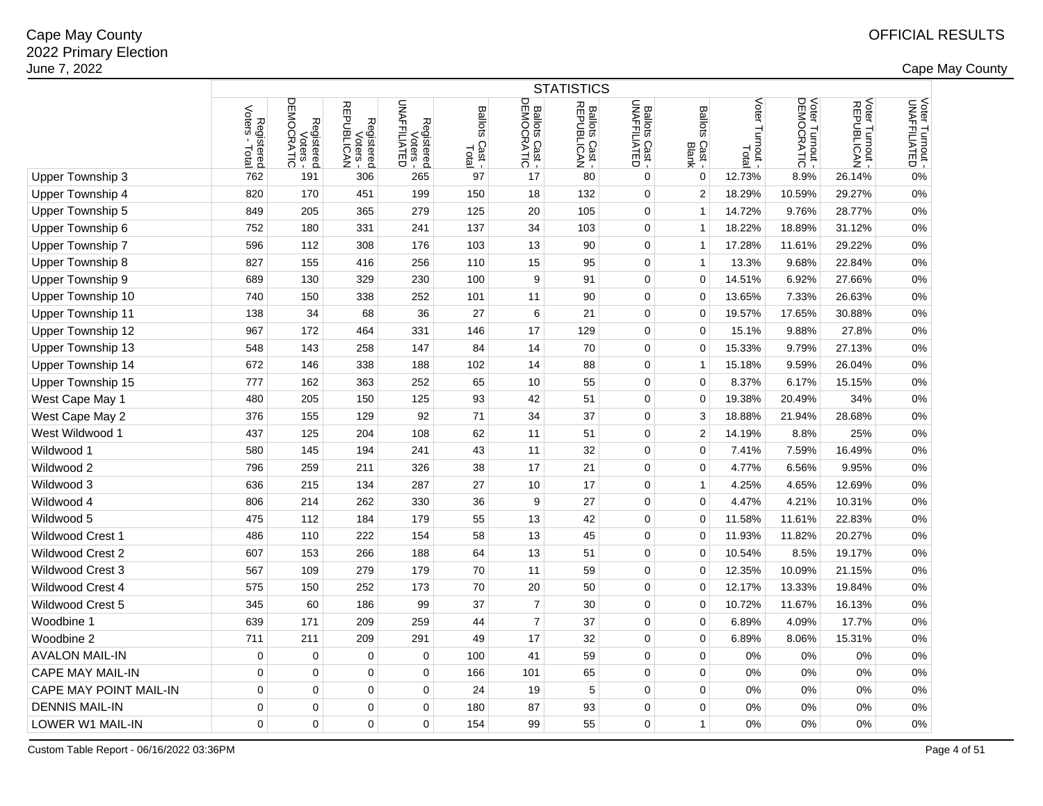2 and the contract of the country of the country of the country of the country of the country of the country of the country of the country of the country of the country of the country of the country of the country of the c

|                               | <b>STATISTICS</b>                       |                                      |                                                  |                                        |                                          |                              |                              |                                       |                                   |                           |                               |                               |                                 |
|-------------------------------|-----------------------------------------|--------------------------------------|--------------------------------------------------|----------------------------------------|------------------------------------------|------------------------------|------------------------------|---------------------------------------|-----------------------------------|---------------------------|-------------------------------|-------------------------------|---------------------------------|
|                               | Voters -<br>Registered<br>oters - Total | Voters -<br>DEMOCRATIC<br>Registered | Voters -<br>REPUBLICAN<br>Registered<br>Voters - | Registered<br>Voters -<br>UNAFFILIATED | <b>Ballots</b><br>Cast<br>Total<br>Total | Ballots Cast -<br>DEMOCRATIC | Ballots Cast -<br>REPUBLICAN | <b>Ballots Cast -</b><br>UNAFFILIATED | <b>Ballots</b><br>Cast -<br>Blank | Voter<br>Turnout<br>Total | Voter Turnout -<br>DEMOCRATIC | Voter Turnout -<br>REPUBLICAN | Voter Turnout -<br>UNAFFILIATED |
| Upper Township 3              | 762                                     | 191                                  | 306                                              | 265                                    | 97                                       | 17                           | 80                           | 0                                     | $\mathbf 0$                       | 12.73%                    | 8.9%                          | 26.14%                        | $0\%$                           |
| Upper Township 4              | 820                                     | 170                                  | 451                                              | 199                                    | 150                                      | 18                           | 132                          | 0                                     | $\overline{2}$                    | 18.29%                    | 10.59%                        | 29.27%                        | 0%                              |
| <b>Upper Township 5</b>       | 849                                     | 205                                  | 365                                              | 279                                    | 125                                      | 20                           | 105                          | $\mathbf 0$                           | $\overline{1}$                    | 14.72%                    | 9.76%                         | 28.77%                        | $0\%$                           |
| Upper Township 6              | 752                                     | 180                                  | 331                                              | 241                                    | 137                                      | 34                           | 103                          | $\mathbf 0$                           | $\overline{1}$                    | 18.22%                    | 18.89%                        | 31.12%                        | $0\%$                           |
| Upper Township 7              | 596                                     | 112                                  | 308                                              | 176                                    | 103                                      | 13                           | 90                           | $\mathbf 0$                           | $\overline{1}$                    | 17.28%                    | 11.61%                        | 29.22%                        | 0%                              |
| <b>Upper Township 8</b>       | 827                                     | 155                                  | 416                                              | 256                                    | 110                                      | 15                           | 95                           | $\mathbf 0$                           | $\overline{1}$                    | 13.3%                     | 9.68%                         | 22.84%                        | 0%                              |
| Upper Township 9              | 689                                     | 130                                  | 329                                              | 230                                    | 100                                      | 9                            | 91                           | $\mathbf 0$                           | $\mathbf 0$                       | 14.51%                    | 6.92%                         | 27.66%                        | 0%                              |
| Upper Township 10             | 740                                     | 150                                  | 338                                              | 252                                    | 101                                      | 11                           | 90                           | 0                                     | $\mathbf 0$                       | 13.65%                    | 7.33%                         | 26.63%                        | 0%                              |
| Upper Township 11             | 138                                     | 34                                   | 68                                               | 36                                     | 27                                       | 6                            | 21                           | 0                                     | $\mathbf 0$                       | 19.57%                    | 17.65%                        | 30.88%                        | 0%                              |
| Upper Township 12             | 967                                     | 172                                  | 464                                              | 331                                    | 146                                      | 17                           | 129                          | $\mathbf 0$                           | $\mathbf 0$                       | 15.1%                     | 9.88%                         | 27.8%                         | 0%                              |
| Upper Township 13             | 548                                     | 143                                  | 258                                              | 147                                    | 84                                       | 14                           | 70                           | 0                                     | $\mathbf 0$                       | 15.33%                    | 9.79%                         | 27.13%                        | 0%                              |
| Upper Township 14             | 672                                     | 146                                  | 338                                              | 188                                    | 102                                      | 14                           | 88                           | 0                                     | $\overline{1}$                    | 15.18%                    | 9.59%                         | 26.04%                        | 0%                              |
| Upper Township 15             | 777                                     | 162                                  | 363                                              | 252                                    | 65                                       | 10                           | 55                           | 0                                     | $\Omega$                          | 8.37%                     | 6.17%                         | 15.15%                        | 0%                              |
| West Cape May 1               | 480                                     | 205                                  | 150                                              | 125                                    | 93                                       | 42                           | 51                           | $\mathbf 0$                           | $\mathbf 0$                       | 19.38%                    | 20.49%                        | 34%                           | $0\%$                           |
| West Cape May 2               | 376                                     | 155                                  | 129                                              | 92                                     | 71                                       | 34                           | 37                           | $\mathbf 0$                           | 3                                 | 18.88%                    | 21.94%                        | 28.68%                        | 0%                              |
| West Wildwood 1               | 437                                     | 125                                  | 204                                              | 108                                    | 62                                       | 11                           | 51                           | $\mathbf 0$                           | $\overline{2}$                    | 14.19%                    | 8.8%                          | 25%                           | 0%                              |
| Wildwood 1                    | 580                                     | 145                                  | 194                                              | 241                                    | 43                                       | 11                           | 32                           | $\mathbf 0$                           | $\mathbf 0$                       | 7.41%                     | 7.59%                         | 16.49%                        | 0%                              |
| Wildwood 2                    | 796                                     | 259                                  | 211                                              | 326                                    | 38                                       | 17                           | 21                           | $\mathbf 0$                           | $\mathbf 0$                       | 4.77%                     | 6.56%                         | 9.95%                         | 0%                              |
| Wildwood 3                    | 636                                     | 215                                  | 134                                              | 287                                    | 27                                       | 10                           | 17                           | $\mathbf 0$                           | $\overline{1}$                    | 4.25%                     | 4.65%                         | 12.69%                        | 0%                              |
| Wildwood 4                    | 806                                     | 214                                  | 262                                              | 330                                    | 36                                       | 9                            | 27                           | 0                                     | $\mathbf 0$                       | 4.47%                     | 4.21%                         | 10.31%                        | 0%                              |
| Wildwood 5                    | 475                                     | 112                                  | 184                                              | 179                                    | 55                                       | 13                           | 42                           | 0                                     | 0                                 | 11.58%                    | 11.61%                        | 22.83%                        | 0%                              |
| <b>Wildwood Crest 1</b>       | 486                                     | 110                                  | 222                                              | 154                                    | 58                                       | 13                           | 45                           | 0                                     | 0                                 | 11.93%                    | 11.82%                        | 20.27%                        | 0%                              |
| <b>Wildwood Crest 2</b>       | 607                                     | 153                                  | 266                                              | 188                                    | 64                                       | 13                           | 51                           | $\mathbf 0$                           | $\mathbf 0$                       | 10.54%                    | 8.5%                          | 19.17%                        | $0\%$                           |
| <b>Wildwood Crest 3</b>       | 567                                     | 109                                  | 279                                              | 179                                    | 70                                       | 11                           | 59                           | 0                                     | $\Omega$                          | 12.35%                    | 10.09%                        | 21.15%                        | 0%                              |
| <b>Wildwood Crest 4</b>       | 575                                     | 150                                  | 252                                              | 173                                    | 70                                       | 20                           | 50                           | $\mathbf 0$                           | $\mathbf 0$                       | 12.17%                    | 13.33%                        | 19.84%                        | 0%                              |
| <b>Wildwood Crest 5</b>       | 345                                     | 60                                   | 186                                              | 99                                     | 37                                       | $\overline{7}$               | 30                           | 0                                     | $\Omega$                          | 10.72%                    | 11.67%                        | 16.13%                        | 0%                              |
| Woodbine 1                    | 639                                     | 171                                  | 209                                              | 259                                    | 44                                       | $\overline{7}$               | 37                           | 0                                     | $\mathbf 0$                       | 6.89%                     | 4.09%                         | 17.7%                         | 0%                              |
| Woodbine 2                    | 711                                     | 211                                  | 209                                              | 291                                    | 49                                       | 17                           | 32                           | $\mathbf 0$                           | $\mathbf 0$                       | 6.89%                     | 8.06%                         | 15.31%                        | 0%                              |
| <b>AVALON MAIL-IN</b>         | $\pmb{0}$                               | $\mathbf 0$                          | $\mathbf 0$                                      | 0                                      | 100                                      | 41                           | 59                           | $\mathbf 0$                           | $\mathbf 0$                       | 0%                        | 0%                            | 0%                            | 0%                              |
| <b>CAPE MAY MAIL-IN</b>       | $\mathbf 0$                             | 0                                    | 0                                                | $\mathbf 0$                            | 166                                      | 101                          | 65                           | $\mathbf 0$                           | 0                                 | $0\%$                     | 0%                            | 0%                            | 0%                              |
| <b>CAPE MAY POINT MAIL-IN</b> | $\mathbf 0$                             | $\mathbf 0$                          | 0                                                | $\mathbf 0$                            | 24                                       | 19                           | 5                            | 0                                     | $\mathbf 0$                       | 0%                        | 0%                            | 0%                            | 0%                              |
| <b>DENNIS MAIL-IN</b>         | 0                                       | $\Omega$                             | 0                                                | 0                                      | 180                                      | 87                           | 93                           | 0                                     | 0                                 | $0\%$                     | 0%                            | 0%                            | 0%                              |
| LOWER W1 MAIL-IN              | $\mathbf 0$                             | $\mathbf 0$                          | $\mathbf 0$                                      | $\mathbf 0$                            | 154                                      | 99                           | 55                           | $\mathbf 0$                           | $\mathbf{1}$                      | 0%                        | 0%                            | 0%                            | 0%                              |
|                               |                                         |                                      |                                                  |                                        |                                          |                              |                              |                                       |                                   |                           |                               |                               |                                 |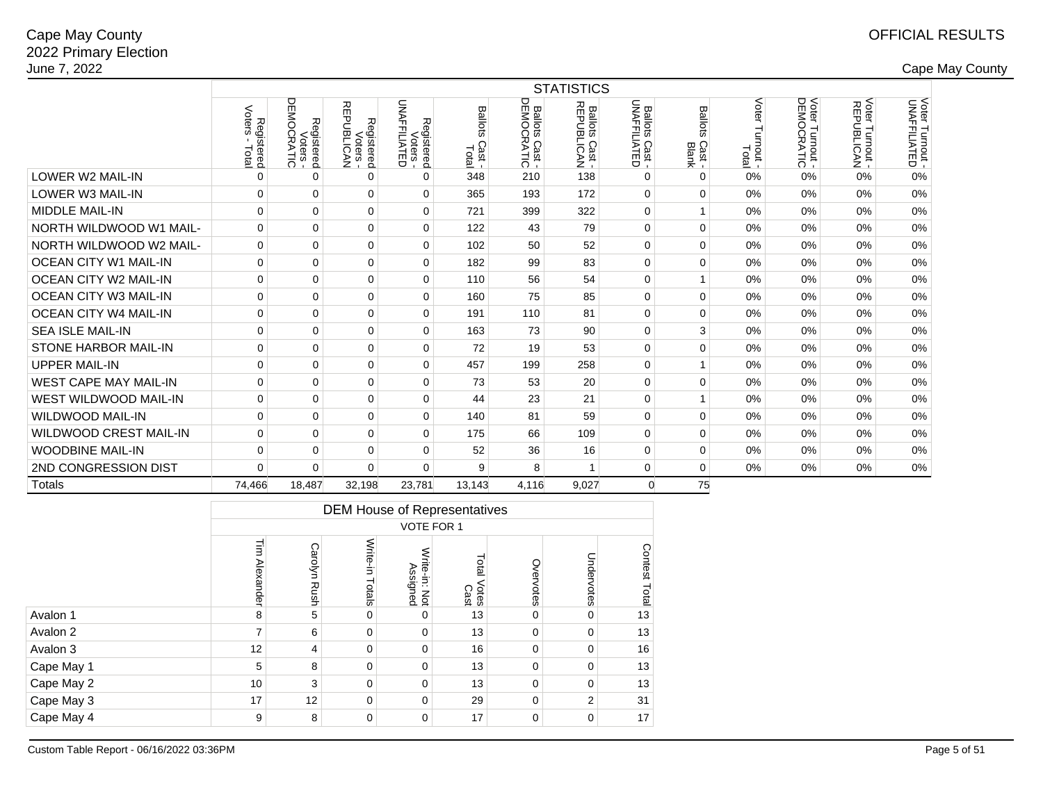|                               | <b>STATISTICS</b>             |                        |                                      |                                        |                                   |                                        |                              |                                |                                   |                             |                               |                               |                                 |  |
|-------------------------------|-------------------------------|------------------------|--------------------------------------|----------------------------------------|-----------------------------------|----------------------------------------|------------------------------|--------------------------------|-----------------------------------|-----------------------------|-------------------------------|-------------------------------|---------------------------------|--|
|                               | Voters<br>Registered<br>Total | Voters -<br>Registered | Voters -<br>REPUBLICAN<br>Registered | Registered<br>Voters -<br>UNAFFILIATED | <b>Ballots</b><br>Cast -<br>Total | Ballots<br>DEMOCI<br>S Cast -<br>RATIC | Ballots Cast -<br>REPUBLICAN | Ballots Cast -<br>UNAFFILIATED | <b>Ballots</b><br>Cast -<br>Blank | Voter<br>Turnout -<br>Total | Voter Turnout -<br>DEMOCRATIC | Voter Turnout -<br>REPUBLICAN | Voter Turnout -<br>UNAFFILIATED |  |
| <b>LOWER W2 MAIL-IN</b>       | 0                             | $\Omega$               | 0                                    | $\Omega$                               | 348                               | 210                                    | 138                          | $\Omega$                       | 0                                 | 0%                          | 0%                            | 0%                            | 0%                              |  |
| LOWER W3 MAIL-IN              | 0                             | $\mathbf 0$            | 0                                    | $\mathbf 0$                            | 365                               | 193                                    | 172                          | $\mathbf 0$                    | $\Omega$                          | 0%                          | $0\%$                         | 0%                            | 0%                              |  |
| <b>MIDDLE MAIL-IN</b>         | 0                             | $\Omega$               | 0                                    | $\mathbf 0$                            | 721                               | 399                                    | 322                          | $\mathbf 0$                    |                                   | 0%                          | $0\%$                         | 0%                            | 0%                              |  |
| NORTH WILDWOOD W1 MAIL-       | 0                             | $\Omega$               | 0                                    | $\mathbf 0$                            | 122                               | 43                                     | 79                           | $\mathbf 0$                    | $\Omega$                          | 0%                          | $0\%$                         | 0%                            | 0%                              |  |
| NORTH WILDWOOD W2 MAIL-       | 0                             | $\Omega$               | 0                                    | $\mathbf 0$                            | 102                               | 50                                     | 52                           | $\Omega$                       | $\Omega$                          | 0%                          | $0\%$                         | 0%                            | 0%                              |  |
| <b>OCEAN CITY W1 MAIL-IN</b>  | $\Omega$                      | $\Omega$               | 0                                    | $\mathbf 0$                            | 182                               | 99                                     | 83                           | $\mathbf 0$                    | $\Omega$                          | 0%                          | 0%                            | 0%                            | 0%                              |  |
| <b>OCEAN CITY W2 MAIL-IN</b>  | 0                             | $\mathbf 0$            | 0                                    | $\mathbf 0$                            | 110                               | 56                                     | 54                           | $\mathbf 0$                    |                                   | 0%                          | $0\%$                         | 0%                            | 0%                              |  |
| <b>OCEAN CITY W3 MAIL-IN</b>  | 0                             | $\mathbf 0$            | 0                                    | $\mathbf 0$                            | 160                               | 75                                     | 85                           | $\mathbf 0$                    | 0                                 | 0%                          | 0%                            | 0%                            | 0%                              |  |
| <b>OCEAN CITY W4 MAIL-IN</b>  | 0                             | $\mathbf 0$            | 0                                    | 0                                      | 191                               | 110                                    | 81                           | $\mathbf 0$                    | $\Omega$                          | 0%                          | 0%                            | 0%                            | 0%                              |  |
| <b>SEA ISLE MAIL-IN</b>       | 0                             | $\Omega$               | 0                                    | $\mathbf 0$                            | 163                               | 73                                     | 90                           | 0                              | 3                                 | 0%                          | $0\%$                         | 0%                            | 0%                              |  |
| <b>STONE HARBOR MAIL-IN</b>   | 0                             | 0                      | 0                                    | 0                                      | 72                                | 19                                     | 53                           | $\mathbf 0$                    | $\Omega$                          | 0%                          | 0%                            | 0%                            | 0%                              |  |
| <b>UPPER MAIL-IN</b>          | 0                             | $\Omega$               | 0                                    | 0                                      | 457                               | 199                                    | 258                          | $\mathbf 0$                    |                                   | 0%                          | 0%                            | 0%                            | 0%                              |  |
| <b>WEST CAPE MAY MAIL-IN</b>  | 0                             | $\Omega$               | 0                                    | $\mathbf 0$                            | 73                                | 53                                     | 20                           | $\mathbf 0$                    | $\Omega$                          | 0%                          | 0%                            | 0%                            | 0%                              |  |
| WEST WILDWOOD MAIL-IN         | 0                             | $\Omega$               | 0                                    | $\mathbf 0$                            | 44                                | 23                                     | 21                           | $\Omega$                       |                                   | 0%                          | $0\%$                         | 0%                            | 0%                              |  |
| <b>WILDWOOD MAIL-IN</b>       | $\Omega$                      | $\Omega$               | 0                                    | $\mathbf 0$                            | 140                               | 81                                     | 59                           | $\mathbf 0$                    | $\Omega$                          | 0%                          | $0\%$                         | 0%                            | 0%                              |  |
| <b>WILDWOOD CREST MAIL-IN</b> | 0                             | $\Omega$               | 0                                    | $\mathbf 0$                            | 175                               | 66                                     | 109                          | $\mathbf 0$                    | $\Omega$                          | 0%                          | $0\%$                         | 0%                            | 0%                              |  |
| <b>WOODBINE MAIL-IN</b>       | 0                             | $\mathbf 0$            | 0                                    | $\mathbf 0$                            | 52                                | 36                                     | 16                           | $\mathbf 0$                    | 0                                 | 0%                          | $0\%$                         | 0%                            | 0%                              |  |
| 2ND CONGRESSION DIST          | $\Omega$                      | $\Omega$               | $\Omega$                             | $\Omega$                               | 9                                 | 8                                      | $\mathbf{1}$                 | $\mathbf 0$                    | $\Omega$                          | $0\%$                       | 0%                            | 0%                            | 0%                              |  |
| Totals                        | 74,466                        | 18,487                 | 32,198                               | 23,781                                 | 13,143                            | 4,116                                  | 9,027                        | $\Omega$                       | 75                                |                             |                               |                               |                                 |  |

|            |                       | <b>DEM House of Representatives</b><br><b>VOTE FOR 1</b> |                    |                                      |                        |             |                |                         |  |  |  |  |  |  |
|------------|-----------------------|----------------------------------------------------------|--------------------|--------------------------------------|------------------------|-------------|----------------|-------------------------|--|--|--|--|--|--|
|            |                       |                                                          |                    |                                      |                        |             |                |                         |  |  |  |  |  |  |
|            | $\equiv$<br>Alexander | Carolyn<br>Rush                                          | Write-in<br>Totals | Write-in:<br>ite-in: Not<br>Assigned | Total<br>Votes<br>Cast | Overvotes   | Undervotes     | Contest<br><b>Total</b> |  |  |  |  |  |  |
| Avalon 1   | 8                     | 5                                                        | 0                  | 0                                    | 13                     | $\mathbf 0$ | $\mathbf 0$    | 13                      |  |  |  |  |  |  |
| Avalon 2   | 7                     | 6                                                        | $\mathbf 0$        | $\mathbf 0$                          | 13                     | $\mathbf 0$ | 0              | 13                      |  |  |  |  |  |  |
| Avalon 3   | 12                    | 4                                                        | $\mathbf 0$        | 0                                    | 16                     | $\mathbf 0$ | $\mathbf 0$    | 16                      |  |  |  |  |  |  |
| Cape May 1 | 5                     | 8                                                        | $\mathbf 0$        | $\mathbf 0$                          | 13                     | $\mathbf 0$ | $\mathbf 0$    | 13                      |  |  |  |  |  |  |
| Cape May 2 | 10                    | 3                                                        | $\mathbf 0$        | $\mathbf 0$                          | 13                     | $\mathbf 0$ | $\mathbf 0$    | 13                      |  |  |  |  |  |  |
| Cape May 3 | 17                    | 12                                                       | $\mathbf 0$        | $\Omega$                             | 29                     | $\mathbf 0$ | $\overline{2}$ | 31                      |  |  |  |  |  |  |
| Cape May 4 | 9                     | $\mathbf 0$<br>17<br>$\mathbf 0$<br>17<br>8<br>0<br>0    |                    |                                      |                        |             |                |                         |  |  |  |  |  |  |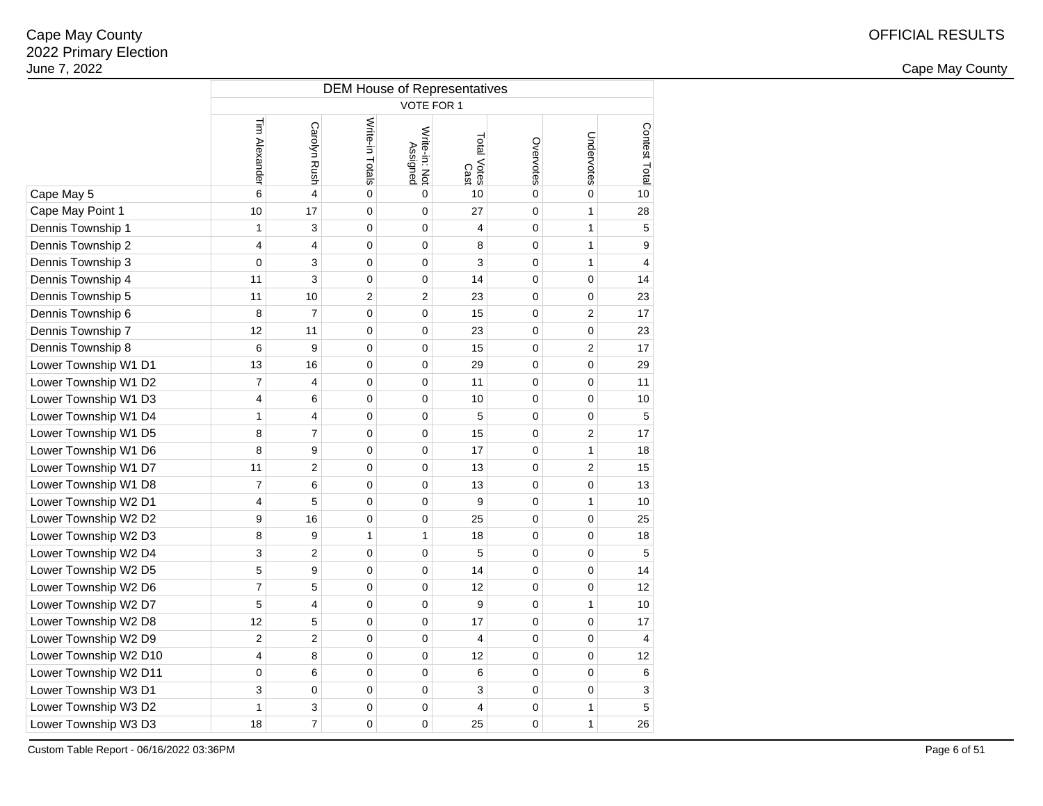2 and the contract of the country of the country of the country of the country of the country of the country of the country of the country of the country of the country of the country of the country of the country of the c

|                       | <b>DEM House of Representatives</b> |                         |                 |                           |                     |                |                |                           |  |  |  |  |  |  |
|-----------------------|-------------------------------------|-------------------------|-----------------|---------------------------|---------------------|----------------|----------------|---------------------------|--|--|--|--|--|--|
|                       | VOTE FOR 1                          |                         |                 |                           |                     |                |                |                           |  |  |  |  |  |  |
|                       | Tim Alexander                       | Carolyn Rush            | Write-in Totals | Write-in: Not<br>Assigned | Total Votes<br>Cast | Overvotes      | Undervotes     | Contest Total             |  |  |  |  |  |  |
| Cape May 5            | 6                                   | $\overline{\mathbf{4}}$ | $\mathbf 0$     | 0                         | 10                  | $\mathbf 0$    | 0              | 10                        |  |  |  |  |  |  |
| Cape May Point 1      | 10                                  | 17                      | $\mathbf 0$     | 0                         | 27                  | $\overline{0}$ | $\mathbf{1}$   | 28                        |  |  |  |  |  |  |
| Dennis Township 1     | $\mathbf{1}$                        | 3                       | $\mathbf 0$     | 0                         | 4                   | $\mathbf 0$    | $\mathbf{1}$   | 5                         |  |  |  |  |  |  |
| Dennis Township 2     | $\overline{4}$                      | 4                       | $\mathbf 0$     | 0                         | 8                   | $\mathbf 0$    | $\mathbf{1}$   | 9                         |  |  |  |  |  |  |
| Dennis Township 3     | $\mathbf 0$                         | 3                       | $\mathbf 0$     | 0                         | 3                   | 0              | $\mathbf{1}$   | $\overline{\mathbf{4}}$   |  |  |  |  |  |  |
| Dennis Township 4     | 11                                  | 3                       | $\mathbf 0$     | 0                         | 14                  | 0              | 0              | 14                        |  |  |  |  |  |  |
| Dennis Township 5     | 11                                  | 10                      | $\overline{2}$  | $\overline{2}$            | 23                  | 0              | 0              | 23                        |  |  |  |  |  |  |
| Dennis Township 6     | 8                                   | $\overline{7}$          | $\mathbf 0$     | 0                         | 15                  | 0              | $\overline{2}$ | 17                        |  |  |  |  |  |  |
| Dennis Township 7     | 12                                  | 11                      | $\mathbf 0$     | 0                         | 23                  | 0              | 0              | 23                        |  |  |  |  |  |  |
| Dennis Township 8     | 6                                   | 9                       | 0               | 0                         | 15                  | 0              | 2              | 17                        |  |  |  |  |  |  |
| Lower Township W1 D1  | 13                                  | 16                      | $\mathbf 0$     | 0                         | 29                  | 0              | 0              | 29                        |  |  |  |  |  |  |
| Lower Township W1 D2  | $\overline{7}$                      | 4                       | $\mathbf 0$     | 0                         | 11                  | 0              | 0              | 11                        |  |  |  |  |  |  |
| Lower Township W1 D3  | 4                                   | 6                       | 0               | 0                         | 10                  | 0              | 0              | 10                        |  |  |  |  |  |  |
| Lower Township W1 D4  | $\mathbf{1}$                        | $\overline{4}$          | 0               | 0                         | 5                   | 0              | 0              | 5                         |  |  |  |  |  |  |
| Lower Township W1 D5  | 8                                   | $\overline{7}$          | $\mathbf 0$     | 0                         | 15                  | 0              | $\overline{2}$ | 17                        |  |  |  |  |  |  |
| Lower Township W1 D6  | 8                                   | 9                       | $\mathbf 0$     | 0                         | 17                  | 0              | 1              | 18                        |  |  |  |  |  |  |
| Lower Township W1 D7  | 11                                  | $\overline{c}$          | $\mathbf 0$     | 0                         | 13                  | $\pmb{0}$      | $\overline{c}$ | 15                        |  |  |  |  |  |  |
| Lower Township W1 D8  | $\overline{7}$                      | 6                       | $\mathbf 0$     | 0                         | 13                  | 0              | 0              | 13                        |  |  |  |  |  |  |
| Lower Township W2 D1  | 4                                   | 5                       | $\mathbf 0$     | 0                         | 9                   | $\pmb{0}$      | $\mathbf{1}$   | 10                        |  |  |  |  |  |  |
| Lower Township W2 D2  | 9                                   | 16                      | $\mathbf 0$     | 0                         | 25                  | $\pmb{0}$      | 0              | 25                        |  |  |  |  |  |  |
| Lower Township W2 D3  | 8                                   | 9                       | $\mathbf{1}$    | 1                         | 18                  | $\mathbf 0$    | 0              | 18                        |  |  |  |  |  |  |
| Lower Township W2 D4  | 3                                   | 2                       | $\mathbf 0$     | 0                         | 5                   | 0              | 0              | $\mathbf 5$               |  |  |  |  |  |  |
| Lower Township W2 D5  | 5                                   | 9                       | $\mathbf 0$     | 0                         | 14                  | $\pmb{0}$      | 0              | 14                        |  |  |  |  |  |  |
| Lower Township W2 D6  | $\overline{7}$                      | 5                       | $\mathbf 0$     | 0                         | 12                  | $\mathbf 0$    | 0              | 12                        |  |  |  |  |  |  |
| Lower Township W2 D7  | 5                                   | 4                       | $\mathbf 0$     | 0                         | 9                   | 0              | $\mathbf{1}$   | 10                        |  |  |  |  |  |  |
| Lower Township W2 D8  | 12                                  | 5                       | $\mathbf 0$     | 0                         | 17                  | $\mathbf{0}$   | $\overline{0}$ | 17                        |  |  |  |  |  |  |
| Lower Township W2 D9  | $\overline{2}$                      | $\overline{2}$          | $\mathbf 0$     | 0                         | 4                   | $\mathbf 0$    | 0              | 4                         |  |  |  |  |  |  |
| Lower Township W2 D10 | 4                                   | 8                       | $\mathbf 0$     | 0                         | 12                  | $\mathbf 0$    | 0              | 12                        |  |  |  |  |  |  |
| Lower Township W2 D11 | $\mathbf 0$                         | 6                       | $\mathbf 0$     | 0                         | 6                   | $\mathbf 0$    | 0              | 6                         |  |  |  |  |  |  |
| Lower Township W3 D1  | 3                                   | $\mathbf 0$             | $\mathbf 0$     | 0                         | 3                   | $\pmb{0}$      | 0              | $\ensuremath{\mathsf{3}}$ |  |  |  |  |  |  |
| Lower Township W3 D2  | $\mathbf{1}$                        | 3                       | $\mathbf 0$     | 0                         | 4                   | $\mathbf 0$    | $\mathbf{1}$   | 5                         |  |  |  |  |  |  |
| Lower Township W3 D3  | 18                                  | $\overline{7}$          | $\mathbf 0$     | 0                         | 25                  | 0              | $\mathbf{1}$   | 26                        |  |  |  |  |  |  |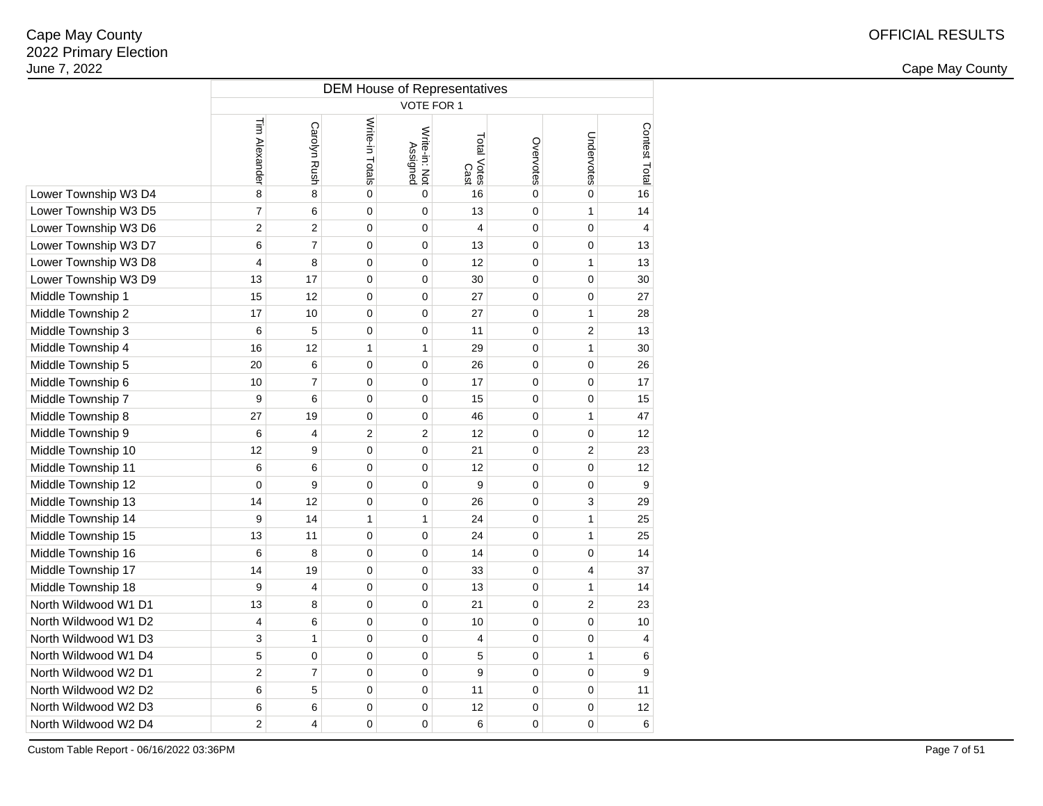2 and the contract of the country of the country of the country of the country of the country of the country of the country of the country of the country of the country of the country of the country of the country of the c

|                      | <b>DEM House of Representatives</b><br>VOTE FOR 1 |                |                 |                           |                     |             |                  |                |  |  |  |  |  |
|----------------------|---------------------------------------------------|----------------|-----------------|---------------------------|---------------------|-------------|------------------|----------------|--|--|--|--|--|
|                      |                                                   |                |                 |                           |                     |             |                  |                |  |  |  |  |  |
|                      | Tim Alexander                                     | Carolyn Rush   | Write-in Totals | Write-in: Not<br>Assigned | Total Votes<br>Cast | Overvotes   | Undervotes       | Contest Total  |  |  |  |  |  |
| Lower Township W3 D4 | 8                                                 | 8              | $\mathbf 0$     | $\mathbf 0$               | 16                  | $\mathsf 0$ | $\mathbf 0$      | 16             |  |  |  |  |  |
| Lower Township W3 D5 | $\overline{7}$                                    | 6              | $\mathbf 0$     | 0                         | 13                  | 0           | $\mathbf{1}$     | 14             |  |  |  |  |  |
| Lower Township W3 D6 | $\overline{c}$                                    | $\overline{2}$ | $\mathbf 0$     | 0                         | $\overline{4}$      | 0           | $\mathbf 0$      | $\overline{4}$ |  |  |  |  |  |
| Lower Township W3 D7 | 6                                                 | $\overline{7}$ | $\mathbf 0$     | 0                         | 13                  | 0           | $\mathbf 0$      | 13             |  |  |  |  |  |
| Lower Township W3 D8 | 4                                                 | 8              | $\mathbf 0$     | 0                         | 12                  | 0           | $\mathbf{1}$     | 13             |  |  |  |  |  |
| Lower Township W3 D9 | 13                                                | 17             | $\mathbf 0$     | 0                         | 30                  | 0           | $\pmb{0}$        | 30             |  |  |  |  |  |
| Middle Township 1    | 15                                                | 12             | $\mathbf 0$     | 0                         | 27                  | 0           | $\pmb{0}$        | 27             |  |  |  |  |  |
| Middle Township 2    | 17                                                | 10             | $\mathbf 0$     | 0                         | 27                  | 0           | 1                | 28             |  |  |  |  |  |
| Middle Township 3    | 6                                                 | 5              | $\pmb{0}$       | 0                         | 11                  | 0           | $\boldsymbol{2}$ | 13             |  |  |  |  |  |
| Middle Township 4    | 16                                                | 12             | 1               | 1                         | 29                  | 0           | 1                | 30             |  |  |  |  |  |
| Middle Township 5    | 20                                                | 6              | $\mathbf 0$     | 0                         | 26                  | 0           | $\mathbf 0$      | 26             |  |  |  |  |  |
| Middle Township 6    | 10                                                | $\overline{7}$ | $\mathbf 0$     | 0                         | 17                  | 0           | $\mathbf 0$      | 17             |  |  |  |  |  |
| Middle Township 7    | 9                                                 | 6              | $\mathbf 0$     | 0                         | 15                  | 0           | $\mathbf 0$      | 15             |  |  |  |  |  |
| Middle Township 8    | 27                                                | 19             | $\mathbf 0$     | 0                         | 46                  | 0           | 1                | 47             |  |  |  |  |  |
| Middle Township 9    | 6                                                 | 4              | $\overline{2}$  | $\overline{2}$            | 12                  | 0           | $\mathbf 0$      | 12             |  |  |  |  |  |
| Middle Township 10   | 12                                                | 9              | $\mathbf 0$     | 0                         | 21                  | 0           | 2                | 23             |  |  |  |  |  |
| Middle Township 11   | 6                                                 | 6              | $\mathbf 0$     | 0                         | 12                  | 0           | $\mathbf 0$      | 12             |  |  |  |  |  |
| Middle Township 12   | $\mathbf 0$                                       | 9              | $\mathbf 0$     | 0                         | 9                   | 0           | $\mathbf 0$      | 9              |  |  |  |  |  |
| Middle Township 13   | 14                                                | 12             | $\mathbf 0$     | 0                         | 26                  | 0           | 3                | 29             |  |  |  |  |  |
| Middle Township 14   | 9                                                 | 14             | 1               | 1                         | 24                  | 0           | $\mathbf{1}$     | 25             |  |  |  |  |  |
| Middle Township 15   | 13                                                | 11             | $\mathbf 0$     | 0                         | 24                  | 0           | 1                | 25             |  |  |  |  |  |
| Middle Township 16   | 6                                                 | 8              | $\mathbf 0$     | 0                         | 14                  | 0           | $\mathbf 0$      | 14             |  |  |  |  |  |
| Middle Township 17   | 14                                                | 19             | 0               | 0                         | 33                  | 0           | 4                | 37             |  |  |  |  |  |
| Middle Township 18   | 9                                                 | 4              | 0               | 0                         | 13                  | 0           | 1                | 14             |  |  |  |  |  |
| North Wildwood W1 D1 | 13                                                | 8              | 0               | 0                         | 21                  | 0           | $\overline{2}$   | 23             |  |  |  |  |  |
| North Wildwood W1 D2 | $\overline{4}$                                    | 6              | 0               | 0                         | 10                  | 0           | $\mathbf 0$      | 10             |  |  |  |  |  |
| North Wildwood W1 D3 | 3                                                 | $\mathbf{1}$   | 0               | 0                         | 4                   | 0           | $\mathbf 0$      | $\overline{4}$ |  |  |  |  |  |
| North Wildwood W1 D4 | 5                                                 | $\overline{0}$ | $\mathbf 0$     | 0                         | 5                   | 0           | $\mathbf{1}$     | 6              |  |  |  |  |  |
| North Wildwood W2 D1 | $\overline{2}$                                    | $\overline{7}$ | $\mathbf 0$     | 0                         | 9                   | 0           | $\mathbf 0$      | 9              |  |  |  |  |  |
| North Wildwood W2 D2 | 6                                                 | 5              | $\mathbf 0$     | 0                         | 11                  | 0           | $\pmb{0}$        | 11             |  |  |  |  |  |
| North Wildwood W2 D3 | 6                                                 | 6              | $\mathbf 0$     | 0                         | 12                  | 0           | $\mathbf 0$      | 12             |  |  |  |  |  |
| North Wildwood W2 D4 | $\overline{2}$                                    | 4              | 0               | 0                         | 6                   | 0           | 0                | 6              |  |  |  |  |  |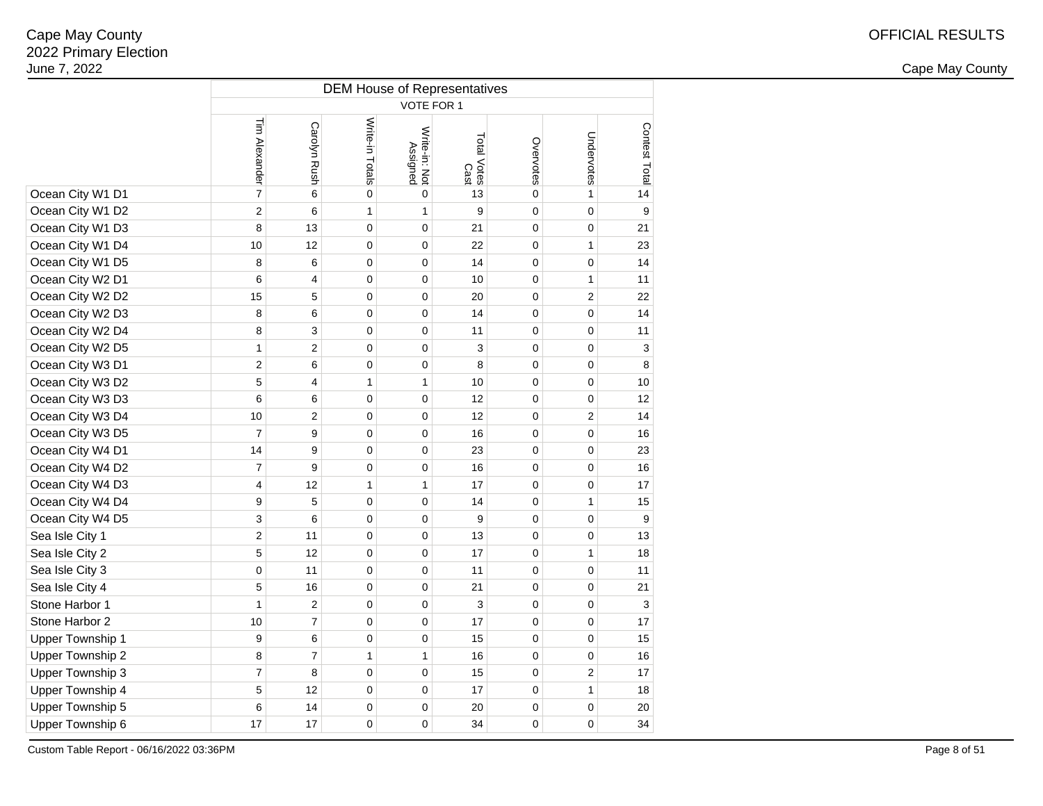2 and the contract of the country of the country of the country of the country of the country of the country of the country of the country of the country of the country of the country of the country of the country of the c

|                         | <b>DEM House of Representatives</b> |                  |                 |                           |                     |                |                  |                  |  |  |  |  |  |  |
|-------------------------|-------------------------------------|------------------|-----------------|---------------------------|---------------------|----------------|------------------|------------------|--|--|--|--|--|--|
|                         | VOTE FOR 1                          |                  |                 |                           |                     |                |                  |                  |  |  |  |  |  |  |
|                         | Tim Alexander                       | Carolyn Rush     | Write-in Totals | Write-in: Not<br>Assigned | Total Votes<br>Cast | Overvotes      | Undervotes       | Contest Total    |  |  |  |  |  |  |
| Ocean City W1 D1        | $\overline{7}$                      | 6                | $\mathbf 0$     | $\mathbf 0$               | 13                  | 0              | 1                | 14               |  |  |  |  |  |  |
| Ocean City W1 D2        | $\overline{c}$                      | 6                | $\mathbf{1}$    | 1                         | 9                   | $\overline{0}$ | $\overline{0}$   | $\boldsymbol{9}$ |  |  |  |  |  |  |
| Ocean City W1 D3        | 8                                   | 13               | $\mathbf 0$     | 0                         | 21                  | 0              | $\mathbf 0$      | 21               |  |  |  |  |  |  |
| Ocean City W1 D4        | 10                                  | 12               | $\mathbf 0$     | 0                         | 22                  | 0              | 1                | 23               |  |  |  |  |  |  |
| Ocean City W1 D5        | 8                                   | 6                | $\mathbf 0$     | 0                         | 14                  | 0              | $\mathbf 0$      | 14               |  |  |  |  |  |  |
| Ocean City W2 D1        | 6                                   | 4                | $\mathbf 0$     | 0                         | 10                  | 0              | 1                | 11               |  |  |  |  |  |  |
| Ocean City W2 D2        | 15                                  | 5                | $\pmb{0}$       | 0                         | 20                  | 0              | $\boldsymbol{2}$ | 22               |  |  |  |  |  |  |
| Ocean City W2 D3        | 8                                   | 6                | $\pmb{0}$       | 0                         | 14                  | 0              | $\pmb{0}$        | 14               |  |  |  |  |  |  |
| Ocean City W2 D4        | 8                                   | 3                | $\mathbf 0$     | 0                         | 11                  | 0              | $\pmb{0}$        | 11               |  |  |  |  |  |  |
| Ocean City W2 D5        | 1                                   | $\overline{2}$   | $\mathbf 0$     | 0                         | 3                   | 0              | 0                | 3                |  |  |  |  |  |  |
| Ocean City W3 D1        | $\overline{2}$                      | 6                | $\mathbf 0$     | 0                         | 8                   | 0              | $\mathbf 0$      | $\bf8$           |  |  |  |  |  |  |
| Ocean City W3 D2        | 5                                   | 4                | 1               | 1                         | 10                  | 0              | $\mathbf 0$      | 10               |  |  |  |  |  |  |
| Ocean City W3 D3        | 6                                   | 6                | $\mathbf 0$     | 0                         | 12                  | 0              | 0                | 12               |  |  |  |  |  |  |
| Ocean City W3 D4        | 10                                  | 2                | $\mathbf 0$     | 0                         | 12                  | 0              | $\overline{2}$   | 14               |  |  |  |  |  |  |
| Ocean City W3 D5        | $\overline{7}$                      | $\boldsymbol{9}$ | $\mathbf 0$     | 0                         | 16                  | 0              | $\mathbf 0$      | 16               |  |  |  |  |  |  |
| Ocean City W4 D1        | 14                                  | 9                | $\mathbf 0$     | 0                         | 23                  | 0              | $\mathbf 0$      | 23               |  |  |  |  |  |  |
| Ocean City W4 D2        | $\overline{7}$                      | $\boldsymbol{9}$ | $\mathbf 0$     | 0                         | 16                  | 0              | $\mathbf 0$      | 16               |  |  |  |  |  |  |
| Ocean City W4 D3        | $\overline{4}$                      | 12               | $\mathbf{1}$    | 1                         | 17                  | 0              | $\pmb{0}$        | 17               |  |  |  |  |  |  |
| Ocean City W4 D4        | 9                                   | 5                | $\mathbf 0$     | 0                         | 14                  | 0              | 1                | 15               |  |  |  |  |  |  |
| Ocean City W4 D5        | 3                                   | 6                | $\mathbf 0$     | 0                         | 9                   | 0              | $\mathbf 0$      | 9                |  |  |  |  |  |  |
| Sea Isle City 1         | $\overline{c}$                      | 11               | $\mathbf 0$     | 0                         | 13                  | 0              | $\mathbf 0$      | 13               |  |  |  |  |  |  |
| Sea Isle City 2         | 5                                   | 12               | $\pmb{0}$       | 0                         | 17                  | 0              | 1                | 18               |  |  |  |  |  |  |
| Sea Isle City 3         | $\mathbf 0$                         | 11               | $\mathbf 0$     | 0                         | 11                  | 0              | $\mathbf 0$      | 11               |  |  |  |  |  |  |
| Sea Isle City 4         | 5                                   | 16               | $\mathbf 0$     | 0                         | 21                  | 0              | $\mathbf 0$      | 21               |  |  |  |  |  |  |
| Stone Harbor 1          | $\mathbf{1}$                        | $\overline{2}$   | $\mathbf 0$     | 0                         | 3                   | 0              | $\mathbf 0$      | 3                |  |  |  |  |  |  |
| Stone Harbor 2          | 10                                  | $\overline{7}$   | $\mathbf 0$     | 0                         | 17                  | 0              | $\mathbf 0$      | 17               |  |  |  |  |  |  |
| <b>Upper Township 1</b> | 9                                   | 6                | $\mathbf 0$     | 0                         | 15                  | 0              | $\mathbf 0$      | 15               |  |  |  |  |  |  |
| Upper Township 2        | 8                                   | $\overline{7}$   | $\mathbf{1}$    | $\mathbf{1}$              | 16                  | 0              | $\mathbf 0$      | 16               |  |  |  |  |  |  |
| Upper Township 3        | $\overline{7}$                      | 8                | $\mathbf 0$     | 0                         | 15                  | 0              | $\overline{2}$   | 17               |  |  |  |  |  |  |
| Upper Township 4        | 5                                   | 12               | $\mathbf 0$     | 0                         | 17                  | 0              | $\mathbf{1}$     | 18               |  |  |  |  |  |  |
| Upper Township 5        | 6                                   | 14               | $\mathbf 0$     | 0                         | 20                  | 0              | $\mathbf 0$      | 20               |  |  |  |  |  |  |
| Upper Township 6        | 17                                  | 17               | $\mathbf 0$     | 0                         | 34                  | 0              | $\mathbf 0$      | 34               |  |  |  |  |  |  |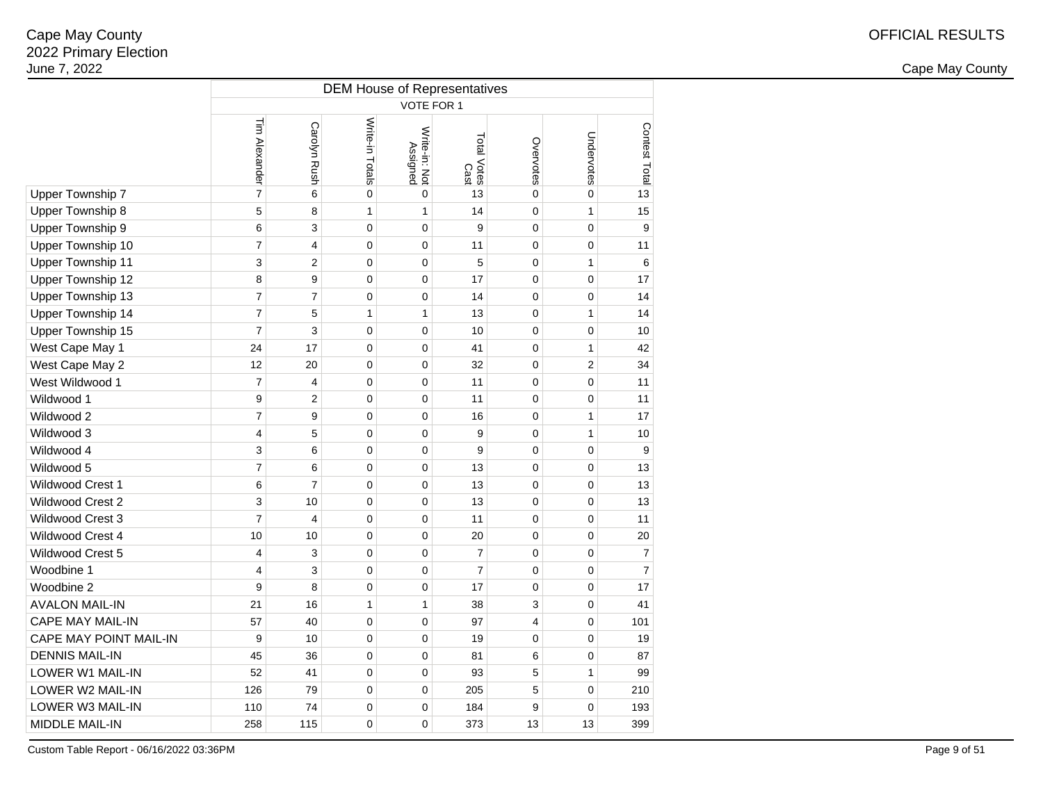2 and the contract of the country of the country of the country of the country of the country of the country of the country of the country of the country of the country of the country of the country of the country of the c

|                         | <b>DEM House of Representatives</b> |                     |                 |                           |                     |                |                |                          |  |  |  |  |  |  |
|-------------------------|-------------------------------------|---------------------|-----------------|---------------------------|---------------------|----------------|----------------|--------------------------|--|--|--|--|--|--|
|                         | VOTE FOR 1                          |                     |                 |                           |                     |                |                |                          |  |  |  |  |  |  |
|                         | Tim Alexander                       | <b>Carolyn Rush</b> | Write-in Totals | Write-in: Not<br>Assigned | Total Votes<br>Cast | Overvotes      | Undervotes     | Contest Total            |  |  |  |  |  |  |
| Upper Township 7        | $\overline{7}$                      | 6                   | $\mathsf 0$     | $\mathbf 0$               | 13                  | $\overline{0}$ | $\overline{0}$ | 13                       |  |  |  |  |  |  |
| Upper Township 8        | 5                                   | 8                   | 1               | $\mathbf{1}$              | 14                  | 0              | $\mathbf{1}$   | 15                       |  |  |  |  |  |  |
| Upper Township 9        | 6                                   | 3                   | $\mathbf 0$     | 0                         | 9                   | 0              | $\mathbf 0$    | 9                        |  |  |  |  |  |  |
| Upper Township 10       | $\overline{7}$                      | 4                   | $\mathbf 0$     | 0                         | 11                  | 0              | $\mathbf 0$    | 11                       |  |  |  |  |  |  |
| Upper Township 11       | 3                                   | $\overline{2}$      | $\pmb{0}$       | 0                         | 5                   | 0              | 1              | 6                        |  |  |  |  |  |  |
| Upper Township 12       | 8                                   | 9                   | $\mathbf 0$     | 0                         | 17                  | 0              | $\pmb{0}$      | 17                       |  |  |  |  |  |  |
| Upper Township 13       | $\overline{7}$                      | $\overline{7}$      | $\mathbf 0$     | 0                         | 14                  | 0              | 0              | 14                       |  |  |  |  |  |  |
| Upper Township 14       | $\overline{7}$                      | 5                   | 1               | $\mathbf{1}$              | 13                  | 0              | $\mathbf{1}$   | 14                       |  |  |  |  |  |  |
| Upper Township 15       | $\overline{7}$                      | 3                   | $\mathbf 0$     | 0                         | 10                  | 0              | $\mathbf 0$    | 10                       |  |  |  |  |  |  |
| West Cape May 1         | 24                                  | 17                  | $\mathbf 0$     | 0                         | 41                  | 0              | $\mathbf{1}$   | 42                       |  |  |  |  |  |  |
| West Cape May 2         | 12                                  | 20                  | $\mathbf 0$     | 0                         | 32                  | 0              | 2              | 34                       |  |  |  |  |  |  |
| West Wildwood 1         | $\overline{7}$                      | 4                   | $\mathbf 0$     | 0                         | 11                  | 0              | $\mathbf 0$    | 11                       |  |  |  |  |  |  |
| Wildwood 1              | 9                                   | $\overline{2}$      | $\mathbf 0$     | 0                         | 11                  | 0              | $\mathbf 0$    | 11                       |  |  |  |  |  |  |
| Wildwood 2              | $\overline{7}$                      | 9                   | $\mathbf 0$     | 0                         | 16                  | 0              | 1              | 17                       |  |  |  |  |  |  |
| Wildwood 3              | $\overline{4}$                      | 5                   | $\mathbf 0$     | 0                         | 9                   | 0              | $\mathbf{1}$   | 10                       |  |  |  |  |  |  |
| Wildwood 4              | 3                                   | 6                   | $\mathbf 0$     | 0                         | 9                   | 0              | $\mathbf 0$    | 9                        |  |  |  |  |  |  |
| Wildwood 5              | $\overline{7}$                      | 6                   | $\mathbf 0$     | 0                         | 13                  | 0              | $\mathbf 0$    | 13                       |  |  |  |  |  |  |
| Wildwood Crest 1        | 6                                   | $\overline{7}$      | $\mathbf 0$     | 0                         | 13                  | 0              | $\mathbf 0$    | 13                       |  |  |  |  |  |  |
| <b>Wildwood Crest 2</b> | 3                                   | 10                  | $\mathbf 0$     | 0                         | 13                  | 0              | $\mathbf 0$    | 13                       |  |  |  |  |  |  |
| Wildwood Crest 3        | $\overline{7}$                      | $\overline{4}$      | 0               | 0                         | 11                  | 0              | 0              | 11                       |  |  |  |  |  |  |
| Wildwood Crest 4        | 10                                  | 10                  | $\mathbf 0$     | 0                         | 20                  | 0              | $\mathbf 0$    | 20                       |  |  |  |  |  |  |
| Wildwood Crest 5        | $\overline{4}$                      | 3                   | 0               | 0                         | $\overline{7}$      | 0              | $\mathbf 0$    | $\overline{\mathcal{I}}$ |  |  |  |  |  |  |
| Woodbine 1              | $\overline{4}$                      | 3                   | $\mathbf 0$     | 0                         | $\overline{7}$      | 0              | $\mathbf 0$    | $\overline{7}$           |  |  |  |  |  |  |
| Woodbine 2              | 9                                   | 8                   | $\mathbf 0$     | 0                         | 17                  | 0              | $\mathbf 0$    | 17                       |  |  |  |  |  |  |
| <b>AVALON MAIL-IN</b>   | 21                                  | 16                  | 1               | 1                         | 38                  | 3              | $\mathbf 0$    | 41                       |  |  |  |  |  |  |
| <b>CAPE MAY MAIL-IN</b> | 57                                  | 40                  | $\mathbf 0$     | 0                         | 97                  | 4              | $\pmb{0}$      | 101                      |  |  |  |  |  |  |
| CAPE MAY POINT MAIL-IN  | 9                                   | 10                  | $\mathbf 0$     | 0                         | 19                  | 0              | $\mathbf 0$    | 19                       |  |  |  |  |  |  |
| <b>DENNIS MAIL-IN</b>   | 45                                  | 36                  | $\mathbf 0$     | 0                         | 81                  | 6              | $\mathbf 0$    | 87                       |  |  |  |  |  |  |
| LOWER W1 MAIL-IN        | 52                                  | 41                  | $\mathbf 0$     | 0                         | 93                  | 5              | $\mathbf{1}$   | 99                       |  |  |  |  |  |  |
| LOWER W2 MAIL-IN        | 126                                 | 79                  | $\mathbf 0$     | 0                         | 205                 | 5              | $\mathbf 0$    | 210                      |  |  |  |  |  |  |
| LOWER W3 MAIL-IN        | 110                                 | 74                  | $\pmb{0}$       | 0                         | 184                 | 9              | $\mathbf 0$    | 193                      |  |  |  |  |  |  |
| MIDDLE MAIL-IN          | 258                                 | 115                 | 0               | 0                         | 373                 | 13             | 13             | 399                      |  |  |  |  |  |  |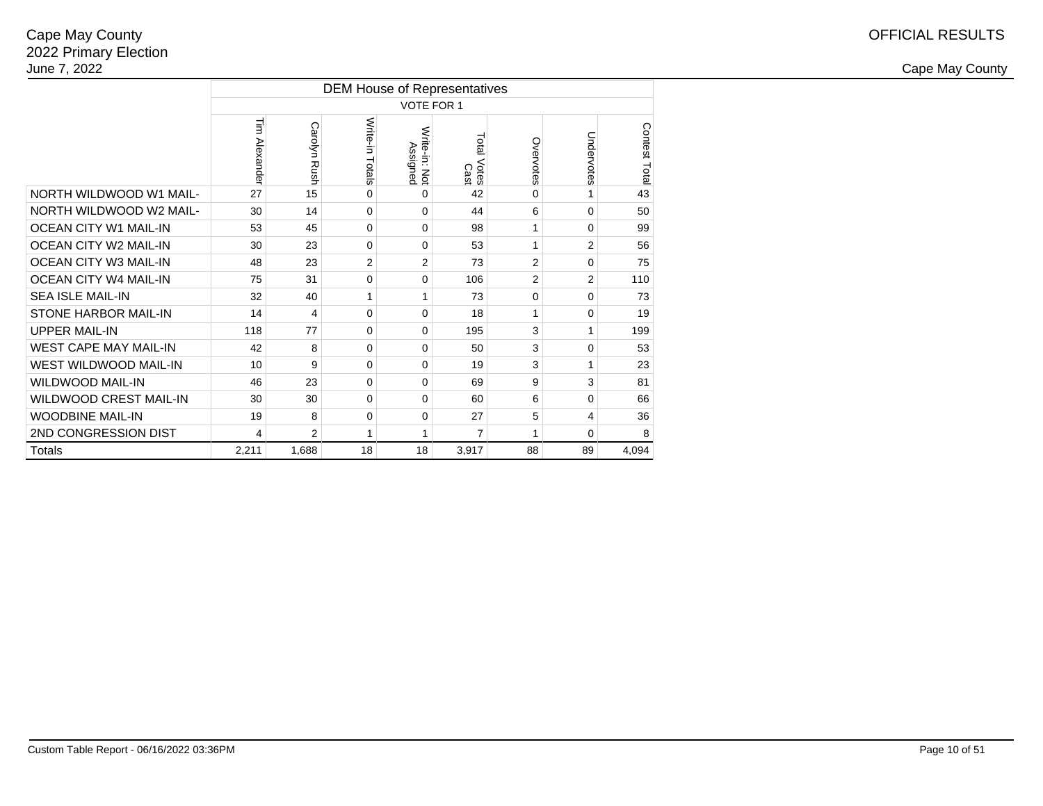|                               | <b>DEM House of Representatives</b> |                     |                 |                           |                     |                |                |               |  |  |  |  |  |  |  |
|-------------------------------|-------------------------------------|---------------------|-----------------|---------------------------|---------------------|----------------|----------------|---------------|--|--|--|--|--|--|--|
|                               |                                     | VOTE FOR 1          |                 |                           |                     |                |                |               |  |  |  |  |  |  |  |
|                               | Tim Alexander                       | <b>Carolyn Rush</b> | Write-in Totals | Write-in: Not<br>Assigned | Total Votes<br>Cast | Overvotes      | Undervotes     | Contest Total |  |  |  |  |  |  |  |
| NORTH WILDWOOD W1 MAIL-       | 27                                  | 15                  | 0               | 0                         | 42                  | 0              |                | 43            |  |  |  |  |  |  |  |
| NORTH WILDWOOD W2 MAIL-       | 30                                  | 14                  | $\Omega$        | 0                         | 44                  | 6              | $\Omega$       | 50            |  |  |  |  |  |  |  |
| <b>OCEAN CITY W1 MAIL-IN</b>  | 53                                  | 45                  | $\Omega$        | 0                         | 98                  | 1              | $\Omega$       | 99            |  |  |  |  |  |  |  |
| OCEAN CITY W2 MAIL-IN         | 30                                  | 23                  | $\Omega$        | 0                         | 53                  | 1              | $\overline{2}$ | 56            |  |  |  |  |  |  |  |
| OCEAN CITY W3 MAIL-IN         | 48                                  | 23                  | $\overline{2}$  | $\overline{2}$            | 73                  | $\overline{2}$ | $\Omega$       | 75            |  |  |  |  |  |  |  |
| <b>OCEAN CITY W4 MAIL-IN</b>  | 75                                  | 31                  | 0               | 0                         | 106                 | $\overline{2}$ | 2              | 110           |  |  |  |  |  |  |  |
| <b>SEA ISLE MAIL-IN</b>       | 32                                  | 40                  | 1               | 1                         | 73                  | 0              | $\Omega$       | 73            |  |  |  |  |  |  |  |
| <b>STONE HARBOR MAIL-IN</b>   | 14                                  | 4                   | $\Omega$        | $\Omega$                  | 18                  | 1              | $\Omega$       | 19            |  |  |  |  |  |  |  |
| <b>UPPER MAIL-IN</b>          | 118                                 | 77                  | $\Omega$        | 0                         | 195                 | 3              | 1              | 199           |  |  |  |  |  |  |  |
| <b>WEST CAPE MAY MAIL-IN</b>  | 42                                  | 8                   | $\Omega$        | 0                         | 50                  | 3              | $\Omega$       | 53            |  |  |  |  |  |  |  |
| WEST WILDWOOD MAIL-IN         | 10                                  | 9                   | $\Omega$        | 0                         | 19                  | 3              | 1              | 23            |  |  |  |  |  |  |  |
| <b>WILDWOOD MAIL-IN</b>       | 46                                  | 23                  | $\Omega$        | 0                         | 69                  | 9              | 3              | 81            |  |  |  |  |  |  |  |
| <b>WILDWOOD CREST MAIL-IN</b> | 30                                  | 30                  | $\Omega$        | $\Omega$                  | 60                  | 6              | $\Omega$       | 66            |  |  |  |  |  |  |  |
| <b>WOODBINE MAIL-IN</b>       | 19                                  | 8                   | 0               | 0                         | 27                  | 5              | 4              | 36            |  |  |  |  |  |  |  |
| 2ND CONGRESSION DIST          | 4                                   | 2                   | 1               | 1                         | 7                   | 1              | $\Omega$       | 8             |  |  |  |  |  |  |  |
| <b>Totals</b>                 | 2,211                               | 1.688               | 18              | 18                        | 3.917               | 88             | 89             | 4.094         |  |  |  |  |  |  |  |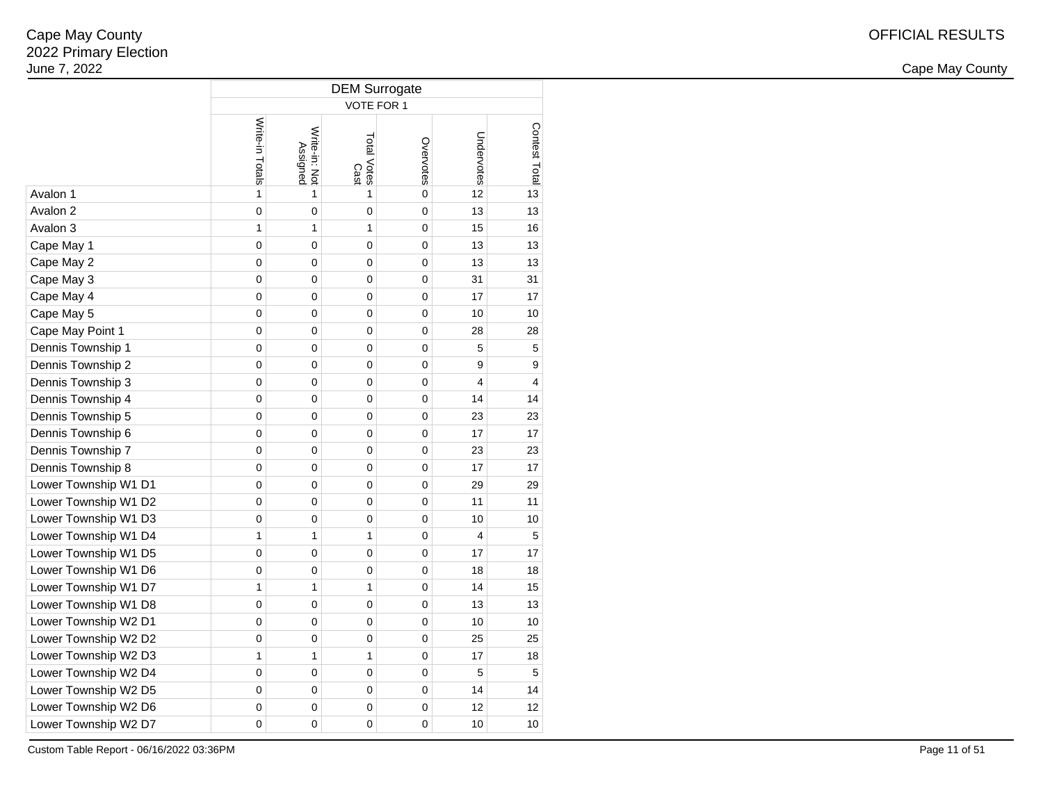2 and the contract of the country of the country of the country of the country of the country of the country of the country of the country of the country of the country of the country of the country of the country of the c

|                      | <b>DEM Surrogate</b> |                           |                     |             |                |               |  |  |  |  |  |  |  |  |
|----------------------|----------------------|---------------------------|---------------------|-------------|----------------|---------------|--|--|--|--|--|--|--|--|
|                      | VOTE FOR 1           |                           |                     |             |                |               |  |  |  |  |  |  |  |  |
|                      | Write-in Totals      | Write-in: Not<br>Assigned | Total Votes<br>Cast | Overvotes   | Undervotes     | Contest Total |  |  |  |  |  |  |  |  |
| Avalon 1             | $\mathbf{1}$         | 1                         | 1                   | 0           | 12             | 13            |  |  |  |  |  |  |  |  |
| Avalon 2             | $\mathbf 0$          | 0                         | 0                   | 0           | 13             | 13            |  |  |  |  |  |  |  |  |
| Avalon 3             | 1                    | $\mathbf{1}$              | 1                   | $\mathbf 0$ | 15             | 16            |  |  |  |  |  |  |  |  |
| Cape May 1           | 0                    | 0                         | 0                   | 0           | 13             | 13            |  |  |  |  |  |  |  |  |
| Cape May 2           | 0                    | 0                         | 0                   | 0           | 13             | 13            |  |  |  |  |  |  |  |  |
| Cape May 3           | 0                    | 0                         | 0                   | $\mathbf 0$ | 31             | 31            |  |  |  |  |  |  |  |  |
| Cape May 4           | 0                    | 0                         | 0                   | 0           | 17             | 17            |  |  |  |  |  |  |  |  |
| Cape May 5           | 0                    | 0                         | 0                   | 0           | 10             | 10            |  |  |  |  |  |  |  |  |
| Cape May Point 1     | 0                    | 0                         | 0                   | 0           | 28             | 28            |  |  |  |  |  |  |  |  |
| Dennis Township 1    | 0                    | 0                         | 0                   | 0           | 5              | 5             |  |  |  |  |  |  |  |  |
| Dennis Township 2    | 0                    | 0                         | 0                   | 0           | 9              | 9             |  |  |  |  |  |  |  |  |
| Dennis Township 3    | 0                    | 0                         | 0                   | 0           | 4              | 4             |  |  |  |  |  |  |  |  |
| Dennis Township 4    | 0                    | 0                         | 0                   | 0           | 14             | 14            |  |  |  |  |  |  |  |  |
| Dennis Township 5    | 0                    | 0                         | 0                   | 0           | 23             | 23            |  |  |  |  |  |  |  |  |
| Dennis Township 6    | 0                    | 0                         | 0                   | 0           | 17             | 17            |  |  |  |  |  |  |  |  |
| Dennis Township 7    | $\mathbf 0$          | 0                         | 0                   | $\mathbf 0$ | 23             | 23            |  |  |  |  |  |  |  |  |
| Dennis Township 8    | 0                    | 0                         | 0                   | 0           | 17             | 17            |  |  |  |  |  |  |  |  |
| Lower Township W1 D1 | 0                    | 0                         | 0                   | 0           | 29             | 29            |  |  |  |  |  |  |  |  |
| Lower Township W1 D2 | 0                    | 0                         | 0                   | 0           | 11             | 11            |  |  |  |  |  |  |  |  |
| Lower Township W1 D3 | 0                    | 0                         | 0                   | 0           | 10             | 10            |  |  |  |  |  |  |  |  |
| Lower Township W1 D4 | 1                    | 1                         | 1                   | 0           | $\overline{4}$ | 5             |  |  |  |  |  |  |  |  |
| Lower Township W1 D5 | $\mathbf 0$          | 0                         | 0                   | 0           | 17             | 17            |  |  |  |  |  |  |  |  |
| Lower Township W1 D6 | 0                    | 0                         | 0                   | 0           | 18             | 18            |  |  |  |  |  |  |  |  |
| Lower Township W1 D7 | 1                    | 1                         | 1                   | 0           | 14             | 15            |  |  |  |  |  |  |  |  |
| Lower Township W1 D8 | 0                    | 0                         | 0                   | 0           | 13             | 13            |  |  |  |  |  |  |  |  |
| Lower Township W2 D1 | 0                    | 0                         | 0                   | 0           | 10             | 10            |  |  |  |  |  |  |  |  |
| Lower Township W2 D2 | 0                    | 0                         | 0                   | 0           | 25             | 25            |  |  |  |  |  |  |  |  |
| Lower Township W2 D3 | 1                    | 1                         | 1                   | 0           | 17             | 18            |  |  |  |  |  |  |  |  |
| Lower Township W2 D4 | $\mathbf 0$          | 0                         | $\mathbf 0$         | $\mathbf 0$ | 5              | 5             |  |  |  |  |  |  |  |  |
| Lower Township W2 D5 | 0                    | 0                         | 0                   | $\mathbf 0$ | 14             | 14            |  |  |  |  |  |  |  |  |
| Lower Township W2 D6 | 0                    | 0                         | 0                   | 0           | 12             | 12            |  |  |  |  |  |  |  |  |
| Lower Township W2 D7 | 0                    | 0                         | 0                   | 0           | 10             | 10            |  |  |  |  |  |  |  |  |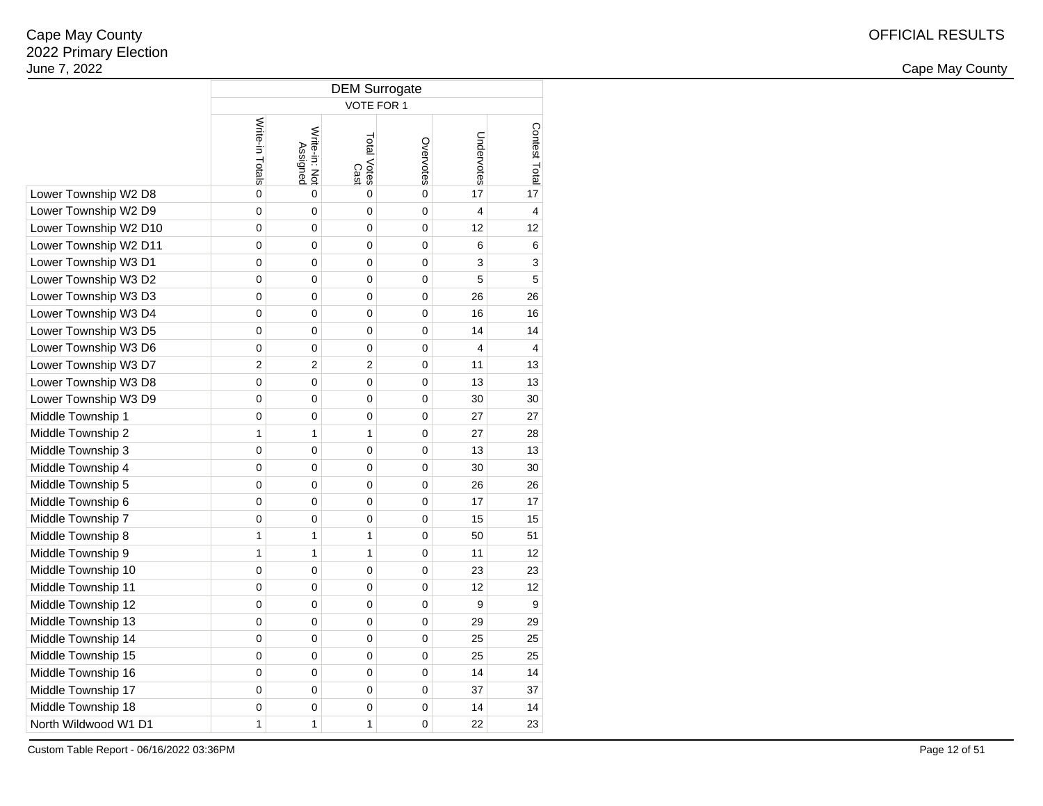|                       | <b>DEM Surrogate</b> |                           |                     |             |                         |                |  |  |  |  |  |
|-----------------------|----------------------|---------------------------|---------------------|-------------|-------------------------|----------------|--|--|--|--|--|
|                       | <b>VOTE FOR 1</b>    |                           |                     |             |                         |                |  |  |  |  |  |
|                       | Write-in Totals      | Write-in: Not<br>Assigned | Total Votes<br>Cast | Overvotes   | Undervotes              | Contest Total  |  |  |  |  |  |
| Lower Township W2 D8  | $\mathbf 0$          | 0                         | 0                   | $\mathbf 0$ | 17                      | 17             |  |  |  |  |  |
| Lower Township W2 D9  | $\mathbf 0$          | 0                         | $\mathbf 0$         | $\mathbf 0$ | $\overline{\mathbf{4}}$ | 4              |  |  |  |  |  |
| Lower Township W2 D10 | 0                    | 0                         | 0                   | 0           | 12                      | 12             |  |  |  |  |  |
| Lower Township W2 D11 | $\mathbf 0$          | 0                         | 0                   | 0           | 6                       | 6              |  |  |  |  |  |
| Lower Township W3 D1  | 0                    | 0                         | 0                   | $\mathbf 0$ | 3                       | 3              |  |  |  |  |  |
| Lower Township W3 D2  | 0                    | 0                         | 0                   | $\mathbf 0$ | 5                       | 5              |  |  |  |  |  |
| Lower Township W3 D3  | 0                    | 0                         | 0                   | $\mathbf 0$ | 26                      | 26             |  |  |  |  |  |
| Lower Township W3 D4  | 0                    | 0                         | 0                   | $\mathbf 0$ | 16                      | 16             |  |  |  |  |  |
| Lower Township W3 D5  | 0                    | 0                         | 0                   | $\mathbf 0$ | 14                      | 14             |  |  |  |  |  |
| Lower Township W3 D6  | 0                    | 0                         | 0                   | $\mathbf 0$ | $\overline{4}$          | $\overline{4}$ |  |  |  |  |  |
| Lower Township W3 D7  | $\overline{2}$       | 2                         | $\overline{2}$      | $\mathbf 0$ | 11                      | 13             |  |  |  |  |  |
| Lower Township W3 D8  | 0                    | 0                         | 0                   | $\mathbf 0$ | 13                      | 13             |  |  |  |  |  |
| Lower Township W3 D9  | 0                    | 0                         | 0                   | $\mathbf 0$ | 30                      | 30             |  |  |  |  |  |
| Middle Township 1     | 0                    | 0                         | 0                   | 0           | 27                      | 27             |  |  |  |  |  |
| Middle Township 2     | 1                    | 1                         | 1                   | 0           | 27                      | 28             |  |  |  |  |  |
| Middle Township 3     | $\mathbf 0$          | 0                         | 0                   | 0           | 13                      | 13             |  |  |  |  |  |
| Middle Township 4     | 0                    | 0                         | 0                   | 0           | 30                      | 30             |  |  |  |  |  |
| Middle Township 5     | 0                    | 0                         | 0                   | 0           | 26                      | 26             |  |  |  |  |  |
| Middle Township 6     | 0                    | 0                         | 0                   | 0           | 17                      | 17             |  |  |  |  |  |
| Middle Township 7     | $\mathbf 0$          | 0                         | $\mathbf 0$         | $\mathbf 0$ | 15                      | 15             |  |  |  |  |  |
| Middle Township 8     | $\mathbf{1}$         | 1                         | 1                   | $\mathbf 0$ | 50                      | 51             |  |  |  |  |  |
| Middle Township 9     | $\mathbf{1}$         | 1                         | 1                   | $\mathbf 0$ | 11                      | 12             |  |  |  |  |  |
| Middle Township 10    | $\mathbf 0$          | 0                         | $\mathbf 0$         | $\mathbf 0$ | 23                      | 23             |  |  |  |  |  |
| Middle Township 11    | 0                    | 0                         | 0                   | $\mathbf 0$ | 12                      | 12             |  |  |  |  |  |
| Middle Township 12    | 0                    | 0                         | 0                   | $\mathbf 0$ | 9                       | 9              |  |  |  |  |  |
| Middle Township 13    | $\mathbf 0$          | 0                         | 0                   | $\mathbf 0$ | 29                      | 29             |  |  |  |  |  |
| Middle Township 14    | 0                    | 0                         | 0                   | 0           | 25                      | 25             |  |  |  |  |  |
| Middle Township 15    | $\mathbf 0$          | 0                         | 0                   | 0           | 25                      | 25             |  |  |  |  |  |
| Middle Township 16    | 0                    | 0                         | 0                   | $\mathbf 0$ | 14                      | 14             |  |  |  |  |  |
| Middle Township 17    | 0                    | 0                         | 0                   | $\mathbf 0$ | 37                      | 37             |  |  |  |  |  |
| Middle Township 18    | 0                    | 0                         | 0                   | $\mathbf 0$ | 14                      | 14             |  |  |  |  |  |
| North Wildwood W1 D1  | 1                    | 1                         | 1                   | $\mathbf 0$ | 22                      | 23             |  |  |  |  |  |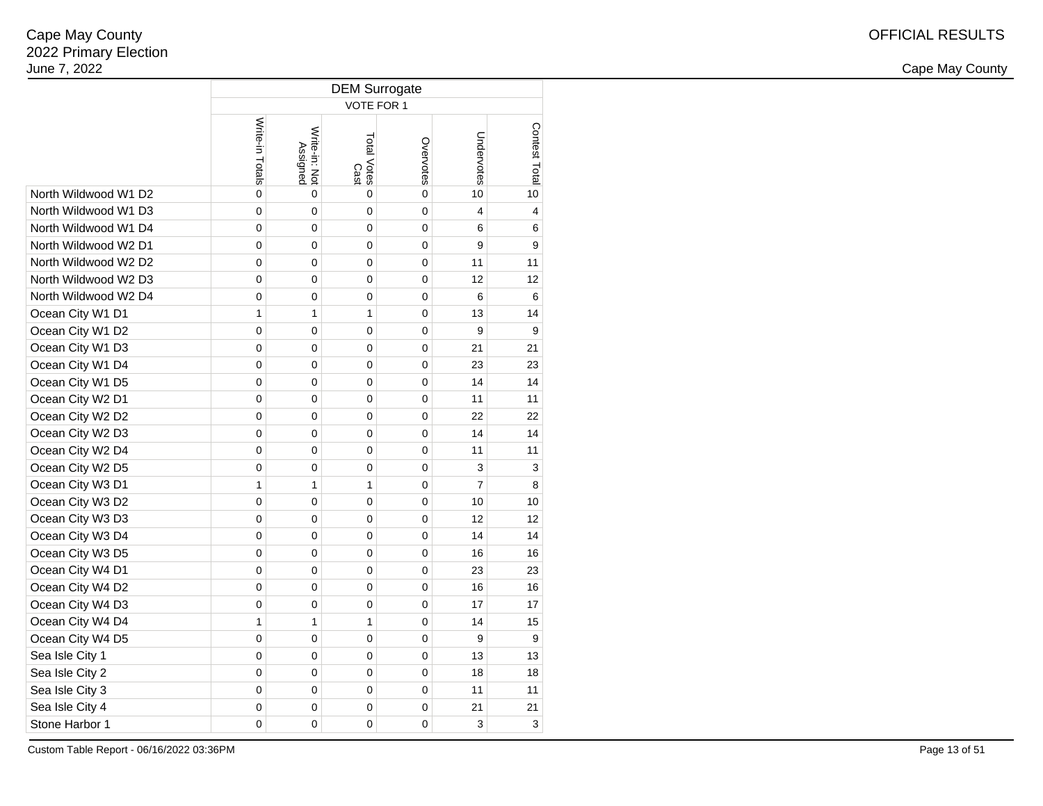|                      | <b>DEM Surrogate</b> |                           |                     |           |                |               |  |  |  |  |  |
|----------------------|----------------------|---------------------------|---------------------|-----------|----------------|---------------|--|--|--|--|--|
|                      | VOTE FOR 1           |                           |                     |           |                |               |  |  |  |  |  |
|                      | Write-in Totals      | Write-in: Not<br>Assigned | Total Votes<br>Cast | Overvotes | Undervotes     | Contest Total |  |  |  |  |  |
| North Wildwood W1 D2 | 0                    | 0                         | 0                   | 0         | 10             | 10            |  |  |  |  |  |
| North Wildwood W1 D3 | $\mathbf 0$          | 0                         | $\mathbf 0$         | 0         | $\overline{4}$ | 4             |  |  |  |  |  |
| North Wildwood W1 D4 | 0                    | 0                         | 0                   | 0         | 6              | 6             |  |  |  |  |  |
| North Wildwood W2 D1 | $\mathbf 0$          | 0                         | 0                   | 0         | 9              | 9             |  |  |  |  |  |
| North Wildwood W2 D2 | 0                    | 0                         | 0                   | 0         | 11             | 11            |  |  |  |  |  |
| North Wildwood W2 D3 | 0                    | 0                         | 0                   | 0         | 12             | 12            |  |  |  |  |  |
| North Wildwood W2 D4 | 0                    | 0                         | 0                   | 0         | 6              | 6             |  |  |  |  |  |
| Ocean City W1 D1     | $\mathbf{1}$         | 1                         | 1                   | 0         | 13             | 14            |  |  |  |  |  |
| Ocean City W1 D2     | 0                    | 0                         | 0                   | 0         | 9              | 9             |  |  |  |  |  |
| Ocean City W1 D3     | 0                    | 0                         | 0                   | 0         | 21             | 21            |  |  |  |  |  |
| Ocean City W1 D4     | 0                    | 0                         | 0                   | 0         | 23             | 23            |  |  |  |  |  |
| Ocean City W1 D5     | 0                    | 0                         | 0                   | 0         | 14             | 14            |  |  |  |  |  |
| Ocean City W2 D1     | 0                    | 0                         | 0                   | 0         | 11             | 11            |  |  |  |  |  |
| Ocean City W2 D2     | 0                    | 0                         | 0                   | 0         | 22             | 22            |  |  |  |  |  |
| Ocean City W2 D3     | 0                    | 0                         | 0                   | 0         | 14             | 14            |  |  |  |  |  |
| Ocean City W2 D4     | 0                    | 0                         | 0                   | 0         | 11             | 11            |  |  |  |  |  |
| Ocean City W2 D5     | 0                    | 0                         | 0                   | 0         | 3              | 3             |  |  |  |  |  |
| Ocean City W3 D1     | $\mathbf{1}$         | 1                         | 1                   | 0         | $\overline{7}$ | 8             |  |  |  |  |  |
| Ocean City W3 D2     | 0                    | 0                         | 0                   | 0         | 10             | 10            |  |  |  |  |  |
| Ocean City W3 D3     | $\mathbf 0$          | 0                         | 0                   | 0         | 12             | 12            |  |  |  |  |  |
| Ocean City W3 D4     | 0                    | 0                         | 0                   | 0         | 14             | 14            |  |  |  |  |  |
| Ocean City W3 D5     | 0                    | 0                         | 0                   | 0         | 16             | 16            |  |  |  |  |  |
| Ocean City W4 D1     | 0                    | 0                         | 0                   | 0         | 23             | 23            |  |  |  |  |  |
| Ocean City W4 D2     | 0                    | 0                         | 0                   | 0         | 16             | 16            |  |  |  |  |  |
| Ocean City W4 D3     | 0                    | 0                         | 0                   | 0         | 17             | 17            |  |  |  |  |  |
| Ocean City W4 D4     | 1                    | 1                         | 1                   | 0         | 14             | 15            |  |  |  |  |  |
| Ocean City W4 D5     | $\mathbf 0$          | 0                         | 0                   | 0         | 9              | 9             |  |  |  |  |  |
| Sea Isle City 1      | $\mathbf 0$          | 0                         | 0                   | 0         | 13             | 13            |  |  |  |  |  |
| Sea Isle City 2      | 0                    | 0                         | 0                   | 0         | 18             | 18            |  |  |  |  |  |
| Sea Isle City 3      | 0                    | 0                         | 0                   | 0         | 11             | 11            |  |  |  |  |  |
| Sea Isle City 4      | 0                    | 0                         | 0                   | 0         | 21             | 21            |  |  |  |  |  |
| Stone Harbor 1       | 0                    | 0                         | 0                   | 0         | 3              | 3             |  |  |  |  |  |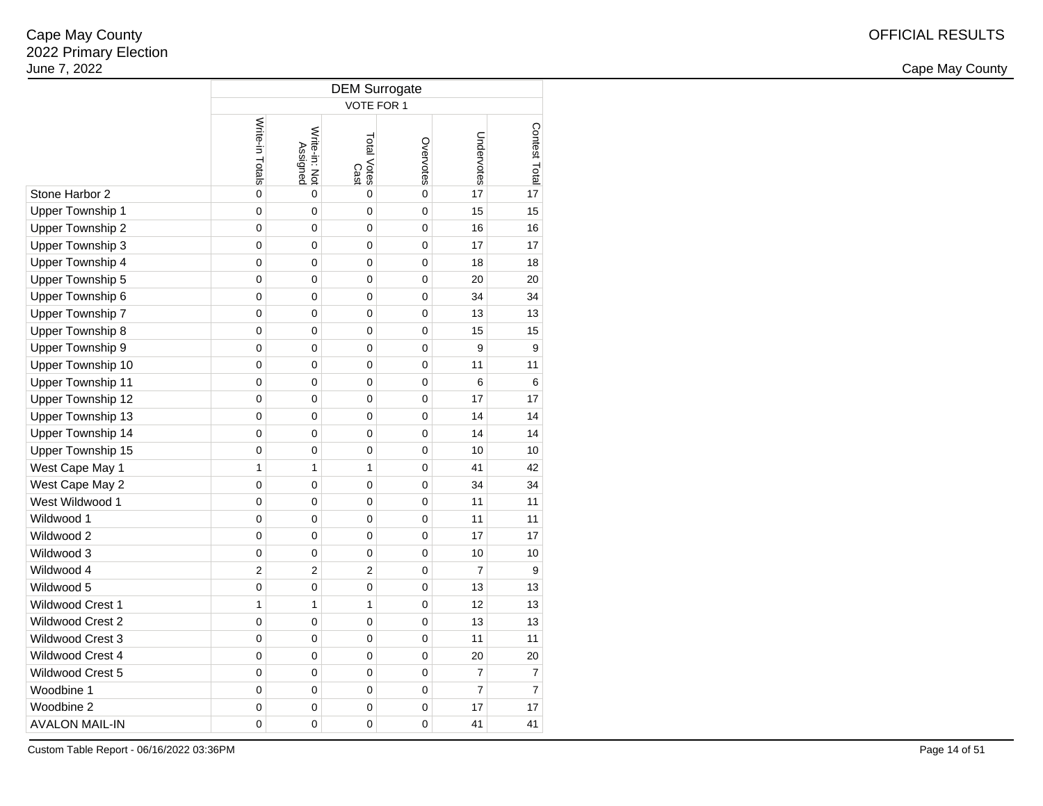2 and the contract of the country of the country of the country of the country of the country of the country of the country of the country of the country of the country of the country of the country of the country of the c

|                          | <b>DEM Surrogate</b> |                           |                     |             |                |                |  |  |  |  |
|--------------------------|----------------------|---------------------------|---------------------|-------------|----------------|----------------|--|--|--|--|
|                          | VOTE FOR 1           |                           |                     |             |                |                |  |  |  |  |
|                          | Write-in Totals      | Write-in: Not<br>Assigned | Total Votes<br>Cast | Overvotes   | Undervotes     | Contest Total  |  |  |  |  |
| Stone Harbor 2           | 0                    | $\mathbf 0$               | 0                   | 0           | 17             | 17             |  |  |  |  |
| Upper Township 1         | 0                    | 0                         | 0                   | 0           | 15             | 15             |  |  |  |  |
| Upper Township 2         | 0                    | $\mathbf 0$               | $\mathbf 0$         | $\mathbf 0$ | 16             | 16             |  |  |  |  |
| Upper Township 3         | 0                    | $\mathbf 0$               | $\mathbf 0$         | $\mathbf 0$ | 17             | 17             |  |  |  |  |
| Upper Township 4         | 0                    | 0                         | 0                   | 0           | 18             | 18             |  |  |  |  |
| Upper Township 5         | 0                    | 0                         | 0                   | 0           | 20             | 20             |  |  |  |  |
| Upper Township 6         | 0                    | 0                         | 0                   | 0           | 34             | 34             |  |  |  |  |
| Upper Township 7         | 0                    | 0                         | 0                   | 0           | 13             | 13             |  |  |  |  |
| Upper Township 8         | 0                    | 0                         | 0                   | 0           | 15             | 15             |  |  |  |  |
| Upper Township 9         | 0                    | 0                         | 0                   | 0           | 9              | 9              |  |  |  |  |
| Upper Township 10        | 0                    | 0                         | 0                   | 0           | 11             | 11             |  |  |  |  |
| <b>Upper Township 11</b> | 0                    | 0                         | 0                   | 0           | 6              | 6              |  |  |  |  |
| Upper Township 12        | 0                    | 0                         | 0                   | 0           | 17             | 17             |  |  |  |  |
| Upper Township 13        | 0                    | 0                         | 0                   | 0           | 14             | 14             |  |  |  |  |
| Upper Township 14        | 0                    | 0                         | 0                   | 0           | 14             | 14             |  |  |  |  |
| Upper Township 15        | 0                    | $\mathbf 0$               | $\mathbf 0$         | $\mathbf 0$ | 10             | 10             |  |  |  |  |
| West Cape May 1          | 1                    | $\mathbf{1}$              | $\mathbf{1}$        | 0           | 41             | 42             |  |  |  |  |
| West Cape May 2          | 0                    | 0                         | 0                   | 0           | 34             | 34             |  |  |  |  |
| West Wildwood 1          | 0                    | 0                         | 0                   | 0           | 11             | 11             |  |  |  |  |
| Wildwood 1               | 0                    | 0                         | 0                   | 0           | 11             | 11             |  |  |  |  |
| Wildwood 2               | 0                    | $\mathbf 0$               | $\mathbf 0$         | 0           | 17             | 17             |  |  |  |  |
| Wildwood 3               | 0                    | 0                         | 0                   | 0           | 10             | 10             |  |  |  |  |
| Wildwood 4               | $\overline{2}$       | $\overline{2}$            | 2                   | 0           | $\overline{7}$ | 9              |  |  |  |  |
| Wildwood 5               | 0                    | 0                         | 0                   | 0           | 13             | 13             |  |  |  |  |
| <b>Wildwood Crest 1</b>  | 1                    | $\mathbf{1}$              | 1                   | 0           | 12             | 13             |  |  |  |  |
| Wildwood Crest 2         | 0                    | $\mathbf 0$               | $\mathbf 0$         | 0           | 13             | 13             |  |  |  |  |
| Wildwood Crest 3         | 0                    | 0                         | 0                   | 0           | 11             | 11             |  |  |  |  |
| Wildwood Crest 4         | $\mathbf 0$          | 0                         | 0                   | 0           | 20             | 20             |  |  |  |  |
| Wildwood Crest 5         | 0                    | 0                         | 0                   | 0           | $\overline{7}$ | 7              |  |  |  |  |
| Woodbine 1               | 0                    | 0                         | 0                   | 0           | $\overline{7}$ | $\overline{7}$ |  |  |  |  |
| Woodbine 2               | 0                    | 0                         | 0                   | 0           | 17             | 17             |  |  |  |  |
| <b>AVALON MAIL-IN</b>    | 0                    | 0                         | 0                   | 0           | 41             | 41             |  |  |  |  |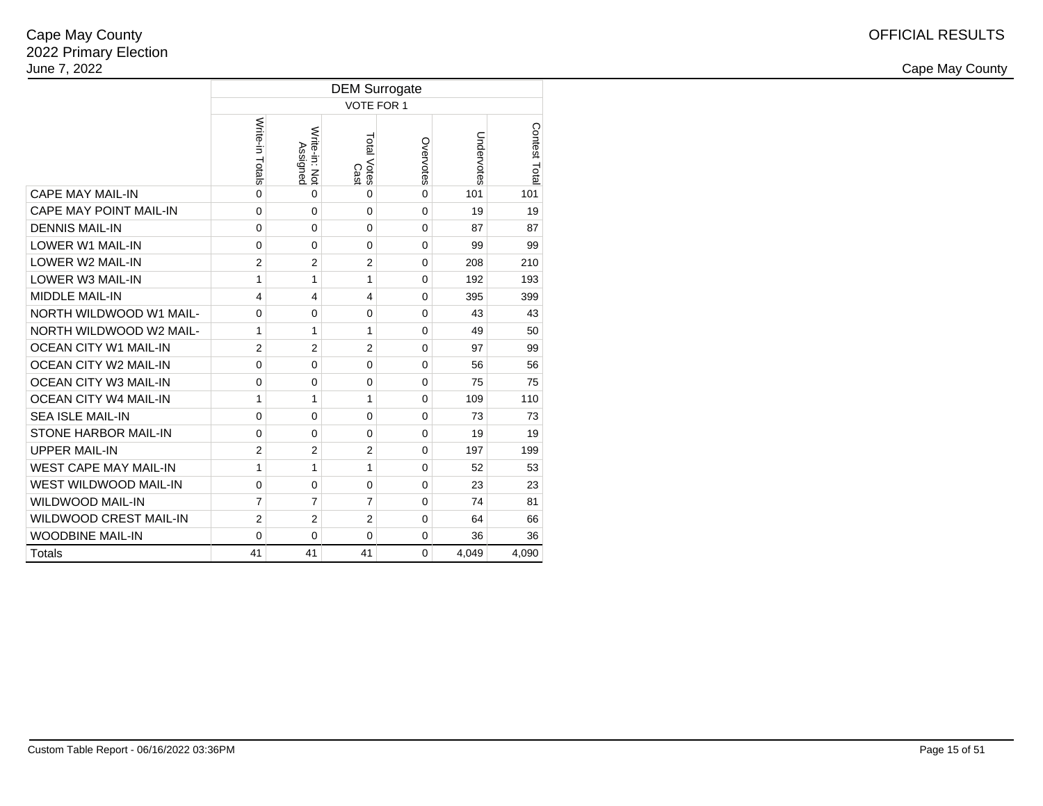|                               |                         | <b>DEM Surrogate</b>      |                     |              |            |               |  |  |  |  |  |  |
|-------------------------------|-------------------------|---------------------------|---------------------|--------------|------------|---------------|--|--|--|--|--|--|
|                               |                         | VOTE FOR 1                |                     |              |            |               |  |  |  |  |  |  |
|                               | Write-in Totals         | Write-in: Not<br>Assignec | Total Votes<br>Cast | Overvotes    | Undervotes | Contest Total |  |  |  |  |  |  |
| <b>CAPE MAY MAIL-IN</b>       | $\mathbf{0}$            | $\Omega$                  | 0                   | 0            | 101        | 101           |  |  |  |  |  |  |
| CAPE MAY POINT MAIL-IN        | 0                       | $\mathbf 0$               | 0                   | 0            | 19         | 19            |  |  |  |  |  |  |
| <b>DENNIS MAIL-IN</b>         | 0                       | $\Omega$                  | $\Omega$            | $\mathbf{0}$ | 87         | 87            |  |  |  |  |  |  |
| <b>LOWER W1 MAIL-IN</b>       | $\mathbf 0$             | $\Omega$                  | $\Omega$            | $\mathbf{0}$ | 99         | 99            |  |  |  |  |  |  |
| <b>LOWER W2 MAIL-IN</b>       | $\overline{2}$          | $\overline{2}$            | $\overline{2}$      | 0            | 208        | 210           |  |  |  |  |  |  |
| <b>LOWER W3 MAIL-IN</b>       | 1                       | 1                         | 1                   | $\mathbf{0}$ | 192        | 193           |  |  |  |  |  |  |
| <b>MIDDLE MAIL-IN</b>         | $\overline{\mathbf{4}}$ | $\overline{\mathbf{4}}$   | 4                   | $\mathbf{0}$ | 395        | 399           |  |  |  |  |  |  |
| NORTH WILDWOOD W1 MAIL-       | 0                       | 0                         | 0                   | $\mathbf{0}$ | 43         | 43            |  |  |  |  |  |  |
| NORTH WILDWOOD W2 MAIL-       | 1                       | 1                         | 1                   | $\Omega$     | 49         | 50            |  |  |  |  |  |  |
| <b>OCEAN CITY W1 MAIL-IN</b>  | $\overline{2}$          | $\overline{2}$            | $\overline{2}$      | $\mathbf{0}$ | 97         | 99            |  |  |  |  |  |  |
| OCEAN CITY W2 MAIL-IN         | $\mathbf 0$             | 0                         | $\Omega$            | 0            | 56         | 56            |  |  |  |  |  |  |
| <b>OCEAN CITY W3 MAIL-IN</b>  | 0                       | $\mathbf 0$               | $\Omega$            | $\mathbf{0}$ | 75         | 75            |  |  |  |  |  |  |
| <b>OCEAN CITY W4 MAIL-IN</b>  | 1                       | 1                         | 1                   | $\mathbf{0}$ | 109        | 110           |  |  |  |  |  |  |
| <b>SEA ISLE MAIL-IN</b>       | $\mathbf 0$             | 0                         | $\Omega$            | $\mathbf{0}$ | 73         | 73            |  |  |  |  |  |  |
| STONE HARBOR MAIL-IN          | 0                       | $\Omega$                  | $\Omega$            | $\mathbf{0}$ | 19         | 19            |  |  |  |  |  |  |
| <b>UPPER MAIL-IN</b>          | $\overline{2}$          | $\overline{2}$            | $\overline{2}$      | $\Omega$     | 197        | 199           |  |  |  |  |  |  |
| <b>WEST CAPE MAY MAIL-IN</b>  | 1                       | 1                         | 1                   | 0            | 52         | 53            |  |  |  |  |  |  |
| <b>WEST WILDWOOD MAIL-IN</b>  | 0                       | 0                         | 0                   | $\Omega$     | 23         | 23            |  |  |  |  |  |  |
| <b>WILDWOOD MAIL-IN</b>       | $\overline{7}$          | 7                         | 7                   | $\mathbf{0}$ | 74         | 81            |  |  |  |  |  |  |
| <b>WILDWOOD CREST MAIL-IN</b> | $\overline{2}$          | $\overline{2}$            | $\overline{2}$      | 0            | 64         | 66            |  |  |  |  |  |  |
| <b>WOODBINE MAIL-IN</b>       | 0                       | 0                         | $\Omega$            | $\mathbf{0}$ | 36         | 36            |  |  |  |  |  |  |
| Totals                        | 41                      | 41                        | 41                  | $\Omega$     | 4,049      | 4,090         |  |  |  |  |  |  |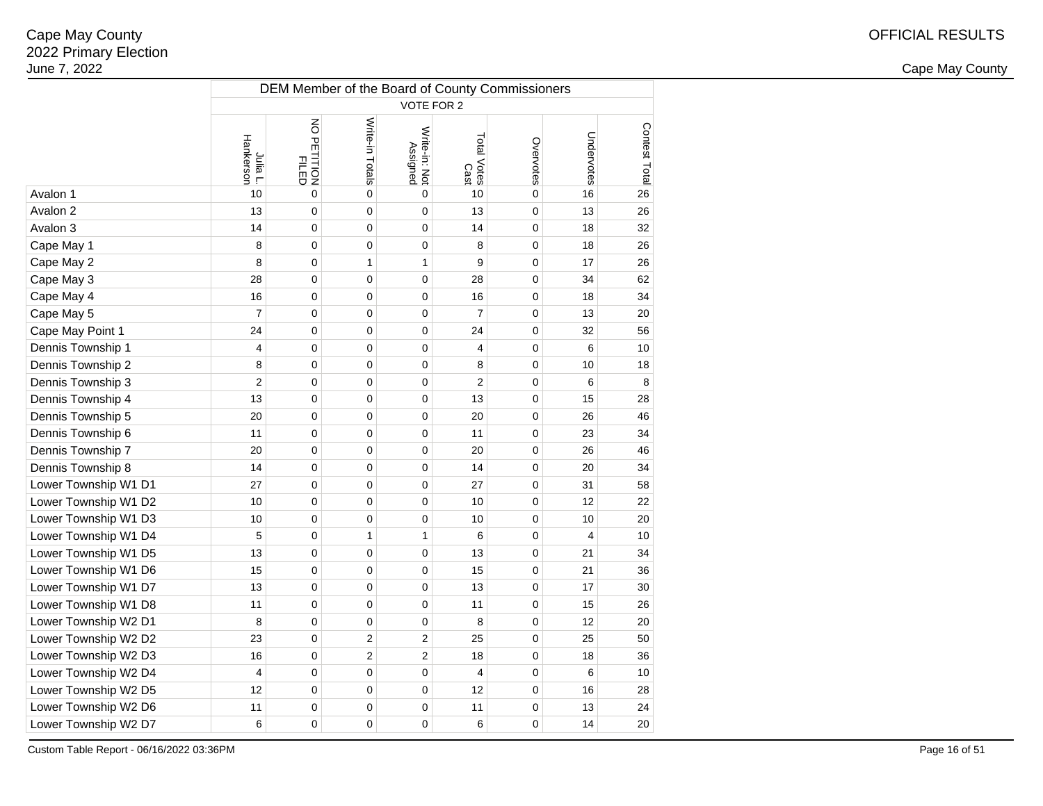2 and the contract of the country of the country of the country of the country of the country of the country of the country of the country of the country of the country of the country of the country of the country of the c

|                      | DEM Member of the Board of County Commissioners |                      |                  |                           |                     |                |                |               |  |  |  |  |
|----------------------|-------------------------------------------------|----------------------|------------------|---------------------------|---------------------|----------------|----------------|---------------|--|--|--|--|
|                      | VOTE FOR 2                                      |                      |                  |                           |                     |                |                |               |  |  |  |  |
|                      | Hankerson<br>Julia L.                           | NO PETITION<br>FILED | Write-in Totals  | Write-in: Not<br>Assigned | Total Votes<br>Cast | Overvotes      | Undervotes     | Contest Total |  |  |  |  |
| Avalon 1             | 10                                              | $\overline{0}$       | $\mathbf 0$      | $\overline{0}$            | 10                  | $\overline{0}$ | 16             | 26            |  |  |  |  |
| Avalon 2             | 13                                              | 0                    | $\mathbf 0$      | $\mathbf 0$               | 13                  | $\mathbf 0$    | 13             | 26            |  |  |  |  |
| Avalon 3             | 14                                              | $\pmb{0}$            | $\pmb{0}$        | $\mathbf 0$               | 14                  | $\mathbf 0$    | 18             | 32            |  |  |  |  |
| Cape May 1           | 8                                               | $\pmb{0}$            | $\pmb{0}$        | $\mathbf 0$               | 8                   | $\mathbf 0$    | 18             | 26            |  |  |  |  |
| Cape May 2           | 8                                               | $\pmb{0}$            | $\mathbf{1}$     | 1                         | 9                   | $\mathbf 0$    | 17             | 26            |  |  |  |  |
| Cape May 3           | 28                                              | $\mathbf 0$          | 0                | $\mathbf 0$               | 28                  | $\mathbf 0$    | 34             | 62            |  |  |  |  |
| Cape May 4           | 16                                              | $\pmb{0}$            | 0                | $\mathbf 0$               | 16                  | $\mathbf 0$    | 18             | 34            |  |  |  |  |
| Cape May 5           | $\overline{7}$                                  | $\pmb{0}$            | $\mathbf 0$      | $\mathbf 0$               | $\overline{7}$      | $\mathbf 0$    | 13             | 20            |  |  |  |  |
| Cape May Point 1     | 24                                              | $\mathbf 0$          | $\mathbf 0$      | $\mathbf 0$               | 24                  | $\mathbf 0$    | 32             | 56            |  |  |  |  |
| Dennis Township 1    | 4                                               | $\mathbf 0$          | $\mathbf 0$      | $\mathbf 0$               | 4                   | $\mathbf 0$    | 6              | 10            |  |  |  |  |
| Dennis Township 2    | 8                                               | $\mathbf 0$          | $\mathbf 0$      | $\mathbf 0$               | 8                   | $\mathbf 0$    | 10             | 18            |  |  |  |  |
| Dennis Township 3    | $\overline{c}$                                  | $\pmb{0}$            | $\mathbf 0$      | $\mathbf 0$               | $\overline{2}$      | $\mathbf 0$    | 6              | 8             |  |  |  |  |
| Dennis Township 4    | 13                                              | $\pmb{0}$            | $\mathbf 0$      | $\mathbf 0$               | 13                  | $\mathbf 0$    | 15             | 28            |  |  |  |  |
| Dennis Township 5    | 20                                              | $\pmb{0}$            | $\mathbf 0$      | $\mathbf 0$               | 20                  | $\mathbf 0$    | 26             | 46            |  |  |  |  |
| Dennis Township 6    | 11                                              | $\mathbf 0$          | $\mathbf 0$      | $\mathbf 0$               | 11                  | $\mathbf 0$    | 23             | 34            |  |  |  |  |
| Dennis Township 7    | 20                                              | $\pmb{0}$            | $\pmb{0}$        | $\mathbf 0$               | 20                  | $\mathbf 0$    | 26             | 46            |  |  |  |  |
| Dennis Township 8    | 14                                              | $\pmb{0}$            | $\pmb{0}$        | $\mathbf 0$               | 14                  | $\pmb{0}$      | 20             | 34            |  |  |  |  |
| Lower Township W1 D1 | 27                                              | $\pmb{0}$            | $\pmb{0}$        | $\mathbf 0$               | 27                  | $\mathbf 0$    | 31             | 58            |  |  |  |  |
| Lower Township W1 D2 | 10                                              | $\mathbf 0$          | $\mathbf 0$      | $\mathbf 0$               | 10                  | $\mathbf 0$    | 12             | 22            |  |  |  |  |
| Lower Township W1 D3 | 10                                              | $\mathbf 0$          | $\mathbf 0$      | $\mathbf 0$               | 10                  | $\mathbf 0$    | 10             | 20            |  |  |  |  |
| Lower Township W1 D4 | 5                                               | $\pmb{0}$            | $\mathbf{1}$     | 1                         | 6                   | $\mathbf 0$    | $\overline{4}$ | 10            |  |  |  |  |
| Lower Township W1 D5 | 13                                              | $\pmb{0}$            | $\mathbf 0$      | $\mathbf 0$               | 13                  | $\mathbf 0$    | 21             | 34            |  |  |  |  |
| Lower Township W1 D6 | 15                                              | $\mathbf 0$          | $\mathbf 0$      | $\mathbf 0$               | 15                  | $\mathbf 0$    | 21             | 36            |  |  |  |  |
| Lower Township W1 D7 | 13                                              | $\mathbf 0$          | $\mathbf 0$      | $\mathbf 0$               | 13                  | $\mathbf 0$    | 17             | 30            |  |  |  |  |
| Lower Township W1 D8 | 11                                              | $\pmb{0}$            | $\mathbf 0$      | $\mathbf 0$               | 11                  | $\mathbf 0$    | 15             | 26            |  |  |  |  |
| Lower Township W2 D1 | 8                                               | $\pmb{0}$            | $\mathbf 0$      | $\mathbf 0$               | 8                   | $\mathbf 0$    | 12             | 20            |  |  |  |  |
| Lower Township W2 D2 | 23                                              | $\pmb{0}$            | $\boldsymbol{2}$ | $\mathbf{2}$              | 25                  | $\mathbf 0$    | 25             | 50            |  |  |  |  |
| Lower Township W2 D3 | 16                                              | $\pmb{0}$            | $\overline{2}$   | $\overline{2}$            | 18                  | $\mathbf 0$    | 18             | 36            |  |  |  |  |
| Lower Township W2 D4 | $\overline{4}$                                  | $\mathbf 0$          | $\pmb{0}$        | $\mathbf 0$               | $\overline{4}$      | $\mathbf 0$    | 6              | 10            |  |  |  |  |
| Lower Township W2 D5 | 12                                              | $\pmb{0}$            | $\pmb{0}$        | $\mathbf 0$               | 12                  | $\mathbf 0$    | 16             | 28            |  |  |  |  |
| Lower Township W2 D6 | 11                                              | $\pmb{0}$            | $\mathbf 0$      | $\mathbf 0$               | 11                  | $\mathbf 0$    | 13             | 24            |  |  |  |  |
| Lower Township W2 D7 | 6                                               | $\mathbf 0$          | $\mathbf 0$      | $\mathbf 0$               | 6                   | $\mathbf 0$    | 14             | 20            |  |  |  |  |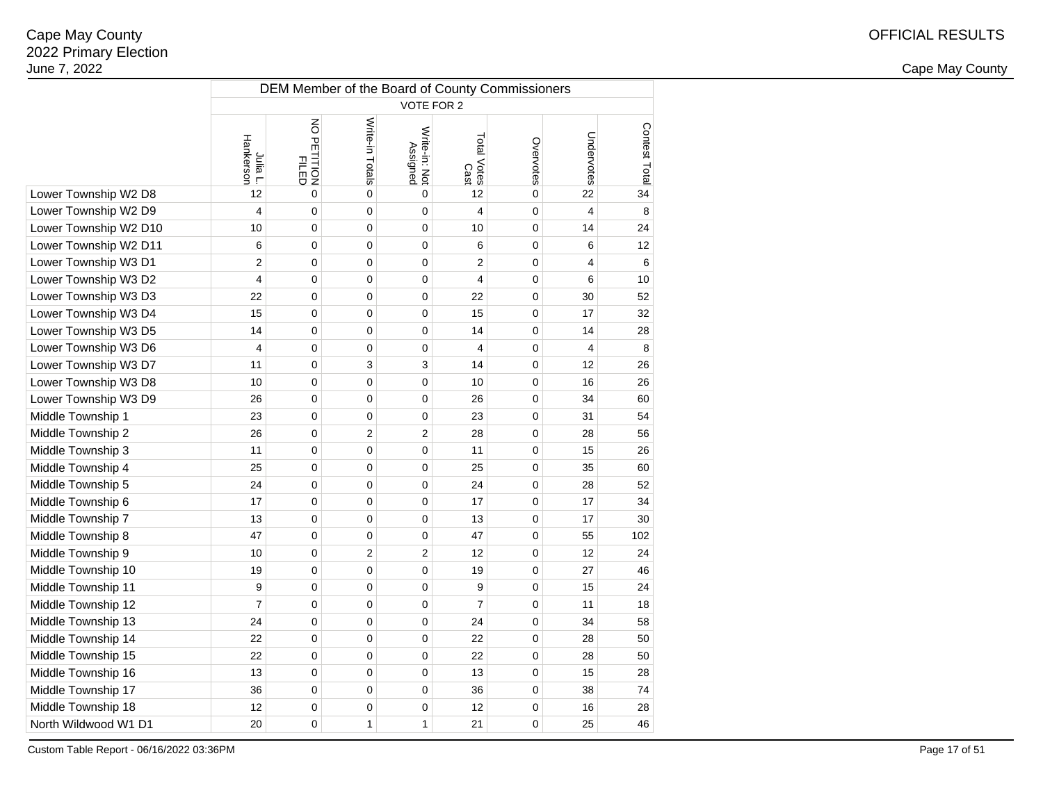2 and the contract of the country of the country of the country of the country of the country of the country of the country of the country of the country of the country of the country of the country of the country of the c

|                       | DEM Member of the Board of County Commissioners |                      |                 |                           |                            |           |                         |               |  |  |  |
|-----------------------|-------------------------------------------------|----------------------|-----------------|---------------------------|----------------------------|-----------|-------------------------|---------------|--|--|--|
|                       | VOTE FOR 2                                      |                      |                 |                           |                            |           |                         |               |  |  |  |
|                       | Hankerson<br>Julia L.                           | NO PETITION<br>FILED | Write-in Totals | Write-in: Not<br>Assigned | Total Votes<br>Total Votes | Overvotes | Undervotes              | Contest Total |  |  |  |
| Lower Township W2 D8  | 12                                              | 0                    | $\mathbf 0$     | 0                         | 12                         | 0         | 22                      | 34            |  |  |  |
| Lower Township W2 D9  | $\overline{\mathbf{4}}$                         | 0                    | $\mathbf 0$     | 0                         | 4                          | 0         | $\overline{\mathbf{4}}$ | 8             |  |  |  |
| Lower Township W2 D10 | 10                                              | 0                    | $\mathbf 0$     | 0                         | 10                         | 0         | 14                      | 24            |  |  |  |
| Lower Township W2 D11 | 6                                               | 0                    | $\mathbf 0$     | 0                         | 6                          | 0         | 6                       | 12            |  |  |  |
| Lower Township W3 D1  | $\overline{2}$                                  | 0                    | 0               | 0                         | $\overline{2}$             | 0         | 4                       | 6             |  |  |  |
| Lower Township W3 D2  | 4                                               | 0                    | 0               | 0                         | 4                          | 0         | 6                       | 10            |  |  |  |
| Lower Township W3 D3  | 22                                              | 0                    | 0               | 0                         | 22                         | 0         | 30                      | 52            |  |  |  |
| Lower Township W3 D4  | 15                                              | 0                    | 0               | 0                         | 15                         | 0         | 17                      | 32            |  |  |  |
| Lower Township W3 D5  | 14                                              | 0                    | 0               | 0                         | 14                         | 0         | 14                      | 28            |  |  |  |
| Lower Township W3 D6  | $\overline{4}$                                  | 0                    | 0               | 0                         | 4                          | 0         | $\overline{4}$          | 8             |  |  |  |
| Lower Township W3 D7  | 11                                              | 0                    | 3               | 3                         | 14                         | 0         | 12                      | 26            |  |  |  |
| Lower Township W3 D8  | 10                                              | 0                    | 0               | 0                         | 10                         | 0         | 16                      | 26            |  |  |  |
| Lower Township W3 D9  | 26                                              | 0                    | $\mathbf 0$     | 0                         | 26                         | 0         | 34                      | 60            |  |  |  |
| Middle Township 1     | 23                                              | 0                    | 0               | 0                         | 23                         | 0         | 31                      | 54            |  |  |  |
| Middle Township 2     | 26                                              | 0                    | $\overline{c}$  | $\overline{\mathbf{c}}$   | 28                         | 0         | 28                      | 56            |  |  |  |
| Middle Township 3     | 11                                              | 0                    | $\pmb{0}$       | 0                         | 11                         | 0         | 15                      | 26            |  |  |  |
| Middle Township 4     | 25                                              | 0                    | $\mathbf 0$     | 0                         | 25                         | 0         | 35                      | 60            |  |  |  |
| Middle Township 5     | 24                                              | 0                    | $\mathbf 0$     | 0                         | 24                         | 0         | 28                      | 52            |  |  |  |
| Middle Township 6     | 17                                              | 0                    | $\mathbf 0$     | 0                         | 17                         | 0         | 17                      | 34            |  |  |  |
| Middle Township 7     | 13                                              | 0                    | 0               | 0                         | 13                         | 0         | 17                      | 30            |  |  |  |
| Middle Township 8     | 47                                              | 0                    | 0               | 0                         | 47                         | 0         | 55                      | 102           |  |  |  |
| Middle Township 9     | 10                                              | 0                    | $\overline{2}$  | $\overline{2}$            | 12                         | 0         | 12                      | 24            |  |  |  |
| Middle Township 10    | 19                                              | 0                    | 0               | $\overline{0}$            | 19                         | 0         | 27                      | 46            |  |  |  |
| Middle Township 11    | 9                                               | 0                    | 0               | 0                         | 9                          | 0         | 15                      | 24            |  |  |  |
| Middle Township 12    | $\overline{7}$                                  | 0                    | 0               | 0                         | $\overline{7}$             | 0         | 11                      | 18            |  |  |  |
| Middle Township 13    | 24                                              | 0                    | $\mathbf 0$     | 0                         | 24                         | 0         | 34                      | 58            |  |  |  |
| Middle Township 14    | 22                                              | 0                    | $\mathbf 0$     | 0                         | 22                         | 0         | 28                      | 50            |  |  |  |
| Middle Township 15    | 22                                              | 0                    | $\mathbf 0$     | 0                         | 22                         | 0         | 28                      | 50            |  |  |  |
| Middle Township 16    | 13                                              | 0                    | 0               | 0                         | 13                         | 0         | 15                      | 28            |  |  |  |
| Middle Township 17    | 36                                              | 0                    | $\mathbf 0$     | 0                         | 36                         | 0         | 38                      | 74            |  |  |  |
| Middle Township 18    | 12                                              | 0                    | $\mathbf 0$     | 0                         | 12                         | 0         | 16                      | 28            |  |  |  |
| North Wildwood W1 D1  | 20                                              | 0                    | 1               | 1                         | 21                         | 0         | 25                      | 46            |  |  |  |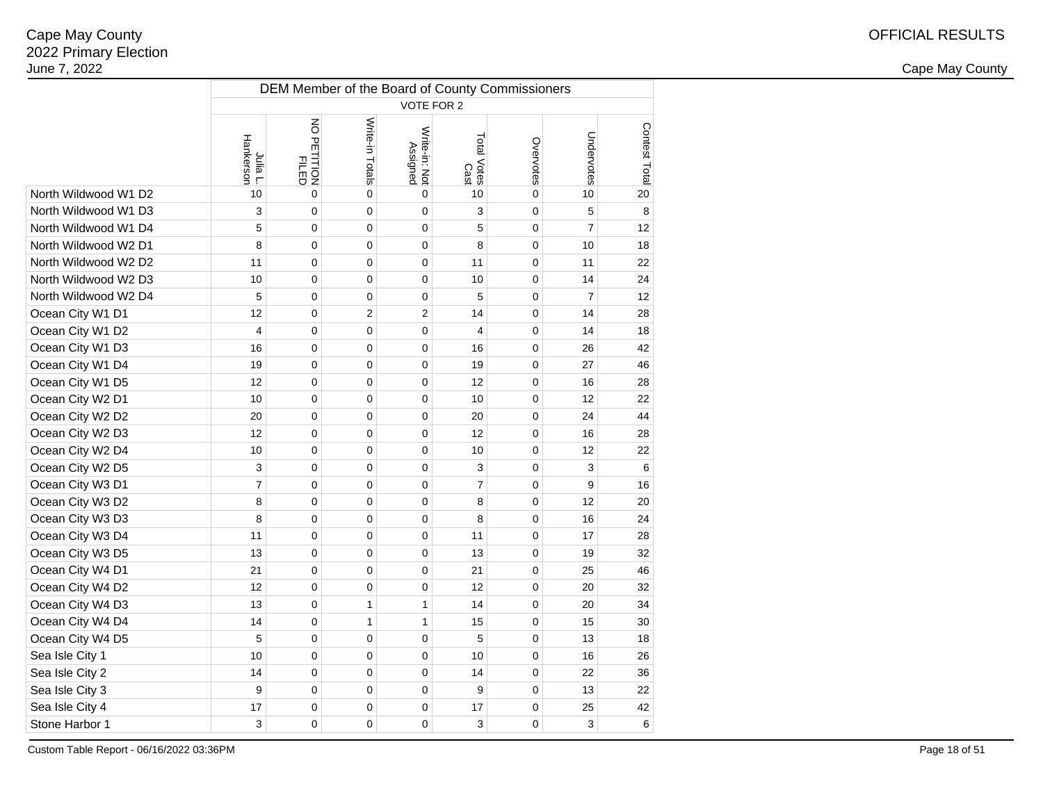2 and the contract of the country of the country of the country of the country of the country of the country of the country of the country of the country of the country of the country of the country of the country of the c

|                      | DEM Member of the Board of County Commissioners |                                                |                 |                           |                     |           |                |               |  |  |  |
|----------------------|-------------------------------------------------|------------------------------------------------|-----------------|---------------------------|---------------------|-----------|----------------|---------------|--|--|--|
|                      | VOTE FOR 2                                      |                                                |                 |                           |                     |           |                |               |  |  |  |
|                      | Hankerson<br>Julia L.                           | $\overline{6}$<br>) PETITION<br>PILED<br>PILED | Write-in Totals | Write-in: Not<br>Assigned | Total Votes<br>Cast | Overvotes | Undervotes     | Contest Total |  |  |  |
| North Wildwood W1 D2 | 10                                              | $\mathbf 0$                                    | $\mathbf 0$     | $\mathbf 0$               | 10                  | 0         | 10             | 20            |  |  |  |
| North Wildwood W1 D3 | 3                                               | $\overline{0}$                                 | $\mathbf 0$     | $\overline{0}$            | 3                   | 0         | 5              | 8             |  |  |  |
| North Wildwood W1 D4 | 5                                               | $\mathbf 0$                                    | $\mathbf 0$     | $\mathbf 0$               | 5                   | 0         | $\overline{7}$ | 12            |  |  |  |
| North Wildwood W2 D1 | 8                                               | $\mathbf 0$                                    | $\mathbf 0$     | $\mathbf 0$               | 8                   | 0         | 10             | 18            |  |  |  |
| North Wildwood W2 D2 | 11                                              | $\mathbf 0$                                    | $\mathbf 0$     | $\mathbf 0$               | 11                  | 0         | 11             | 22            |  |  |  |
| North Wildwood W2 D3 | 10                                              | $\overline{0}$                                 | $\pmb{0}$       | 0                         | 10                  | 0         | 14             | 24            |  |  |  |
| North Wildwood W2 D4 | 5                                               | $\mathbf 0$                                    | 0               | 0                         | 5                   | 0         | $\overline{7}$ | 12            |  |  |  |
| Ocean City W1 D1     | 12                                              | $\mathbf 0$                                    | $\overline{2}$  | $\overline{2}$            | 14                  | 0         | 14             | 28            |  |  |  |
| Ocean City W1 D2     | $\overline{4}$                                  | $\pmb{0}$                                      | 0               | 0                         | $\overline{4}$      | 0         | 14             | 18            |  |  |  |
| Ocean City W1 D3     | 16                                              | $\mathbf 0$                                    | 0               | 0                         | 16                  | 0         | 26             | 42            |  |  |  |
| Ocean City W1 D4     | 19                                              | $\mathbf 0$                                    | $\mathbf 0$     | 0                         | 19                  | 0         | 27             | 46            |  |  |  |
| Ocean City W1 D5     | 12                                              | $\mathbf 0$                                    | $\mathbf 0$     | 0                         | 12                  | 0         | 16             | 28            |  |  |  |
| Ocean City W2 D1     | 10                                              | $\mathbf 0$                                    | 0               | 0                         | 10                  | 0         | 12             | 22            |  |  |  |
| Ocean City W2 D2     | 20                                              | $\mathbf 0$                                    | $\mathbf 0$     | 0                         | 20                  | 0         | 24             | 44            |  |  |  |
| Ocean City W2 D3     | 12                                              | $\mathbf 0$                                    | $\mathbf 0$     | 0                         | 12                  | 0         | 16             | 28            |  |  |  |
| Ocean City W2 D4     | 10                                              | $\mathbf 0$                                    | $\mathbf 0$     | 0                         | 10                  | 0         | 12             | 22            |  |  |  |
| Ocean City W2 D5     | 3                                               | $\mathbf 0$                                    | $\mathbf 0$     | $\mathbf 0$               | 3                   | 0         | 3              | 6             |  |  |  |
| Ocean City W3 D1     | $\overline{7}$                                  | $\mathbf 0$                                    | $\mathbf 0$     | $\mathbf 0$               | $\overline{7}$      | 0         | 9              | 16            |  |  |  |
| Ocean City W3 D2     | 8                                               | $\mathbf 0$                                    | $\mathbf 0$     | $\mathbf 0$               | 8                   | 0         | 12             | 20            |  |  |  |
| Ocean City W3 D3     | 8                                               | $\pmb{0}$                                      | $\pmb{0}$       | 0                         | 8                   | 0         | 16             | 24            |  |  |  |
| Ocean City W3 D4     | 11                                              | $\mathbf 0$                                    | $\mathbf 0$     | $\mathsf 0$               | 11                  | 0         | 17             | 28            |  |  |  |
| Ocean City W3 D5     | 13                                              | $\pmb{0}$                                      | 0               | 0                         | 13                  | 0         | 19             | 32            |  |  |  |
| Ocean City W4 D1     | 21                                              | $\mathbf 0$                                    | $\mathbf 0$     | 0                         | 21                  | 0         | 25             | 46            |  |  |  |
| Ocean City W4 D2     | 12                                              | $\mathbf 0$                                    | $\mathbf 0$     | 0                         | 12                  | 0         | 20             | 32            |  |  |  |
| Ocean City W4 D3     | 13                                              | $\mathbf 0$                                    | 1               | $\mathbf{1}$              | 14                  | 0         | 20             | 34            |  |  |  |
| Ocean City W4 D4     | 14                                              | $\mathbf 0$                                    | 1               | $\mathbf{1}$              | 15                  | 0         | 15             | 30            |  |  |  |
| Ocean City W4 D5     | 5                                               | $\mathbf 0$                                    | $\mathbf 0$     | $\mathsf 0$               | 5                   | 0         | 13             | 18            |  |  |  |
| Sea Isle City 1      | 10                                              | $\overline{0}$                                 | $\mathbf 0$     | $\overline{0}$            | 10                  | 0         | 16             | 26            |  |  |  |
| Sea Isle City 2      | 14                                              | $\mathbf 0$                                    | $\mathbf 0$     | $\mathbf 0$               | 14                  | 0         | 22             | 36            |  |  |  |
| Sea Isle City 3      | 9                                               | $\mathbf 0$                                    | $\mathbf 0$     | $\mathbf 0$               | 9                   | 0         | 13             | 22            |  |  |  |
| Sea Isle City 4      | 17                                              | $\mathbf 0$                                    | $\mathbf 0$     | $\mathbf 0$               | 17                  | 0         | 25             | 42            |  |  |  |
| Stone Harbor 1       | 3                                               | $\mathbf 0$                                    | 0               | 0                         | 3                   | 0         | 3              | 6             |  |  |  |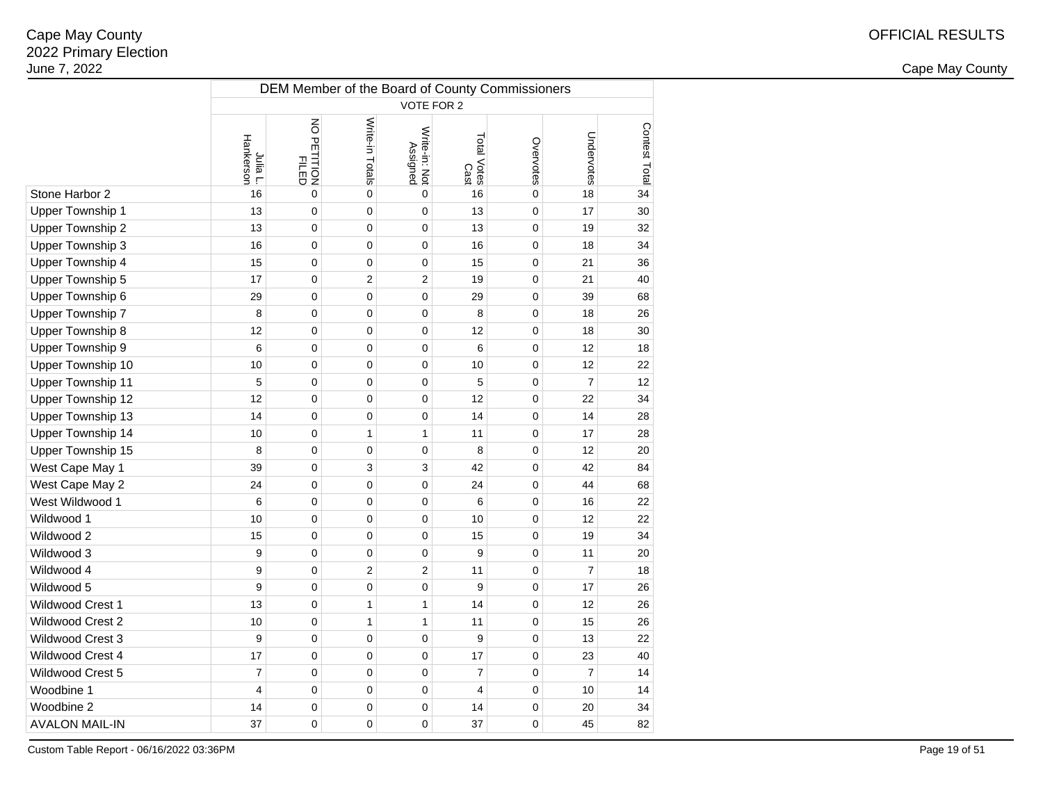2 and the contract of the country of the country of the country of the country of the country of the country of the country of the country of the country of the country of the country of the country of the country of the c

|                          | DEM Member of the Board of County Commissioners |                      |                 |                           |                     |             |                |               |  |  |  |
|--------------------------|-------------------------------------------------|----------------------|-----------------|---------------------------|---------------------|-------------|----------------|---------------|--|--|--|
|                          | VOTE FOR 2                                      |                      |                 |                           |                     |             |                |               |  |  |  |
|                          | Hankerson<br>Julia L.                           | NO PETITION<br>FILED | Write-in Totals | Write-in: Not<br>Assigned | Total Votes<br>Cast | Overvotes   | Undervotes     | Contest Total |  |  |  |
| Stone Harbor 2           | 16                                              | $\overline{0}$       | $\mathsf 0$     | $\overline{0}$            | 16                  | $\mathbf 0$ | 18             | 34            |  |  |  |
| <b>Upper Township 1</b>  | 13                                              | 0                    | $\mathbf 0$     | 0                         | 13                  | 0           | 17             | 30            |  |  |  |
| Upper Township 2         | 13                                              | 0                    | $\mathbf 0$     | 0                         | 13                  | 0           | 19             | 32            |  |  |  |
| Upper Township 3         | 16                                              | 0                    | $\mathbf 0$     | 0                         | 16                  | 0           | 18             | 34            |  |  |  |
| Upper Township 4         | 15                                              | 0                    | $\pmb{0}$       | 0                         | 15                  | 0           | 21             | 36            |  |  |  |
| Upper Township 5         | 17                                              | 0                    | $\overline{2}$  | $\overline{2}$            | 19                  | 0           | 21             | 40            |  |  |  |
| Upper Township 6         | 29                                              | 0                    | $\mathbf 0$     | 0                         | 29                  | 0           | 39             | 68            |  |  |  |
| Upper Township 7         | 8                                               | 0                    | 0               | 0                         | 8                   | 0           | 18             | 26            |  |  |  |
| Upper Township 8         | 12                                              | 0                    | 0               | 0                         | 12                  | 0           | 18             | 30            |  |  |  |
| Upper Township 9         | 6                                               | 0                    | $\mathbf 0$     | 0                         | 6                   | 0           | 12             | 18            |  |  |  |
| Upper Township 10        | 10                                              | 0                    | 0               | 0                         | 10                  | 0           | 12             | 22            |  |  |  |
| <b>Upper Township 11</b> | 5                                               | 0                    | 0               | 0                         | 5                   | 0           | $\overline{7}$ | 12            |  |  |  |
| Upper Township 12        | 12                                              | 0                    | $\mathbf 0$     | 0                         | 12                  | 0           | 22             | 34            |  |  |  |
| Upper Township 13        | 14                                              | 0                    | $\pmb{0}$       | 0                         | 14                  | 0           | 14             | 28            |  |  |  |
| Upper Township 14        | 10                                              | 0                    | $\mathbf{1}$    | 1                         | 11                  | 0           | 17             | 28            |  |  |  |
| Upper Township 15        | 8                                               | 0                    | $\mathbf 0$     | 0                         | 8                   | 0           | 12             | 20            |  |  |  |
| West Cape May 1          | 39                                              | 0                    | 3               | 3                         | 42                  | 0           | 42             | 84            |  |  |  |
| West Cape May 2          | 24                                              | 0                    | 0               | 0                         | 24                  | 0           | 44             | 68            |  |  |  |
| West Wildwood 1          | 6                                               | 0                    | 0               | 0                         | 6                   | 0           | 16             | 22            |  |  |  |
| Wildwood 1               | 10                                              | 0                    | 0               | 0                         | 10                  | 0           | 12             | 22            |  |  |  |
| Wildwood 2               | 15                                              | 0                    | $\mathbf 0$     | 0                         | 15                  | 0           | 19             | 34            |  |  |  |
| Wildwood 3               | 9                                               | 0                    | 0               | 0                         | 9                   | 0           | 11             | 20            |  |  |  |
| Wildwood 4               | 9                                               | 0                    | $\overline{2}$  | 2                         | 11                  | 0           | $\overline{7}$ | 18            |  |  |  |
| Wildwood 5               | 9                                               | 0                    | 0               | 0                         | 9                   | 0           | 17             | 26            |  |  |  |
| <b>Wildwood Crest 1</b>  | 13                                              | 0                    | $\mathbf{1}$    | $\mathbf{1}$              | 14                  | 0           | 12             | 26            |  |  |  |
| Wildwood Crest 2         | 10                                              | 0                    | $\mathbf{1}$    | $\mathbf{1}$              | 11                  | 0           | 15             | 26            |  |  |  |
| Wildwood Crest 3         | 9                                               | 0                    | $\mathbf 0$     | 0                         | 9                   | 0           | 13             | 22            |  |  |  |
| Wildwood Crest 4         | 17                                              | 0                    | $\pmb{0}$       | 0                         | 17                  | 0           | 23             | 40            |  |  |  |
| Wildwood Crest 5         | $\overline{7}$                                  | 0                    | $\mathbf 0$     | 0                         | $\overline{7}$      | 0           | $\overline{7}$ | 14            |  |  |  |
| Woodbine 1               | $\overline{4}$                                  | 0                    | $\mathbf 0$     | 0                         | $\overline{4}$      | 0           | 10             | 14            |  |  |  |
| Woodbine 2               | 14                                              | 0                    | 0               | 0                         | 14                  | 0           | 20             | 34            |  |  |  |
| <b>AVALON MAIL-IN</b>    | 37                                              | 0                    | 0               | 0                         | 37                  | 0           | 45             | 82            |  |  |  |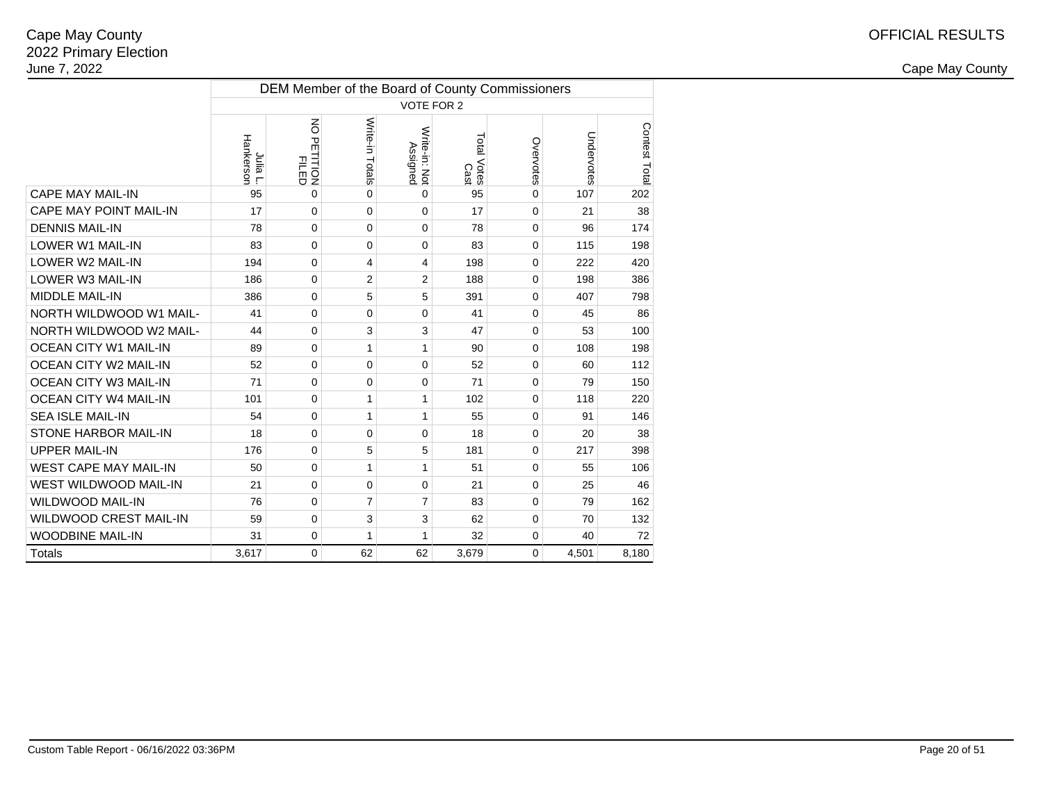|                               |                       | DEM Member of the Board of County Commissioners |                 |                           |                     |           |            |               |  |  |  |  |  |
|-------------------------------|-----------------------|-------------------------------------------------|-----------------|---------------------------|---------------------|-----------|------------|---------------|--|--|--|--|--|
|                               |                       | <b>VOTE FOR 2</b>                               |                 |                           |                     |           |            |               |  |  |  |  |  |
|                               | Hankerson<br>Julia L. | NO PETITION<br>FILED                            | Write-in Totals | Write-in: Not<br>Assigned | Total Votes<br>Cast | Overvotes | Undervotes | Contest Total |  |  |  |  |  |
| <b>CAPE MAY MAIL-IN</b>       | 95                    | 0                                               | $\Omega$        | $\Omega$                  | 95                  | $\Omega$  | 107        | 202           |  |  |  |  |  |
| <b>CAPE MAY POINT MAIL-IN</b> | 17                    | 0                                               | $\Omega$        | $\Omega$                  | 17                  | 0         | 21         | 38            |  |  |  |  |  |
| <b>DENNIS MAIL-IN</b>         | 78                    | 0                                               | $\mathbf 0$     | $\Omega$                  | 78                  | 0         | 96         | 174           |  |  |  |  |  |
| <b>LOWER W1 MAIL-IN</b>       | 83                    | 0                                               | $\Omega$        | $\mathbf 0$               | 83                  | 0         | 115        | 198           |  |  |  |  |  |
| LOWER W2 MAIL-IN              | 194                   | 0                                               | 4               | 4                         | 198                 | 0         | 222        | 420           |  |  |  |  |  |
| LOWER W3 MAIL-IN              | 186                   | 0                                               | $\overline{2}$  | $\overline{2}$            | 188                 | 0         | 198        | 386           |  |  |  |  |  |
| <b>MIDDLE MAIL-IN</b>         | 386                   | 0                                               | 5               | 5                         | 391                 | 0         | 407        | 798           |  |  |  |  |  |
| NORTH WILDWOOD W1 MAIL-       | 41                    | 0                                               | 0               | $\mathbf 0$               | 41                  | 0         | 45         | 86            |  |  |  |  |  |
| NORTH WILDWOOD W2 MAIL-       | 44                    | 0                                               | 3               | 3                         | 47                  | 0         | 53         | 100           |  |  |  |  |  |
| <b>OCEAN CITY W1 MAIL-IN</b>  | 89                    | 0                                               | 1               | 1                         | 90                  | 0         | 108        | 198           |  |  |  |  |  |
| <b>OCEAN CITY W2 MAIL-IN</b>  | 52                    | 0                                               | 0               | $\mathbf 0$               | 52                  | 0         | 60         | 112           |  |  |  |  |  |
| <b>OCEAN CITY W3 MAIL-IN</b>  | 71                    | 0                                               | $\Omega$        | $\Omega$                  | 71                  | $\Omega$  | 79         | 150           |  |  |  |  |  |
| <b>OCEAN CITY W4 MAIL-IN</b>  | 101                   | 0                                               | 1               | 1                         | 102                 | 0         | 118        | 220           |  |  |  |  |  |
| <b>SEA ISLE MAIL-IN</b>       | 54                    | 0                                               | $\mathbf{1}$    | 1                         | 55                  | 0         | 91         | 146           |  |  |  |  |  |
| <b>STONE HARBOR MAIL-IN</b>   | 18                    | 0                                               | $\Omega$        | $\Omega$                  | 18                  | $\Omega$  | 20         | 38            |  |  |  |  |  |
| <b>UPPER MAIL-IN</b>          | 176                   | 0                                               | 5               | 5                         | 181                 | 0         | 217        | 398           |  |  |  |  |  |
| <b>WEST CAPE MAY MAIL-IN</b>  | 50                    | 0                                               | $\mathbf{1}$    | 1                         | 51                  | 0         | 55         | 106           |  |  |  |  |  |
| WEST WILDWOOD MAIL-IN         | 21                    | 0                                               | $\mathbf 0$     | $\mathbf 0$               | 21                  | 0         | 25         | 46            |  |  |  |  |  |
| <b>WILDWOOD MAIL-IN</b>       | 76                    | 0                                               | 7               | $\overline{7}$            | 83                  | 0         | 79         | 162           |  |  |  |  |  |
| <b>WILDWOOD CREST MAIL-IN</b> | 59                    | 0                                               | 3               | 3                         | 62                  | 0         | 70         | 132           |  |  |  |  |  |
| <b>WOODBINE MAIL-IN</b>       | 31                    | 0                                               | $\mathbf{1}$    | 1                         | 32                  | 0         | 40         | 72            |  |  |  |  |  |
| <b>Totals</b>                 | 3,617                 | 0                                               | 62              | 62                        | 3,679               | 0         | 4,501      | 8,180         |  |  |  |  |  |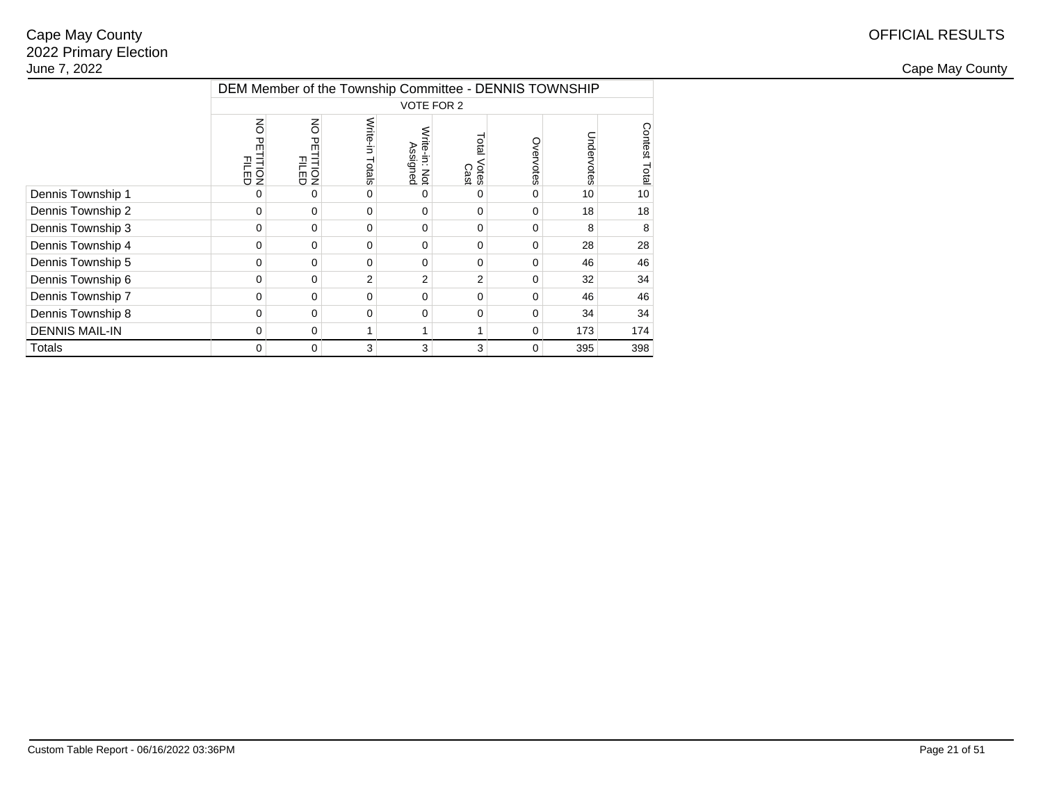|                       |                                 | DEM Member of the Township Committee - DENNIS TOWNSHIP |                    |                                      |                     |           |            |               |  |  |  |  |
|-----------------------|---------------------------------|--------------------------------------------------------|--------------------|--------------------------------------|---------------------|-----------|------------|---------------|--|--|--|--|
|                       |                                 | VOTE FOR 2                                             |                    |                                      |                     |           |            |               |  |  |  |  |
|                       | š<br>꼮<br><b>FILED</b><br>FILED | $\overline{6}$<br><b>PETITION</b><br>FILED             | Write-in<br>Totals | Write-in:<br>rte-in: Not<br>Assigned | Total Votes<br>Cast | Overvotes | Undervotes | Contest Total |  |  |  |  |
| Dennis Township 1     | ი                               | 0                                                      | $\Omega$           |                                      | 0                   | 0         | 10         | 10            |  |  |  |  |
| Dennis Township 2     | 0                               | 0                                                      | $\Omega$           | $\Omega$                             | 0                   | 0         | 18         | 18            |  |  |  |  |
| Dennis Township 3     | 0                               | $\mathbf 0$                                            | $\Omega$           | 0                                    | 0                   | 0         | 8          | 8             |  |  |  |  |
| Dennis Township 4     | 0                               | 0                                                      | $\Omega$           | $\Omega$                             | 0                   | 0         | 28         | 28            |  |  |  |  |
| Dennis Township 5     | 0                               | 0                                                      | $\Omega$           | $\Omega$                             | $\Omega$            | 0         | 46         | 46            |  |  |  |  |
| Dennis Township 6     | 0                               | 0                                                      | $\overline{2}$     | $\overline{2}$                       | $\overline{2}$      | 0         | 32         | 34            |  |  |  |  |
| Dennis Township 7     | 0                               | 0                                                      | $\Omega$           | $\Omega$                             | 0                   | $\Omega$  | 46         | 46            |  |  |  |  |
| Dennis Township 8     | 0                               | 0                                                      | $\Omega$           | 0                                    | 0                   | 0         | 34         | 34            |  |  |  |  |
| <b>DENNIS MAIL-IN</b> | 0                               | 0                                                      |                    |                                      | 1                   | 0         | 173        | 174           |  |  |  |  |
| Totals                | 0                               | 0                                                      | 3                  | 3                                    | 3                   | 0         | 395        | 398           |  |  |  |  |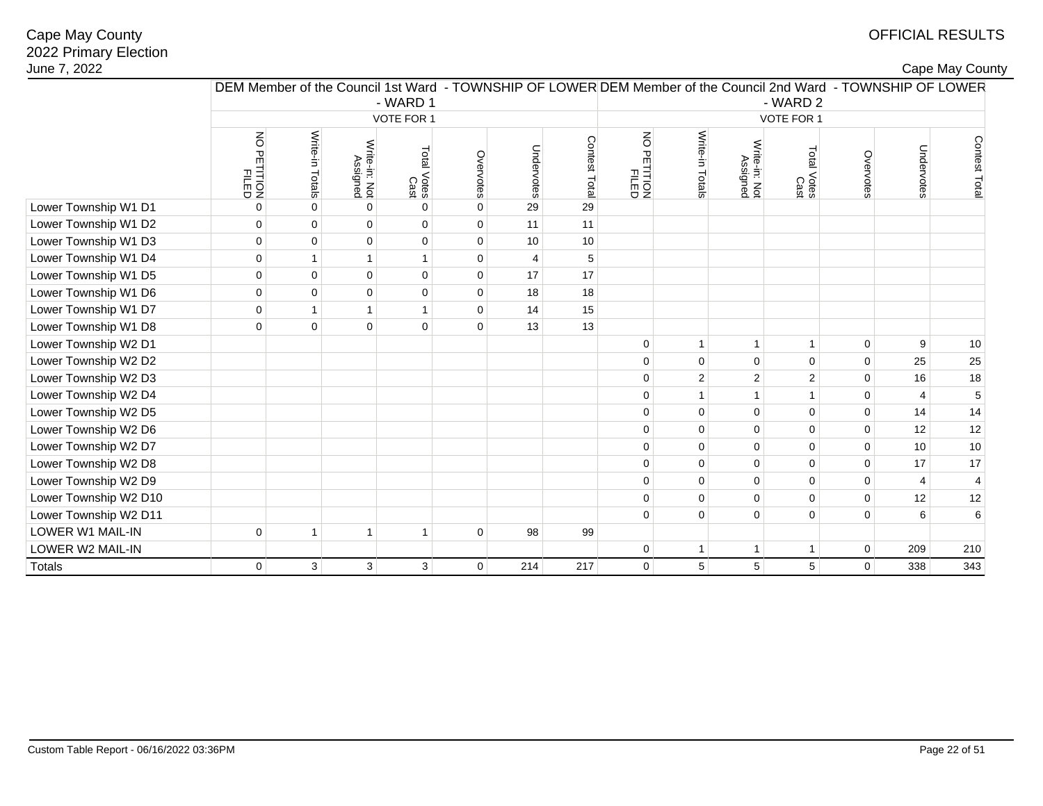|  |  | Cape May County |
|--|--|-----------------|
|--|--|-----------------|

| June 7, 2022          |                                                                                                               |                 |                           |                     |              |            |               |                                        |                 |                           |                     |                |                | Cape May County |
|-----------------------|---------------------------------------------------------------------------------------------------------------|-----------------|---------------------------|---------------------|--------------|------------|---------------|----------------------------------------|-----------------|---------------------------|---------------------|----------------|----------------|-----------------|
|                       | DEM Member of the Council 1st Ward - TOWNSHIP OF LOWER DEM Member of the Council 2nd Ward - TOWNSHIP OF LOWER |                 |                           | - WARD 1            |              |            |               |                                        |                 |                           | - WARD 2            |                |                |                 |
|                       |                                                                                                               |                 |                           | VOTE FOR 1          |              |            |               |                                        |                 |                           | VOTE FOR 1          |                |                |                 |
|                       | $\mathsf S$<br>) PETITION<br>PETITION                                                                         | Write-in Totals | Write-in: Not<br>Assigned | Total Votes<br>Cast | Overvotes    | Undervotes | Contest Total | $\overline{6}$<br>PETITION<br>PETITION | Write-in Totals | Write-in: Not<br>Assigned | Total Votes<br>Cast | Overvotes      | Undervotes     | Contest Total   |
| Lower Township W1 D1  | 0                                                                                                             | $\Omega$        | $\mathbf 0$               | $\pmb{0}$           | $\pmb{0}$    | 29         | 29            |                                        |                 |                           |                     |                |                |                 |
| Lower Township W1 D2  | $\mathbf 0$                                                                                                   | $\Omega$        | $\mathbf 0$               | $\mathbf 0$         | $\mathbf 0$  | 11         | 11            |                                        |                 |                           |                     |                |                |                 |
| Lower Township W1 D3  | $\mathbf 0$                                                                                                   | $\overline{0}$  | $\pmb{0}$                 | $\pmb{0}$           | $\mathbf{0}$ | 10         | 10            |                                        |                 |                           |                     |                |                |                 |
| Lower Township W1 D4  | $\mathbf 0$                                                                                                   | $\mathbf{1}$    | $\mathbf{1}$              | $\mathbf{1}$        | $\mathbf 0$  | 4          | 5             |                                        |                 |                           |                     |                |                |                 |
| Lower Township W1 D5  | $\mathbf 0$                                                                                                   | 0               | $\pmb{0}$                 | $\pmb{0}$           | $\pmb{0}$    | 17         | 17            |                                        |                 |                           |                     |                |                |                 |
| Lower Township W1 D6  | $\mathbf 0$                                                                                                   | $\mathbf 0$     | $\pmb{0}$                 | $\pmb{0}$           | $\mathbf 0$  | 18         | 18            |                                        |                 |                           |                     |                |                |                 |
| Lower Township W1 D7  | $\mathbf 0$                                                                                                   | $\mathbf{1}$    | $\mathbf{1}$              | $\mathbf{1}$        | $\pmb{0}$    | 14         | 15            |                                        |                 |                           |                     |                |                |                 |
| Lower Township W1 D8  | $\Omega$                                                                                                      | $\mathbf 0$     | $\pmb{0}$                 | $\pmb{0}$           | $\mathbf 0$  | 13         | 13            |                                        |                 |                           |                     |                |                |                 |
| Lower Township W2 D1  |                                                                                                               |                 |                           |                     |              |            |               | 0                                      | $\mathbf{1}$    | $\overline{1}$            | $\mathbf{1}$        | $\mathbf 0$    | 9              | 10              |
| Lower Township W2 D2  |                                                                                                               |                 |                           |                     |              |            |               | 0                                      | $\mathbf 0$     | $\mathbf 0$               | $\mathbf 0$         | $\pmb{0}$      | 25             | 25              |
| Lower Township W2 D3  |                                                                                                               |                 |                           |                     |              |            |               | 0                                      | $\overline{2}$  | $\overline{2}$            | $\overline{2}$      | $\pmb{0}$      | 16             | 18              |
| Lower Township W2 D4  |                                                                                                               |                 |                           |                     |              |            |               | 0                                      | $\mathbf{1}$    |                           | $\mathbf{1}$        | $\pmb{0}$      | $\overline{4}$ | $\mathbf 5$     |
| Lower Township W2 D5  |                                                                                                               |                 |                           |                     |              |            |               | 0                                      | $\mathbf 0$     | $\mathbf 0$               | $\overline{0}$      | $\mathbf 0$    | 14             | 14              |
| Lower Township W2 D6  |                                                                                                               |                 |                           |                     |              |            |               | 0                                      | $\Omega$        | $\Omega$                  | $\mathbf{0}$        | $\pmb{0}$      | 12             | 12              |
| Lower Township W2 D7  |                                                                                                               |                 |                           |                     |              |            |               | 0                                      | 0               | $\mathbf 0$               | $\pmb{0}$           | $\mathbf 0$    | 10             | 10              |
| Lower Township W2 D8  |                                                                                                               |                 |                           |                     |              |            |               | 0                                      | $\mathbf 0$     | $\mathbf 0$               | $\mathbf 0$         | $\pmb{0}$      | 17             | 17              |
| Lower Township W2 D9  |                                                                                                               |                 |                           |                     |              |            |               | 0                                      | $\Omega$        | $\Omega$                  | $\mathbf{0}$        | $\pmb{0}$      | $\overline{4}$ | $\overline{4}$  |
| Lower Township W2 D10 |                                                                                                               |                 |                           |                     |              |            |               | 0                                      | $\mathbf 0$     | $\mathbf 0$               | $\mathbf 0$         | $\pmb{0}$      | 12             | 12              |
| Lower Township W2 D11 |                                                                                                               |                 |                           |                     |              |            |               | $\overline{0}$                         | 0               | $\mathbf 0$               | $\mathbf{0}$        | $\mathbf 0$    | 6              | 6               |
| LOWER W1 MAIL-IN      | $\Omega$                                                                                                      | 1               | $\mathbf{1}$              | $\mathbf{1}$        | $\mathbf 0$  | 98         | 99            |                                        |                 |                           |                     |                |                |                 |
| LOWER W2 MAIL-IN      |                                                                                                               |                 |                           |                     |              |            |               | 0                                      | $\mathbf{1}$    | $\overline{1}$            | $\mathbf{1}$        | $\mathbf 0$    | 209            | 210             |
| <b>Totals</b>         | $\mathbf 0$                                                                                                   | 3 <sup>1</sup>  | $\mathbf{3}$              | 3 <sup>1</sup>      | $\mathbf 0$  | 214        | 217           | $\overline{0}$                         | $\overline{5}$  | 5                         | 5                   | $\overline{0}$ | 338            | 343             |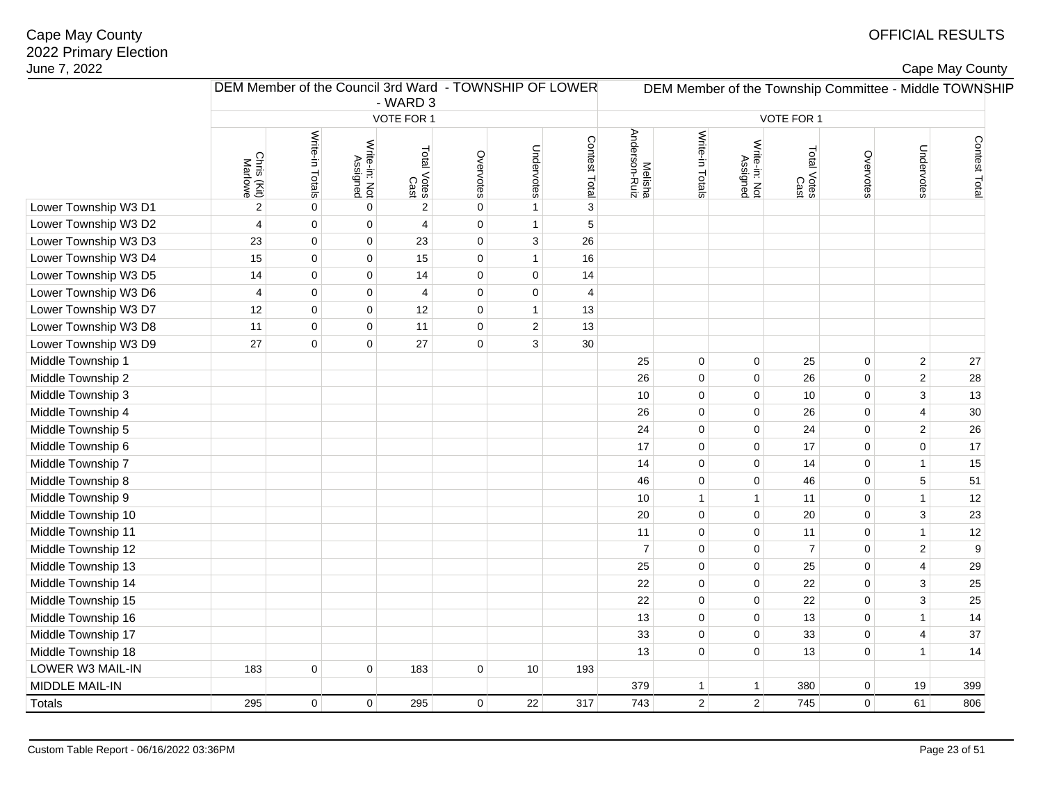| lune 7, 2022         |                        |                                                        |                           |                     |             |                |                 |                          |                 |                           |                     |             |                | Cape May County                                        |
|----------------------|------------------------|--------------------------------------------------------|---------------------------|---------------------|-------------|----------------|-----------------|--------------------------|-----------------|---------------------------|---------------------|-------------|----------------|--------------------------------------------------------|
|                      |                        | DEM Member of the Council 3rd Ward - TOWNSHIP OF LOWER |                           | - WARD 3            |             |                |                 |                          |                 |                           |                     |             |                | DEM Member of the Township Committee - Middle TOWNSHIP |
|                      |                        |                                                        |                           | VOTE FOR 1          |             |                |                 |                          |                 |                           | VOTE FOR 1          |             |                |                                                        |
|                      | Chris (Kit)<br>Marlowe | Write-in Totals                                        | Write-in: Not<br>Assigned | Total Votes<br>Cast | Overvotes   | Undervotes     | Contest Total m | Melisha<br>Anderson-Ruiz | Write-in Totals | Write-in: Not<br>Assigned | Total Votes<br>Cast | Overvotes   | Undervotes     | Contest Total                                          |
| Lower Township W3 D1 | $\sqrt{2}$             | $\mathbf 0$                                            | $\mathbf 0$               | $\sqrt{2}$          | 0           | $\mathbf{1}$   |                 |                          |                 |                           |                     |             |                |                                                        |
| Lower Township W3 D2 | $\overline{4}$         | $\mathbf 0$                                            | $\mathbf 0$               | 4                   | $\mathbf 0$ | $\mathbf{1}$   | $5\,$           |                          |                 |                           |                     |             |                |                                                        |
| Lower Township W3 D3 | 23                     | $\mathbf 0$                                            | $\mathbf 0$               | 23                  | 0           | $\sqrt{3}$     | 26              |                          |                 |                           |                     |             |                |                                                        |
| Lower Township W3 D4 | 15                     | $\mathbf 0$                                            | $\mathbf 0$               | 15                  | 0           | $\mathbf{1}$   | 16              |                          |                 |                           |                     |             |                |                                                        |
| Lower Township W3 D5 | 14                     | $\mathbf 0$                                            | $\mathbf 0$               | 14                  | $\mathbf 0$ | $\mathbf 0$    | 14              |                          |                 |                           |                     |             |                |                                                        |
| Lower Township W3 D6 | $\overline{4}$         | $\mathbf 0$                                            | $\mathbf 0$               | 4                   | $\pmb{0}$   | $\mathbf 0$    | 4               |                          |                 |                           |                     |             |                |                                                        |
| Lower Township W3 D7 | 12                     | $\mathbf 0$                                            | $\mathbf 0$               | 12                  | 0           | $\overline{1}$ | 13              |                          |                 |                           |                     |             |                |                                                        |
| Lower Township W3 D8 | 11                     | $\mathbf 0$                                            | $\mathbf 0$               | 11                  | 0           | $\sqrt{2}$     | 13              |                          |                 |                           |                     |             |                |                                                        |
| Lower Township W3 D9 | 27                     | $\mathbf 0$                                            | $\mathbf 0$               | 27                  | $\mathbf 0$ | 3              | 30              |                          |                 |                           |                     |             |                |                                                        |
| Middle Township 1    |                        |                                                        |                           |                     |             |                |                 | 25                       | $\mathbf 0$     | 0                         | 25                  | $\pmb{0}$   | $\overline{2}$ | 27                                                     |
| Middle Township 2    |                        |                                                        |                           |                     |             |                |                 | 26                       | $\mathbf 0$     | 0                         | 26                  | $\mathbf 0$ | $\sqrt{2}$     | 28                                                     |
| Middle Township 3    |                        |                                                        |                           |                     |             |                |                 | 10                       | $\mathbf 0$     | 0                         | 10                  | $\mathbf 0$ | $\mathbf{3}$   | 13                                                     |
| Middle Township 4    |                        |                                                        |                           |                     |             |                |                 | 26                       | $\mathbf 0$     | 0                         | 26                  | $\mathbf 0$ | 4              | 30                                                     |
| Middle Township 5    |                        |                                                        |                           |                     |             |                |                 | 24                       | $\mathbf 0$     | 0                         | 24                  | $\mathbf 0$ | $\overline{c}$ | 26                                                     |
| Middle Township 6    |                        |                                                        |                           |                     |             |                |                 | 17                       | $\mathbf 0$     | 0                         | 17                  | $\mathbf 0$ | $\mathbf 0$    | 17                                                     |
| Middle Township 7    |                        |                                                        |                           |                     |             |                |                 | 14                       | $\mathbf 0$     | 0                         | 14                  | $\mathbf 0$ | $\overline{1}$ | 15                                                     |
| Middle Township 8    |                        |                                                        |                           |                     |             |                |                 | 46                       | $\mathbf 0$     | 0                         | 46                  | $\pmb{0}$   | $\sqrt{5}$     | 51                                                     |
| Middle Township 9    |                        |                                                        |                           |                     |             |                |                 | 10                       | $\mathbf{1}$    | $\mathbf{1}$              | 11                  | $\mathbf 0$ | $\mathbf{1}$   | 12                                                     |
| Middle Township 10   |                        |                                                        |                           |                     |             |                |                 | 20                       | $\mathbf 0$     | $\mathbf 0$               | 20                  | $\mathbf 0$ | $\mathbf{3}$   | 23                                                     |
| Middle Township 11   |                        |                                                        |                           |                     |             |                |                 | 11                       | $\mathbf 0$     | $\mathbf 0$               | 11                  | $\mathbf 0$ | $\overline{1}$ | 12                                                     |
| Middle Township 12   |                        |                                                        |                           |                     |             |                |                 | $\overline{7}$           | $\mathbf 0$     | $\mathbf 0$               | $\overline{7}$      | $\mathbf 0$ | $\overline{c}$ | 9                                                      |
| Middle Township 13   |                        |                                                        |                           |                     |             |                |                 | 25                       | $\mathbf 0$     | 0                         | 25                  | $\mathbf 0$ | $\overline{4}$ | 29                                                     |
| Middle Township 14   |                        |                                                        |                           |                     |             |                |                 | 22                       | $\mathbf 0$     | 0                         | 22                  | 0           | 3              | 25                                                     |
| Middle Township 15   |                        |                                                        |                           |                     |             |                |                 | 22                       | $\mathbf 0$     | 0                         | 22                  | $\mathbf 0$ | 3              | 25                                                     |
| Middle Township 16   |                        |                                                        |                           |                     |             |                |                 | 13                       | $\mathbf 0$     | 0                         | 13                  | $\mathbf 0$ | $\overline{1}$ | 14                                                     |
| Middle Township 17   |                        |                                                        |                           |                     |             |                |                 | 33                       | $\mathbf 0$     | 0                         | 33                  | 0           | 4              | 37                                                     |
| Middle Township 18   |                        |                                                        |                           |                     |             |                |                 | 13                       | $\mathbf 0$     | 0                         | 13                  | 0           | $\overline{1}$ | 14                                                     |
| LOWER W3 MAIL-IN     | 183                    | $\mathbf 0$                                            | $\mathbf 0$               | 183                 | $\mathbf 0$ | 10             | 193             |                          |                 |                           |                     |             |                |                                                        |
| MIDDLE MAIL-IN       |                        |                                                        |                           |                     |             |                |                 | 379                      | $\mathbf{1}$    | 1                         | 380                 | $\mathbf 0$ | 19             | 399                                                    |
| Totals               | 295                    | $\mathbf 0$                                            | $\mathbf 0$               | 295                 | $\mathbf 0$ | 22             | 317             | 743                      | $\overline{2}$  | $\overline{2}$            | 745                 | $\mathbf 0$ | 61             | 806                                                    |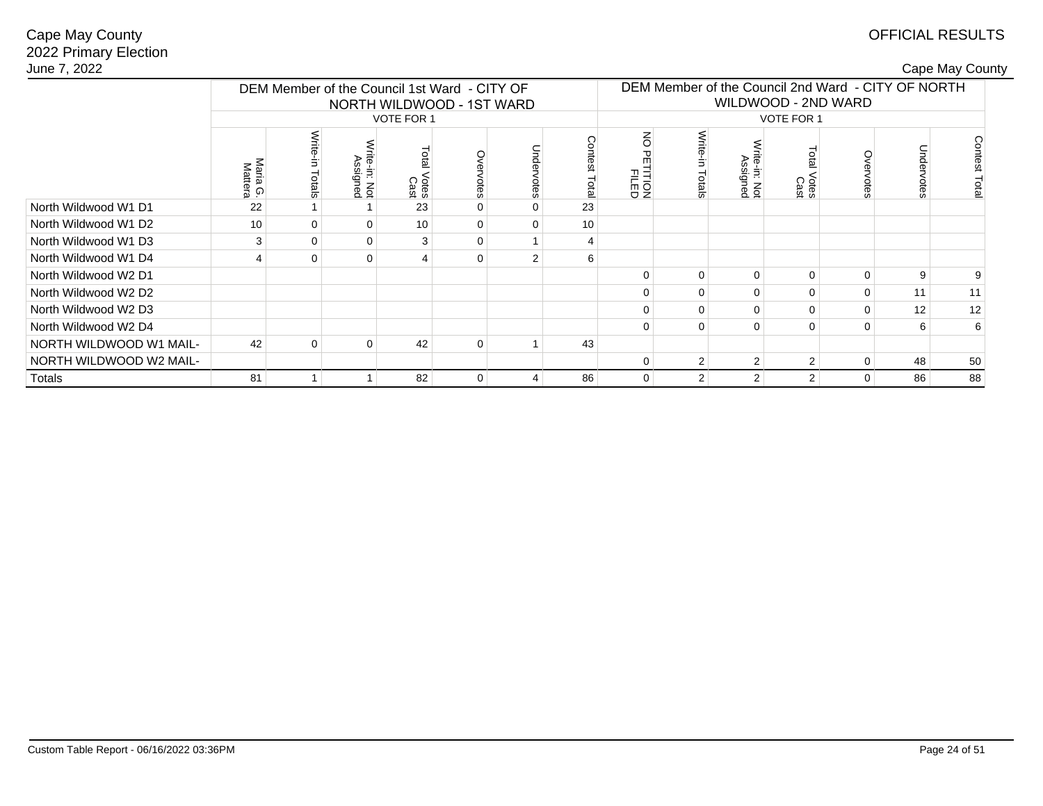# OFFICIAL RESULTS

| June 7, 2022            |                     |                 |                                              |                   |                           |   |       |                                                                                                |                 |                         |                |             |           | Cape May County |  |
|-------------------------|---------------------|-----------------|----------------------------------------------|-------------------|---------------------------|---|-------|------------------------------------------------------------------------------------------------|-----------------|-------------------------|----------------|-------------|-----------|-----------------|--|
|                         |                     |                 | DEM Member of the Council 1st Ward - CITY OF |                   | NORTH WILDWOOD - 1ST WARD |   |       | DEM Member of the Council 2nd Ward - CITY OF NORTH<br>WILDWOOD - 2ND WARD<br><b>VOTE FOR 1</b> |                 |                         |                |             |           |                 |  |
|                         |                     |                 |                                              | <b>VOTE FOR 1</b> |                           |   |       |                                                                                                |                 |                         |                |             |           |                 |  |
|                         | Maria G.<br>Mattera | Write<br>Totals | ite-in: Not<br>Assigned                      | Votes<br>Cast     | vervotes                  |   | Total | z<br>⌒<br>FTEED<br>FILED                                                                       | Write<br>Totals | ite-in: Not<br>Assigned | Votes<br>Cast  | Overvotes   | Undervote | Contest<br>Tota |  |
| North Wildwood W1 D1    | 22                  |                 |                                              | 23                | $\Omega$                  |   | 23    |                                                                                                |                 |                         |                |             |           |                 |  |
| North Wildwood W1 D2    | 10                  | $\Omega$        | $\Omega$                                     | 10 <sup>1</sup>   | $\Omega$                  |   | 10    |                                                                                                |                 |                         |                |             |           |                 |  |
| North Wildwood W1 D3    | 3                   | $\Omega$        | $\Omega$                                     | 3                 | $\Omega$                  |   | 4     |                                                                                                |                 |                         |                |             |           |                 |  |
| North Wildwood W1 D4    |                     | $\Omega$        | $\mathbf 0$                                  | 4                 | $\Omega$                  |   | 6     |                                                                                                |                 |                         |                |             |           |                 |  |
| North Wildwood W2 D1    |                     |                 |                                              |                   |                           |   |       | U                                                                                              | $\Omega$        | $\Omega$                | 0              | $\mathbf 0$ | 9         | 9               |  |
| North Wildwood W2 D2    |                     |                 |                                              |                   |                           |   |       |                                                                                                | 0               | $\Omega$                | 0              | $\mathbf 0$ | 11        | 11              |  |
| North Wildwood W2 D3    |                     |                 |                                              |                   |                           |   |       |                                                                                                | $\Omega$        | $\Omega$                | 0              | 0           | 12        | 12              |  |
| North Wildwood W2 D4    |                     |                 |                                              |                   |                           |   |       |                                                                                                | $\Omega$        | $\Omega$                | 0              | $\mathbf 0$ | 6         | 6               |  |
| NORTH WILDWOOD W1 MAIL- | 42                  | 0               | $\mathbf 0$                                  | 42                | $\mathbf 0$               |   | 43    |                                                                                                |                 |                         |                |             |           |                 |  |
| NORTH WILDWOOD W2 MAIL- |                     |                 |                                              |                   |                           |   |       | 0                                                                                              | 2               | 2                       | 2 <sup>1</sup> | $\mathbf 0$ | 48        | 50              |  |
| Totals                  | 81                  |                 |                                              | 82                | $\mathbf 0$               | 4 | 86    | $\Omega$                                                                                       | $\overline{2}$  | 2                       | 2 <sup>1</sup> | $\mathbf 0$ | 86        | 88              |  |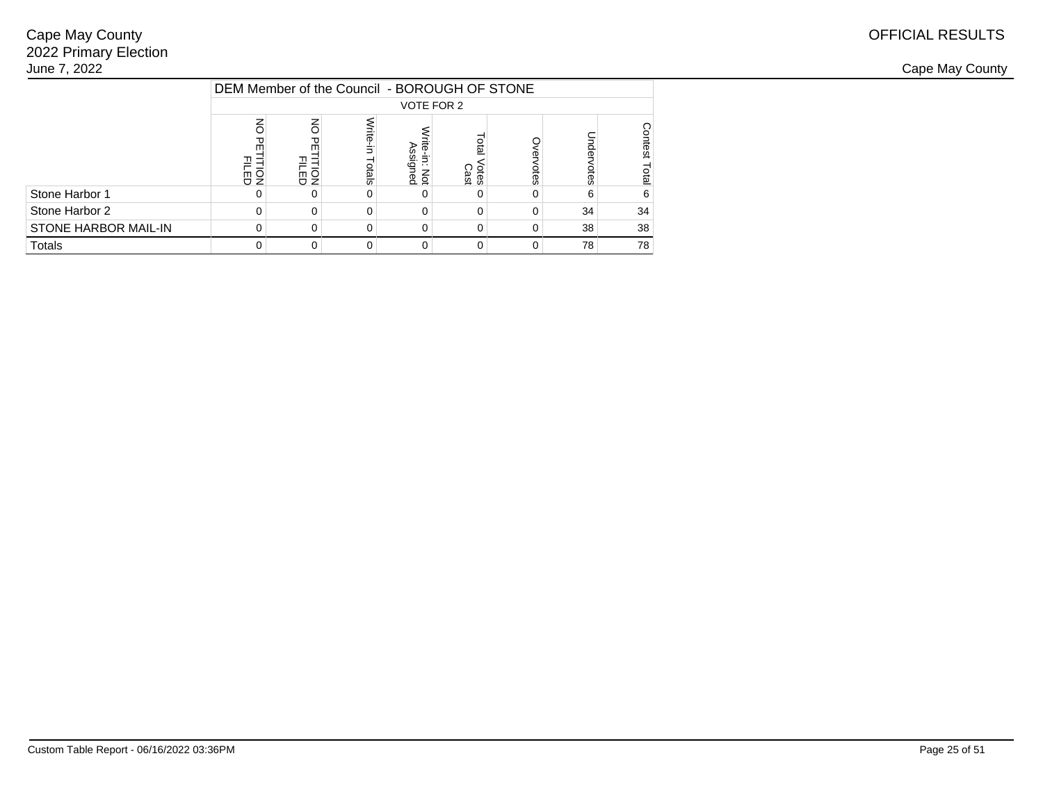|                             |                     | DEM Member of the Council - BOROUGH OF STONE |                 |                               |                                   |      |      |                         |  |  |  |  |  |
|-----------------------------|---------------------|----------------------------------------------|-----------------|-------------------------------|-----------------------------------|------|------|-------------------------|--|--|--|--|--|
|                             |                     |                                              |                 |                               | VOTE FOR 2                        |      |      |                         |  |  |  |  |  |
|                             | 高를                  | $\overline{6}$<br>m<br>윤의                    | /rite-<br>otals | గే<br>ite-in: Not<br>Assigned | <b>Dia</b><br><b>Otes</b><br>Cast | otes | otes | Ŝ<br>ltest<br><b>BD</b> |  |  |  |  |  |
| Stone Harbor 1              |                     |                                              |                 |                               |                                   |      | 6    | 6                       |  |  |  |  |  |
| Stone Harbor 2              |                     | 0                                            |                 | 0                             | $\Omega$                          |      | 34   | 34                      |  |  |  |  |  |
| <b>STONE HARBOR MAIL-IN</b> |                     | 38<br>38<br>$\Omega$<br>0                    |                 |                               |                                   |      |      |                         |  |  |  |  |  |
| <b>Totals</b>               | 78<br>$\Omega$<br>U |                                              |                 |                               |                                   |      |      |                         |  |  |  |  |  |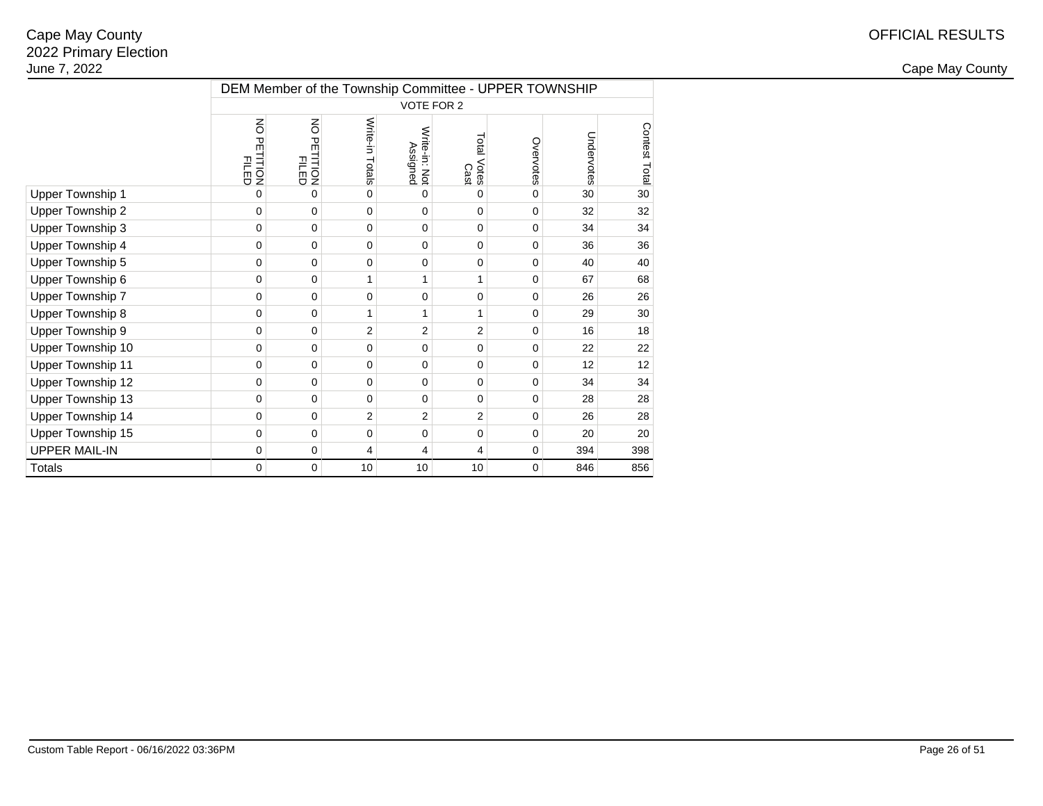|                          | DEM Member of the Township Committee - UPPER TOWNSHIP |                                 |                 |                           |                     |           |            |               |  |  |  |  |
|--------------------------|-------------------------------------------------------|---------------------------------|-----------------|---------------------------|---------------------|-----------|------------|---------------|--|--|--|--|
|                          |                                                       |                                 |                 | VOTE FOR 2                |                     |           |            |               |  |  |  |  |
|                          | š<br>유<br><b>FILION</b>                               | š<br>PETITION<br>PILED<br>PILED | Write-in Totals | Write-in: Not<br>Assigned | Total Votes<br>Cast | Overvotes | Undervotes | Contest Total |  |  |  |  |
| Upper Township 1         | $\Omega$                                              | $\Omega$                        | $\mathbf 0$     | 0                         | 0                   | 0         | 30         | 30            |  |  |  |  |
| Upper Township 2         | 0                                                     | 0                               | $\mathbf 0$     | $\Omega$                  | $\mathbf 0$         | 0         | 32         | 32            |  |  |  |  |
| Upper Township 3         | 0                                                     | 0                               | $\mathbf 0$     | 0                         | 0                   | 0         | 34         | 34            |  |  |  |  |
| Upper Township 4         | 0                                                     | 0                               | $\mathbf 0$     | $\mathbf 0$               | 0                   | 0         | 36         | 36            |  |  |  |  |
| Upper Township 5         | 0                                                     | 0                               | $\mathbf 0$     | 0                         | 0                   | 0         | 40         | 40            |  |  |  |  |
| Upper Township 6         | 0                                                     | 0                               | 1               | 1                         | 1                   | 0         | 67         | 68            |  |  |  |  |
| Upper Township 7         | 0                                                     | 0                               | $\mathbf 0$     | 0                         | 0                   | 0         | 26         | 26            |  |  |  |  |
| Upper Township 8         | 0                                                     | 0                               | 1               | 1                         | 1                   | 0         | 29         | 30            |  |  |  |  |
| Upper Township 9         | 0                                                     | 0                               | $\overline{2}$  | 2                         | $\overline{2}$      | 0         | 16         | 18            |  |  |  |  |
| Upper Township 10        | 0                                                     | 0                               | $\mathbf 0$     | 0                         | 0                   | 0         | 22         | 22            |  |  |  |  |
| <b>Upper Township 11</b> | 0                                                     | 0                               | $\mathbf 0$     | 0                         | 0                   | 0         | 12         | 12            |  |  |  |  |
| Upper Township 12        | 0                                                     | 0                               | $\mathbf 0$     | 0                         | 0                   | 0         | 34         | 34            |  |  |  |  |
| Upper Township 13        | 0                                                     | 0                               | $\mathbf 0$     | 0                         | 0                   | 0         | 28         | 28            |  |  |  |  |
| Upper Township 14        | 0                                                     | 0                               | $\overline{c}$  | 2                         | 2                   | 0         | 26         | 28            |  |  |  |  |
| Upper Township 15        | 0                                                     | 0                               | $\mathbf 0$     | $\mathbf 0$               | 0                   | 0         | 20         | 20            |  |  |  |  |
| <b>UPPER MAIL-IN</b>     | 0                                                     | 0                               | 4               | 4                         | 4                   | 0         | 394        | 398           |  |  |  |  |
| <b>Totals</b>            | 0                                                     | $\mathbf 0$                     | 10              | 10                        | 10                  | 0         | 846        | 856           |  |  |  |  |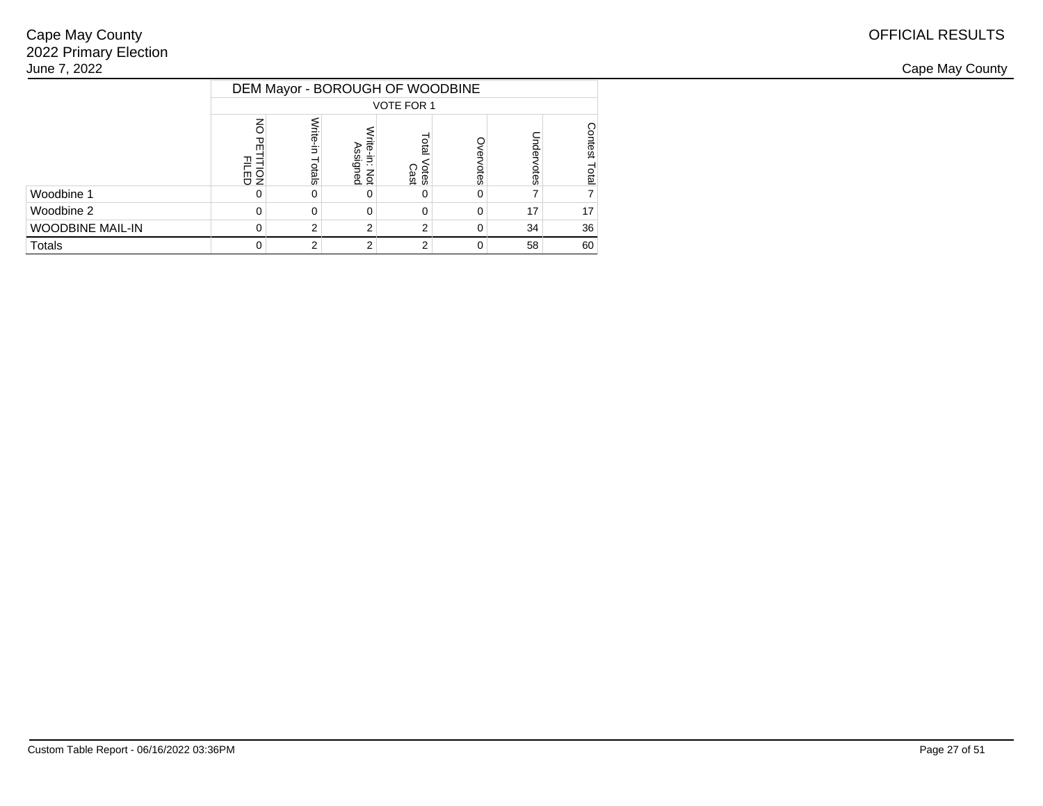| June 7, 2022            |             |      |                       |                                 |            |    |    |  |  |  |  |  |
|-------------------------|-------------|------|-----------------------|---------------------------------|------------|----|----|--|--|--|--|--|
|                         |             |      |                       | DEM Mayor - BOROUGH OF WOODBINE |            |    |    |  |  |  |  |  |
|                         |             |      |                       | VOTE FOR 1                      |            |    |    |  |  |  |  |  |
|                         | <b>Figu</b> | tals | ≌.<br>Ē<br>g<br>ទី ខ្ | Votes<br>Cast                   | <b>Ges</b> |    |    |  |  |  |  |  |
| Woodbine 1              |             | 0.   |                       |                                 | 0          |    |    |  |  |  |  |  |
| Woodbine 2              |             | 0.   | 0                     |                                 | 0          | 17 | 17 |  |  |  |  |  |
| <b>WOODBINE MAIL-IN</b> |             |      |                       |                                 | 0          | 34 | 36 |  |  |  |  |  |
| Totals                  |             |      |                       |                                 | 0          | 58 | 60 |  |  |  |  |  |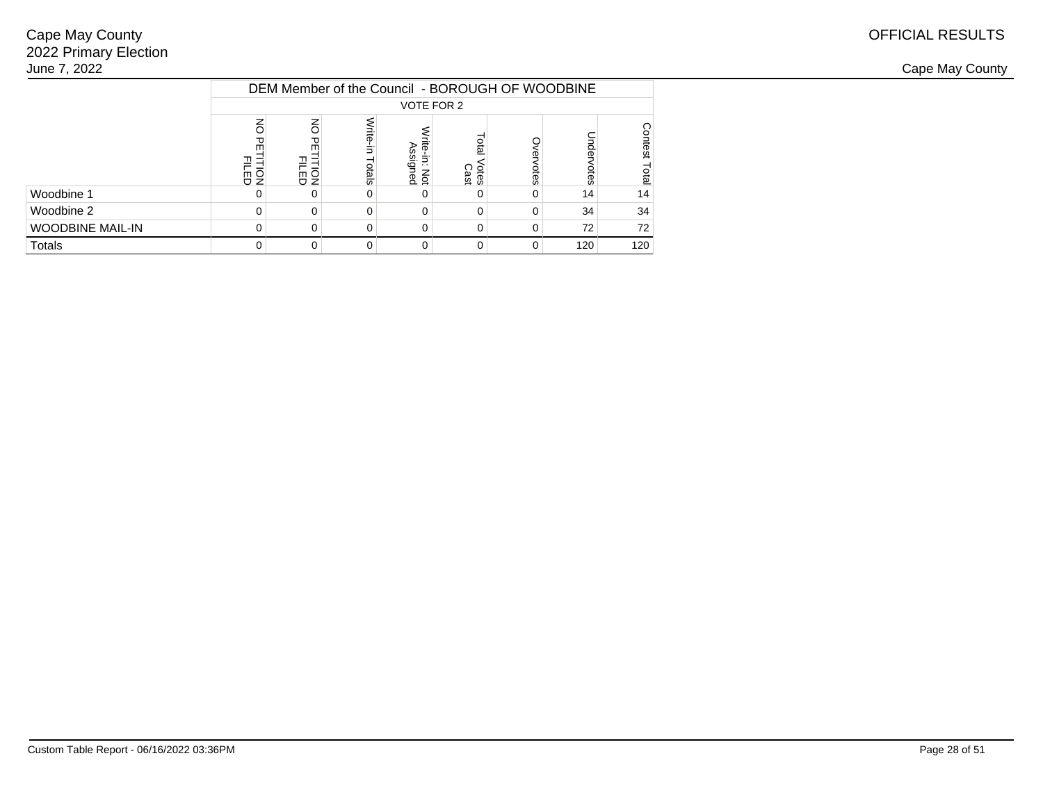|                         |                             |                      |                 |                                 |                                    |      | DEM Member of the Council - BOROUGH OF WOODBINE |                          |  |  |  |
|-------------------------|-----------------------------|----------------------|-----------------|---------------------------------|------------------------------------|------|-------------------------------------------------|--------------------------|--|--|--|
|                         |                             |                      |                 |                                 | VOTE FOR 2                         |      |                                                 |                          |  |  |  |
|                         | ᠊ᡆ<br>සිවි                  | $\overline{6}$<br>동호 | Vrite-<br>otals | ౘె<br>ъ<br>e-in: Not<br>ssigned | <b>Digi</b><br><b>Otes</b><br>Cast | otes | <b>Ges</b>                                      | g<br>ltest<br><b>Qta</b> |  |  |  |
| Woodbine 1              |                             |                      |                 |                                 |                                    |      | 14                                              | 14                       |  |  |  |
| Woodbine 2              |                             | $\Omega$             |                 | 0                               | $\Omega$                           |      | 34                                              | 34                       |  |  |  |
| <b>WOODBINE MAIL-IN</b> | 72<br>$\Omega$<br>0<br>0    |                      |                 |                                 |                                    |      |                                                 |                          |  |  |  |
| <b>Totals</b>           | 120<br>$\Omega$<br>$\Omega$ |                      |                 |                                 |                                    |      |                                                 |                          |  |  |  |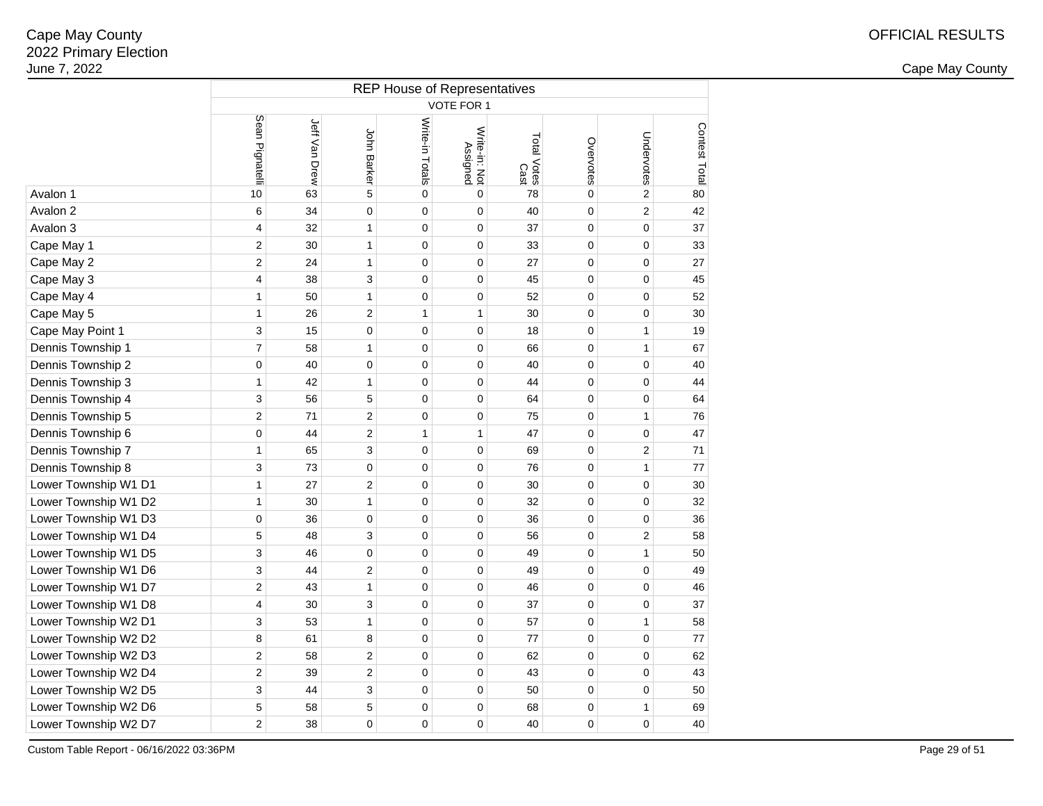2 and the contract of the country of the country of the country of the country of the country of the country of the country of the country of the country of the country of the country of the country of the country of the c

|                      | <b>REP House of Representatives</b> |               |                  |                 |                           |                     |                |                  |               |  |  |  |  |
|----------------------|-------------------------------------|---------------|------------------|-----------------|---------------------------|---------------------|----------------|------------------|---------------|--|--|--|--|
|                      |                                     |               |                  |                 | VOTE FOR 1                |                     |                |                  |               |  |  |  |  |
|                      | Sean Pignatelli                     | Jeff Van Drew | John Barker      | Write-in Totals | Write-in: Not<br>Assigned | Total Votes<br>Cast | Overvotes      | Undervotes       | Contest Total |  |  |  |  |
| Avalon 1             | 10                                  | 63            | 5                | $\mathbf 0$     | $\mathbf 0$               | 78                  | $\mathbf 0$    | $\overline{2}$   | 80            |  |  |  |  |
| Avalon 2             | 6                                   | 34            | $\mathbf 0$      | $\mathbf 0$     | 0                         | 40                  | $\mathbf 0$    | $\boldsymbol{2}$ | 42            |  |  |  |  |
| Avalon 3             | 4                                   | 32            | 1                | $\mathbf 0$     | 0                         | 37                  | $\mathbf 0$    | $\mathbf 0$      | 37            |  |  |  |  |
| Cape May 1           | 2                                   | 30            | 1                | $\mathbf 0$     | 0                         | 33                  | $\mathbf 0$    | $\mathbf 0$      | 33            |  |  |  |  |
| Cape May 2           | $\overline{\mathbf{c}}$             | 24            | 1                | $\mathbf 0$     | 0                         | 27                  | $\mathbf 0$    | $\mathbf 0$      | 27            |  |  |  |  |
| Cape May 3           | 4                                   | 38            | 3                | $\mathbf 0$     | 0                         | 45                  | $\mathbf 0$    | $\mathbf 0$      | 45            |  |  |  |  |
| Cape May 4           | 1                                   | 50            | 1                | $\pmb{0}$       | $\pmb{0}$                 | 52                  | $\overline{0}$ | $\mathbf 0$      | 52            |  |  |  |  |
| Cape May 5           | 1                                   | 26            | $\overline{2}$   | $\mathbf{1}$    | 1                         | 30                  | $\mathbf 0$    | $\mathbf 0$      | 30            |  |  |  |  |
| Cape May Point 1     | 3                                   | 15            | $\mathbf 0$      | $\mathbf 0$     | $\pmb{0}$                 | 18                  | $\mathbf 0$    | $\mathbf{1}$     | 19            |  |  |  |  |
| Dennis Township 1    | $\overline{7}$                      | 58            | 1                | $\mathbf 0$     | 0                         | 66                  | $\mathbf 0$    | $\mathbf{1}$     | 67            |  |  |  |  |
| Dennis Township 2    | 0                                   | 40            | $\mathbf 0$      | $\mathbf 0$     | 0                         | 40                  | $\mathbf 0$    | $\mathbf 0$      | 40            |  |  |  |  |
| Dennis Township 3    | 1                                   | 42            | 1                | $\mathbf 0$     | 0                         | 44                  | $\mathbf 0$    | $\mathbf 0$      | 44            |  |  |  |  |
| Dennis Township 4    | 3                                   | 56            | 5                | $\mathbf 0$     | 0                         | 64                  | $\mathbf 0$    | $\mathbf 0$      | 64            |  |  |  |  |
| Dennis Township 5    | $\overline{\mathbf{c}}$             | 71            | $\boldsymbol{2}$ | $\mathbf 0$     | 0                         | 75                  | $\mathbf 0$    | $\mathbf{1}$     | 76            |  |  |  |  |
| Dennis Township 6    | 0                                   | 44            | $\boldsymbol{2}$ | 1               | 1                         | 47                  | $\mathbf 0$    | $\mathbf 0$      | 47            |  |  |  |  |
| Dennis Township 7    | $\mathbf{1}$                        | 65            | 3                | $\mathbf 0$     | 0                         | 69                  | $\mathbf 0$    | $\overline{2}$   | 71            |  |  |  |  |
| Dennis Township 8    | 3                                   | 73            | $\mathbf 0$      | $\mathbf 0$     | 0                         | 76                  | $\mathbf 0$    | $\mathbf{1}$     | 77            |  |  |  |  |
| Lower Township W1 D1 | 1                                   | 27            | $\boldsymbol{2}$ | $\mathbf 0$     | 0                         | 30                  | $\mathbf 0$    | $\mathbf 0$      | 30            |  |  |  |  |
| Lower Township W1 D2 | 1                                   | 30            | 1                | $\mathbf 0$     | 0                         | 32                  | $\mathbf 0$    | $\mathbf 0$      | 32            |  |  |  |  |
| Lower Township W1 D3 | 0                                   | 36            | $\mathbf 0$      | $\mathbf 0$     | 0                         | 36                  | $\mathbf 0$    | $\mathbf 0$      | 36            |  |  |  |  |
| Lower Township W1 D4 | 5                                   | 48            | 3                | $\mathbf 0$     | 0                         | 56                  | $\mathbf 0$    | $\overline{2}$   | 58            |  |  |  |  |
| Lower Township W1 D5 | 3                                   | 46            | $\mathbf 0$      | $\mathbf 0$     | 0                         | 49                  | $\mathbf 0$    | $\mathbf{1}$     | 50            |  |  |  |  |
| Lower Township W1 D6 | 3                                   | 44            | $\overline{2}$   | $\mathbf 0$     | 0                         | 49                  | $\mathbf 0$    | $\mathbf 0$      | 49            |  |  |  |  |
| Lower Township W1 D7 | $\overline{\mathbf{c}}$             | 43            | 1                | $\mathbf 0$     | 0                         | 46                  | $\mathbf 0$    | $\mathbf 0$      | 46            |  |  |  |  |
| Lower Township W1 D8 | 4                                   | 30            | 3                | $\mathbf 0$     | 0                         | 37                  | $\mathbf 0$    | $\mathbf 0$      | 37            |  |  |  |  |
| Lower Township W2 D1 | 3                                   | 53            | 1                | $\mathbf 0$     | 0                         | 57                  | $\mathbf 0$    | $\mathbf{1}$     | 58            |  |  |  |  |
| Lower Township W2 D2 | 8                                   | 61            | 8                | $\mathbf 0$     | 0                         | 77                  | $\mathbf 0$    | $\mathbf 0$      | 77            |  |  |  |  |
| Lower Township W2 D3 | 2                                   | 58            | 2                | $\mathbf 0$     | 0                         | 62                  | $\mathbf 0$    | $\mathbf 0$      | 62            |  |  |  |  |
| Lower Township W2 D4 | 2                                   | 39            | 2                | $\mathbf 0$     | 0                         | 43                  | $\mathbf 0$    | $\mathbf 0$      | 43            |  |  |  |  |
| Lower Township W2 D5 | 3                                   | 44            | 3                | $\mathbf 0$     | 0                         | 50                  | $\mathbf 0$    | $\mathbf 0$      | 50            |  |  |  |  |
| Lower Township W2 D6 | 5                                   | 58            | 5                | $\mathbf 0$     | 0                         | 68                  | $\mathbf 0$    | $\mathbf{1}$     | 69            |  |  |  |  |
| Lower Township W2 D7 | $\overline{2}$                      | 38            | $\mathbf 0$      | $\mathbf 0$     | 0                         | 40                  | 0              | $\mathbf 0$      | 40            |  |  |  |  |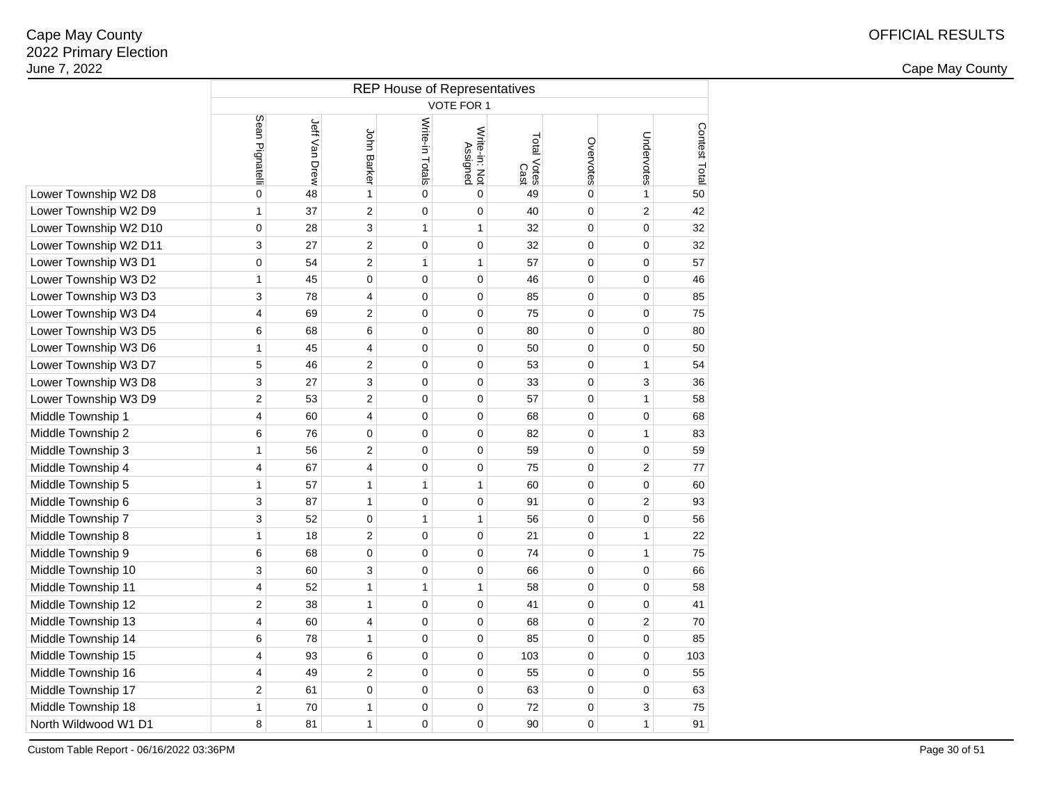2 and the contract of the country of the country of the country of the country of the country of the country of the country of the country of the country of the country of the country of the country of the country of the c

|                       | <b>REP House of Representatives</b> |               |                  |                 |                                  |                     |                |                |               |  |  |  |  |
|-----------------------|-------------------------------------|---------------|------------------|-----------------|----------------------------------|---------------------|----------------|----------------|---------------|--|--|--|--|
|                       |                                     |               |                  |                 | <b>VOTE FOR 1</b>                |                     |                |                |               |  |  |  |  |
|                       | Sean Pignatelli                     | Jeff Van Drew | John Barker      | Write-in Totals | Write-in: Not<br><b>Assigned</b> | Total Votes<br>Cast | Overvotes      | Undervotes     | Contest Total |  |  |  |  |
| Lower Township W2 D8  | 0                                   | 48            | $\mathbf{1}$     | 0               | 0                                | 49                  | 0              | 1              | 50            |  |  |  |  |
| Lower Township W2 D9  | 1                                   | 37            | $\overline{2}$   | 0               | 0                                | 40                  | 0              | $\overline{c}$ | 42            |  |  |  |  |
| Lower Township W2 D10 | $\mathbf 0$                         | 28            | 3                | $\mathbf{1}$    | $\mathbf{1}$                     | 32                  | 0              | 0              | 32            |  |  |  |  |
| Lower Township W2 D11 | 3                                   | 27            | $\overline{2}$   | 0               | 0                                | 32                  | 0              | 0              | 32            |  |  |  |  |
| Lower Township W3 D1  | 0                                   | 54            | $\overline{2}$   | $\mathbf{1}$    | 1                                | 57                  | 0              | $\mathbf 0$    | 57            |  |  |  |  |
| Lower Township W3 D2  | 1                                   | 45            | $\mathbf 0$      | 0               | 0                                | 46                  | 0              | $\mathbf 0$    | 46            |  |  |  |  |
| Lower Township W3 D3  | 3                                   | 78            | 4                | $\overline{0}$  | $\overline{0}$                   | 85                  | $\overline{0}$ | $\overline{0}$ | 85            |  |  |  |  |
| Lower Township W3 D4  | 4                                   | 69            | $\overline{2}$   | 0               | 0                                | 75                  | $\Omega$       | $\overline{0}$ | 75            |  |  |  |  |
| Lower Township W3 D5  | 6                                   | 68            | 6                | 0               | 0                                | 80                  | 0              | 0              | 80            |  |  |  |  |
| Lower Township W3 D6  | 1                                   | 45            | 4                | 0               | 0                                | 50                  | 0              | 0              | 50            |  |  |  |  |
| Lower Township W3 D7  | 5                                   | 46            | $\boldsymbol{2}$ | 0               | 0                                | 53                  | 0              | 1              | 54            |  |  |  |  |
| Lower Township W3 D8  | 3                                   | 27            | 3                | 0               | 0                                | 33                  | 0              | 3              | 36            |  |  |  |  |
| Lower Township W3 D9  | $\overline{c}$                      | 53            | $\overline{c}$   | 0               | 0                                | 57                  | 0              | 1              | 58            |  |  |  |  |
| Middle Township 1     | 4                                   | 60            | $\overline{4}$   | 0               | 0                                | 68                  | 0              | 0              | 68            |  |  |  |  |
| Middle Township 2     | 6                                   | 76            | $\mathbf 0$      | 0               | 0                                | 82                  | 0              | 1              | 83            |  |  |  |  |
| Middle Township 3     | 1                                   | 56            | $\overline{2}$   | 0               | 0                                | 59                  | 0              | $\mathbf 0$    | 59            |  |  |  |  |
| Middle Township 4     | 4                                   | 67            | $\overline{4}$   | 0               | 0                                | 75                  | 0              | $\overline{2}$ | 77            |  |  |  |  |
| Middle Township 5     | 1                                   | 57            | $\mathbf{1}$     | $\mathbf{1}$    | $\mathbf{1}$                     | 60                  | 0              | $\mathbf 0$    | 60            |  |  |  |  |
| Middle Township 6     | 3                                   | 87            | $\mathbf{1}$     | $\overline{0}$  | 0                                | 91                  | 0              | 2              | 93            |  |  |  |  |
| Middle Township 7     | 3                                   | 52            | $\mathbf 0$      | $\mathbf{1}$    | $\mathbf{1}$                     | 56                  | 0              | $\mathbf 0$    | 56            |  |  |  |  |
| Middle Township 8     | 1                                   | 18            | $\overline{2}$   | 0               | 0                                | 21                  | 0              | 1              | 22            |  |  |  |  |
| Middle Township 9     | 6                                   | 68            | $\mathbf 0$      | 0               | 0                                | 74                  | 0              | 1              | 75            |  |  |  |  |
| Middle Township 10    | 3                                   | 60            | 3                | $\overline{0}$  | 0                                | 66                  | 0              | 0              | 66            |  |  |  |  |
| Middle Township 11    | 4                                   | 52            | $\mathbf{1}$     | $\mathbf{1}$    | $\mathbf{1}$                     | 58                  | 0              | 0              | 58            |  |  |  |  |
| Middle Township 12    | $\overline{c}$                      | 38            | $\mathbf{1}$     | 0               | 0                                | 41                  | 0              | $\mathbf 0$    | 41            |  |  |  |  |
| Middle Township 13    | 4                                   | 60            | $\overline{4}$   | 0               | 0                                | 68                  | 0              | 2              | 70            |  |  |  |  |
| Middle Township 14    | 6                                   | 78            | 1                | 0               | 0                                | 85                  | 0              | 0              | 85            |  |  |  |  |
| Middle Township 15    | 4                                   | 93            | 6                | 0               | 0                                | 103                 | 0              | $\mathbf 0$    | 103           |  |  |  |  |
| Middle Township 16    | 4                                   | 49            | $\overline{2}$   | 0               | 0                                | 55                  | 0              | $\mathbf 0$    | 55            |  |  |  |  |
| Middle Township 17    | 2                                   | 61            | $\mathbf 0$      | 0               | 0                                | 63                  | 0              | 0              | 63            |  |  |  |  |
| Middle Township 18    | 1                                   | 70            | $\mathbf{1}$     | 0               | 0                                | 72                  | 0              | 3              | 75            |  |  |  |  |
| North Wildwood W1 D1  | 8                                   | 81            | $\mathbf{1}$     | 0               | 0                                | 90                  | 0              | 1              | 91            |  |  |  |  |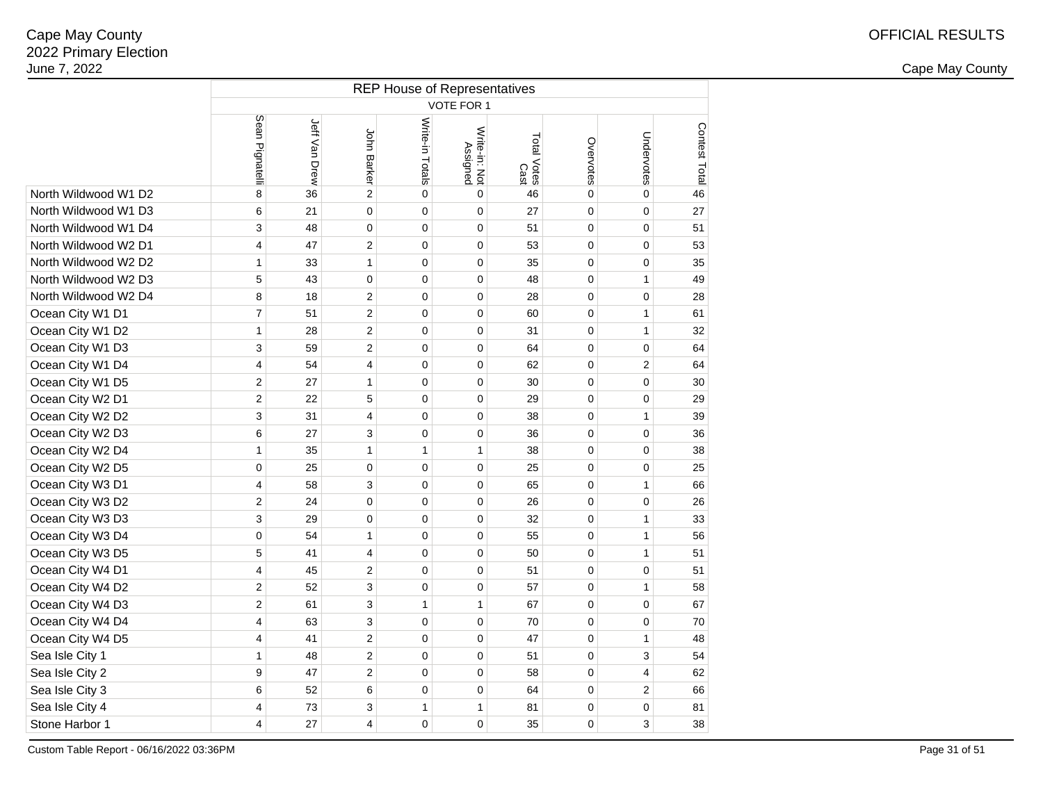2 and the contract of the country of the country of the country of the country of the country of the country of the country of the country of the country of the country of the country of the country of the country of the c

|                      | <b>REP House of Representatives</b> |               |                |                 |                           |                     |             |                         |               |  |  |  |  |
|----------------------|-------------------------------------|---------------|----------------|-----------------|---------------------------|---------------------|-------------|-------------------------|---------------|--|--|--|--|
|                      |                                     |               |                |                 | VOTE FOR 1                |                     |             |                         |               |  |  |  |  |
|                      | Sean Pignatelli                     | Jeff Van Drew | John Barker    | Write-in Totals | Write-in: Not<br>Assigned | Total Votes<br>Cast | Overvotes   | Undervotes              | Contest Total |  |  |  |  |
| North Wildwood W1 D2 | 8                                   | 36            | $\overline{2}$ | $\mathbf 0$     | $\mathbf 0$               | 46                  | $\mathbf 0$ | $\mathbf 0$             | 46            |  |  |  |  |
| North Wildwood W1 D3 | 6                                   | 21            | 0              | $\pmb{0}$       | 0                         | 27                  | $\mathbf 0$ | $\mathbf 0$             | 27            |  |  |  |  |
| North Wildwood W1 D4 | 3                                   | 48            | 0              | $\pmb{0}$       | 0                         | 51                  | $\mathbf 0$ | $\mathbf 0$             | 51            |  |  |  |  |
| North Wildwood W2 D1 | 4                                   | 47            | 2              | $\mathbf 0$     | 0                         | 53                  | $\mathbf 0$ | $\mathbf 0$             | 53            |  |  |  |  |
| North Wildwood W2 D2 | 1                                   | 33            | $\mathbf{1}$   | $\pmb{0}$       | 0                         | 35                  | $\mathbf 0$ | $\mathbf 0$             | 35            |  |  |  |  |
| North Wildwood W2 D3 | 5                                   | 43            | $\pmb{0}$      | $\pmb{0}$       | 0                         | 48                  | $\mathbf 0$ | $\mathbf{1}$            | 49            |  |  |  |  |
| North Wildwood W2 D4 | 8                                   | 18            | $\overline{c}$ | 0               | 0                         | 28                  | $\mathbf 0$ | $\mathbf 0$             | 28            |  |  |  |  |
| Ocean City W1 D1     | $\overline{7}$                      | 51            | 2              | $\pmb{0}$       | 0                         | 60                  | $\mathbf 0$ | $\mathbf{1}$            | 61            |  |  |  |  |
| Ocean City W1 D2     | $\mathbf{1}$                        | 28            | $\overline{2}$ | $\pmb{0}$       | 0                         | 31                  | $\mathbf 0$ | $\mathbf{1}$            | 32            |  |  |  |  |
| Ocean City W1 D3     | 3                                   | 59            | 2              | 0               | 0                         | 64                  | $\mathbf 0$ | $\mathbf 0$             | 64            |  |  |  |  |
| Ocean City W1 D4     | 4                                   | 54            | 4              | $\mathbf 0$     | 0                         | 62                  | $\mathbf 0$ | $\overline{c}$          | 64            |  |  |  |  |
| Ocean City W1 D5     | 2                                   | 27            | 1              | 0               | 0                         | 30                  | $\mathbf 0$ | $\mathbf 0$             | 30            |  |  |  |  |
| Ocean City W2 D1     | $\overline{2}$                      | 22            | 5              | 0               | 0                         | 29                  | 0           | 0                       | 29            |  |  |  |  |
| Ocean City W2 D2     | 3                                   | 31            | 4              | 0               | 0                         | 38                  | 0           | 1                       | 39            |  |  |  |  |
| Ocean City W2 D3     | 6                                   | 27            | 3              | 0               | 0                         | 36                  | $\mathbf 0$ | $\mathbf 0$             | 36            |  |  |  |  |
| Ocean City W2 D4     | $\mathbf{1}$                        | 35            | $\mathbf{1}$   | 1               | 1                         | 38                  | 0           | 0                       | 38            |  |  |  |  |
| Ocean City W2 D5     | 0                                   | 25            | 0              | $\mathbf 0$     | 0                         | 25                  | 0           | 0                       | 25            |  |  |  |  |
| Ocean City W3 D1     | 4                                   | 58            | 3              | $\mathbf 0$     | 0                         | 65                  | $\mathbf 0$ | $\mathbf{1}$            | 66            |  |  |  |  |
| Ocean City W3 D2     | $\overline{c}$                      | 24            | $\mathbf 0$    | $\pmb{0}$       | 0                         | 26                  | $\mathbf 0$ | $\mathbf 0$             | 26            |  |  |  |  |
| Ocean City W3 D3     | 3                                   | 29            | 0              | $\mathbf 0$     | 0                         | 32                  | $\mathbf 0$ | $\mathbf{1}$            | 33            |  |  |  |  |
| Ocean City W3 D4     | 0                                   | 54            | 1              | $\pmb{0}$       | 0                         | 55                  | 0           | $\mathbf{1}$            | 56            |  |  |  |  |
| Ocean City W3 D5     | 5                                   | 41            | 4              | $\pmb{0}$       | 0                         | 50                  | $\mathbf 0$ | $\mathbf{1}$            | 51            |  |  |  |  |
| Ocean City W4 D1     | 4                                   | 45            | 2              | $\mathbf 0$     | 0                         | 51                  | $\mathbf 0$ | 0                       | 51            |  |  |  |  |
| Ocean City W4 D2     | $\overline{\mathbf{c}}$             | 52            | 3              | 0               | 0                         | 57                  | $\mathbf 0$ | $\mathbf{1}$            | 58            |  |  |  |  |
| Ocean City W4 D3     | $\overline{c}$                      | 61            | 3              | 1               | 1                         | 67                  | $\mathbf 0$ | $\mathbf 0$             | 67            |  |  |  |  |
| Ocean City W4 D4     | 4                                   | 63            | 3              | $\mathbf 0$     | 0                         | 70                  | $\mathbf 0$ | $\mathbf 0$             | 70            |  |  |  |  |
| Ocean City W4 D5     | 4                                   | 41            | 2              | $\pmb{0}$       | 0                         | 47                  | $\mathbf 0$ | 1                       | 48            |  |  |  |  |
| Sea Isle City 1      | $\mathbf{1}$                        | 48            | $\overline{c}$ | $\pmb{0}$       | 0                         | 51                  | $\mathbf 0$ | 3                       | 54            |  |  |  |  |
| Sea Isle City 2      | 9                                   | 47            | $\overline{c}$ | $\pmb{0}$       | 0                         | 58                  | $\mathbf 0$ | $\overline{\mathbf{4}}$ | 62            |  |  |  |  |
| Sea Isle City 3      | 6                                   | 52            | 6              | 0               | 0                         | 64                  | $\mathbf 0$ | $\sqrt{2}$              | 66            |  |  |  |  |
| Sea Isle City 4      | 4                                   | 73            | 3              | $\mathbf{1}$    | $\mathbf{1}$              | 81                  | $\mathbf 0$ | $\mathbf 0$             | 81            |  |  |  |  |
| Stone Harbor 1       | $\overline{\mathbf{4}}$             | 27            | 4              | $\mathbf 0$     | 0                         | 35                  | 0           | 3                       | 38            |  |  |  |  |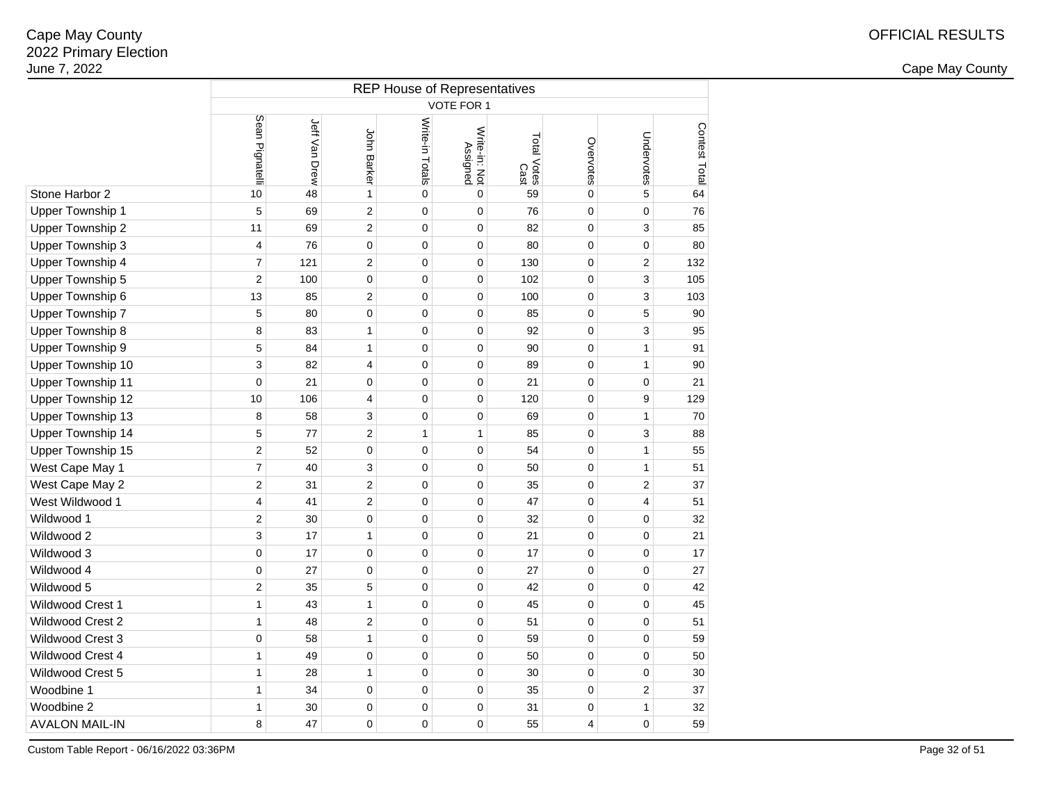2 and the contract of the country of the country of the country of the country of the country of the country of the country of the country of the country of the country of the country of the country of the country of the c

|                          | <b>REP House of Representatives</b> |               |                |                 |                           |                     |                |                |               |  |  |  |  |
|--------------------------|-------------------------------------|---------------|----------------|-----------------|---------------------------|---------------------|----------------|----------------|---------------|--|--|--|--|
|                          |                                     |               |                |                 | VOTE FOR 1                |                     |                |                |               |  |  |  |  |
|                          | Sean Pignatelli                     | Jeff Van Drew | John Barker    | Write-in Totals | Write-in: Not<br>Assigned | Total Votes<br>Cast | Overvotes      | Undervotes     | Contest Total |  |  |  |  |
| Stone Harbor 2           | 10                                  | 48            | $\mathbf{1}$   | $\mathbf 0$     | $\mathbf 0$               | 59                  | $\mathbf 0$    | 5              | 64            |  |  |  |  |
| <b>Upper Township 1</b>  | 5                                   | 69            | 2              | $\mathbf 0$     | $\mathbf 0$               | 76                  | 0              | 0              | 76            |  |  |  |  |
| Upper Township 2         | 11                                  | 69            | 2              | $\mathbf 0$     | $\pmb{0}$                 | 82                  | 0              | 3              | 85            |  |  |  |  |
| Upper Township 3         | 4                                   | 76            | $\mathbf 0$    | $\mathbf 0$     | $\pmb{0}$                 | 80                  | $\mathbf 0$    | 0              | 80            |  |  |  |  |
| Upper Township 4         | $\overline{7}$                      | 121           | $\overline{2}$ | $\overline{0}$  | $\mathbf 0$               | 130                 | $\overline{0}$ | $\overline{c}$ | 132           |  |  |  |  |
| Upper Township 5         | $\overline{2}$                      | 100           | 0              | $\mathbf 0$     | $\pmb{0}$                 | 102                 | $\mathbf 0$    | 3              | 105           |  |  |  |  |
| Upper Township 6         | 13                                  | 85            | 2              | $\mathbf 0$     | $\pmb{0}$                 | 100                 | $\mathbf 0$    | 3              | 103           |  |  |  |  |
| Upper Township 7         | 5                                   | 80            | 0              | 0               | $\mathbf 0$               | 85                  | $\mathbf 0$    | 5              | 90            |  |  |  |  |
| Upper Township 8         | 8                                   | 83            | 1              | 0               | $\mathbf 0$               | 92                  | $\mathbf 0$    | 3              | 95            |  |  |  |  |
| Upper Township 9         | 5                                   | 84            | $\mathbf{1}$   | 0               | $\mathbf 0$               | 90                  | 0              | $\mathbf{1}$   | 91            |  |  |  |  |
| Upper Township 10        | 3                                   | 82            | 4              | 0               | $\mathbf 0$               | 89                  | $\mathbf 0$    | 1              | 90            |  |  |  |  |
| <b>Upper Township 11</b> | 0                                   | 21            | 0              | $\mathbf 0$     | $\mathbf 0$               | 21                  | $\mathbf 0$    | 0              | 21            |  |  |  |  |
| Upper Township 12        | 10                                  | 106           | 4              | $\mathbf 0$     | $\mathbf 0$               | 120                 | 0              | 9              | 129           |  |  |  |  |
| Upper Township 13        | 8                                   | 58            | 3              | $\mathbf 0$     | $\mathbf 0$               | 69                  | 0              | 1              | 70            |  |  |  |  |
| Upper Township 14        | 5                                   | 77            | $\overline{c}$ | 1               | $\mathbf{1}$              | 85                  | $\mathbf 0$    | 3              | 88            |  |  |  |  |
| Upper Township 15        | $\overline{\mathbf{c}}$             | 52            | $\pmb{0}$      | $\mathbf 0$     | $\pmb{0}$                 | 54                  | $\mathbf 0$    | 1              | 55            |  |  |  |  |
| West Cape May 1          | $\overline{7}$                      | 40            | 3              | $\mathbf 0$     | $\mathbf 0$               | 50                  | $\mathbf 0$    | 1              | 51            |  |  |  |  |
| West Cape May 2          | $\overline{2}$                      | 31            | 2              | 0               | $\mathbf 0$               | 35                  | 0              | $\overline{2}$ | 37            |  |  |  |  |
| West Wildwood 1          | 4                                   | 41            | 2              | 0               | 0                         | 47                  | 0              | 4              | 51            |  |  |  |  |
| Wildwood 1               | $\overline{c}$                      | 30            | 0              | $\mathbf 0$     | $\mathbf 0$               | 32                  | 0              | 0              | 32            |  |  |  |  |
| Wildwood 2               | 3                                   | 17            | 1              | 0               | 0                         | 21                  | 0              | 0              | 21            |  |  |  |  |
| Wildwood 3               | 0                                   | 17            | 0              | 0               | $\mathbf 0$               | 17                  | 0              | 0              | 17            |  |  |  |  |
| Wildwood 4               | 0                                   | 27            | 0              | $\mathbf 0$     | $\mathbf 0$               | 27                  | 0              | 0              | 27            |  |  |  |  |
| Wildwood 5               | $\overline{2}$                      | 35            | 5              | 0               | $\mathbf 0$               | 42                  | 0              | 0              | 42            |  |  |  |  |
| Wildwood Crest 1         | $\mathbf{1}$                        | 43            | 1              | $\mathbf 0$     | $\pmb{0}$                 | 45                  | 0              | 0              | 45            |  |  |  |  |
| Wildwood Crest 2         | $\mathbf{1}$                        | 48            | 2              | $\mathbf 0$     | $\mathbf 0$               | 51                  | $\mathbf 0$    | 0              | 51            |  |  |  |  |
| Wildwood Crest 3         | 0                                   | 58            | 1              | $\mathbf 0$     | $\pmb{0}$                 | 59                  | $\mathbf 0$    | 0              | 59            |  |  |  |  |
| Wildwood Crest 4         | $\mathbf{1}$                        | 49            | 0              | $\mathbf 0$     | $\pmb{0}$                 | 50                  | $\mathbf 0$    | $\pmb{0}$      | 50            |  |  |  |  |
| Wildwood Crest 5         | 1                                   | 28            | 1              | 0               | 0                         | 30                  | $\mathbf 0$    | 0              | 30            |  |  |  |  |
| Woodbine 1               | $\mathbf{1}$                        | 34            | 0              | 0               | $\mathbf 0$               | 35                  | $\mathbf 0$    | $\overline{2}$ | 37            |  |  |  |  |
| Woodbine 2               | $\mathbf{1}$                        | 30            | 0              | 0               | $\mathbf 0$               | 31                  | $\mathbf 0$    | 1              | 32            |  |  |  |  |
| <b>AVALON MAIL-IN</b>    | 8                                   | 47            | 0              | 0               | 0                         | 55                  | 4              | 0              | 59            |  |  |  |  |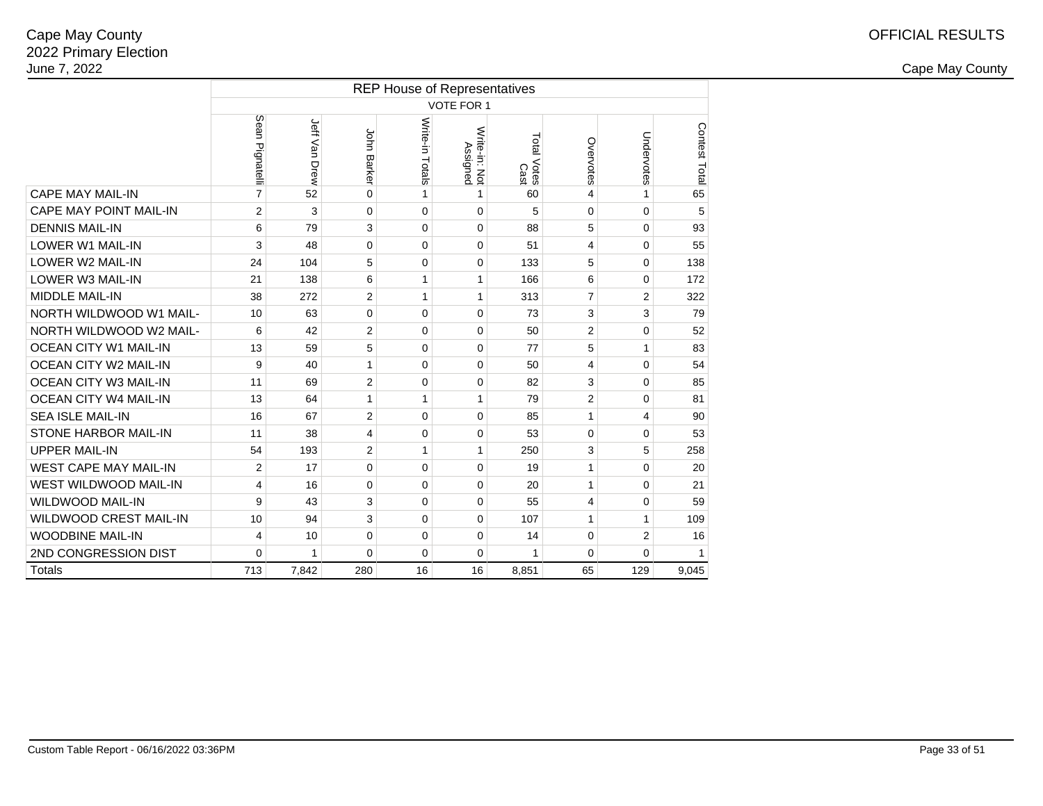|                               | <b>REP House of Representatives</b> |               |                    |                 |                           |                     |                |                |               |  |  |  |  |
|-------------------------------|-------------------------------------|---------------|--------------------|-----------------|---------------------------|---------------------|----------------|----------------|---------------|--|--|--|--|
|                               |                                     |               |                    |                 | <b>VOTE FOR 1</b>         |                     |                |                |               |  |  |  |  |
|                               | Sean Pignatelli                     | Jeff Van Drew | <b>John Barker</b> | Write-in Totals | Write-in: Not<br>Assigned | Total Votes<br>Cast | Overvotes      | Undervotes     | Contest Total |  |  |  |  |
| <b>CAPE MAY MAIL-IN</b>       | $\overline{7}$                      | 52            | $\mathbf 0$        | 1               | 1                         | 60                  | 4              | 1              | 65            |  |  |  |  |
| <b>CAPE MAY POINT MAIL-IN</b> | 2                                   | 3             | $\mathbf 0$        | $\Omega$        | $\Omega$                  | 5                   | 0              | $\mathbf 0$    | 5             |  |  |  |  |
| <b>DENNIS MAIL-IN</b>         | 6                                   | 79            | 3                  | 0               | 0                         | 88                  | 5              | $\mathbf 0$    | 93            |  |  |  |  |
| <b>LOWER W1 MAIL-IN</b>       | 3                                   | 48            | 0                  | $\Omega$        | $\Omega$                  | 51                  | 4              | 0              | 55            |  |  |  |  |
| <b>LOWER W2 MAIL-IN</b>       | 24                                  | 104           | 5                  | $\Omega$        | $\mathbf 0$               | 133                 | 5              | $\mathbf 0$    | 138           |  |  |  |  |
| <b>LOWER W3 MAIL-IN</b>       | 21                                  | 138           | 6                  | 1               | 1                         | 166                 | 6              | 0              | 172           |  |  |  |  |
| <b>MIDDLE MAIL-IN</b>         | 38                                  | 272           | 2                  | 1               | $\mathbf{1}$              | 313                 | $\overline{7}$ | $\overline{2}$ | 322           |  |  |  |  |
| NORTH WILDWOOD W1 MAIL-       | 10                                  | 63            | $\mathbf 0$        | $\Omega$        | $\Omega$                  | 73                  | 3              | 3              | 79            |  |  |  |  |
| NORTH WILDWOOD W2 MAIL-       | 6                                   | 42            | 2                  | 0               | 0                         | 50                  | 2              | $\mathbf 0$    | 52            |  |  |  |  |
| <b>OCEAN CITY W1 MAIL-IN</b>  | 13                                  | 59            | 5                  | $\mathbf 0$     | 0                         | 77                  | 5              | 1              | 83            |  |  |  |  |
| <b>OCEAN CITY W2 MAIL-IN</b>  | 9                                   | 40            | 1                  | $\Omega$        | $\Omega$                  | 50                  | 4              | 0              | 54            |  |  |  |  |
| OCEAN CITY W3 MAIL-IN         | 11                                  | 69            | 2                  | $\mathbf 0$     | 0                         | 82                  | 3              | $\Omega$       | 85            |  |  |  |  |
| <b>OCEAN CITY W4 MAIL-IN</b>  | 13                                  | 64            | 1                  | 1               | 1                         | 79                  | $\overline{2}$ | 0              | 81            |  |  |  |  |
| <b>SEA ISLE MAIL-IN</b>       | 16                                  | 67            | 2                  | $\mathbf 0$     | $\mathbf 0$               | 85                  | 1              | 4              | 90            |  |  |  |  |
| <b>STONE HARBOR MAIL-IN</b>   | 11                                  | 38            | 4                  | 0               | $\Omega$                  | 53                  | 0              | $\Omega$       | 53            |  |  |  |  |
| <b>UPPER MAIL-IN</b>          | 54                                  | 193           | 2                  | 1               | 1                         | 250                 | 3              | 5              | 258           |  |  |  |  |
| <b>WEST CAPE MAY MAIL-IN</b>  | $\overline{2}$                      | 17            | $\mathbf 0$        | $\mathbf 0$     | $\mathbf 0$               | 19                  | 1              | $\mathbf 0$    | 20            |  |  |  |  |
| <b>WEST WILDWOOD MAIL-IN</b>  | 4                                   | 16            | $\Omega$           | $\Omega$        | $\Omega$                  | 20                  | 1              | $\Omega$       | 21            |  |  |  |  |
| <b>WILDWOOD MAIL-IN</b>       | 9                                   | 43            | 3                  | $\mathbf 0$     | 0                         | 55                  | 4              | $\mathbf 0$    | 59            |  |  |  |  |
| <b>WILDWOOD CREST MAIL-IN</b> | 10                                  | 94            | 3                  | $\Omega$        | $\Omega$                  | 107                 | 1              | 1              | 109           |  |  |  |  |
| <b>WOODBINE MAIL-IN</b>       | 4                                   | 10            | $\mathbf 0$        | $\mathbf 0$     | $\Omega$                  | 14                  | 0              | $\overline{2}$ | 16            |  |  |  |  |
| 2ND CONGRESSION DIST          | 0                                   | 1             | 0                  | 0               | 0                         | 1                   | 0              | 0              | 1             |  |  |  |  |
| Totals                        | 713                                 | 7,842         | 280                | 16              | 16                        | 8,851               | 65             | 129            | 9,045         |  |  |  |  |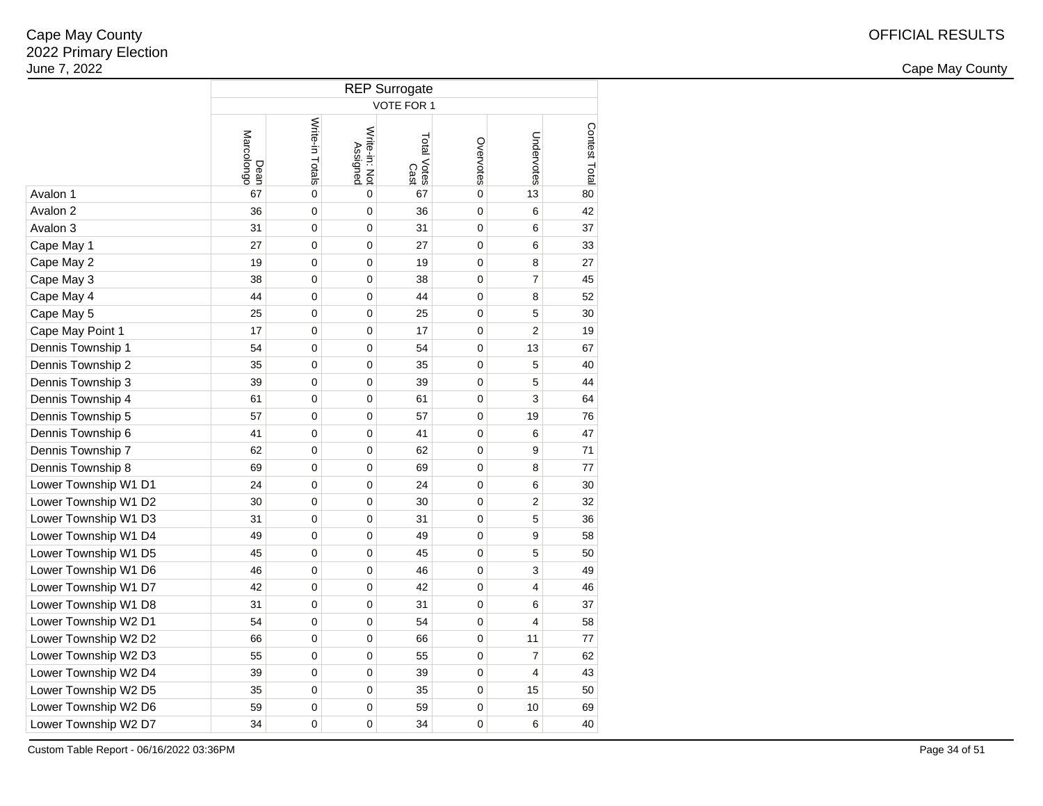2 and the contract of the country of the country of the country of the country of the country of the country of the country of the country of the country of the country of the country of the country of the country of the c

|                      | <b>REP Surrogate</b> |                 |                           |                            |             |                |               |  |  |  |  |  |  |
|----------------------|----------------------|-----------------|---------------------------|----------------------------|-------------|----------------|---------------|--|--|--|--|--|--|
|                      |                      |                 |                           | VOTE FOR 1                 |             |                |               |  |  |  |  |  |  |
|                      | Marcolongo<br>Dean   | Write-in Totals | Write-in: Not<br>Assigned | Total Votes<br>Total Votes | Overvotes   | Undervotes     | Contest Total |  |  |  |  |  |  |
| Avalon 1             | 67                   | $\mathbf 0$     | $\mathbf 0$               | 67                         | $\mathbf 0$ | 13             | 80            |  |  |  |  |  |  |
| Avalon 2             | 36                   | $\mathbf 0$     | 0                         | 36                         | $\mathbf 0$ | 6              | 42            |  |  |  |  |  |  |
| Avalon 3             | 31                   | $\mathbf 0$     | 0                         | 31                         | $\mathbf 0$ | 6              | 37            |  |  |  |  |  |  |
| Cape May 1           | 27                   | $\mathbf 0$     | 0                         | 27                         | $\mathbf 0$ | 6              | 33            |  |  |  |  |  |  |
| Cape May 2           | 19                   | $\mathbf 0$     | $\mathbf 0$               | 19                         | $\mathbf 0$ | 8              | 27            |  |  |  |  |  |  |
| Cape May 3           | 38                   | $\mathbf 0$     | $\mathbf 0$               | 38                         | $\mathbf 0$ | $\overline{7}$ | 45            |  |  |  |  |  |  |
| Cape May 4           | 44                   | $\mathbf 0$     | 0                         | 44                         | $\mathbf 0$ | 8              | 52            |  |  |  |  |  |  |
| Cape May 5           | 25                   | $\mathbf 0$     | 0                         | 25                         | $\mathbf 0$ | 5              | 30            |  |  |  |  |  |  |
| Cape May Point 1     | 17                   | 0               | 0                         | 17                         | $\mathbf 0$ | $\overline{2}$ | 19            |  |  |  |  |  |  |
| Dennis Township 1    | 54                   | $\mathbf 0$     | 0                         | 54                         | $\mathbf 0$ | 13             | 67            |  |  |  |  |  |  |
| Dennis Township 2    | 35                   | 0               | 0                         | 35                         | $\mathbf 0$ | 5              | 40            |  |  |  |  |  |  |
| Dennis Township 3    | 39                   | 0               | 0                         | 39                         | $\mathbf 0$ | 5              | 44            |  |  |  |  |  |  |
| Dennis Township 4    | 61                   | 0               | 0                         | 61                         | $\mathbf 0$ | 3              | 64            |  |  |  |  |  |  |
| Dennis Township 5    | 57                   | 0               | 0                         | 57                         | $\mathbf 0$ | 19             | 76            |  |  |  |  |  |  |
| Dennis Township 6    | 41                   | 0               | 0                         | 41                         | $\mathbf 0$ | 6              | 47            |  |  |  |  |  |  |
| Dennis Township 7    | 62                   | 0               | 0                         | 62                         | $\mathbf 0$ | 9              | 71            |  |  |  |  |  |  |
| Dennis Township 8    | 69                   | $\mathbf 0$     | 0                         | 69                         | $\mathbf 0$ | 8              | 77            |  |  |  |  |  |  |
| Lower Township W1 D1 | 24                   | $\mathbf 0$     | 0                         | 24                         | $\mathbf 0$ | 6              | 30            |  |  |  |  |  |  |
| Lower Township W1 D2 | 30                   | $\mathbf 0$     | 0                         | 30                         | $\mathbf 0$ | $\overline{2}$ | 32            |  |  |  |  |  |  |
| Lower Township W1 D3 | 31                   | $\mathbf 0$     | 0                         | 31                         | $\mathbf 0$ | 5              | 36            |  |  |  |  |  |  |
| Lower Township W1 D4 | 49                   | 0               | 0                         | 49                         | $\mathbf 0$ | 9              | 58            |  |  |  |  |  |  |
| Lower Township W1 D5 | 45                   | 0               | 0                         | 45                         | $\mathbf 0$ | 5              | 50            |  |  |  |  |  |  |
| Lower Township W1 D6 | 46                   | $\mathbf 0$     | 0                         | 46                         | $\mathbf 0$ | 3              | 49            |  |  |  |  |  |  |
| Lower Township W1 D7 | 42                   | $\mathbf 0$     | 0                         | 42                         | $\mathbf 0$ | 4              | 46            |  |  |  |  |  |  |
| Lower Township W1 D8 | 31                   | 0               | 0                         | 31                         | $\mathbf 0$ | 6              | 37            |  |  |  |  |  |  |
| Lower Township W2 D1 | 54                   | 0               | 0                         | 54                         | $\mathbf 0$ | 4              | 58            |  |  |  |  |  |  |
| Lower Township W2 D2 | 66                   | 0               | 0                         | 66                         | $\mathbf 0$ | 11             | 77            |  |  |  |  |  |  |
| Lower Township W2 D3 | 55                   | $\mathbf 0$     | $\mathbf 0$               | 55                         | $\mathbf 0$ | $\overline{7}$ | 62            |  |  |  |  |  |  |
| Lower Township W2 D4 | 39                   | 0               | 0                         | 39                         | $\mathbf 0$ | 4              | 43            |  |  |  |  |  |  |
| Lower Township W2 D5 | 35                   | $\mathbf 0$     | 0                         | 35                         | $\mathbf 0$ | 15             | 50            |  |  |  |  |  |  |
| Lower Township W2 D6 | 59                   | $\mathbf 0$     | $\mathbf 0$               | 59                         | $\mathbf 0$ | 10             | 69            |  |  |  |  |  |  |
| Lower Township W2 D7 | 34                   | $\mathbf 0$     | $\mathbf 0$               | 34                         | $\mathbf 0$ | 6              | 40            |  |  |  |  |  |  |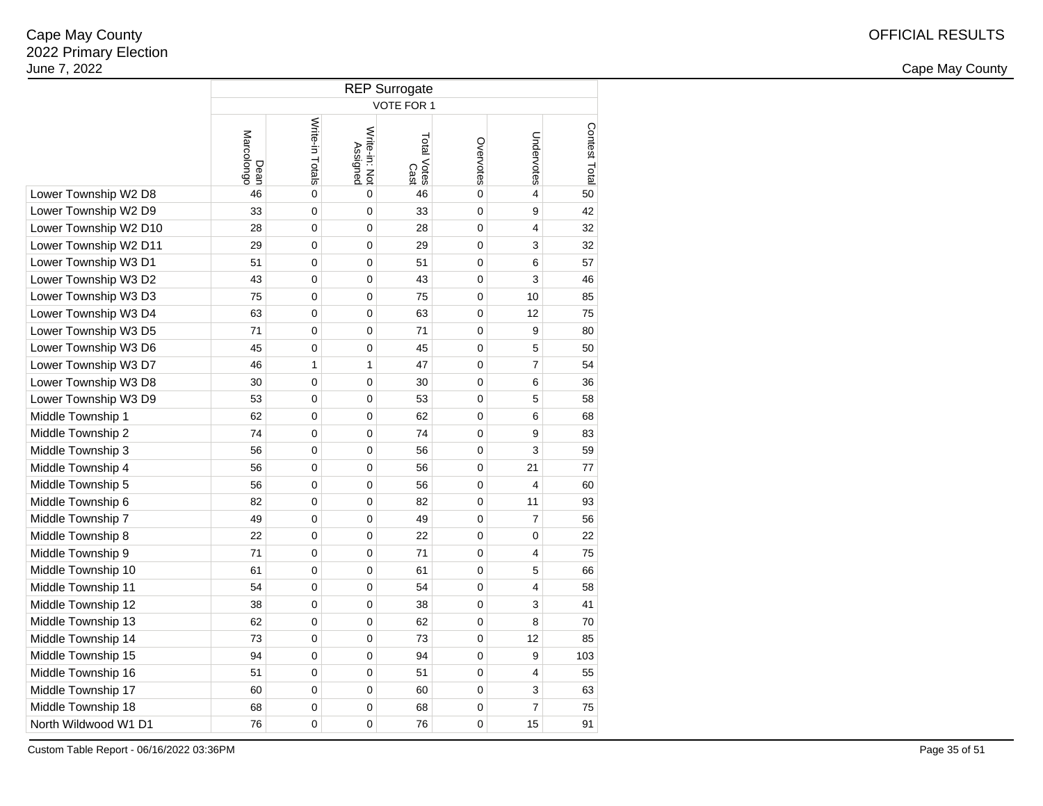2 and the contract of the country of the country of the country of the country of the country of the country of the country of the country of the country of the country of the country of the country of the country of the c

|                       | <b>REP Surrogate</b> |                 |                           |                     |             |                         |               |  |  |  |  |  |  |
|-----------------------|----------------------|-----------------|---------------------------|---------------------|-------------|-------------------------|---------------|--|--|--|--|--|--|
|                       | <b>VOTE FOR 1</b>    |                 |                           |                     |             |                         |               |  |  |  |  |  |  |
|                       | Marcolongo<br>Dean   | Write-in Totals | Write-in: Not<br>Assigned | Total Votes<br>Cast | Overvotes   | Undervotes              | Contest Total |  |  |  |  |  |  |
| Lower Township W2 D8  | 46                   | $\mathbf 0$     | $\mathbf 0$               | 46                  | $\mathbf 0$ | $\overline{\mathbf{4}}$ | 50            |  |  |  |  |  |  |
| Lower Township W2 D9  | 33                   | $\mathbf 0$     | $\mathbf 0$               | 33                  | $\mathbf 0$ | 9                       | 42            |  |  |  |  |  |  |
| Lower Township W2 D10 | 28                   | $\mathbf 0$     | $\mathbf 0$               | 28                  | 0           | 4                       | 32            |  |  |  |  |  |  |
| Lower Township W2 D11 | 29                   | $\mathbf 0$     | $\mathbf 0$               | 29                  | $\mathbf 0$ | 3                       | 32            |  |  |  |  |  |  |
| Lower Township W3 D1  | 51                   | $\mathbf 0$     | $\mathbf 0$               | 51                  | 0           | 6                       | 57            |  |  |  |  |  |  |
| Lower Township W3 D2  | 43                   | $\mathbf 0$     | $\mathbf 0$               | 43                  | 0           | 3                       | 46            |  |  |  |  |  |  |
| Lower Township W3 D3  | 75                   | $\mathbf 0$     | $\mathbf 0$               | 75                  | 0           | 10                      | 85            |  |  |  |  |  |  |
| Lower Township W3 D4  | 63                   | $\mathbf 0$     | $\mathbf 0$               | 63                  | 0           | 12                      | 75            |  |  |  |  |  |  |
| Lower Township W3 D5  | 71                   | $\mathbf 0$     | $\mathbf 0$               | 71                  | 0           | 9                       | 80            |  |  |  |  |  |  |
| Lower Township W3 D6  | 45                   | $\mathbf 0$     | $\mathbf 0$               | 45                  | 0           | 5                       | 50            |  |  |  |  |  |  |
| Lower Township W3 D7  | 46                   | 1               | 1                         | 47                  | 0           | $\overline{7}$          | 54            |  |  |  |  |  |  |
| Lower Township W3 D8  | 30                   | $\mathbf 0$     | $\mathbf 0$               | 30                  | 0           | 6                       | 36            |  |  |  |  |  |  |
| Lower Township W3 D9  | 53                   | 0               | 0                         | 53                  | 0           | 5                       | 58            |  |  |  |  |  |  |
| Middle Township 1     | 62                   | $\mathbf 0$     | 0                         | 62                  | 0           | 6                       | 68            |  |  |  |  |  |  |
| Middle Township 2     | 74                   | $\mathbf 0$     | $\mathbf 0$               | 74                  | 0           | 9                       | 83            |  |  |  |  |  |  |
| Middle Township 3     | 56                   | $\mathbf 0$     | $\mathbf 0$               | 56                  | 0           | 3                       | 59            |  |  |  |  |  |  |
| Middle Township 4     | 56                   | $\mathbf 0$     | $\mathbf 0$               | 56                  | 0           | 21                      | 77            |  |  |  |  |  |  |
| Middle Township 5     | 56                   | $\mathbf 0$     | $\mathbf 0$               | 56                  | 0           | $\overline{\mathbf{4}}$ | 60            |  |  |  |  |  |  |
| Middle Township 6     | 82                   | $\mathbf 0$     | $\mathbf 0$               | 82                  | 0           | 11                      | 93            |  |  |  |  |  |  |
| Middle Township 7     | 49                   | $\mathbf 0$     | $\mathbf 0$               | 49                  | 0           | $\overline{7}$          | 56            |  |  |  |  |  |  |
| Middle Township 8     | 22                   | $\mathbf 0$     | $\mathbf 0$               | 22                  | 0           | $\mathbf 0$             | 22            |  |  |  |  |  |  |
| Middle Township 9     | 71                   | $\mathbf 0$     | $\mathbf 0$               | 71                  | 0           | 4                       | 75            |  |  |  |  |  |  |
| Middle Township 10    | 61                   | $\mathbf 0$     | $\mathbf 0$               | 61                  | 0           | 5                       | 66            |  |  |  |  |  |  |
| Middle Township 11    | 54                   | $\mathbf 0$     | $\mathbf 0$               | 54                  | 0           | $\overline{4}$          | 58            |  |  |  |  |  |  |
| Middle Township 12    | 38                   | $\mathbf 0$     | $\mathbf 0$               | 38                  | 0           | 3                       | 41            |  |  |  |  |  |  |
| Middle Township 13    | 62                   | $\mathbf 0$     | $\mathbf 0$               | 62                  | $\mathbf 0$ | 8                       | 70            |  |  |  |  |  |  |
| Middle Township 14    | 73                   | $\mathbf 0$     | $\mathbf 0$               | 73                  | 0           | 12                      | 85            |  |  |  |  |  |  |
| Middle Township 15    | 94                   | $\mathbf 0$     | $\mathbf 0$               | 94                  | 0           | 9                       | 103           |  |  |  |  |  |  |
| Middle Township 16    | 51                   | $\mathbf 0$     | $\mathbf 0$               | 51                  | 0           | 4                       | 55            |  |  |  |  |  |  |
| Middle Township 17    | 60                   | $\mathbf 0$     | $\mathbf 0$               | 60                  | 0           | 3                       | 63            |  |  |  |  |  |  |
| Middle Township 18    | 68                   | $\mathbf 0$     | $\mathbf 0$               | 68                  | 0           | $\overline{7}$          | 75            |  |  |  |  |  |  |
| North Wildwood W1 D1  | 76                   | $\mathbf 0$     | $\mathbf 0$               | 76                  | 0           | 15                      | 91            |  |  |  |  |  |  |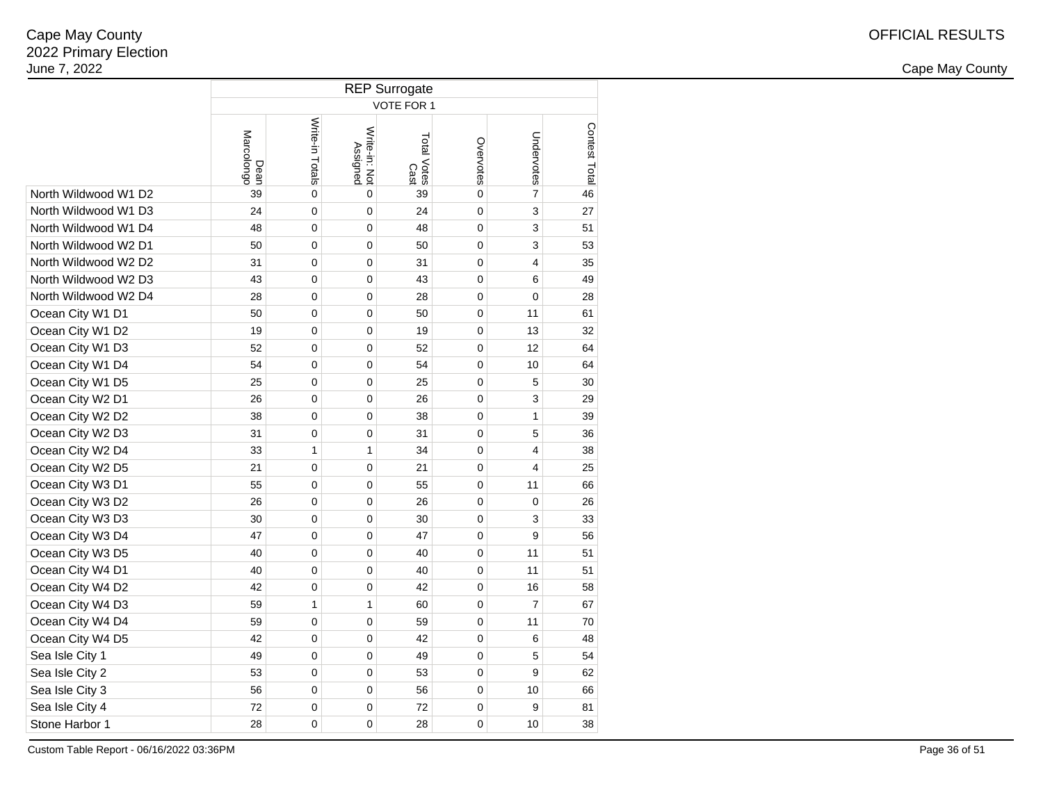|                      | <b>REP Surrogate</b> |                 |                           |                     |             |                |               |  |  |  |  |  |  |
|----------------------|----------------------|-----------------|---------------------------|---------------------|-------------|----------------|---------------|--|--|--|--|--|--|
|                      | <b>VOTE FOR 1</b>    |                 |                           |                     |             |                |               |  |  |  |  |  |  |
|                      | Marcolongo<br>Dean   | Write-in Totals | Write-in: Not<br>Assigned | Total Votes<br>Cast | Overvotes   | Undervotes     | Contest Total |  |  |  |  |  |  |
| North Wildwood W1 D2 | 39                   | 0               | 0                         | 39                  | $\mathbf 0$ | $\overline{7}$ | 46            |  |  |  |  |  |  |
| North Wildwood W1 D3 | 24                   | 0               | $\mathbf 0$               | 24                  | $\mathbf 0$ | 3              | 27            |  |  |  |  |  |  |
| North Wildwood W1 D4 | 48                   | 0               | 0                         | 48                  | $\mathbf 0$ | 3              | 51            |  |  |  |  |  |  |
| North Wildwood W2 D1 | 50                   | 0               | 0                         | 50                  | $\mathbf 0$ | 3              | 53            |  |  |  |  |  |  |
| North Wildwood W2 D2 | 31                   | 0               | 0                         | 31                  | $\mathbf 0$ | $\overline{4}$ | 35            |  |  |  |  |  |  |
| North Wildwood W2 D3 | 43                   | 0               | 0                         | 43                  | $\mathbf 0$ | 6              | 49            |  |  |  |  |  |  |
| North Wildwood W2 D4 | 28                   | 0               | 0                         | 28                  | $\mathbf 0$ | $\mathbf 0$    | 28            |  |  |  |  |  |  |
| Ocean City W1 D1     | 50                   | 0               | 0                         | 50                  | $\mathbf 0$ | 11             | 61            |  |  |  |  |  |  |
| Ocean City W1 D2     | 19                   | 0               | 0                         | 19                  | $\mathbf 0$ | 13             | 32            |  |  |  |  |  |  |
| Ocean City W1 D3     | 52                   | 0               | 0                         | 52                  | $\mathbf 0$ | 12             | 64            |  |  |  |  |  |  |
| Ocean City W1 D4     | 54                   | 0               | 0                         | 54                  | 0           | 10             | 64            |  |  |  |  |  |  |
| Ocean City W1 D5     | 25                   | 0               | 0                         | 25                  | 0           | 5              | 30            |  |  |  |  |  |  |
| Ocean City W2 D1     | 26                   | 0               | 0                         | 26                  | 0           | 3              | 29            |  |  |  |  |  |  |
| Ocean City W2 D2     | 38                   | 0               | 0                         | 38                  | 0           | $\mathbf{1}$   | 39            |  |  |  |  |  |  |
| Ocean City W2 D3     | 31                   | 0               | $\mathbf 0$               | 31                  | 0           | 5              | 36            |  |  |  |  |  |  |
| Ocean City W2 D4     | 33                   | $\mathbf{1}$    | 1                         | 34                  | 0           | $\overline{4}$ | 38            |  |  |  |  |  |  |
| Ocean City W2 D5     | 21                   | 0               | 0                         | 21                  | 0           | $\overline{4}$ | 25            |  |  |  |  |  |  |
| Ocean City W3 D1     | 55                   | 0               | 0                         | 55                  | 0           | 11             | 66            |  |  |  |  |  |  |
| Ocean City W3 D2     | 26                   | 0               | 0                         | 26                  | 0           | $\mathbf 0$    | 26            |  |  |  |  |  |  |
| Ocean City W3 D3     | 30                   | 0               | 0                         | 30                  | 0           | 3              | 33            |  |  |  |  |  |  |
| Ocean City W3 D4     | 47                   | 0               | 0                         | 47                  | 0           | 9              | 56            |  |  |  |  |  |  |
| Ocean City W3 D5     | 40                   | 0               | 0                         | 40                  | 0           | 11             | 51            |  |  |  |  |  |  |
| Ocean City W4 D1     | 40                   | 0               | 0                         | 40                  | 0           | 11             | 51            |  |  |  |  |  |  |
| Ocean City W4 D2     | 42                   | 0               | 0                         | 42                  | 0           | 16             | 58            |  |  |  |  |  |  |
| Ocean City W4 D3     | 59                   | $\mathbf{1}$    | 1                         | 60                  | 0           | $\overline{7}$ | 67            |  |  |  |  |  |  |
| Ocean City W4 D4     | 59                   | 0               | 0                         | 59                  | 0           | 11             | 70            |  |  |  |  |  |  |
| Ocean City W4 D5     | 42                   | 0               | 0                         | 42                  | 0           | 6              | 48            |  |  |  |  |  |  |
| Sea Isle City 1      | 49                   | 0               | 0                         | 49                  | 0           | 5              | 54            |  |  |  |  |  |  |
| Sea Isle City 2      | 53                   | 0               | 0                         | 53                  | 0           | 9              | 62            |  |  |  |  |  |  |
| Sea Isle City 3      | 56                   | 0               | 0                         | 56                  | $\mathbf 0$ | 10             | 66            |  |  |  |  |  |  |
| Sea Isle City 4      | 72                   | 0               | 0                         | 72                  | 0           | 9              | 81            |  |  |  |  |  |  |
| Stone Harbor 1       | 28                   | 0               | 0                         | 28                  | $\mathbf 0$ | 10             | 38            |  |  |  |  |  |  |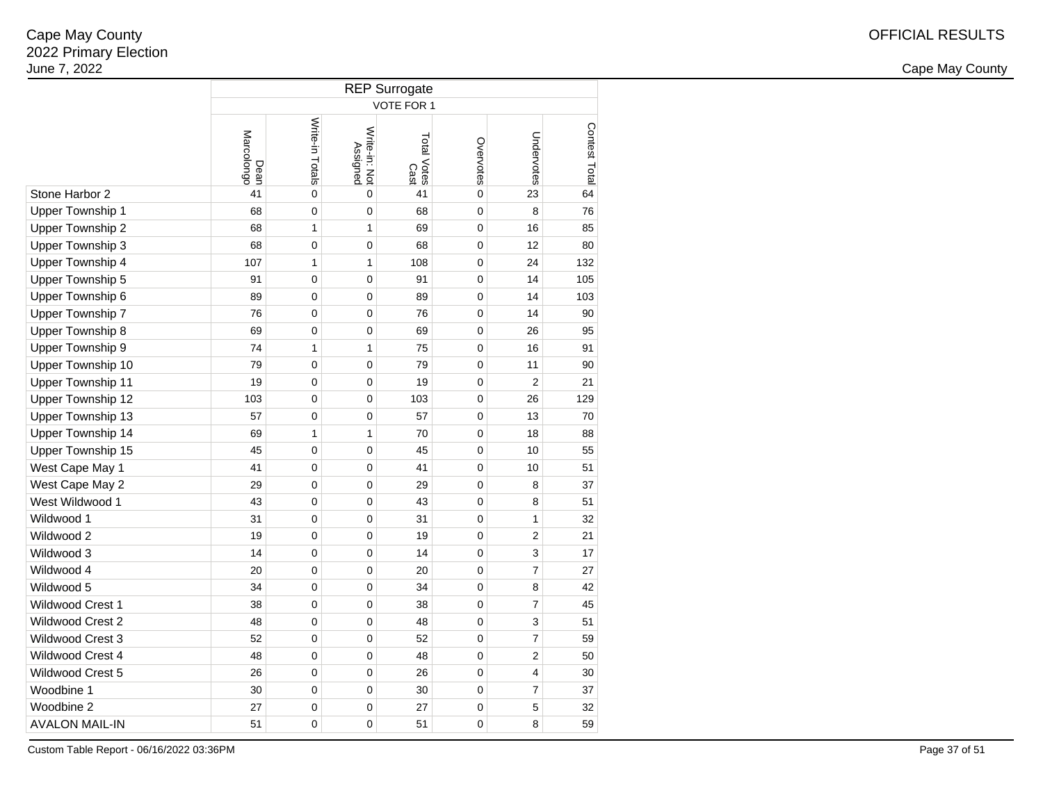2 and the contract of the country of the country of the country of the country of the country of the country of the country of the country of the country of the country of the country of the country of the country of the c

|                         | <b>REP Surrogate</b> |                 |                           |                     |                |                |               |  |  |  |  |  |
|-------------------------|----------------------|-----------------|---------------------------|---------------------|----------------|----------------|---------------|--|--|--|--|--|
|                         | VOTE FOR 1           |                 |                           |                     |                |                |               |  |  |  |  |  |
|                         | Marcolongo<br>Dean   | Write-in Totals | Write-in: Not<br>Assigned | Total Votes<br>Cast | Overvotes      | Undervotes     | Contest Total |  |  |  |  |  |
| Stone Harbor 2          | 41                   | $\mathbf 0$     | $\mathbf 0$               | 41                  | $\mathbf 0$    | 23             | 64            |  |  |  |  |  |
| Upper Township 1        | 68                   | $\mathbf 0$     | 0                         | 68                  | $\overline{0}$ | 8              | 76            |  |  |  |  |  |
| Upper Township 2        | 68                   | 1               | 1                         | 69                  | 0              | 16             | 85            |  |  |  |  |  |
| Upper Township 3        | 68                   | $\mathbf 0$     | 0                         | 68                  | 0              | 12             | 80            |  |  |  |  |  |
| Upper Township 4        | 107                  | 1               | 1                         | 108                 | 0              | 24             | 132           |  |  |  |  |  |
| Upper Township 5        | 91                   | 0               | 0                         | 91                  | 0              | 14             | 105           |  |  |  |  |  |
| Upper Township 6        | 89                   | $\mathbf 0$     | 0                         | 89                  | 0              | 14             | 103           |  |  |  |  |  |
| Upper Township 7        | 76                   | 0               | 0                         | 76                  | 0              | 14             | 90            |  |  |  |  |  |
| Upper Township 8        | 69                   | 0               | 0                         | 69                  | 0              | 26             | 95            |  |  |  |  |  |
| Upper Township 9        | 74                   | 1               | 1                         | 75                  | 0              | 16             | 91            |  |  |  |  |  |
| Upper Township 10       | 79                   | 0               | 0                         | 79                  | 0              | 11             | 90            |  |  |  |  |  |
| Upper Township 11       | 19                   | $\mathbf 0$     | 0                         | 19                  | 0              | $\overline{2}$ | 21            |  |  |  |  |  |
| Upper Township 12       | 103                  | 0               | 0                         | 103                 | 0              | 26             | 129           |  |  |  |  |  |
| Upper Township 13       | 57                   | 0               | 0                         | 57                  | 0              | 13             | 70            |  |  |  |  |  |
| Upper Township 14       | 69                   | 1               | 1                         | 70                  | 0              | 18             | 88            |  |  |  |  |  |
| Upper Township 15       | 45                   | $\mathbf 0$     | 0                         | 45                  | 0              | 10             | 55            |  |  |  |  |  |
| West Cape May 1         | 41                   | $\mathbf 0$     | 0                         | 41                  | 0              | 10             | 51            |  |  |  |  |  |
| West Cape May 2         | 29                   | 0               | 0                         | 29                  | 0              | 8              | 37            |  |  |  |  |  |
| West Wildwood 1         | 43                   | $\mathbf 0$     | 0                         | 43                  | 0              | 8              | 51            |  |  |  |  |  |
| Wildwood 1              | 31                   | 0               | 0                         | 31                  | 0              | $\mathbf{1}$   | 32            |  |  |  |  |  |
| Wildwood 2              | 19                   | 0               | 0                         | 19                  | 0              | $\overline{2}$ | 21            |  |  |  |  |  |
| Wildwood 3              | 14                   | $\mathbf 0$     | 0                         | 14                  | 0              | 3              | 17            |  |  |  |  |  |
| Wildwood 4              | 20                   | $\mathbf 0$     | 0                         | 20                  | 0              | $\overline{7}$ | 27            |  |  |  |  |  |
| Wildwood 5              | 34                   | 0               | 0                         | 34                  | 0              | 8              | 42            |  |  |  |  |  |
| <b>Wildwood Crest 1</b> | 38                   | $\mathbf 0$     | 0                         | 38                  | 0              | $\overline{7}$ | 45            |  |  |  |  |  |
| <b>Wildwood Crest 2</b> | 48                   | $\mathbf 0$     | 0                         | 48                  | 0              | 3              | 51            |  |  |  |  |  |
| Wildwood Crest 3        | 52                   | $\mathbf 0$     | 0                         | 52                  | 0              | $\overline{7}$ | 59            |  |  |  |  |  |
| Wildwood Crest 4        | 48                   | $\mathbf 0$     | 0                         | 48                  | 0              | $\overline{2}$ | 50            |  |  |  |  |  |
| Wildwood Crest 5        | 26                   | 0               | 0                         | 26                  | 0              | 4              | 30            |  |  |  |  |  |
| Woodbine 1              | 30                   | $\mathbf 0$     | 0                         | 30                  | 0              | $\overline{7}$ | 37            |  |  |  |  |  |
| Woodbine 2              | 27                   | 0               | 0                         | 27                  | 0              | 5              | 32            |  |  |  |  |  |
| <b>AVALON MAIL-IN</b>   | 51                   | 0               | 0                         | 51                  | 0              | 8              | 59            |  |  |  |  |  |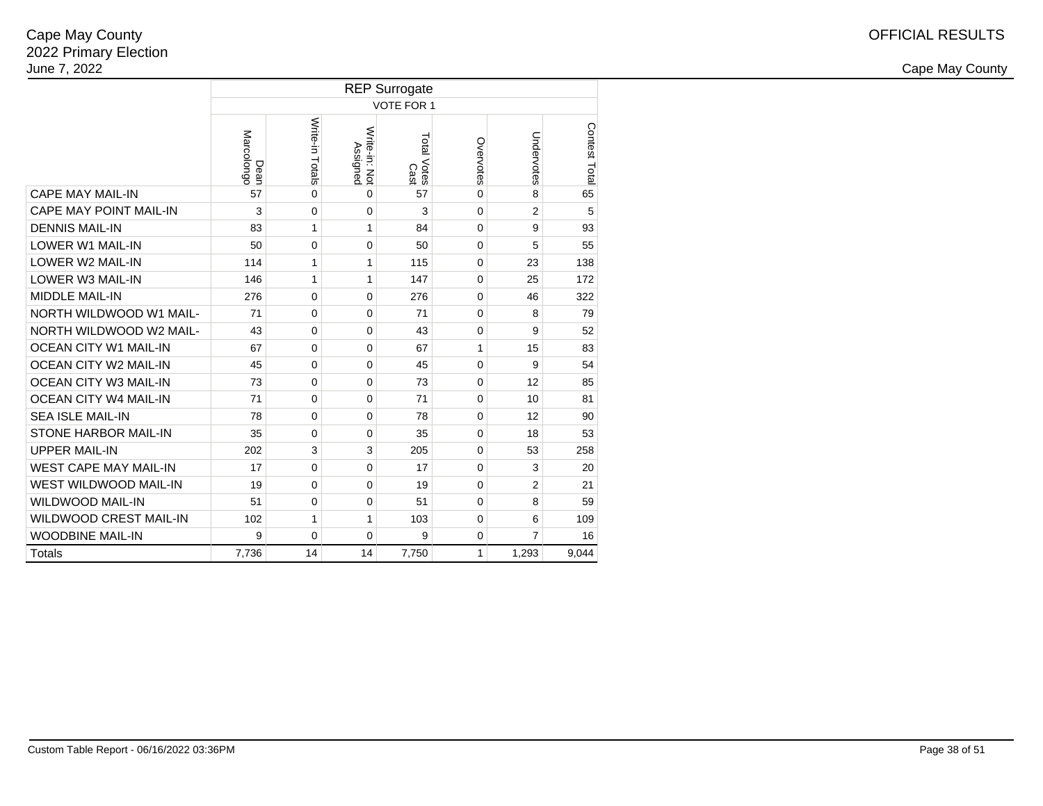|                               | <b>REP Surrogate</b> |                   |                                  |                     |              |                |               |  |  |  |  |  |  |
|-------------------------------|----------------------|-------------------|----------------------------------|---------------------|--------------|----------------|---------------|--|--|--|--|--|--|
|                               |                      | <b>VOTE FOR 1</b> |                                  |                     |              |                |               |  |  |  |  |  |  |
|                               | Marcolongo<br>Dean   | Write-in Totals   | Write-in: Not<br><b>Assigned</b> | Total Votes<br>Cast | Overvotes    | Undervotes     | Contest Total |  |  |  |  |  |  |
| <b>CAPE MAY MAIL-IN</b>       | 57                   | $\Omega$          | $\Omega$                         | 57                  | $\mathbf{0}$ | 8              | 65            |  |  |  |  |  |  |
| CAPE MAY POINT MAIL-IN        | 3                    | 0                 | $\mathbf 0$                      | 3                   | 0            | $\overline{2}$ | 5             |  |  |  |  |  |  |
| <b>DENNIS MAIL-IN</b>         | 83                   | $\mathbf{1}$      | $\mathbf{1}$                     | 84                  | $\mathbf{0}$ | 9              | 93            |  |  |  |  |  |  |
| <b>LOWER W1 MAIL-IN</b>       | 50                   | $\overline{0}$    | $\mathbf 0$                      | 50                  | $\Omega$     | 5              | 55            |  |  |  |  |  |  |
| <b>LOWER W2 MAIL-IN</b>       | 114                  | $\mathbf{1}$      | 1                                | 115                 | $\mathbf{0}$ | 23             | 138           |  |  |  |  |  |  |
| <b>LOWER W3 MAIL-IN</b>       | 146                  | $\mathbf{1}$      | $\mathbf{1}$                     | 147                 | $\Omega$     | 25             | 172           |  |  |  |  |  |  |
| <b>MIDDLE MAIL-IN</b>         | 276                  | $\Omega$          | $\Omega$                         | 276                 | $\Omega$     | 46             | 322           |  |  |  |  |  |  |
| NORTH WILDWOOD W1 MAIL-       | 71                   | $\overline{0}$    | $\mathbf 0$                      | 71                  | $\Omega$     | 8              | 79            |  |  |  |  |  |  |
| NORTH WILDWOOD W2 MAIL-       | 43                   | $\Omega$          | $\mathbf 0$                      | 43                  | $\Omega$     | 9              | 52            |  |  |  |  |  |  |
| <b>OCEAN CITY W1 MAIL-IN</b>  | 67                   | $\Omega$          | $\mathbf 0$                      | 67                  | 1            | 15             | 83            |  |  |  |  |  |  |
| <b>OCEAN CITY W2 MAIL-IN</b>  | 45                   | $\Omega$          | $\mathbf 0$                      | 45                  | 0            | 9              | 54            |  |  |  |  |  |  |
| <b>OCEAN CITY W3 MAIL-IN</b>  | 73                   | $\Omega$          | $\mathbf 0$                      | 73                  | $\Omega$     | 12             | 85            |  |  |  |  |  |  |
| <b>OCEAN CITY W4 MAIL-IN</b>  | 71                   | $\Omega$          | $\mathbf 0$                      | 71                  | 0            | 10             | 81            |  |  |  |  |  |  |
| <b>SEA ISLE MAIL-IN</b>       | 78                   | $\Omega$          | $\mathbf 0$                      | 78                  | 0            | 12             | 90            |  |  |  |  |  |  |
| <b>STONE HARBOR MAIL-IN</b>   | 35                   | $\Omega$          | $\mathbf 0$                      | 35                  | 0            | 18             | 53            |  |  |  |  |  |  |
| <b>UPPER MAIL-IN</b>          | 202                  | 3                 | 3                                | 205                 | 0            | 53             | 258           |  |  |  |  |  |  |
| <b>WEST CAPE MAY MAIL-IN</b>  | 17                   | 0                 | $\mathbf 0$                      | 17                  | 0            | 3              | 20            |  |  |  |  |  |  |
| WEST WILDWOOD MAIL-IN         | 19                   | $\Omega$          | $\mathbf 0$                      | 19                  | 0            | $\overline{2}$ | 21            |  |  |  |  |  |  |
| <b>WILDWOOD MAIL-IN</b>       | 51                   | 0                 | $\mathbf 0$                      | 51                  | 0            | 8              | 59            |  |  |  |  |  |  |
| <b>WILDWOOD CREST MAIL-IN</b> | 102                  | $\mathbf{1}$      | 1                                | 103                 | 0            | 6              | 109           |  |  |  |  |  |  |
| <b>WOODBINE MAIL-IN</b>       | 9                    | $\mathbf 0$       | $\Omega$                         | 9                   | 0            | $\overline{7}$ | 16            |  |  |  |  |  |  |
| Totals                        | 7,736                | 14                | 14                               | 7,750               | 1            | 1,293          | 9,044         |  |  |  |  |  |  |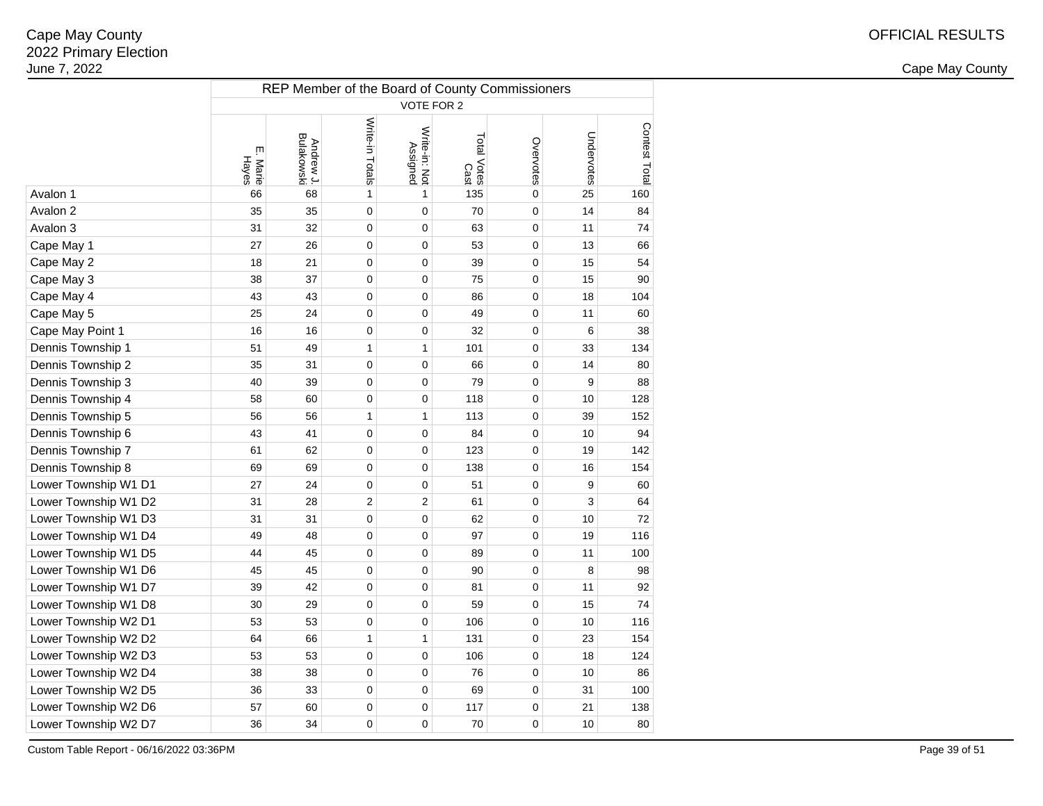2 and the contract of the country of the country of the country of the country of the country of the country of the country of the country of the country of the country of the country of the country of the country of the c

| VOTE FOR 2<br>Write-in Totals<br>Contest Total<br>Write-in: Not<br>Undervotes<br>Andrew J.<br>Bulakowski<br>Total Votes<br>Overvotes<br>Assigned<br>ŗm<br>Hayes<br>Marie<br>Cast<br>68<br>$\mathbf 0$<br>25<br>Avalon 1<br>66<br>1<br>1<br>135<br>160<br>Avalon 2<br>35<br>$\mathbf 0$<br>14<br>35<br>0<br>0<br>70<br>84<br>Avalon 3<br>32<br>0<br>$\mathbf 0$<br>31<br>0<br>63<br>11<br>74<br>Cape May 1<br>26<br>0<br>53<br>$\mathbf 0$<br>27<br>0<br>13<br>66<br>Cape May 2<br>21<br>0<br>0<br>39<br>$\mathbf 0$<br>15<br>54<br>18<br>37<br>Cape May 3<br>38<br>0<br>0<br>75<br>$\mathbf 0$<br>15<br>90<br>Cape May 4<br>43<br>43<br>0<br>0<br>86<br>$\mathbf 0$<br>18<br>104<br>Cape May 5<br>25<br>24<br>49<br>0<br>0<br>$\mathbf 0$<br>11<br>60<br>Cape May Point 1<br>16<br>16<br>0<br>0<br>32<br>$\mathbf 0$<br>6<br>38<br>Dennis Township 1<br>49<br>51<br>1<br>1<br>101<br>$\mathbf 0$<br>33<br>134<br>Dennis Township 2<br>31<br>0<br>0<br>$\mathbf 0$<br>35<br>66<br>14<br>80<br>Dennis Township 3<br>39<br>0<br>0<br>79<br>$\mathbf 0$<br>40<br>9<br>88<br>Dennis Township 4<br>58<br>60<br>0<br>0<br>118<br>$\mathbf 0$<br>10<br>128<br>Dennis Township 5<br>$\mathbf{1}$<br>$\mathbf{1}$<br>$\mathbf 0$<br>56<br>56<br>113<br>39<br>152<br>Dennis Township 6<br>43<br>41<br>0<br>0<br>84<br>$\mathbf 0$<br>10<br>94<br>Dennis Township 7<br>62<br>0<br>0<br>123<br>$\mathbf 0$<br>19<br>142<br>61<br>Dennis Township 8<br>69<br>69<br>0<br>0<br>$\mathbf 0$<br>16<br>154<br>138<br>Lower Township W1 D1<br>51<br>27<br>24<br>0<br>0<br>$\mathbf 0$<br>9<br>60<br>$\overline{c}$<br>$\overline{c}$<br>Lower Township W1 D2<br>28<br>$\mathbf 0$<br>3<br>31<br>61<br>64<br>Lower Township W1 D3<br>31<br>31<br>$\mathbf 0$<br>0<br>62<br>$\mathbf 0$<br>10<br>72<br>Lower Township W1 D4<br>48<br>49<br>0<br>0<br>97<br>$\mathbf 0$<br>19<br>116<br>Lower Township W1 D5<br>45<br>0<br>$\mathbf 0$<br>44<br>0<br>89<br>11<br>100<br>Lower Township W1 D6<br>45<br>45<br>0<br>$\mathbf 0$<br>0<br>90<br>8<br>98<br>Lower Township W1 D7<br>42<br>0<br>0<br>$\mathbf 0$<br>11<br>39<br>81<br>92<br>Lower Township W1 D8<br>29<br>0<br>0<br>59<br>$\mathbf 0$<br>74<br>30<br>15<br>Lower Township W2 D1<br>53<br>0<br>$\mathbf 0$<br>53<br>0<br>106<br>10<br>116<br>Lower Township W2 D2<br>$\mathbf{1}$<br>$\mathbf{1}$<br>$\mathbf 0$<br>64<br>66<br>131<br>23<br>154<br>Lower Township W2 D3<br>53<br>0<br>$\mathbf 0$<br>53<br>0<br>106<br>18<br>124<br>Lower Township W2 D4<br>38<br>38<br>0<br>0<br>76<br>$\mathbf 0$<br>10<br>86<br>Lower Township W2 D5<br>36<br>33<br>0<br>0<br>69<br>$\mathbf 0$<br>31<br>100<br>Lower Township W2 D6<br>57<br>60<br>0<br>0<br>117<br>$\mathbf 0$<br>21<br>138<br>Lower Township W2 D7<br>80<br>36<br>34<br>0<br>0<br>70<br>0<br>10 | REP Member of the Board of County Commissioners |  |  |  |  |  |  |  |  |  |  |  |  |
|-----------------------------------------------------------------------------------------------------------------------------------------------------------------------------------------------------------------------------------------------------------------------------------------------------------------------------------------------------------------------------------------------------------------------------------------------------------------------------------------------------------------------------------------------------------------------------------------------------------------------------------------------------------------------------------------------------------------------------------------------------------------------------------------------------------------------------------------------------------------------------------------------------------------------------------------------------------------------------------------------------------------------------------------------------------------------------------------------------------------------------------------------------------------------------------------------------------------------------------------------------------------------------------------------------------------------------------------------------------------------------------------------------------------------------------------------------------------------------------------------------------------------------------------------------------------------------------------------------------------------------------------------------------------------------------------------------------------------------------------------------------------------------------------------------------------------------------------------------------------------------------------------------------------------------------------------------------------------------------------------------------------------------------------------------------------------------------------------------------------------------------------------------------------------------------------------------------------------------------------------------------------------------------------------------------------------------------------------------------------------------------------------------------------------------------------------------------------------------------------------------------------------------------------------------------------------------------------------------------------------------------------------------------------------------------------------------------------------------------------------------------------------------------------|-------------------------------------------------|--|--|--|--|--|--|--|--|--|--|--|--|
|                                                                                                                                                                                                                                                                                                                                                                                                                                                                                                                                                                                                                                                                                                                                                                                                                                                                                                                                                                                                                                                                                                                                                                                                                                                                                                                                                                                                                                                                                                                                                                                                                                                                                                                                                                                                                                                                                                                                                                                                                                                                                                                                                                                                                                                                                                                                                                                                                                                                                                                                                                                                                                                                                                                                                                                         |                                                 |  |  |  |  |  |  |  |  |  |  |  |  |
|                                                                                                                                                                                                                                                                                                                                                                                                                                                                                                                                                                                                                                                                                                                                                                                                                                                                                                                                                                                                                                                                                                                                                                                                                                                                                                                                                                                                                                                                                                                                                                                                                                                                                                                                                                                                                                                                                                                                                                                                                                                                                                                                                                                                                                                                                                                                                                                                                                                                                                                                                                                                                                                                                                                                                                                         |                                                 |  |  |  |  |  |  |  |  |  |  |  |  |
|                                                                                                                                                                                                                                                                                                                                                                                                                                                                                                                                                                                                                                                                                                                                                                                                                                                                                                                                                                                                                                                                                                                                                                                                                                                                                                                                                                                                                                                                                                                                                                                                                                                                                                                                                                                                                                                                                                                                                                                                                                                                                                                                                                                                                                                                                                                                                                                                                                                                                                                                                                                                                                                                                                                                                                                         |                                                 |  |  |  |  |  |  |  |  |  |  |  |  |
|                                                                                                                                                                                                                                                                                                                                                                                                                                                                                                                                                                                                                                                                                                                                                                                                                                                                                                                                                                                                                                                                                                                                                                                                                                                                                                                                                                                                                                                                                                                                                                                                                                                                                                                                                                                                                                                                                                                                                                                                                                                                                                                                                                                                                                                                                                                                                                                                                                                                                                                                                                                                                                                                                                                                                                                         |                                                 |  |  |  |  |  |  |  |  |  |  |  |  |
|                                                                                                                                                                                                                                                                                                                                                                                                                                                                                                                                                                                                                                                                                                                                                                                                                                                                                                                                                                                                                                                                                                                                                                                                                                                                                                                                                                                                                                                                                                                                                                                                                                                                                                                                                                                                                                                                                                                                                                                                                                                                                                                                                                                                                                                                                                                                                                                                                                                                                                                                                                                                                                                                                                                                                                                         |                                                 |  |  |  |  |  |  |  |  |  |  |  |  |
|                                                                                                                                                                                                                                                                                                                                                                                                                                                                                                                                                                                                                                                                                                                                                                                                                                                                                                                                                                                                                                                                                                                                                                                                                                                                                                                                                                                                                                                                                                                                                                                                                                                                                                                                                                                                                                                                                                                                                                                                                                                                                                                                                                                                                                                                                                                                                                                                                                                                                                                                                                                                                                                                                                                                                                                         |                                                 |  |  |  |  |  |  |  |  |  |  |  |  |
|                                                                                                                                                                                                                                                                                                                                                                                                                                                                                                                                                                                                                                                                                                                                                                                                                                                                                                                                                                                                                                                                                                                                                                                                                                                                                                                                                                                                                                                                                                                                                                                                                                                                                                                                                                                                                                                                                                                                                                                                                                                                                                                                                                                                                                                                                                                                                                                                                                                                                                                                                                                                                                                                                                                                                                                         |                                                 |  |  |  |  |  |  |  |  |  |  |  |  |
|                                                                                                                                                                                                                                                                                                                                                                                                                                                                                                                                                                                                                                                                                                                                                                                                                                                                                                                                                                                                                                                                                                                                                                                                                                                                                                                                                                                                                                                                                                                                                                                                                                                                                                                                                                                                                                                                                                                                                                                                                                                                                                                                                                                                                                                                                                                                                                                                                                                                                                                                                                                                                                                                                                                                                                                         |                                                 |  |  |  |  |  |  |  |  |  |  |  |  |
|                                                                                                                                                                                                                                                                                                                                                                                                                                                                                                                                                                                                                                                                                                                                                                                                                                                                                                                                                                                                                                                                                                                                                                                                                                                                                                                                                                                                                                                                                                                                                                                                                                                                                                                                                                                                                                                                                                                                                                                                                                                                                                                                                                                                                                                                                                                                                                                                                                                                                                                                                                                                                                                                                                                                                                                         |                                                 |  |  |  |  |  |  |  |  |  |  |  |  |
|                                                                                                                                                                                                                                                                                                                                                                                                                                                                                                                                                                                                                                                                                                                                                                                                                                                                                                                                                                                                                                                                                                                                                                                                                                                                                                                                                                                                                                                                                                                                                                                                                                                                                                                                                                                                                                                                                                                                                                                                                                                                                                                                                                                                                                                                                                                                                                                                                                                                                                                                                                                                                                                                                                                                                                                         |                                                 |  |  |  |  |  |  |  |  |  |  |  |  |
|                                                                                                                                                                                                                                                                                                                                                                                                                                                                                                                                                                                                                                                                                                                                                                                                                                                                                                                                                                                                                                                                                                                                                                                                                                                                                                                                                                                                                                                                                                                                                                                                                                                                                                                                                                                                                                                                                                                                                                                                                                                                                                                                                                                                                                                                                                                                                                                                                                                                                                                                                                                                                                                                                                                                                                                         |                                                 |  |  |  |  |  |  |  |  |  |  |  |  |
|                                                                                                                                                                                                                                                                                                                                                                                                                                                                                                                                                                                                                                                                                                                                                                                                                                                                                                                                                                                                                                                                                                                                                                                                                                                                                                                                                                                                                                                                                                                                                                                                                                                                                                                                                                                                                                                                                                                                                                                                                                                                                                                                                                                                                                                                                                                                                                                                                                                                                                                                                                                                                                                                                                                                                                                         |                                                 |  |  |  |  |  |  |  |  |  |  |  |  |
|                                                                                                                                                                                                                                                                                                                                                                                                                                                                                                                                                                                                                                                                                                                                                                                                                                                                                                                                                                                                                                                                                                                                                                                                                                                                                                                                                                                                                                                                                                                                                                                                                                                                                                                                                                                                                                                                                                                                                                                                                                                                                                                                                                                                                                                                                                                                                                                                                                                                                                                                                                                                                                                                                                                                                                                         |                                                 |  |  |  |  |  |  |  |  |  |  |  |  |
|                                                                                                                                                                                                                                                                                                                                                                                                                                                                                                                                                                                                                                                                                                                                                                                                                                                                                                                                                                                                                                                                                                                                                                                                                                                                                                                                                                                                                                                                                                                                                                                                                                                                                                                                                                                                                                                                                                                                                                                                                                                                                                                                                                                                                                                                                                                                                                                                                                                                                                                                                                                                                                                                                                                                                                                         |                                                 |  |  |  |  |  |  |  |  |  |  |  |  |
|                                                                                                                                                                                                                                                                                                                                                                                                                                                                                                                                                                                                                                                                                                                                                                                                                                                                                                                                                                                                                                                                                                                                                                                                                                                                                                                                                                                                                                                                                                                                                                                                                                                                                                                                                                                                                                                                                                                                                                                                                                                                                                                                                                                                                                                                                                                                                                                                                                                                                                                                                                                                                                                                                                                                                                                         |                                                 |  |  |  |  |  |  |  |  |  |  |  |  |
|                                                                                                                                                                                                                                                                                                                                                                                                                                                                                                                                                                                                                                                                                                                                                                                                                                                                                                                                                                                                                                                                                                                                                                                                                                                                                                                                                                                                                                                                                                                                                                                                                                                                                                                                                                                                                                                                                                                                                                                                                                                                                                                                                                                                                                                                                                                                                                                                                                                                                                                                                                                                                                                                                                                                                                                         |                                                 |  |  |  |  |  |  |  |  |  |  |  |  |
|                                                                                                                                                                                                                                                                                                                                                                                                                                                                                                                                                                                                                                                                                                                                                                                                                                                                                                                                                                                                                                                                                                                                                                                                                                                                                                                                                                                                                                                                                                                                                                                                                                                                                                                                                                                                                                                                                                                                                                                                                                                                                                                                                                                                                                                                                                                                                                                                                                                                                                                                                                                                                                                                                                                                                                                         |                                                 |  |  |  |  |  |  |  |  |  |  |  |  |
|                                                                                                                                                                                                                                                                                                                                                                                                                                                                                                                                                                                                                                                                                                                                                                                                                                                                                                                                                                                                                                                                                                                                                                                                                                                                                                                                                                                                                                                                                                                                                                                                                                                                                                                                                                                                                                                                                                                                                                                                                                                                                                                                                                                                                                                                                                                                                                                                                                                                                                                                                                                                                                                                                                                                                                                         |                                                 |  |  |  |  |  |  |  |  |  |  |  |  |
|                                                                                                                                                                                                                                                                                                                                                                                                                                                                                                                                                                                                                                                                                                                                                                                                                                                                                                                                                                                                                                                                                                                                                                                                                                                                                                                                                                                                                                                                                                                                                                                                                                                                                                                                                                                                                                                                                                                                                                                                                                                                                                                                                                                                                                                                                                                                                                                                                                                                                                                                                                                                                                                                                                                                                                                         |                                                 |  |  |  |  |  |  |  |  |  |  |  |  |
|                                                                                                                                                                                                                                                                                                                                                                                                                                                                                                                                                                                                                                                                                                                                                                                                                                                                                                                                                                                                                                                                                                                                                                                                                                                                                                                                                                                                                                                                                                                                                                                                                                                                                                                                                                                                                                                                                                                                                                                                                                                                                                                                                                                                                                                                                                                                                                                                                                                                                                                                                                                                                                                                                                                                                                                         |                                                 |  |  |  |  |  |  |  |  |  |  |  |  |
|                                                                                                                                                                                                                                                                                                                                                                                                                                                                                                                                                                                                                                                                                                                                                                                                                                                                                                                                                                                                                                                                                                                                                                                                                                                                                                                                                                                                                                                                                                                                                                                                                                                                                                                                                                                                                                                                                                                                                                                                                                                                                                                                                                                                                                                                                                                                                                                                                                                                                                                                                                                                                                                                                                                                                                                         |                                                 |  |  |  |  |  |  |  |  |  |  |  |  |
|                                                                                                                                                                                                                                                                                                                                                                                                                                                                                                                                                                                                                                                                                                                                                                                                                                                                                                                                                                                                                                                                                                                                                                                                                                                                                                                                                                                                                                                                                                                                                                                                                                                                                                                                                                                                                                                                                                                                                                                                                                                                                                                                                                                                                                                                                                                                                                                                                                                                                                                                                                                                                                                                                                                                                                                         |                                                 |  |  |  |  |  |  |  |  |  |  |  |  |
|                                                                                                                                                                                                                                                                                                                                                                                                                                                                                                                                                                                                                                                                                                                                                                                                                                                                                                                                                                                                                                                                                                                                                                                                                                                                                                                                                                                                                                                                                                                                                                                                                                                                                                                                                                                                                                                                                                                                                                                                                                                                                                                                                                                                                                                                                                                                                                                                                                                                                                                                                                                                                                                                                                                                                                                         |                                                 |  |  |  |  |  |  |  |  |  |  |  |  |
|                                                                                                                                                                                                                                                                                                                                                                                                                                                                                                                                                                                                                                                                                                                                                                                                                                                                                                                                                                                                                                                                                                                                                                                                                                                                                                                                                                                                                                                                                                                                                                                                                                                                                                                                                                                                                                                                                                                                                                                                                                                                                                                                                                                                                                                                                                                                                                                                                                                                                                                                                                                                                                                                                                                                                                                         |                                                 |  |  |  |  |  |  |  |  |  |  |  |  |
|                                                                                                                                                                                                                                                                                                                                                                                                                                                                                                                                                                                                                                                                                                                                                                                                                                                                                                                                                                                                                                                                                                                                                                                                                                                                                                                                                                                                                                                                                                                                                                                                                                                                                                                                                                                                                                                                                                                                                                                                                                                                                                                                                                                                                                                                                                                                                                                                                                                                                                                                                                                                                                                                                                                                                                                         |                                                 |  |  |  |  |  |  |  |  |  |  |  |  |
|                                                                                                                                                                                                                                                                                                                                                                                                                                                                                                                                                                                                                                                                                                                                                                                                                                                                                                                                                                                                                                                                                                                                                                                                                                                                                                                                                                                                                                                                                                                                                                                                                                                                                                                                                                                                                                                                                                                                                                                                                                                                                                                                                                                                                                                                                                                                                                                                                                                                                                                                                                                                                                                                                                                                                                                         |                                                 |  |  |  |  |  |  |  |  |  |  |  |  |
|                                                                                                                                                                                                                                                                                                                                                                                                                                                                                                                                                                                                                                                                                                                                                                                                                                                                                                                                                                                                                                                                                                                                                                                                                                                                                                                                                                                                                                                                                                                                                                                                                                                                                                                                                                                                                                                                                                                                                                                                                                                                                                                                                                                                                                                                                                                                                                                                                                                                                                                                                                                                                                                                                                                                                                                         |                                                 |  |  |  |  |  |  |  |  |  |  |  |  |
|                                                                                                                                                                                                                                                                                                                                                                                                                                                                                                                                                                                                                                                                                                                                                                                                                                                                                                                                                                                                                                                                                                                                                                                                                                                                                                                                                                                                                                                                                                                                                                                                                                                                                                                                                                                                                                                                                                                                                                                                                                                                                                                                                                                                                                                                                                                                                                                                                                                                                                                                                                                                                                                                                                                                                                                         |                                                 |  |  |  |  |  |  |  |  |  |  |  |  |
|                                                                                                                                                                                                                                                                                                                                                                                                                                                                                                                                                                                                                                                                                                                                                                                                                                                                                                                                                                                                                                                                                                                                                                                                                                                                                                                                                                                                                                                                                                                                                                                                                                                                                                                                                                                                                                                                                                                                                                                                                                                                                                                                                                                                                                                                                                                                                                                                                                                                                                                                                                                                                                                                                                                                                                                         |                                                 |  |  |  |  |  |  |  |  |  |  |  |  |
|                                                                                                                                                                                                                                                                                                                                                                                                                                                                                                                                                                                                                                                                                                                                                                                                                                                                                                                                                                                                                                                                                                                                                                                                                                                                                                                                                                                                                                                                                                                                                                                                                                                                                                                                                                                                                                                                                                                                                                                                                                                                                                                                                                                                                                                                                                                                                                                                                                                                                                                                                                                                                                                                                                                                                                                         |                                                 |  |  |  |  |  |  |  |  |  |  |  |  |
|                                                                                                                                                                                                                                                                                                                                                                                                                                                                                                                                                                                                                                                                                                                                                                                                                                                                                                                                                                                                                                                                                                                                                                                                                                                                                                                                                                                                                                                                                                                                                                                                                                                                                                                                                                                                                                                                                                                                                                                                                                                                                                                                                                                                                                                                                                                                                                                                                                                                                                                                                                                                                                                                                                                                                                                         |                                                 |  |  |  |  |  |  |  |  |  |  |  |  |
|                                                                                                                                                                                                                                                                                                                                                                                                                                                                                                                                                                                                                                                                                                                                                                                                                                                                                                                                                                                                                                                                                                                                                                                                                                                                                                                                                                                                                                                                                                                                                                                                                                                                                                                                                                                                                                                                                                                                                                                                                                                                                                                                                                                                                                                                                                                                                                                                                                                                                                                                                                                                                                                                                                                                                                                         |                                                 |  |  |  |  |  |  |  |  |  |  |  |  |
|                                                                                                                                                                                                                                                                                                                                                                                                                                                                                                                                                                                                                                                                                                                                                                                                                                                                                                                                                                                                                                                                                                                                                                                                                                                                                                                                                                                                                                                                                                                                                                                                                                                                                                                                                                                                                                                                                                                                                                                                                                                                                                                                                                                                                                                                                                                                                                                                                                                                                                                                                                                                                                                                                                                                                                                         |                                                 |  |  |  |  |  |  |  |  |  |  |  |  |
|                                                                                                                                                                                                                                                                                                                                                                                                                                                                                                                                                                                                                                                                                                                                                                                                                                                                                                                                                                                                                                                                                                                                                                                                                                                                                                                                                                                                                                                                                                                                                                                                                                                                                                                                                                                                                                                                                                                                                                                                                                                                                                                                                                                                                                                                                                                                                                                                                                                                                                                                                                                                                                                                                                                                                                                         |                                                 |  |  |  |  |  |  |  |  |  |  |  |  |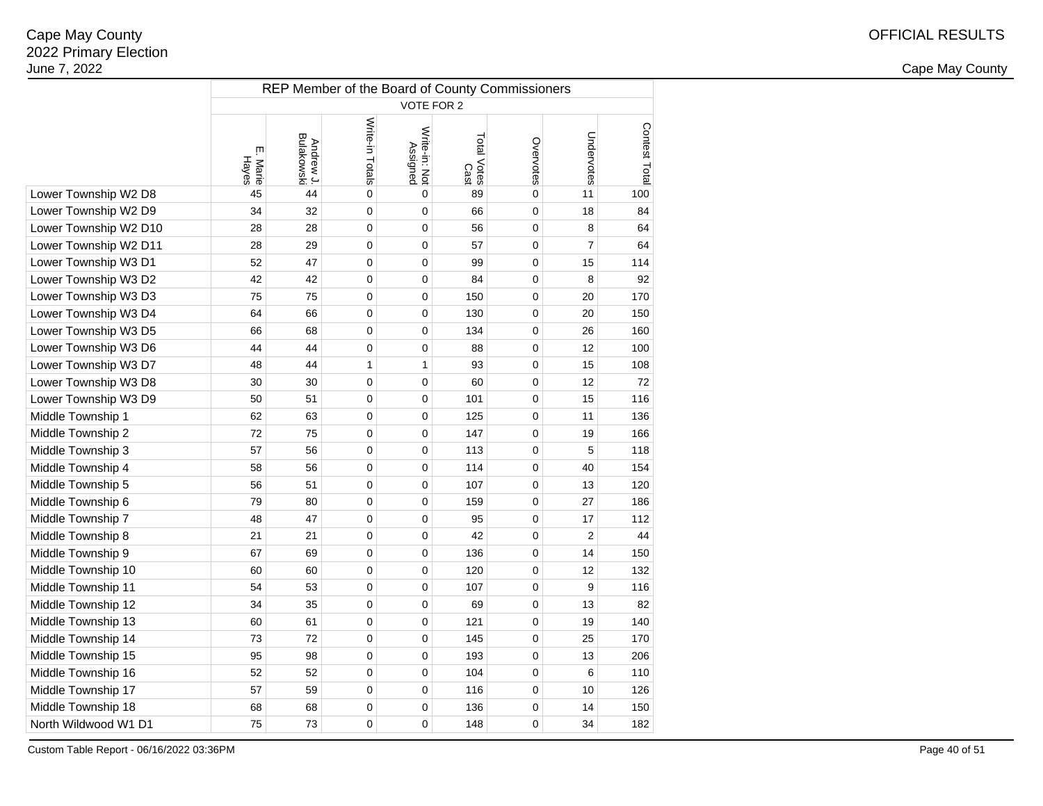2 and the contract of the country of the country of the country of the country of the country of the country of the country of the country of the country of the country of the country of the country of the country of the c

|                       | REP Member of the Board of County Commissioners |                         |                 |                           |                     |                |                |               |  |  |  |  |  |
|-----------------------|-------------------------------------------------|-------------------------|-----------------|---------------------------|---------------------|----------------|----------------|---------------|--|--|--|--|--|
|                       | <b>VOTE FOR 2</b>                               |                         |                 |                           |                     |                |                |               |  |  |  |  |  |
|                       | Щ<br>Hayes<br>Marie                             | Andrew J.<br>Bulakowski | Write-in Totals | Write-in: Not<br>Assigned | Total Votes<br>Cast | Overvotes      | Undervotes     | Contest Total |  |  |  |  |  |
| Lower Township W2 D8  | 45                                              | 44                      | 0               | $\mathbf 0$               | 89                  | 0              | 11             | 100           |  |  |  |  |  |
| Lower Township W2 D9  | 34                                              | 32                      | $\mathbf 0$     | 0                         | 66                  | 0              | 18             | 84            |  |  |  |  |  |
| Lower Township W2 D10 | 28                                              | 28                      | $\mathbf 0$     | 0                         | 56                  | 0              | 8              | 64            |  |  |  |  |  |
| Lower Township W2 D11 | 28                                              | 29                      | $\mathbf 0$     | 0                         | 57                  | 0              | $\overline{7}$ | 64            |  |  |  |  |  |
| Lower Township W3 D1  | 52                                              | 47                      | $\mathbf 0$     | 0                         | 99                  | 0              | 15             | 114           |  |  |  |  |  |
| Lower Township W3 D2  | 42                                              | 42                      | $\mathbf 0$     | 0                         | 84                  | 0              | 8              | 92            |  |  |  |  |  |
| Lower Township W3 D3  | 75                                              | 75                      | 0               | 0                         | 150                 | 0              | 20             | 170           |  |  |  |  |  |
| Lower Township W3 D4  | 64                                              | 66                      | 0               | 0                         | 130                 | 0              | 20             | 150           |  |  |  |  |  |
| Lower Township W3 D5  | 66                                              | 68                      | $\mathbf 0$     | 0                         | 134                 | 0              | 26             | 160           |  |  |  |  |  |
| Lower Township W3 D6  | 44                                              | 44                      | $\mathbf 0$     | 0                         | 88                  | 0              | 12             | 100           |  |  |  |  |  |
| Lower Township W3 D7  | 48                                              | 44                      | 1               | 1                         | 93                  | 0              | 15             | 108           |  |  |  |  |  |
| Lower Township W3 D8  | 30                                              | 30                      | $\mathbf 0$     | 0                         | 60                  | 0              | 12             | 72            |  |  |  |  |  |
| Lower Township W3 D9  | 50                                              | 51                      | $\mathbf 0$     | 0                         | 101                 | 0              | 15             | 116           |  |  |  |  |  |
| Middle Township 1     | 62                                              | 63                      | $\mathbf 0$     | 0                         | 125                 | 0              | 11             | 136           |  |  |  |  |  |
| Middle Township 2     | 72                                              | 75                      | $\mathbf 0$     | 0                         | 147                 | 0              | 19             | 166           |  |  |  |  |  |
| Middle Township 3     | 57                                              | 56                      | $\mathbf 0$     | 0                         | 113                 | 0              | 5              | 118           |  |  |  |  |  |
| Middle Township 4     | 58                                              | 56                      | 0               | 0                         | 114                 | 0              | 40             | 154           |  |  |  |  |  |
| Middle Township 5     | 56                                              | 51                      | $\mathbf 0$     | 0                         | 107                 | 0              | 13             | 120           |  |  |  |  |  |
| Middle Township 6     | 79                                              | 80                      | $\mathbf 0$     | 0                         | 159                 | 0              | 27             | 186           |  |  |  |  |  |
| Middle Township 7     | 48                                              | 47                      | 0               | 0                         | 95                  | 0              | 17             | 112           |  |  |  |  |  |
| Middle Township 8     | 21                                              | 21                      | 0               | 0                         | 42                  | 0              | $\overline{2}$ | 44            |  |  |  |  |  |
| Middle Township 9     | 67                                              | 69                      | 0               | 0                         | 136                 | 0              | 14             | 150           |  |  |  |  |  |
| Middle Township 10    | 60                                              | 60                      | 0               | 0                         | 120                 | 0              | 12             | 132           |  |  |  |  |  |
| Middle Township 11    | 54                                              | 53                      | 0               | $\Omega$                  | 107                 | $\overline{0}$ | 9              | 116           |  |  |  |  |  |
| Middle Township 12    | 34                                              | 35                      | 0               | 0                         | 69                  | 0              | 13             | 82            |  |  |  |  |  |
| Middle Township 13    | 60                                              | 61                      | $\mathbf 0$     | 0                         | 121                 | 0              | 19             | 140           |  |  |  |  |  |
| Middle Township 14    | 73                                              | 72                      | $\mathbf 0$     | 0                         | 145                 | 0              | 25             | 170           |  |  |  |  |  |
| Middle Township 15    | 95                                              | 98                      | $\mathbf 0$     | 0                         | 193                 | 0              | 13             | 206           |  |  |  |  |  |
| Middle Township 16    | 52                                              | 52                      | $\mathbf 0$     | 0                         | 104                 | 0              | 6              | 110           |  |  |  |  |  |
| Middle Township 17    | 57                                              | 59                      | $\mathbf 0$     | 0                         | 116                 | 0              | 10             | 126           |  |  |  |  |  |
| Middle Township 18    | 68                                              | 68                      | $\mathbf 0$     | 0                         | 136                 | 0              | 14             | 150           |  |  |  |  |  |
| North Wildwood W1 D1  | 75                                              | 73                      | 0               | 0                         | 148                 | 0              | 34             | 182           |  |  |  |  |  |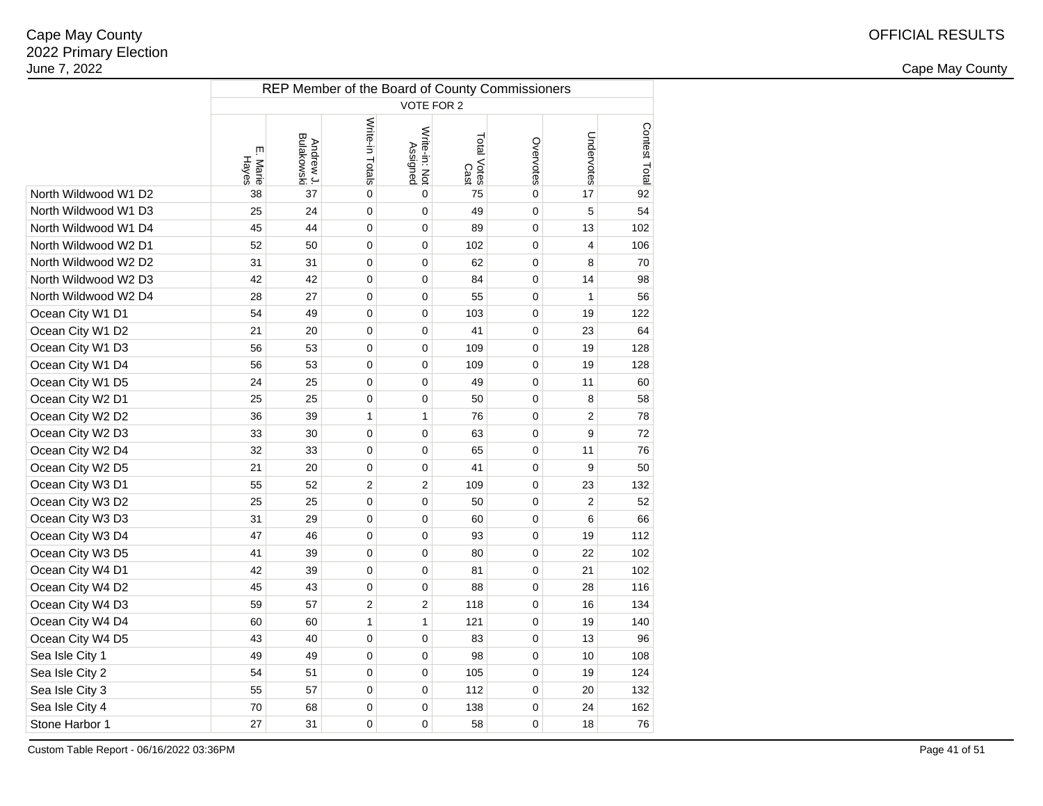2 and the contract of the country of the country of the country of the country of the country of the country of the country of the country of the country of the country of the country of the country of the country of the c

|                      | REP Member of the Board of County Commissioners |                         |                 |                           |                            |           |                |               |  |  |  |  |  |
|----------------------|-------------------------------------------------|-------------------------|-----------------|---------------------------|----------------------------|-----------|----------------|---------------|--|--|--|--|--|
|                      | VOTE FOR 2                                      |                         |                 |                           |                            |           |                |               |  |  |  |  |  |
|                      | ŗm<br>Hayes<br>Marie                            | Andrew J.<br>Bulakowski | Write-in Totals | Write-in: Not<br>Assigned | Total Votes<br>Total Votes | Overvotes | Undervotes     | Contest Total |  |  |  |  |  |
| North Wildwood W1 D2 | 38                                              | 37                      | 0               | $\mathbf 0$               | 75                         | 0         | 17             | 92            |  |  |  |  |  |
| North Wildwood W1 D3 | 25                                              | 24                      | 0               | 0                         | 49                         | 0         | 5              | 54            |  |  |  |  |  |
| North Wildwood W1 D4 | 45                                              | 44                      | 0               | 0                         | 89                         | 0         | 13             | 102           |  |  |  |  |  |
| North Wildwood W2 D1 | 52                                              | 50                      | 0               | 0                         | 102                        | 0         | 4              | 106           |  |  |  |  |  |
| North Wildwood W2 D2 | 31                                              | 31                      | $\mathbf 0$     | 0                         | 62                         | 0         | 8              | 70            |  |  |  |  |  |
| North Wildwood W2 D3 | 42                                              | 42                      | 0               | 0                         | 84                         | 0         | 14             | 98            |  |  |  |  |  |
| North Wildwood W2 D4 | 28                                              | 27                      | $\mathbf 0$     | 0                         | 55                         | 0         | 1              | 56            |  |  |  |  |  |
| Ocean City W1 D1     | 54                                              | 49                      | $\mathbf 0$     | 0                         | 103                        | 0         | 19             | 122           |  |  |  |  |  |
| Ocean City W1 D2     | 21                                              | 20                      | $\mathbf 0$     | 0                         | 41                         | 0         | 23             | 64            |  |  |  |  |  |
| Ocean City W1 D3     | 56                                              | 53                      | $\mathbf 0$     | 0                         | 109                        | 0         | 19             | 128           |  |  |  |  |  |
| Ocean City W1 D4     | 56                                              | 53                      | $\mathbf 0$     | 0                         | 109                        | 0         | 19             | 128           |  |  |  |  |  |
| Ocean City W1 D5     | 24                                              | 25                      | $\mathbf 0$     | $\mathbf 0$               | 49                         | 0         | 11             | 60            |  |  |  |  |  |
| Ocean City W2 D1     | 25                                              | 25                      | $\mathbf 0$     | $\mathbf 0$               | 50                         | 0         | 8              | 58            |  |  |  |  |  |
| Ocean City W2 D2     | 36                                              | 39                      | 1               | 1                         | 76                         | 0         | $\overline{2}$ | 78            |  |  |  |  |  |
| Ocean City W2 D3     | 33                                              | 30                      | $\mathbf 0$     | $\overline{0}$            | 63                         | 0         | 9              | 72            |  |  |  |  |  |
| Ocean City W2 D4     | 32                                              | 33                      | $\mathbf 0$     | 0                         | 65                         | 0         | 11             | 76            |  |  |  |  |  |
| Ocean City W2 D5     | 21                                              | 20                      | $\mathbf 0$     | 0                         | 41                         | 0         | 9              | 50            |  |  |  |  |  |
| Ocean City W3 D1     | 55                                              | 52                      | $\overline{2}$  | $\overline{2}$            | 109                        | 0         | 23             | 132           |  |  |  |  |  |
| Ocean City W3 D2     | 25                                              | 25                      | 0               | 0                         | 50                         | 0         | 2              | 52            |  |  |  |  |  |
| Ocean City W3 D3     | 31                                              | 29                      | $\mathbf 0$     | 0                         | 60                         | 0         | 6              | 66            |  |  |  |  |  |
| Ocean City W3 D4     | 47                                              | 46                      | $\mathbf 0$     | 0                         | 93                         | 0         | 19             | 112           |  |  |  |  |  |
| Ocean City W3 D5     | 41                                              | 39                      | $\mathbf 0$     | 0                         | 80                         | 0         | 22             | 102           |  |  |  |  |  |
| Ocean City W4 D1     | 42                                              | 39                      | $\mathbf 0$     | 0                         | 81                         | 0         | 21             | 102           |  |  |  |  |  |
| Ocean City W4 D2     | 45                                              | 43                      | $\mathbf 0$     | $\overline{0}$            | 88                         | 0         | 28             | 116           |  |  |  |  |  |
| Ocean City W4 D3     | 59                                              | 57                      | $\overline{2}$  | $\overline{2}$            | 118                        | 0         | 16             | 134           |  |  |  |  |  |
| Ocean City W4 D4     | 60                                              | 60                      | 1               | $\mathbf{1}$              | 121                        | 0         | 19             | 140           |  |  |  |  |  |
| Ocean City W4 D5     | 43                                              | 40                      | $\mathbf 0$     | $\mathbf 0$               | 83                         | 0         | 13             | 96            |  |  |  |  |  |
| Sea Isle City 1      | 49                                              | 49                      | $\mathbf 0$     | $\mathbf 0$               | 98                         | 0         | 10             | 108           |  |  |  |  |  |
| Sea Isle City 2      | 54                                              | 51                      | $\mathbf 0$     | 0                         | 105                        | 0         | 19             | 124           |  |  |  |  |  |
| Sea Isle City 3      | 55                                              | 57                      | 0               | 0                         | 112                        | 0         | 20             | 132           |  |  |  |  |  |
| Sea Isle City 4      | 70                                              | 68                      | 0               | 0                         | 138                        | 0         | 24             | 162           |  |  |  |  |  |
| Stone Harbor 1       | 27                                              | 31                      | 0               | 0                         | 58                         | 0         | 18             | 76            |  |  |  |  |  |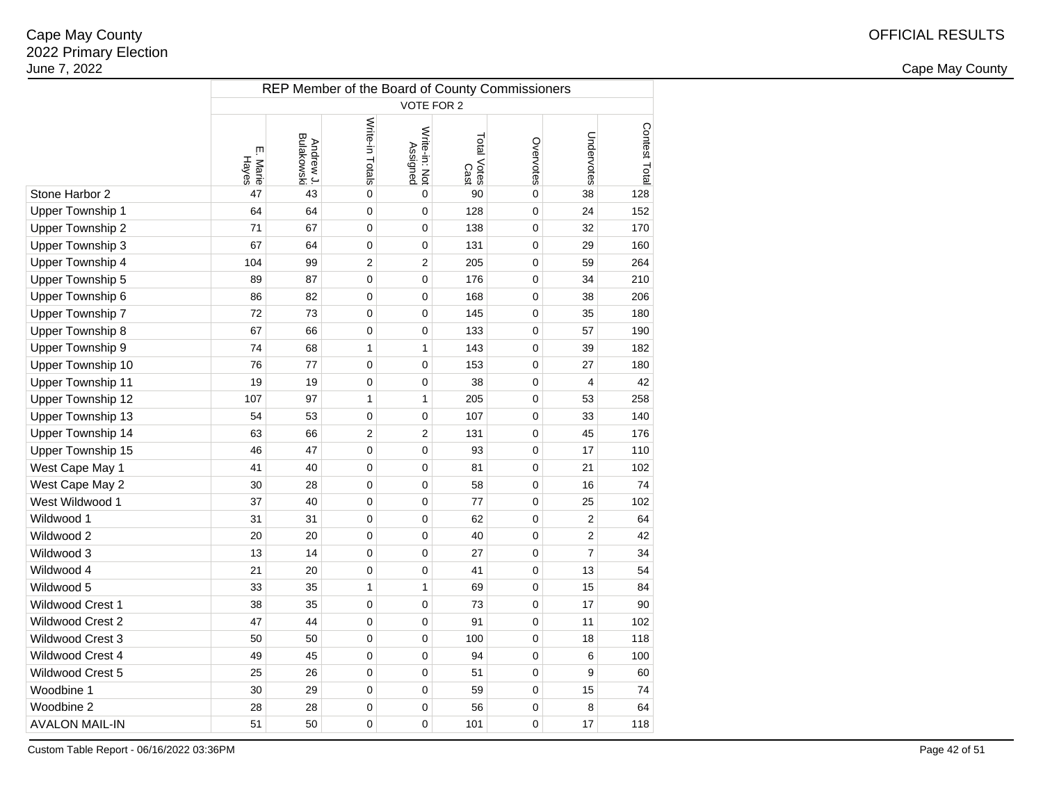2 and the contract of the country of the country of the country of the country of the country of the country of the country of the country of the country of the country of the country of the country of the country of the c

|                          | REP Member of the Board of County Commissioners |                         |                 |                           |                     |             |                |               |  |  |  |  |  |
|--------------------------|-------------------------------------------------|-------------------------|-----------------|---------------------------|---------------------|-------------|----------------|---------------|--|--|--|--|--|
|                          | <b>VOTE FOR 2</b>                               |                         |                 |                           |                     |             |                |               |  |  |  |  |  |
|                          | ŗп<br>Hayes<br>Marie                            | Andrew J.<br>Bulakowski | Write-in Totals | Write-in: Not<br>Assigned | Total Votes<br>Cast | Overvotes   | Undervotes     | Contest Total |  |  |  |  |  |
| Stone Harbor 2           | 47                                              | 43                      | 0               | 0                         | 90                  | $\mathbf 0$ | 38             | 128           |  |  |  |  |  |
| Upper Township 1         | 64                                              | 64                      | $\mathbf 0$     | 0                         | 128                 | 0           | 24             | 152           |  |  |  |  |  |
| Upper Township 2         | 71                                              | 67                      | $\mathbf 0$     | 0                         | 138                 | 0           | 32             | 170           |  |  |  |  |  |
| Upper Township 3         | 67                                              | 64                      | $\mathbf 0$     | 0                         | 131                 | 0           | 29             | 160           |  |  |  |  |  |
| Upper Township 4         | 104                                             | 99                      | 2               | 2                         | 205                 | 0           | 59             | 264           |  |  |  |  |  |
| Upper Township 5         | 89                                              | 87                      | 0               | 0                         | 176                 | 0           | 34             | 210           |  |  |  |  |  |
| Upper Township 6         | 86                                              | 82                      | 0               | 0                         | 168                 | 0           | 38             | 206           |  |  |  |  |  |
| Upper Township 7         | 72                                              | 73                      | 0               | 0                         | 145                 | 0           | 35             | 180           |  |  |  |  |  |
| Upper Township 8         | 67                                              | 66                      | 0               | 0                         | 133                 | 0           | 57             | 190           |  |  |  |  |  |
| Upper Township 9         | 74                                              | 68                      | 1               | 1                         | 143                 | 0           | 39             | 182           |  |  |  |  |  |
| Upper Township 10        | 76                                              | 77                      | $\mathbf 0$     | 0                         | 153                 | 0           | 27             | 180           |  |  |  |  |  |
| <b>Upper Township 11</b> | 19                                              | 19                      | $\pmb{0}$       | 0                         | 38                  | 0           | 4              | 42            |  |  |  |  |  |
| Upper Township 12        | 107                                             | 97                      | 1               | 1                         | 205                 | 0           | 53             | 258           |  |  |  |  |  |
| Upper Township 13        | 54                                              | 53                      | $\mathbf 0$     | 0                         | 107                 | 0           | 33             | 140           |  |  |  |  |  |
| Upper Township 14        | 63                                              | 66                      | $\overline{2}$  | 2                         | 131                 | 0           | 45             | 176           |  |  |  |  |  |
| Upper Township 15        | 46                                              | 47                      | 0               | 0                         | 93                  | 0           | 17             | 110           |  |  |  |  |  |
| West Cape May 1          | 41                                              | 40                      | 0               | 0                         | 81                  | 0           | 21             | 102           |  |  |  |  |  |
| West Cape May 2          | 30                                              | 28                      | 0               | 0                         | 58                  | 0           | 16             | 74            |  |  |  |  |  |
| West Wildwood 1          | 37                                              | 40                      | 0               | 0                         | 77                  | 0           | 25             | 102           |  |  |  |  |  |
| Wildwood 1               | 31                                              | 31                      | 0               | 0                         | 62                  | 0           | $\overline{2}$ | 64            |  |  |  |  |  |
| Wildwood 2               | 20                                              | 20                      | 0               | 0                         | 40                  | 0           | $\overline{2}$ | 42            |  |  |  |  |  |
| Wildwood 3               | 13                                              | 14                      | 0               | 0                         | 27                  | 0           | $\overline{7}$ | 34            |  |  |  |  |  |
| Wildwood 4               | 21                                              | 20                      | 0               | 0                         | 41                  | 0           | 13             | 54            |  |  |  |  |  |
| Wildwood 5               | 33                                              | 35                      | 1               | $\mathbf{1}$              | 69                  | 0           | 15             | 84            |  |  |  |  |  |
| Wildwood Crest 1         | 38                                              | 35                      | $\mathbf 0$     | 0                         | 73                  | 0           | 17             | 90            |  |  |  |  |  |
| Wildwood Crest 2         | 47                                              | 44                      | $\mathbf 0$     | 0                         | 91                  | 0           | 11             | 102           |  |  |  |  |  |
| Wildwood Crest 3         | 50                                              | 50                      | $\mathbf 0$     | 0                         | 100                 | 0           | 18             | 118           |  |  |  |  |  |
| Wildwood Crest 4         | 49                                              | 45                      | $\mathbf 0$     | 0                         | 94                  | 0           | 6              | 100           |  |  |  |  |  |
| Wildwood Crest 5         | 25                                              | 26                      | $\mathbf 0$     | 0                         | 51                  | 0           | 9              | 60            |  |  |  |  |  |
| Woodbine 1               | 30                                              | 29                      | 0               | 0                         | 59                  | 0           | 15             | 74            |  |  |  |  |  |
| Woodbine 2               | 28                                              | 28                      | 0               | 0                         | 56                  | 0           | 8              | 64            |  |  |  |  |  |
| <b>AVALON MAIL-IN</b>    | 51                                              | 50                      | 0               | 0                         | 101                 | 0           | 17             | 118           |  |  |  |  |  |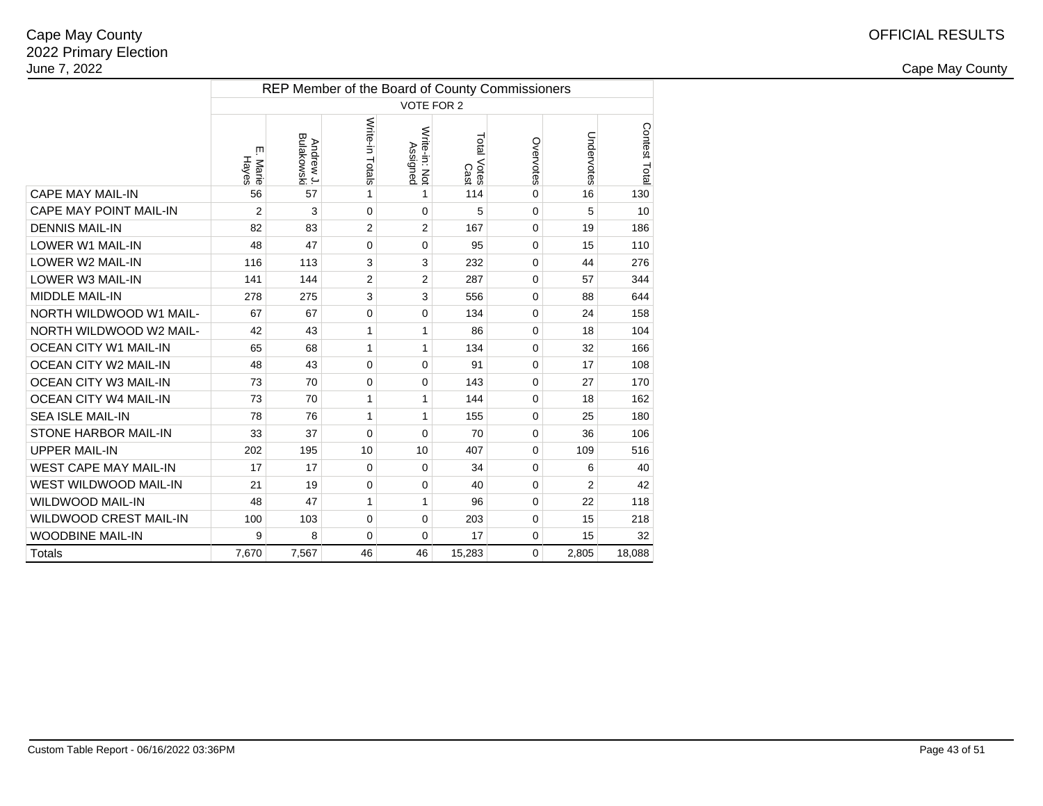|                               | REP Member of the Board of County Commissioners |                         |                 |                           |                     |             |            |               |  |  |  |  |  |
|-------------------------------|-------------------------------------------------|-------------------------|-----------------|---------------------------|---------------------|-------------|------------|---------------|--|--|--|--|--|
|                               |                                                 |                         |                 | <b>VOTE FOR 2</b>         |                     |             |            |               |  |  |  |  |  |
|                               | Ш<br>Hayes<br>Marie                             | Andrew J.<br>Bulakowski | Write-in Totals | Write-in: Not<br>Assigned | Total Votes<br>Cast | Overvotes   | Undervotes | Contest Total |  |  |  |  |  |
| <b>CAPE MAY MAIL-IN</b>       | 56                                              | 57                      | 1               | 1                         | 114                 | $\Omega$    | 16         | 130           |  |  |  |  |  |
| <b>CAPE MAY POINT MAIL-IN</b> | $\overline{2}$                                  | 3                       | 0               | $\Omega$                  | 5                   | 0           | 5          | 10            |  |  |  |  |  |
| <b>DENNIS MAIL-IN</b>         | 82                                              | 83                      | $\overline{2}$  | $\overline{2}$            | 167                 | 0           | 19         | 186           |  |  |  |  |  |
| <b>LOWER W1 MAIL-IN</b>       | 48                                              | 47                      | $\Omega$        | $\mathbf 0$               | 95                  | 0           | 15         | 110           |  |  |  |  |  |
| LOWER W2 MAIL-IN              | 116                                             | 113                     | 3               | 3                         | 232                 | 0           | 44         | 276           |  |  |  |  |  |
| LOWER W3 MAIL-IN              | 141                                             | 144                     | $\overline{2}$  | $\overline{2}$            | 287                 | 0           | 57         | 344           |  |  |  |  |  |
| <b>MIDDLE MAIL-IN</b>         | 278                                             | 275                     | 3               | $\mathsf 3$               | 556                 | 0           | 88         | 644           |  |  |  |  |  |
| NORTH WILDWOOD W1 MAIL-       | 67                                              | 67                      | 0               | $\mathbf 0$               | 134                 | 0           | 24         | 158           |  |  |  |  |  |
| NORTH WILDWOOD W2 MAIL-       | 42                                              | 43                      | 1               | 1                         | 86                  | $\mathbf 0$ | 18         | 104           |  |  |  |  |  |
| <b>OCEAN CITY W1 MAIL-IN</b>  | 65                                              | 68                      | 1               | 1                         | 134                 | 0           | 32         | 166           |  |  |  |  |  |
| <b>OCEAN CITY W2 MAIL-IN</b>  | 48                                              | 43                      | 0               | $\mathbf 0$               | 91                  | 0           | 17         | 108           |  |  |  |  |  |
| <b>OCEAN CITY W3 MAIL-IN</b>  | 73                                              | 70                      | $\mathbf 0$     | $\Omega$                  | 143                 | $\Omega$    | 27         | 170           |  |  |  |  |  |
| <b>OCEAN CITY W4 MAIL-IN</b>  | 73                                              | 70                      | 1               | 1                         | 144                 | 0           | 18         | 162           |  |  |  |  |  |
| <b>SEA ISLE MAIL-IN</b>       | 78                                              | 76                      | $\mathbf{1}$    | 1                         | 155                 | 0           | 25         | 180           |  |  |  |  |  |
| <b>STONE HARBOR MAIL-IN</b>   | 33                                              | 37                      | $\Omega$        | $\Omega$                  | 70                  | 0           | 36         | 106           |  |  |  |  |  |
| <b>UPPER MAIL-IN</b>          | 202                                             | 195                     | 10              | 10                        | 407                 | 0           | 109        | 516           |  |  |  |  |  |
| <b>WEST CAPE MAY MAIL-IN</b>  | 17                                              | 17                      | 0               | $\Omega$                  | 34                  | 0           | 6          | 40            |  |  |  |  |  |
| WEST WILDWOOD MAIL-IN         | 21                                              | 19                      | 0               | 0                         | 40                  | 0           | 2          | 42            |  |  |  |  |  |
| <b>WILDWOOD MAIL-IN</b>       | 48                                              | 47                      | 1               | 1                         | 96                  | 0           | 22         | 118           |  |  |  |  |  |
| <b>WILDWOOD CREST MAIL-IN</b> | 100                                             | 103                     | 0               | $\mathbf 0$               | 203                 | 0           | 15         | 218           |  |  |  |  |  |
| <b>WOODBINE MAIL-IN</b>       | 9                                               | 8                       | 0               | $\mathbf 0$               | 17                  | 0           | 15         | 32            |  |  |  |  |  |
| <b>Totals</b>                 | 7,670                                           | 7,567                   | 46              | 46                        | 15,283              | 0           | 2,805      | 18,088        |  |  |  |  |  |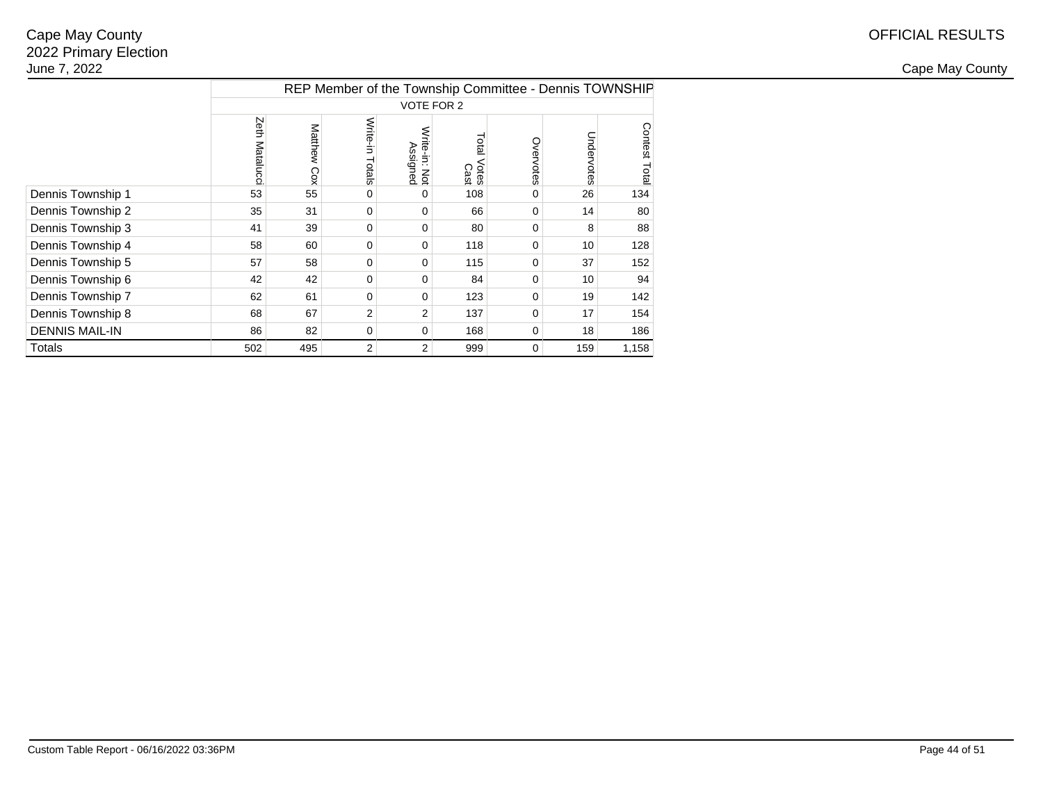|                       | REP Member of the Township Committee - Dennis TOWNSHIP |             |                    |                           |                        |             |            |               |  |  |  |  |  |
|-----------------------|--------------------------------------------------------|-------------|--------------------|---------------------------|------------------------|-------------|------------|---------------|--|--|--|--|--|
|                       |                                                        |             |                    | <b>VOTE FOR 2</b>         |                        |             |            |               |  |  |  |  |  |
|                       | Zeth<br>Matalucc                                       | Matthew Cox | Write-in<br>Totals | Write-in: Not<br>Assigned | Total<br>Votes<br>Cast | Overvotes   | Undervotes | Contest Total |  |  |  |  |  |
| Dennis Township 1     | 53                                                     | 55          | 0                  | 0                         | 108                    | $\Omega$    | 26         | 134           |  |  |  |  |  |
| Dennis Township 2     | 35                                                     | 31          | $\Omega$           | 0                         | 66                     | 0           | 14         | 80            |  |  |  |  |  |
| Dennis Township 3     | 41                                                     | 39          | 0                  | $\Omega$                  | 80                     | 0           | 8          | 88            |  |  |  |  |  |
| Dennis Township 4     | 58                                                     | 60          | $\Omega$           | $\Omega$                  | 118                    | $\mathbf 0$ | 10         | 128           |  |  |  |  |  |
| Dennis Township 5     | 57                                                     | 58          | 0                  | $\Omega$                  | 115                    | 0           | 37         | 152           |  |  |  |  |  |
| Dennis Township 6     | 42                                                     | 42          | 0                  | $\Omega$                  | 84                     | $\mathbf 0$ | 10         | 94            |  |  |  |  |  |
| Dennis Township 7     | 62                                                     | 61          | 0                  | $\Omega$                  | 123                    | 0           | 19         | 142           |  |  |  |  |  |
| Dennis Township 8     | 68                                                     | 67          | 2                  | 2                         | 137                    | $\Omega$    | 17         | 154           |  |  |  |  |  |
| <b>DENNIS MAIL-IN</b> | 86                                                     | 82          | 0                  | 0                         | 168                    | 0           | 18         | 186           |  |  |  |  |  |
| Totals                | 502                                                    | 495         | 2                  | 2                         | 999                    | $\mathbf 0$ | 159        | 1,158         |  |  |  |  |  |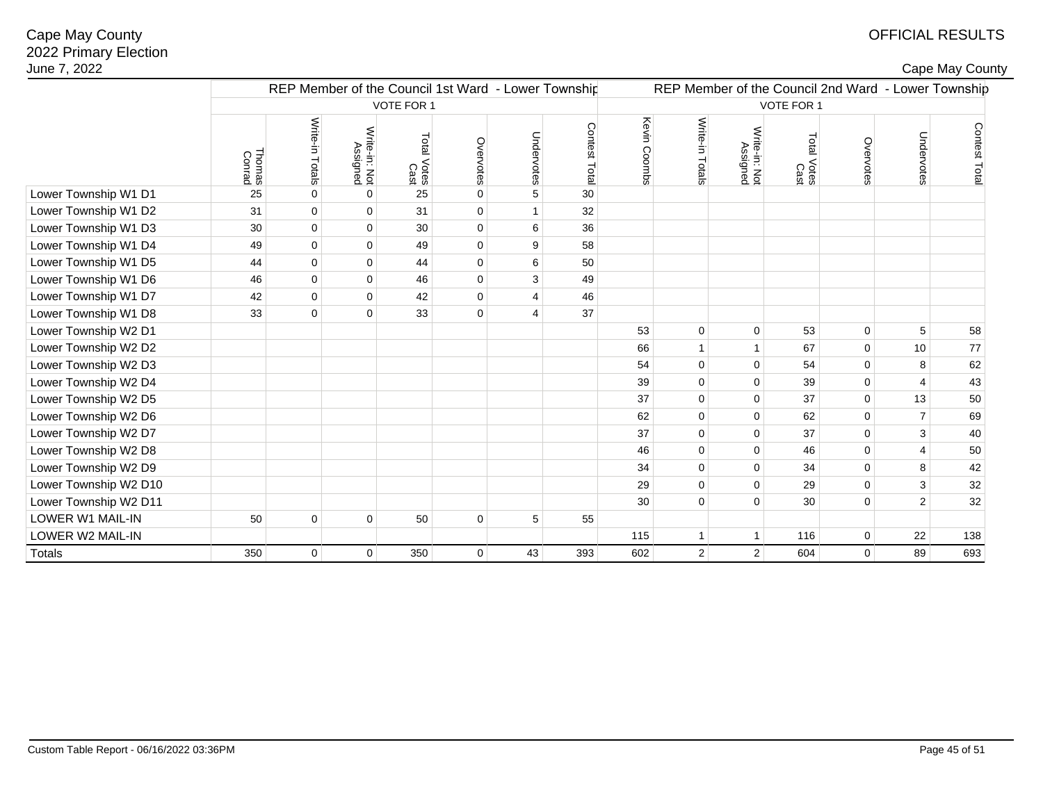# OFFICIAL RESULTS

| ape May County∶ |
|-----------------|
|-----------------|

| June 7, 2022          |                  |                                                     |                           |                     |             |                |               |                   |                 |                           |                                                     |             |                         | Cape May County |
|-----------------------|------------------|-----------------------------------------------------|---------------------------|---------------------|-------------|----------------|---------------|-------------------|-----------------|---------------------------|-----------------------------------------------------|-------------|-------------------------|-----------------|
|                       |                  | REP Member of the Council 1st Ward - Lower Township |                           |                     |             |                |               |                   |                 |                           | REP Member of the Council 2nd Ward - Lower Township |             |                         |                 |
|                       |                  |                                                     |                           | <b>VOTE FOR 1</b>   |             |                |               | <b>VOTE FOR 1</b> |                 |                           |                                                     |             |                         |                 |
|                       | Thomas<br>Conrad | Write-in Totals                                     | Write-in: Not<br>Assigned | Total Votes<br>Cast | Overvotes   | Undervotes     | Contest Total | Kevin Coombs      | Write-in Totals | Write-in: Not<br>Assigned | Total Votes<br>Cast                                 | Overvotes   | Undervotes              | Contest Total   |
| Lower Township W1 D1  | 25               | $\mathbf 0$                                         | $\mathbf 0$               | 25                  | $\pmb{0}$   | 5              | 30            |                   |                 |                           |                                                     |             |                         |                 |
| Lower Township W1 D2  | 31               | $\mathbf 0$                                         | $\mathbf 0$               | 31                  | $\mathbf 0$ |                | 32            |                   |                 |                           |                                                     |             |                         |                 |
| Lower Township W1 D3  | 30               | $\mathbf{0}$                                        | $\pmb{0}$                 | 30                  | $\mathbf 0$ | 6              | 36            |                   |                 |                           |                                                     |             |                         |                 |
| Lower Township W1 D4  | 49               | $\mathbf{0}$                                        | $\pmb{0}$                 | 49                  | $\pmb{0}$   | 9              | 58            |                   |                 |                           |                                                     |             |                         |                 |
| Lower Township W1 D5  | 44               | $\mathbf{0}$                                        | $\pmb{0}$                 | 44                  | $\mathbf 0$ | 6              | 50            |                   |                 |                           |                                                     |             |                         |                 |
| Lower Township W1 D6  | 46               | $\Omega$                                            | $\mathbf 0$               | 46                  | $\mathbf 0$ | 3              | 49            |                   |                 |                           |                                                     |             |                         |                 |
| Lower Township W1 D7  | 42               | $\mathbf{0}$                                        | $\pmb{0}$                 | 42                  | $\pmb{0}$   | $\overline{4}$ | 46            |                   |                 |                           |                                                     |             |                         |                 |
| Lower Township W1 D8  | 33               | $\mathbf 0$                                         | $\mathbf{0}$              | 33                  | $\mathbf 0$ | $\Delta$       | 37            |                   |                 |                           |                                                     |             |                         |                 |
| Lower Township W2 D1  |                  |                                                     |                           |                     |             |                |               | 53                | $\pmb{0}$       | $\mathbf 0$               | 53                                                  | $\mathbf 0$ | 5                       | 58              |
| Lower Township W2 D2  |                  |                                                     |                           |                     |             |                |               | 66                | $\mathbf{1}$    |                           | 67                                                  | $\pmb{0}$   | 10                      | 77              |
| Lower Township W2 D3  |                  |                                                     |                           |                     |             |                |               | 54                | $\mathbf 0$     | $\Omega$                  | 54                                                  | $\mathbf 0$ | 8                       | 62              |
| Lower Township W2 D4  |                  |                                                     |                           |                     |             |                |               | 39                | $\mathbf 0$     | $\Omega$                  | 39                                                  | $\mathsf 0$ | $\overline{4}$          | 43              |
| Lower Township W2 D5  |                  |                                                     |                           |                     |             |                |               | 37                | $\Omega$        | $\Omega$                  | 37                                                  | $\mathbf 0$ | 13                      | 50              |
| Lower Township W2 D6  |                  |                                                     |                           |                     |             |                |               | 62                | $\Omega$        | $\Omega$                  | 62                                                  | $\mathbf 0$ | $\overline{7}$          | 69              |
| Lower Township W2 D7  |                  |                                                     |                           |                     |             |                |               | 37                | $\mathbf 0$     | $\Omega$                  | 37                                                  | $\mathsf 0$ | 3                       | 40              |
| Lower Township W2 D8  |                  |                                                     |                           |                     |             |                |               | 46                | $\mathbf 0$     | $\mathbf 0$               | 46                                                  | $\pmb{0}$   | $\overline{\mathbf{4}}$ | 50              |
| Lower Township W2 D9  |                  |                                                     |                           |                     |             |                |               | 34                | $\mathbf 0$     | $\mathbf 0$               | 34                                                  | $\mathsf 0$ | $\bf 8$                 | 42              |
| Lower Township W2 D10 |                  |                                                     |                           |                     |             |                |               | 29                | $\mathbf 0$     | $\mathbf 0$               | 29                                                  | $\pmb{0}$   | 3                       | 32              |
| Lower Township W2 D11 |                  |                                                     |                           |                     |             |                |               | 30                | $\mathbf 0$     | $\Omega$                  | 30                                                  | $\mathsf 0$ | $\overline{2}$          | 32              |
| LOWER W1 MAIL-IN      | 50               | $\mathbf 0$                                         | $\mathbf 0$               | 50                  | $\mathbf 0$ | 5              | 55            |                   |                 |                           |                                                     |             |                         |                 |
| LOWER W2 MAIL-IN      |                  |                                                     |                           |                     |             |                |               | 115               | $\mathbf{1}$    | $\overline{1}$            | 116                                                 | $\mathbf 0$ | 22                      | 138             |
| <b>Totals</b>         | 350              | $\mathbf 0$                                         | $\mathbf 0$               | 350                 | 0           | 43             | 393           | 602               | $\overline{2}$  | $\overline{2}$            | 604                                                 | $\mathbf 0$ | 89                      | 693             |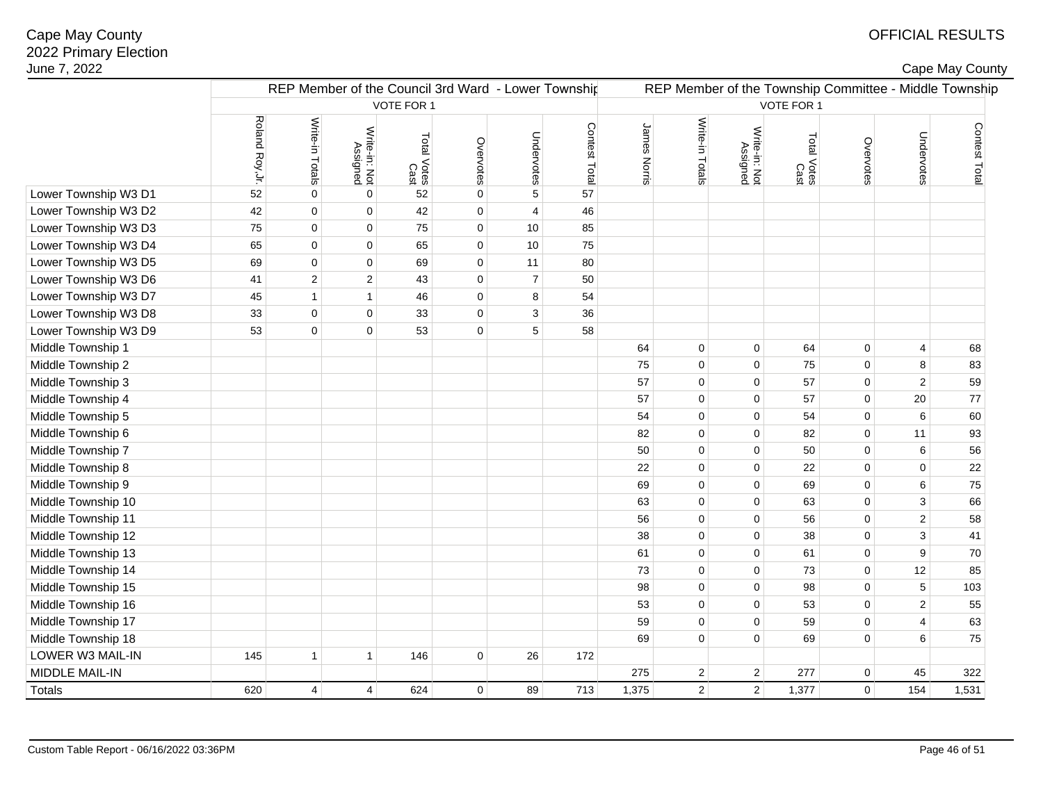## OFFICIAL RESULTS

|  | Cape May County |  |
|--|-----------------|--|
|  |                 |  |

| June 7, 2022         |                 |                                                     |                           |                     |             |                  |               |              |                 |                           |                     |             |                         | Cape May County                                        |  |
|----------------------|-----------------|-----------------------------------------------------|---------------------------|---------------------|-------------|------------------|---------------|--------------|-----------------|---------------------------|---------------------|-------------|-------------------------|--------------------------------------------------------|--|
|                      |                 | REP Member of the Council 3rd Ward - Lower Township |                           |                     |             |                  |               |              |                 |                           |                     |             |                         | REP Member of the Township Committee - Middle Township |  |
|                      |                 |                                                     |                           | VOTE FOR 1          |             |                  |               | VOTE FOR 1   |                 |                           |                     |             |                         |                                                        |  |
|                      | Roland Roy, Jr. | Write-in Totals                                     | Write-in: Not<br>Assigned | Total Votes<br>Cast | Overvotes   | Undervotes       | Contest Total | James Norris | Write-in Totals | Write-in: Not<br>Assigned | Total Votes<br>Cast | Overvotes   | Undervotes              | Contest Total                                          |  |
| Lower Township W3 D1 | 52              | $\pmb{0}$                                           | $\pmb{0}$                 | 52                  | $\mathbf 0$ | $\mathbf 5$      | 57            |              |                 |                           |                     |             |                         |                                                        |  |
| Lower Township W3 D2 | 42              | $\mathbf 0$                                         | $\mathbf 0$               | 42                  | $\mathbf 0$ | 4                | 46            |              |                 |                           |                     |             |                         |                                                        |  |
| Lower Township W3 D3 | 75              | $\mathbf{0}$                                        | $\pmb{0}$                 | 75                  | $\mathbf 0$ | 10               | 85            |              |                 |                           |                     |             |                         |                                                        |  |
| Lower Township W3 D4 | 65              | $\pmb{0}$                                           | $\mathbf 0$               | 65                  | $\mathbf 0$ | 10               | 75            |              |                 |                           |                     |             |                         |                                                        |  |
| Lower Township W3 D5 | 69              | $\mathbf 0$                                         | $\pmb{0}$                 | 69                  | $\mathbf 0$ | 11               | 80            |              |                 |                           |                     |             |                         |                                                        |  |
| Lower Township W3 D6 | 41              | $\overline{c}$                                      | $\sqrt{2}$                | 43                  | $\pmb{0}$   | $\boldsymbol{7}$ | 50            |              |                 |                           |                     |             |                         |                                                        |  |
| Lower Township W3 D7 | 45              | $\mathbf{1}$                                        | $\mathbf{1}$              | 46                  | $\pmb{0}$   | 8                | 54            |              |                 |                           |                     |             |                         |                                                        |  |
| Lower Township W3 D8 | 33              | $\mathbf 0$                                         | $\pmb{0}$                 | 33                  | $\pmb{0}$   | 3                | 36            |              |                 |                           |                     |             |                         |                                                        |  |
| Lower Township W3 D9 | 53              | $\mathbf 0$                                         | $\mathbf 0$               | 53                  | $\mathbf 0$ | 5                | 58            |              |                 |                           |                     |             |                         |                                                        |  |
| Middle Township 1    |                 |                                                     |                           |                     |             |                  |               | 64           | $\mathbf 0$     | $\mathbf 0$               | 64                  | $\mathbf 0$ | 4                       | 68                                                     |  |
| Middle Township 2    |                 |                                                     |                           |                     |             |                  |               | 75           | $\mathbf 0$     | $\mathbf 0$               | 75                  | $\mathbf 0$ | 8                       | 83                                                     |  |
| Middle Township 3    |                 |                                                     |                           |                     |             |                  |               | 57           | $\mathbf 0$     | $\mathbf 0$               | 57                  | $\mathbf 0$ | $\mathbf{2}$            | 59                                                     |  |
| Middle Township 4    |                 |                                                     |                           |                     |             |                  |               | 57           | $\mathbf 0$     | $\mathbf 0$               | 57                  | $\mathbf 0$ | 20                      | $77\,$                                                 |  |
| Middle Township 5    |                 |                                                     |                           |                     |             |                  |               | 54           | $\mathbf 0$     | $\mathbf 0$               | 54                  | $\mathbf 0$ | 6                       | 60                                                     |  |
| Middle Township 6    |                 |                                                     |                           |                     |             |                  |               | 82           | $\mathbf 0$     | $\mathbf 0$               | 82                  | $\mathbf 0$ | 11                      | 93                                                     |  |
| Middle Township 7    |                 |                                                     |                           |                     |             |                  |               | 50           | $\mathbf 0$     | $\mathbf 0$               | 50                  | $\mathbf 0$ | 6                       | 56                                                     |  |
| Middle Township 8    |                 |                                                     |                           |                     |             |                  |               | 22           | $\mathbf 0$     | $\mathbf 0$               | 22                  | $\mathbf 0$ | $\mathbf 0$             | 22                                                     |  |
| Middle Township 9    |                 |                                                     |                           |                     |             |                  |               | 69           | $\mathbf 0$     | $\mathbf 0$               | 69                  | $\mathbf 0$ | 6                       | 75                                                     |  |
| Middle Township 10   |                 |                                                     |                           |                     |             |                  |               | 63           | $\mathbf 0$     | $\mathbf 0$               | 63                  | $\mathbf 0$ | 3                       | 66                                                     |  |
| Middle Township 11   |                 |                                                     |                           |                     |             |                  |               | 56           | $\mathbf 0$     | $\mathbf 0$               | 56                  | $\mathbf 0$ | $\overline{\mathbf{c}}$ | 58                                                     |  |
| Middle Township 12   |                 |                                                     |                           |                     |             |                  |               | 38           | $\mathbf 0$     | $\mathbf 0$               | 38                  | $\mathbf 0$ | 3                       | 41                                                     |  |
| Middle Township 13   |                 |                                                     |                           |                     |             |                  |               | 61           | $\mathbf 0$     | $\mathbf 0$               | 61                  | $\mathbf 0$ | 9                       | 70                                                     |  |
| Middle Township 14   |                 |                                                     |                           |                     |             |                  |               | 73           | $\mathbf 0$     | 0                         | 73                  | $\pmb{0}$   | 12                      | 85                                                     |  |
| Middle Township 15   |                 |                                                     |                           |                     |             |                  |               | 98           | $\mathbf 0$     | $\mathbf 0$               | 98                  | $\mathbf 0$ | 5                       | 103                                                    |  |
| Middle Township 16   |                 |                                                     |                           |                     |             |                  |               | 53           | $\mathbf 0$     | $\mathbf 0$               | 53                  | $\pmb{0}$   | $\overline{c}$          | 55                                                     |  |
| Middle Township 17   |                 |                                                     |                           |                     |             |                  |               | 59           | $\mathbf 0$     | $\mathbf 0$               | 59                  | $\pmb{0}$   | 4                       | 63                                                     |  |
| Middle Township 18   |                 |                                                     |                           |                     |             |                  |               | 69           | $\mathbf 0$     | $\mathbf 0$               | 69                  | $\mathbf 0$ | 6                       | 75                                                     |  |
| LOWER W3 MAIL-IN     | 145             | $\mathbf{1}$                                        | $\mathbf{1}$              | 146                 | $\pmb{0}$   | 26               | 172           |              |                 |                           |                     |             |                         |                                                        |  |
| MIDDLE MAIL-IN       |                 |                                                     |                           |                     |             |                  |               | 275          | $\overline{c}$  | 2                         | 277                 | $\mathbf 0$ | 45                      | 322                                                    |  |
| Totals               | 620             | $\overline{4}$                                      | $\overline{4}$            | 624                 | $\mathbf 0$ | 89               | 713           | 1,375        | $\overline{2}$  | $\overline{2}$            | 1,377               | $\pmb{0}$   | 154                     | 1,531                                                  |  |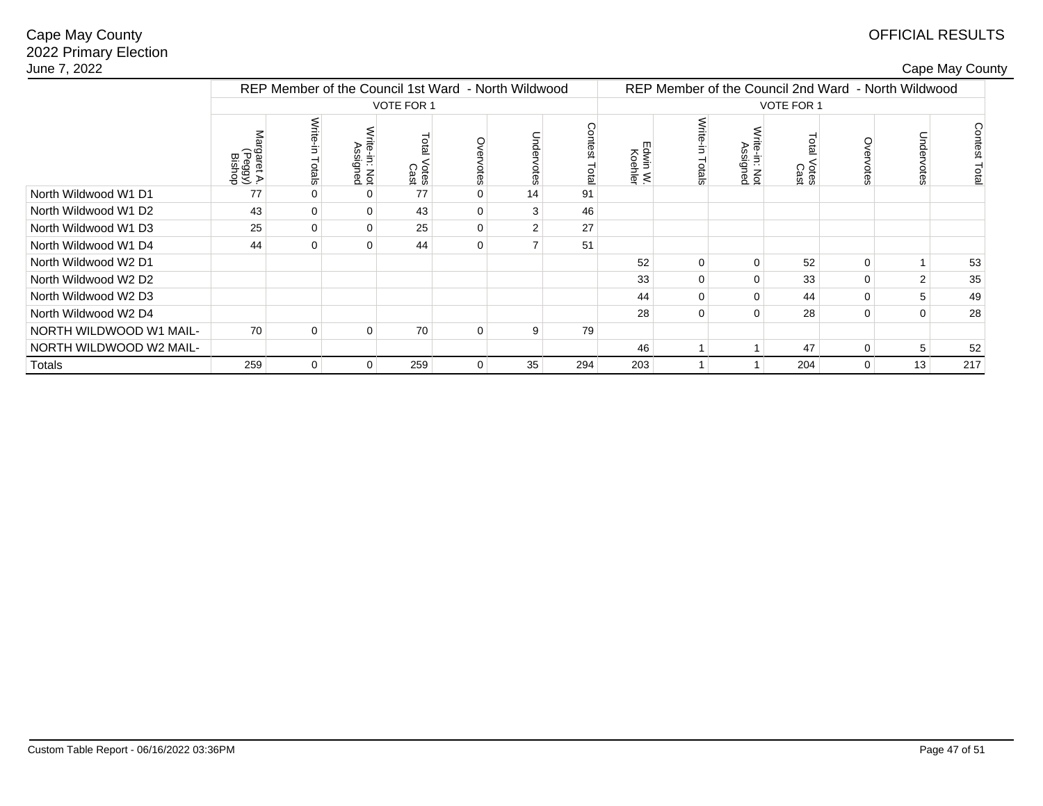# OFFICIAL RESULTS

| ape May County∶ |
|-----------------|
|-----------------|

| June 7, 2022            |                                |                    |                           |                                                     |             |                |                                                     |                     |                 |                          |                     |                |                | Cape May County  |
|-------------------------|--------------------------------|--------------------|---------------------------|-----------------------------------------------------|-------------|----------------|-----------------------------------------------------|---------------------|-----------------|--------------------------|---------------------|----------------|----------------|------------------|
|                         |                                |                    |                           | REP Member of the Council 1st Ward - North Wildwood |             |                | REP Member of the Council 2nd Ward - North Wildwood |                     |                 |                          |                     |                |                |                  |
|                         |                                |                    |                           | VOTE FOR 1                                          |             |                | <b>VOTE FOR 1</b>                                   |                     |                 |                          |                     |                |                |                  |
|                         | rgaret A.<br>(Peggy)<br>Bishop | Write-in<br>Totals | /rite-in: Not<br>Assigned | Total<br>I Votes<br>Cast                            | Overvotes   | Unde<br>votes  | Contest<br>Total                                    | :dwin W.<br>Koehler | Write<br>Totals | rite-in: Not<br>Assigned | Total Votes<br>Cast | Overvotes      | Undervotes     | Contest<br>Total |
| North Wildwood W1 D1    | 77                             |                    | 0                         | 77                                                  | 0           | 14             | 91                                                  |                     |                 |                          |                     |                |                |                  |
| North Wildwood W1 D2    | 43                             | 0                  | 0                         | 43                                                  | 0           | 3              | 46                                                  |                     |                 |                          |                     |                |                |                  |
| North Wildwood W1 D3    | 25                             | 0                  | 0                         | 25                                                  | $\mathbf 0$ | $\overline{2}$ | 27                                                  |                     |                 |                          |                     |                |                |                  |
| North Wildwood W1 D4    | 44                             | $\Omega$           | 0                         | 44                                                  | 0           |                | 51                                                  |                     |                 |                          |                     |                |                |                  |
| North Wildwood W2 D1    |                                |                    |                           |                                                     |             |                |                                                     | 52                  | 0               | $\mathbf 0$              | 52                  | 0              |                | 53               |
| North Wildwood W2 D2    |                                |                    |                           |                                                     |             |                |                                                     | 33                  | 0               | $\Omega$                 | 33                  | $\mathbf 0$    | $\overline{2}$ | 35               |
| North Wildwood W2 D3    |                                |                    |                           |                                                     |             |                |                                                     | 44                  | $\Omega$        | $\Omega$                 | 44                  | $\mathbf 0$    | 5              | 49               |
| North Wildwood W2 D4    |                                |                    |                           |                                                     |             |                |                                                     | 28                  | 0               | $\Omega$                 | 28                  | $\mathbf 0$    | $\Omega$       | 28               |
| NORTH WILDWOOD W1 MAIL- | 70                             | $\Omega$           | $\Omega$                  | 70                                                  | 0           | 9              | 79                                                  |                     |                 |                          |                     |                |                |                  |
| NORTH WILDWOOD W2 MAIL- |                                |                    |                           |                                                     |             |                |                                                     | 46                  |                 |                          | 47                  | $\mathbf 0$    | 5              | 52               |
| Totals                  | 259                            | $\overline{0}$     | 0                         | 259                                                 | 0           | 35             | 294                                                 | 203                 |                 |                          | 204                 | $\overline{0}$ | 13             | 217              |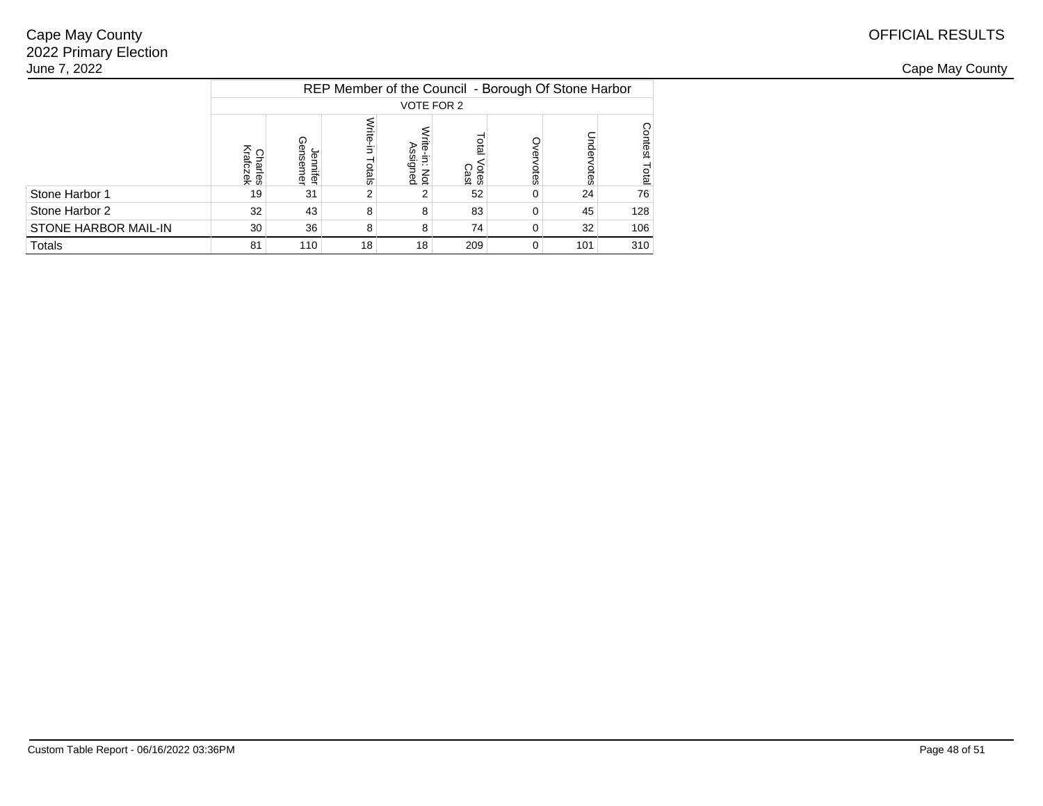| June 7, 2022         |              |                        |                 |                                                     |               |              |     |     |  |  |  |  |
|----------------------|--------------|------------------------|-----------------|-----------------------------------------------------|---------------|--------------|-----|-----|--|--|--|--|
|                      |              |                        |                 | REP Member of the Council - Borough Of Stone Harbor |               |              |     |     |  |  |  |  |
|                      | VOTE FOR 2   |                        |                 |                                                     |               |              |     |     |  |  |  |  |
|                      | Cổ ča<br>Fes | ⋒<br>O.<br>iter<br>mer | otals           | in: N<br>Ssign<br>Not<br>Ped                        | Votes<br>Cast |              |     |     |  |  |  |  |
| Stone Harbor 1       | 19           | 31                     |                 |                                                     | 52            |              | 24  | 76  |  |  |  |  |
| Stone Harbor 2       | 32           | 43                     | 8               | 8                                                   | 83            | 0            | 45  | 128 |  |  |  |  |
| STONE HARBOR MAIL-IN | 30           | 36                     | 8               | 8                                                   | 74            | 0            | 32  | 106 |  |  |  |  |
| Totals               | 81           | 110                    | 18 <sub>1</sub> | 18 <sub>1</sub>                                     | 209           | $\mathbf{0}$ | 101 | 310 |  |  |  |  |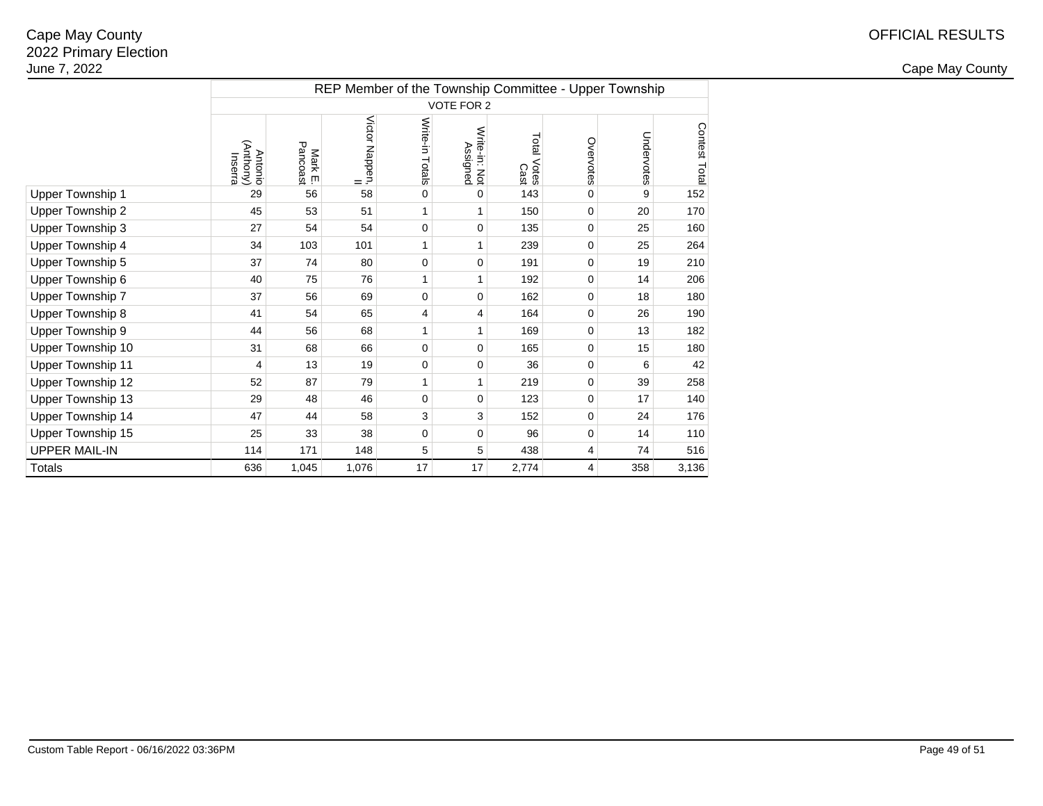|                         |                                        |                     |                                  |                 |                           |                     |           | REP Member of the Township Committee - Upper Township |               |
|-------------------------|----------------------------------------|---------------------|----------------------------------|-----------------|---------------------------|---------------------|-----------|-------------------------------------------------------|---------------|
|                         |                                        |                     |                                  |                 | VOTE FOR 2                |                     |           |                                                       |               |
|                         | (Anthony)<br><b>Antonio</b><br>Inserra | Mark E.<br>Pancoast | Victor Nappen,<br>Victor Nappen, | Write-in Totals | Write-in: Not<br>Assigned | Total Votes<br>Cast | Overvotes | Undervotes                                            | Contest Total |
| <b>Upper Township 1</b> | 29                                     | 56                  | 58                               | 0               | 0                         | 143                 | 0         | 9                                                     | 152           |
| Upper Township 2        | 45                                     | 53                  | 51                               |                 |                           | 150                 | 0         | 20                                                    | 170           |
| Upper Township 3        | 27                                     | 54                  | 54                               | $\mathbf 0$     | 0                         | 135                 | 0         | 25                                                    | 160           |
| Upper Township 4        | 34                                     | 103                 | 101                              | 1               | 1                         | 239                 | 0         | 25                                                    | 264           |
| Upper Township 5        | 37                                     | 74                  | 80                               | 0               | 0                         | 191                 | 0         | 19                                                    | 210           |
| Upper Township 6        | 40                                     | 75                  | 76                               |                 | 1                         | 192                 | 0         | 14                                                    | 206           |
| Upper Township 7        | 37                                     | 56                  | 69                               | $\mathbf 0$     | 0                         | 162                 | 0         | 18                                                    | 180           |
| Upper Township 8        | 41                                     | 54                  | 65                               | 4               | 4                         | 164                 | 0         | 26                                                    | 190           |
| Upper Township 9        | 44                                     | 56                  | 68                               |                 |                           | 169                 | 0         | 13                                                    | 182           |
| Upper Township 10       | 31                                     | 68                  | 66                               | $\mathbf 0$     | 0                         | 165                 | 0         | 15                                                    | 180           |
| Upper Township 11       | 4                                      | 13                  | 19                               | 0               | 0                         | 36                  | 0         | 6                                                     | 42            |
| Upper Township 12       | 52                                     | 87                  | 79                               | 1               | 1                         | 219                 | 0         | 39                                                    | 258           |
| Upper Township 13       | 29                                     | 48                  | 46                               | 0               | 0                         | 123                 | 0         | 17                                                    | 140           |
| Upper Township 14       | 47                                     | 44                  | 58                               | 3               | 3                         | 152                 | 0         | 24                                                    | 176           |
| Upper Township 15       | 25                                     | 33                  | 38                               | 0               | 0                         | 96                  | 0         | 14                                                    | 110           |
| <b>UPPER MAIL-IN</b>    | 114                                    | 171                 | 148                              | 5               | 5                         | 438                 | 4         | 74                                                    | 516           |
| Totals                  | 636                                    | 1,045               | 1,076                            | 17              | 17                        | 2,774               | 4         | 358                                                   | 3,136         |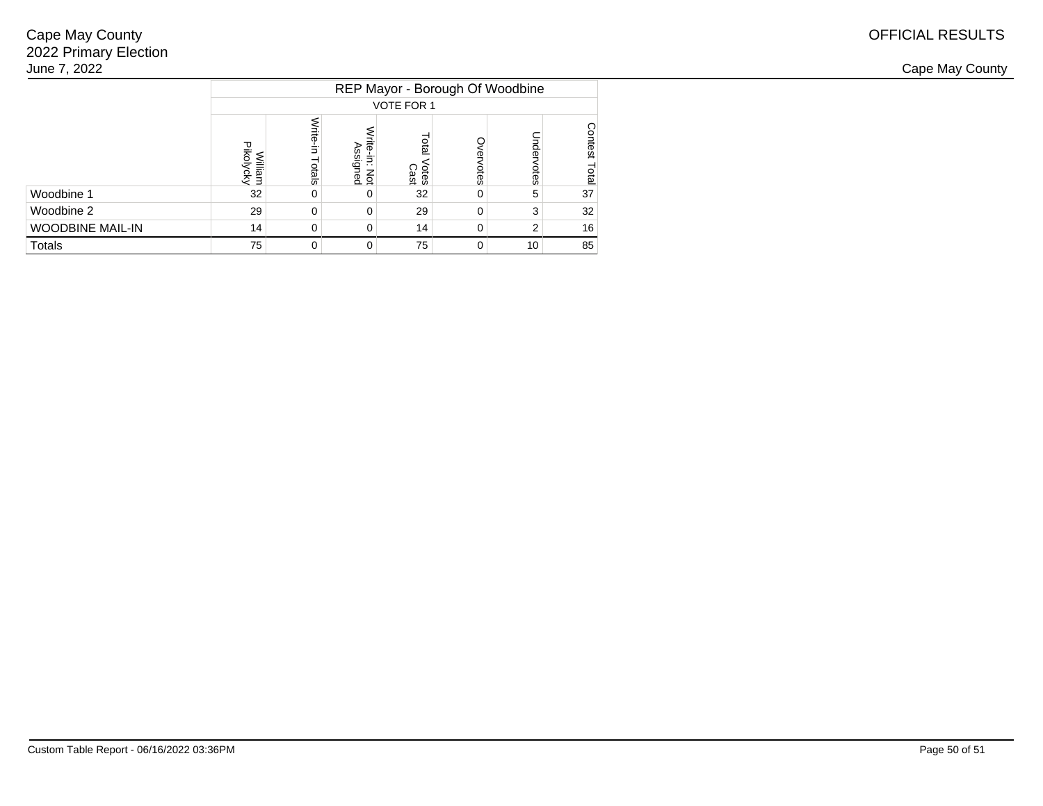| June 7, 2022            |                                 |     |                                                   |                     |      |           |           |  |  |  |  |  |
|-------------------------|---------------------------------|-----|---------------------------------------------------|---------------------|------|-----------|-----------|--|--|--|--|--|
|                         | REP Mayor - Borough Of Woodbine |     |                                                   |                     |      |           |           |  |  |  |  |  |
|                         | VOTE FOR 1                      |     |                                                   |                     |      |           |           |  |  |  |  |  |
|                         | Pikoly<br>viliam<br>olvcky      | မ္တ | ഋ<br>$\cdot$ .<br>$\overline{\phantom{0}}$<br>a g | <b>Cast</b><br>Cast | otes | inde<br>ā | ēs<br>gal |  |  |  |  |  |
| Woodbine 1              | 32                              |     | $\Omega$                                          | 32                  | 0    |           | 37        |  |  |  |  |  |
| Woodbine 2              | 29                              |     | 0                                                 | 29                  | 0    |           | 32        |  |  |  |  |  |
| <b>WOODBINE MAIL-IN</b> | 14                              |     | 0                                                 | 14 <sub>1</sub>     | 0    |           | 16        |  |  |  |  |  |
| Totals                  | 75                              |     | 0                                                 | 75                  | 0    | 10        | 85        |  |  |  |  |  |